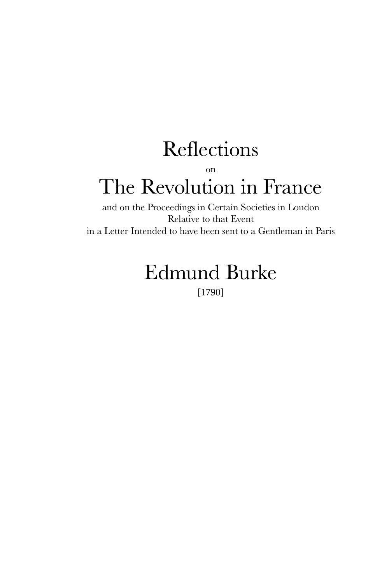# Reflections on The Revolution in France

and on the Proceedings in Certain Societies in London Relative to that Event in a Letter Intended to have been sent to a Gentleman in Paris

## Edmund Burke [1790]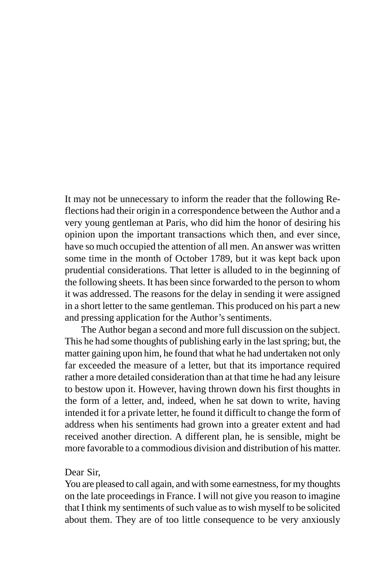It may not be unnecessary to inform the reader that the following Reflections had their origin in a correspondence between the Author and a very young gentleman at Paris, who did him the honor of desiring his opinion upon the important transactions which then, and ever since, have so much occupied the attention of all men. An answer was written some time in the month of October 1789, but it was kept back upon prudential considerations. That letter is alluded to in the beginning of the following sheets. It has been since forwarded to the person to whom it was addressed. The reasons for the delay in sending it were assigned in a short letter to the same gentleman. This produced on his part a new and pressing application for the Author's sentiments.

The Author began a second and more full discussion on the subject. This he had some thoughts of publishing early in the last spring; but, the matter gaining upon him, he found that what he had undertaken not only far exceeded the measure of a letter, but that its importance required rather a more detailed consideration than at that time he had any leisure to bestow upon it. However, having thrown down his first thoughts in the form of a letter, and, indeed, when he sat down to write, having intended it for a private letter, he found it difficult to change the form of address when his sentiments had grown into a greater extent and had received another direction. A different plan, he is sensible, might be more favorable to a commodious division and distribution of his matter.

## Dear Sir,

You are pleased to call again, and with some earnestness, for my thoughts on the late proceedings in France. I will not give you reason to imagine that I think my sentiments of such value as to wish myself to be solicited about them. They are of too little consequence to be very anxiously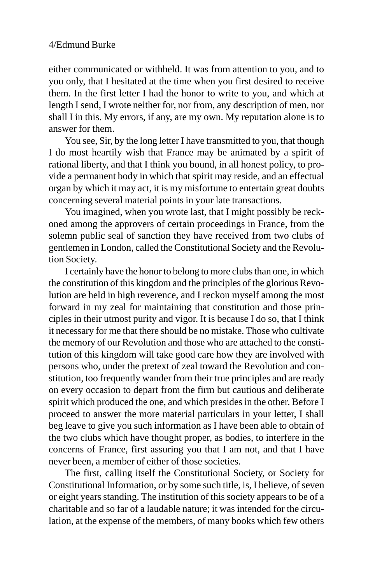either communicated or withheld. It was from attention to you, and to you only, that I hesitated at the time when you first desired to receive them. In the first letter I had the honor to write to you, and which at length I send, I wrote neither for, nor from, any description of men, nor shall I in this. My errors, if any, are my own. My reputation alone is to answer for them.

You see, Sir, by the long letter I have transmitted to you, that though I do most heartily wish that France may be animated by a spirit of rational liberty, and that I think you bound, in all honest policy, to provide a permanent body in which that spirit may reside, and an effectual organ by which it may act, it is my misfortune to entertain great doubts concerning several material points in your late transactions.

You imagined, when you wrote last, that I might possibly be reckoned among the approvers of certain proceedings in France, from the solemn public seal of sanction they have received from two clubs of gentlemen in London, called the Constitutional Society and the Revolution Society.

I certainly have the honor to belong to more clubs than one, in which the constitution of this kingdom and the principles of the glorious Revolution are held in high reverence, and I reckon myself among the most forward in my zeal for maintaining that constitution and those principles in their utmost purity and vigor. It is because I do so, that I think it necessary for me that there should be no mistake. Those who cultivate the memory of our Revolution and those who are attached to the constitution of this kingdom will take good care how they are involved with persons who, under the pretext of zeal toward the Revolution and constitution, too frequently wander from their true principles and are ready on every occasion to depart from the firm but cautious and deliberate spirit which produced the one, and which presides in the other. Before I proceed to answer the more material particulars in your letter, I shall beg leave to give you such information as I have been able to obtain of the two clubs which have thought proper, as bodies, to interfere in the concerns of France, first assuring you that I am not, and that I have never been, a member of either of those societies.

The first, calling itself the Constitutional Society, or Society for Constitutional Information, or by some such title, is, I believe, of seven or eight years standing. The institution of this society appears to be of a charitable and so far of a laudable nature; it was intended for the circulation, at the expense of the members, of many books which few others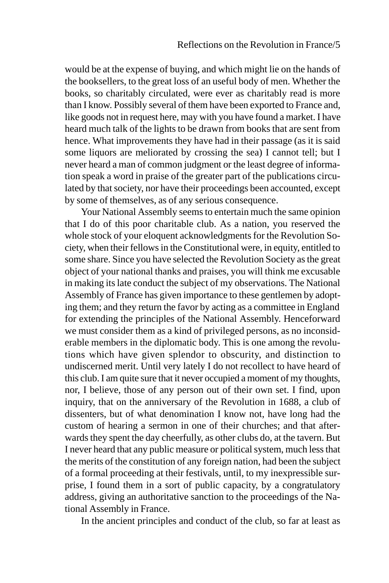would be at the expense of buying, and which might lie on the hands of the booksellers, to the great loss of an useful body of men. Whether the books, so charitably circulated, were ever as charitably read is more than I know. Possibly several of them have been exported to France and, like goods not in request here, may with you have found a market. I have heard much talk of the lights to be drawn from books that are sent from hence. What improvements they have had in their passage (as it is said some liquors are meliorated by crossing the sea) I cannot tell; but I never heard a man of common judgment or the least degree of information speak a word in praise of the greater part of the publications circulated by that society, nor have their proceedings been accounted, except by some of themselves, as of any serious consequence.

Your National Assembly seems to entertain much the same opinion that I do of this poor charitable club. As a nation, you reserved the whole stock of your eloquent acknowledgments for the Revolution Society, when their fellows in the Constitutional were, in equity, entitled to some share. Since you have selected the Revolution Society as the great object of your national thanks and praises, you will think me excusable in making its late conduct the subject of my observations. The National Assembly of France has given importance to these gentlemen by adopting them; and they return the favor by acting as a committee in England for extending the principles of the National Assembly. Henceforward we must consider them as a kind of privileged persons, as no inconsiderable members in the diplomatic body. This is one among the revolutions which have given splendor to obscurity, and distinction to undiscerned merit. Until very lately I do not recollect to have heard of this club. I am quite sure that it never occupied a moment of my thoughts, nor, I believe, those of any person out of their own set. I find, upon inquiry, that on the anniversary of the Revolution in 1688, a club of dissenters, but of what denomination I know not, have long had the custom of hearing a sermon in one of their churches; and that afterwards they spent the day cheerfully, as other clubs do, at the tavern. But I never heard that any public measure or political system, much less that the merits of the constitution of any foreign nation, had been the subject of a formal proceeding at their festivals, until, to my inexpressible surprise, I found them in a sort of public capacity, by a congratulatory address, giving an authoritative sanction to the proceedings of the National Assembly in France.

In the ancient principles and conduct of the club, so far at least as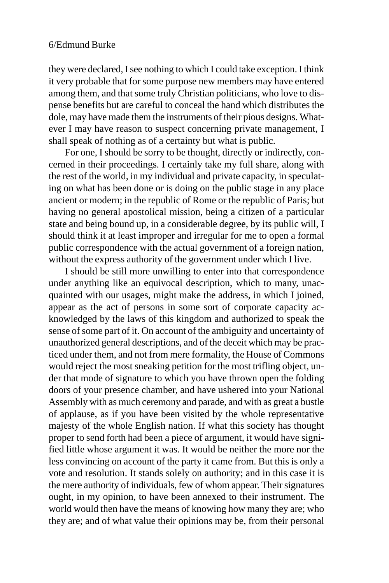they were declared, I see nothing to which I could take exception. I think it very probable that for some purpose new members may have entered among them, and that some truly Christian politicians, who love to dispense benefits but are careful to conceal the hand which distributes the dole, may have made them the instruments of their pious designs. Whatever I may have reason to suspect concerning private management, I shall speak of nothing as of a certainty but what is public.

For one, I should be sorry to be thought, directly or indirectly, concerned in their proceedings. I certainly take my full share, along with the rest of the world, in my individual and private capacity, in speculating on what has been done or is doing on the public stage in any place ancient or modern; in the republic of Rome or the republic of Paris; but having no general apostolical mission, being a citizen of a particular state and being bound up, in a considerable degree, by its public will, I should think it at least improper and irregular for me to open a formal public correspondence with the actual government of a foreign nation, without the express authority of the government under which I live.

I should be still more unwilling to enter into that correspondence under anything like an equivocal description, which to many, unacquainted with our usages, might make the address, in which I joined, appear as the act of persons in some sort of corporate capacity acknowledged by the laws of this kingdom and authorized to speak the sense of some part of it. On account of the ambiguity and uncertainty of unauthorized general descriptions, and of the deceit which may be practiced under them, and not from mere formality, the House of Commons would reject the most sneaking petition for the most trifling object, under that mode of signature to which you have thrown open the folding doors of your presence chamber, and have ushered into your National Assembly with as much ceremony and parade, and with as great a bustle of applause, as if you have been visited by the whole representative majesty of the whole English nation. If what this society has thought proper to send forth had been a piece of argument, it would have signified little whose argument it was. It would be neither the more nor the less convincing on account of the party it came from. But this is only a vote and resolution. It stands solely on authority; and in this case it is the mere authority of individuals, few of whom appear. Their signatures ought, in my opinion, to have been annexed to their instrument. The world would then have the means of knowing how many they are; who they are; and of what value their opinions may be, from their personal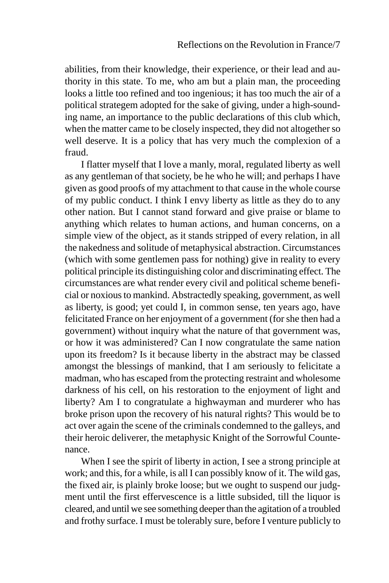abilities, from their knowledge, their experience, or their lead and authority in this state. To me, who am but a plain man, the proceeding looks a little too refined and too ingenious; it has too much the air of a political strategem adopted for the sake of giving, under a high-sounding name, an importance to the public declarations of this club which, when the matter came to be closely inspected, they did not altogether so well deserve. It is a policy that has very much the complexion of a fraud.

I flatter myself that I love a manly, moral, regulated liberty as well as any gentleman of that society, be he who he will; and perhaps I have given as good proofs of my attachment to that cause in the whole course of my public conduct. I think I envy liberty as little as they do to any other nation. But I cannot stand forward and give praise or blame to anything which relates to human actions, and human concerns, on a simple view of the object, as it stands stripped of every relation, in all the nakedness and solitude of metaphysical abstraction. Circumstances (which with some gentlemen pass for nothing) give in reality to every political principle its distinguishing color and discriminating effect. The circumstances are what render every civil and political scheme beneficial or noxious to mankind. Abstractedly speaking, government, as well as liberty, is good; yet could I, in common sense, ten years ago, have felicitated France on her enjoyment of a government (for she then had a government) without inquiry what the nature of that government was, or how it was administered? Can I now congratulate the same nation upon its freedom? Is it because liberty in the abstract may be classed amongst the blessings of mankind, that I am seriously to felicitate a madman, who has escaped from the protecting restraint and wholesome darkness of his cell, on his restoration to the enjoyment of light and liberty? Am I to congratulate a highwayman and murderer who has broke prison upon the recovery of his natural rights? This would be to act over again the scene of the criminals condemned to the galleys, and their heroic deliverer, the metaphysic Knight of the Sorrowful Countenance.

When I see the spirit of liberty in action, I see a strong principle at work; and this, for a while, is all I can possibly know of it. The wild gas, the fixed air, is plainly broke loose; but we ought to suspend our judgment until the first effervescence is a little subsided, till the liquor is cleared, and until we see something deeper than the agitation of a troubled and frothy surface. I must be tolerably sure, before I venture publicly to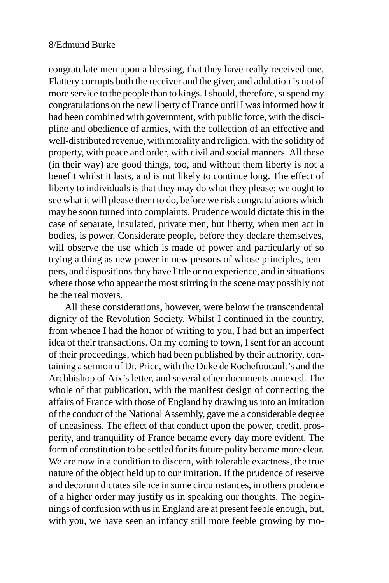congratulate men upon a blessing, that they have really received one. Flattery corrupts both the receiver and the giver, and adulation is not of more service to the people than to kings. I should, therefore, suspend my congratulations on the new liberty of France until I was informed how it had been combined with government, with public force, with the discipline and obedience of armies, with the collection of an effective and well-distributed revenue, with morality and religion, with the solidity of property, with peace and order, with civil and social manners. All these (in their way) are good things, too, and without them liberty is not a benefit whilst it lasts, and is not likely to continue long. The effect of liberty to individuals is that they may do what they please; we ought to see what it will please them to do, before we risk congratulations which may be soon turned into complaints. Prudence would dictate this in the case of separate, insulated, private men, but liberty, when men act in bodies, is power. Considerate people, before they declare themselves, will observe the use which is made of power and particularly of so trying a thing as new power in new persons of whose principles, tempers, and dispositions they have little or no experience, and in situations where those who appear the most stirring in the scene may possibly not be the real movers.

All these considerations, however, were below the transcendental dignity of the Revolution Society. Whilst I continued in the country, from whence I had the honor of writing to you, I had but an imperfect idea of their transactions. On my coming to town, I sent for an account of their proceedings, which had been published by their authority, containing a sermon of Dr. Price, with the Duke de Rochefoucault's and the Archbishop of Aix's letter, and several other documents annexed. The whole of that publication, with the manifest design of connecting the affairs of France with those of England by drawing us into an imitation of the conduct of the National Assembly, gave me a considerable degree of uneasiness. The effect of that conduct upon the power, credit, prosperity, and tranquility of France became every day more evident. The form of constitution to be settled for its future polity became more clear. We are now in a condition to discern, with tolerable exactness, the true nature of the object held up to our imitation. If the prudence of reserve and decorum dictates silence in some circumstances, in others prudence of a higher order may justify us in speaking our thoughts. The beginnings of confusion with us in England are at present feeble enough, but, with you, we have seen an infancy still more feeble growing by mo-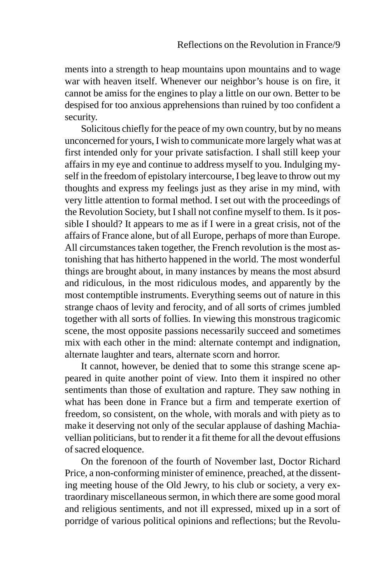ments into a strength to heap mountains upon mountains and to wage war with heaven itself. Whenever our neighbor's house is on fire, it cannot be amiss for the engines to play a little on our own. Better to be despised for too anxious apprehensions than ruined by too confident a security.

Solicitous chiefly for the peace of my own country, but by no means unconcerned for yours, I wish to communicate more largely what was at first intended only for your private satisfaction. I shall still keep your affairs in my eye and continue to address myself to you. Indulging myself in the freedom of epistolary intercourse, I beg leave to throw out my thoughts and express my feelings just as they arise in my mind, with very little attention to formal method. I set out with the proceedings of the Revolution Society, but I shall not confine myself to them. Is it possible I should? It appears to me as if I were in a great crisis, not of the affairs of France alone, but of all Europe, perhaps of more than Europe. All circumstances taken together, the French revolution is the most astonishing that has hitherto happened in the world. The most wonderful things are brought about, in many instances by means the most absurd and ridiculous, in the most ridiculous modes, and apparently by the most contemptible instruments. Everything seems out of nature in this strange chaos of levity and ferocity, and of all sorts of crimes jumbled together with all sorts of follies. In viewing this monstrous tragicomic scene, the most opposite passions necessarily succeed and sometimes mix with each other in the mind: alternate contempt and indignation, alternate laughter and tears, alternate scorn and horror.

It cannot, however, be denied that to some this strange scene appeared in quite another point of view. Into them it inspired no other sentiments than those of exultation and rapture. They saw nothing in what has been done in France but a firm and temperate exertion of freedom, so consistent, on the whole, with morals and with piety as to make it deserving not only of the secular applause of dashing Machiavellian politicians, but to render it a fit theme for all the devout effusions of sacred eloquence.

On the forenoon of the fourth of November last, Doctor Richard Price, a non-conforming minister of eminence, preached, at the dissenting meeting house of the Old Jewry, to his club or society, a very extraordinary miscellaneous sermon, in which there are some good moral and religious sentiments, and not ill expressed, mixed up in a sort of porridge of various political opinions and reflections; but the Revolu-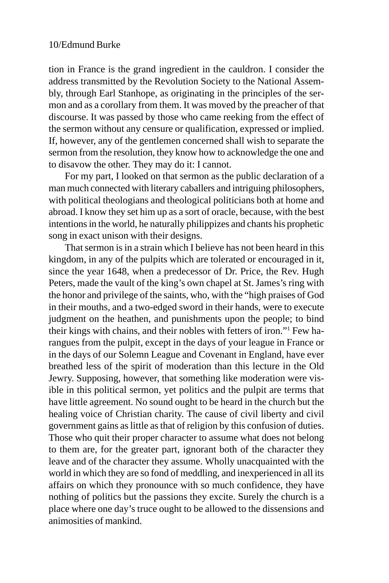tion in France is the grand ingredient in the cauldron. I consider the address transmitted by the Revolution Society to the National Assembly, through Earl Stanhope, as originating in the principles of the sermon and as a corollary from them. It was moved by the preacher of that discourse. It was passed by those who came reeking from the effect of the sermon without any censure or qualification, expressed or implied. If, however, any of the gentlemen concerned shall wish to separate the sermon from the resolution, they know how to acknowledge the one and to disavow the other. They may do it: I cannot.

For my part, I looked on that sermon as the public declaration of a man much connected with literary caballers and intriguing philosophers, with political theologians and theological politicians both at home and abroad. I know they set him up as a sort of oracle, because, with the best intentions in the world, he naturally philippizes and chants his prophetic song in exact unison with their designs.

That sermon is in a strain which I believe has not been heard in this kingdom, in any of the pulpits which are tolerated or encouraged in it, since the year 1648, when a predecessor of Dr. Price, the Rev. Hugh Peters, made the vault of the king's own chapel at St. James's ring with the honor and privilege of the saints, who, with the "high praises of God in their mouths, and a two-edged sword in their hands, were to execute judgment on the heathen, and punishments upon the people; to bind their kings with chains, and their nobles with fetters of iron."1 Few harangues from the pulpit, except in the days of your league in France or in the days of our Solemn League and Covenant in England, have ever breathed less of the spirit of moderation than this lecture in the Old Jewry. Supposing, however, that something like moderation were visible in this political sermon, yet politics and the pulpit are terms that have little agreement. No sound ought to be heard in the church but the healing voice of Christian charity. The cause of civil liberty and civil government gains as little as that of religion by this confusion of duties. Those who quit their proper character to assume what does not belong to them are, for the greater part, ignorant both of the character they leave and of the character they assume. Wholly unacquainted with the world in which they are so fond of meddling, and inexperienced in all its affairs on which they pronounce with so much confidence, they have nothing of politics but the passions they excite. Surely the church is a place where one day's truce ought to be allowed to the dissensions and animosities of mankind.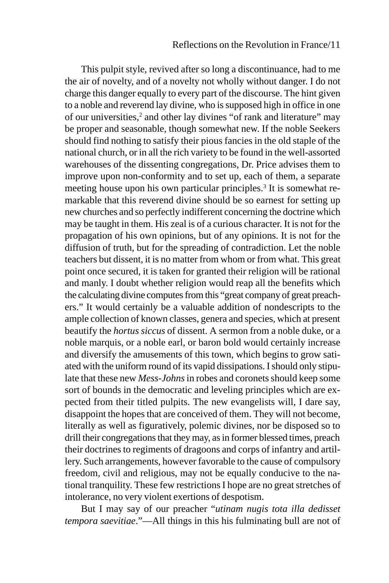This pulpit style, revived after so long a discontinuance, had to me the air of novelty, and of a novelty not wholly without danger. I do not charge this danger equally to every part of the discourse. The hint given to a noble and reverend lay divine, who is supposed high in office in one of our universities,<sup>2</sup> and other lay divines "of rank and literature" may be proper and seasonable, though somewhat new. If the noble Seekers should find nothing to satisfy their pious fancies in the old staple of the national church, or in all the rich variety to be found in the well-assorted warehouses of the dissenting congregations, Dr. Price advises them to improve upon non-conformity and to set up, each of them, a separate meeting house upon his own particular principles.<sup>3</sup> It is somewhat remarkable that this reverend divine should be so earnest for setting up new churches and so perfectly indifferent concerning the doctrine which may be taught in them. His zeal is of a curious character. It is not for the propagation of his own opinions, but of any opinions. It is not for the diffusion of truth, but for the spreading of contradiction. Let the noble teachers but dissent, it is no matter from whom or from what. This great point once secured, it is taken for granted their religion will be rational and manly. I doubt whether religion would reap all the benefits which the calculating divine computes from this "great company of great preachers." It would certainly be a valuable addition of nondescripts to the ample collection of known classes, genera and species, which at present beautify the *hortus siccus* of dissent. A sermon from a noble duke, or a noble marquis, or a noble earl, or baron bold would certainly increase and diversify the amusements of this town, which begins to grow satiated with the uniform round of its vapid dissipations. I should only stipulate that these new *Mess-Johns* in robes and coronets should keep some sort of bounds in the democratic and leveling principles which are expected from their titled pulpits. The new evangelists will, I dare say, disappoint the hopes that are conceived of them. They will not become, literally as well as figuratively, polemic divines, nor be disposed so to drill their congregations that they may, as in former blessed times, preach their doctrines to regiments of dragoons and corps of infantry and artillery. Such arrangements, however favorable to the cause of compulsory freedom, civil and religious, may not be equally conducive to the national tranquility. These few restrictions I hope are no great stretches of intolerance, no very violent exertions of despotism.

But I may say of our preacher "*utinam nugis tota illa dedisset tempora saevitiae*."—All things in this his fulminating bull are not of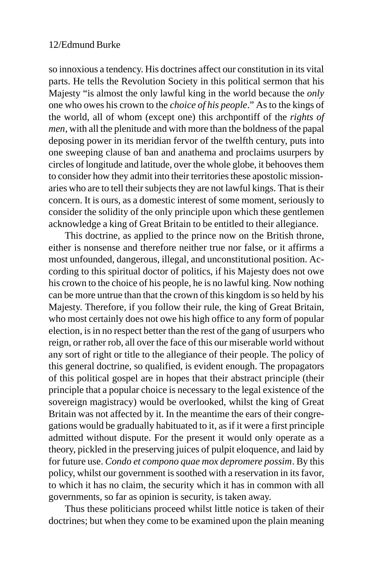so innoxious a tendency. His doctrines affect our constitution in its vital parts. He tells the Revolution Society in this political sermon that his Majesty "is almost the only lawful king in the world because the *only* one who owes his crown to the *choice of his people*." As to the kings of the world, all of whom (except one) this archpontiff of the *rights of men*, with all the plenitude and with more than the boldness of the papal deposing power in its meridian fervor of the twelfth century, puts into one sweeping clause of ban and anathema and proclaims usurpers by circles of longitude and latitude, over the whole globe, it behooves them to consider how they admit into their territories these apostolic missionaries who are to tell their subjects they are not lawful kings. That is their concern. It is ours, as a domestic interest of some moment, seriously to consider the solidity of the only principle upon which these gentlemen acknowledge a king of Great Britain to be entitled to their allegiance.

This doctrine, as applied to the prince now on the British throne, either is nonsense and therefore neither true nor false, or it affirms a most unfounded, dangerous, illegal, and unconstitutional position. According to this spiritual doctor of politics, if his Majesty does not owe his crown to the choice of his people, he is no lawful king. Now nothing can be more untrue than that the crown of this kingdom is so held by his Majesty. Therefore, if you follow their rule, the king of Great Britain, who most certainly does not owe his high office to any form of popular election, is in no respect better than the rest of the gang of usurpers who reign, or rather rob, all over the face of this our miserable world without any sort of right or title to the allegiance of their people. The policy of this general doctrine, so qualified, is evident enough. The propagators of this political gospel are in hopes that their abstract principle (their principle that a popular choice is necessary to the legal existence of the sovereign magistracy) would be overlooked, whilst the king of Great Britain was not affected by it. In the meantime the ears of their congregations would be gradually habituated to it, as if it were a first principle admitted without dispute. For the present it would only operate as a theory, pickled in the preserving juices of pulpit eloquence, and laid by for future use. *Condo et compono quae mox depromere possim*. By this policy, whilst our government is soothed with a reservation in its favor, to which it has no claim, the security which it has in common with all governments, so far as opinion is security, is taken away.

Thus these politicians proceed whilst little notice is taken of their doctrines; but when they come to be examined upon the plain meaning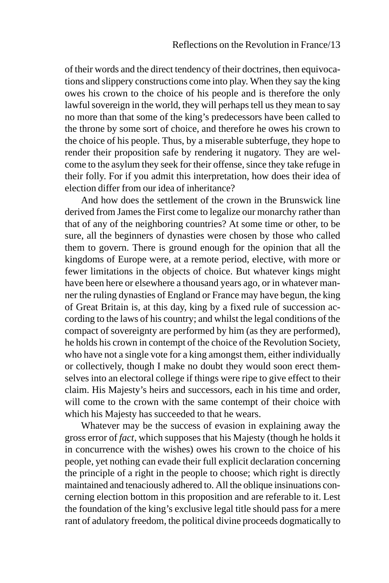of their words and the direct tendency of their doctrines, then equivocations and slippery constructions come into play. When they say the king owes his crown to the choice of his people and is therefore the only lawful sovereign in the world, they will perhaps tell us they mean to say no more than that some of the king's predecessors have been called to the throne by some sort of choice, and therefore he owes his crown to the choice of his people. Thus, by a miserable subterfuge, they hope to render their proposition safe by rendering it nugatory. They are welcome to the asylum they seek for their offense, since they take refuge in their folly. For if you admit this interpretation, how does their idea of election differ from our idea of inheritance?

And how does the settlement of the crown in the Brunswick line derived from James the First come to legalize our monarchy rather than that of any of the neighboring countries? At some time or other, to be sure, all the beginners of dynasties were chosen by those who called them to govern. There is ground enough for the opinion that all the kingdoms of Europe were, at a remote period, elective, with more or fewer limitations in the objects of choice. But whatever kings might have been here or elsewhere a thousand years ago, or in whatever manner the ruling dynasties of England or France may have begun, the king of Great Britain is, at this day, king by a fixed rule of succession according to the laws of his country; and whilst the legal conditions of the compact of sovereignty are performed by him (as they are performed), he holds his crown in contempt of the choice of the Revolution Society, who have not a single vote for a king amongst them, either individually or collectively, though I make no doubt they would soon erect themselves into an electoral college if things were ripe to give effect to their claim. His Majesty's heirs and successors, each in his time and order, will come to the crown with the same contempt of their choice with which his Majesty has succeeded to that he wears.

Whatever may be the success of evasion in explaining away the gross error of *fact*, which supposes that his Majesty (though he holds it in concurrence with the wishes) owes his crown to the choice of his people, yet nothing can evade their full explicit declaration concerning the principle of a right in the people to choose; which right is directly maintained and tenaciously adhered to. All the oblique insinuations concerning election bottom in this proposition and are referable to it. Lest the foundation of the king's exclusive legal title should pass for a mere rant of adulatory freedom, the political divine proceeds dogmatically to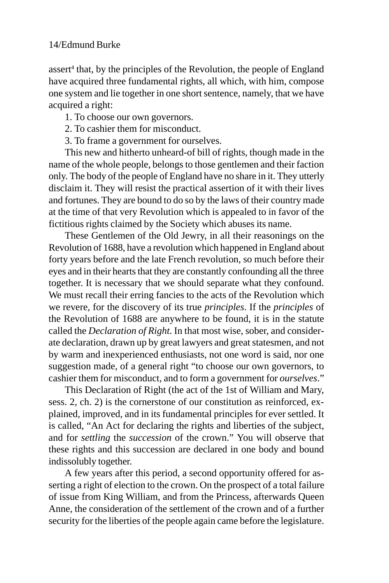assert<sup>4</sup> that, by the principles of the Revolution, the people of England have acquired three fundamental rights, all which, with him, compose one system and lie together in one short sentence, namely, that we have acquired a right:

1. To choose our own governors.

- 2. To cashier them for misconduct.
- 3. To frame a government for ourselves.

This new and hitherto unheard-of bill of rights, though made in the name of the whole people, belongs to those gentlemen and their faction only. The body of the people of England have no share in it. They utterly disclaim it. They will resist the practical assertion of it with their lives and fortunes. They are bound to do so by the laws of their country made at the time of that very Revolution which is appealed to in favor of the fictitious rights claimed by the Society which abuses its name.

These Gentlemen of the Old Jewry, in all their reasonings on the Revolution of 1688, have a revolution which happened in England about forty years before and the late French revolution, so much before their eyes and in their hearts that they are constantly confounding all the three together. It is necessary that we should separate what they confound. We must recall their erring fancies to the acts of the Revolution which we revere, for the discovery of its true *principles*. If the *principles* of the Revolution of 1688 are anywhere to be found, it is in the statute called the *Declaration of Right*. In that most wise, sober, and considerate declaration, drawn up by great lawyers and great statesmen, and not by warm and inexperienced enthusiasts, not one word is said, nor one suggestion made, of a general right "to choose our own governors, to cashier them for misconduct, and to form a government for *ourselves*."

This Declaration of Right (the act of the 1st of William and Mary, sess. 2, ch. 2) is the cornerstone of our constitution as reinforced, explained, improved, and in its fundamental principles for ever settled. It is called, "An Act for declaring the rights and liberties of the subject, and for *settling* the *succession* of the crown." You will observe that these rights and this succession are declared in one body and bound indissolubly together.

A few years after this period, a second opportunity offered for asserting a right of election to the crown. On the prospect of a total failure of issue from King William, and from the Princess, afterwards Queen Anne, the consideration of the settlement of the crown and of a further security for the liberties of the people again came before the legislature.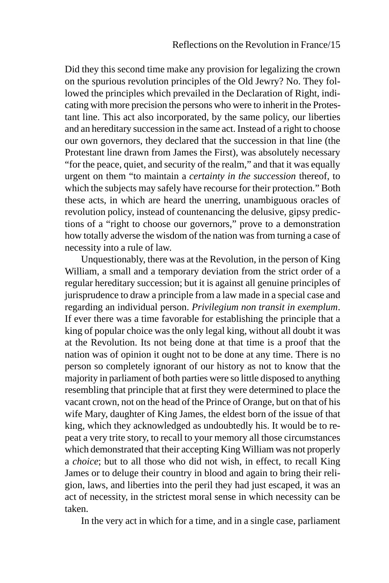Did they this second time make any provision for legalizing the crown on the spurious revolution principles of the Old Jewry? No. They followed the principles which prevailed in the Declaration of Right, indicating with more precision the persons who were to inherit in the Protestant line. This act also incorporated, by the same policy, our liberties and an hereditary succession in the same act. Instead of a right to choose our own governors, they declared that the succession in that line (the Protestant line drawn from James the First), was absolutely necessary "for the peace, quiet, and security of the realm," and that it was equally urgent on them "to maintain a *certainty in the succession* thereof, to which the subjects may safely have recourse for their protection." Both these acts, in which are heard the unerring, unambiguous oracles of revolution policy, instead of countenancing the delusive, gipsy predictions of a "right to choose our governors," prove to a demonstration how totally adverse the wisdom of the nation was from turning a case of necessity into a rule of law.

Unquestionably, there was at the Revolution, in the person of King William, a small and a temporary deviation from the strict order of a regular hereditary succession; but it is against all genuine principles of jurisprudence to draw a principle from a law made in a special case and regarding an individual person. *Privilegium non transit in exemplum*. If ever there was a time favorable for establishing the principle that a king of popular choice was the only legal king, without all doubt it was at the Revolution. Its not being done at that time is a proof that the nation was of opinion it ought not to be done at any time. There is no person so completely ignorant of our history as not to know that the majority in parliament of both parties were so little disposed to anything resembling that principle that at first they were determined to place the vacant crown, not on the head of the Prince of Orange, but on that of his wife Mary, daughter of King James, the eldest born of the issue of that king, which they acknowledged as undoubtedly his. It would be to repeat a very trite story, to recall to your memory all those circumstances which demonstrated that their accepting King William was not properly a *choice*; but to all those who did not wish, in effect, to recall King James or to deluge their country in blood and again to bring their religion, laws, and liberties into the peril they had just escaped, it was an act of necessity, in the strictest moral sense in which necessity can be taken.

In the very act in which for a time, and in a single case, parliament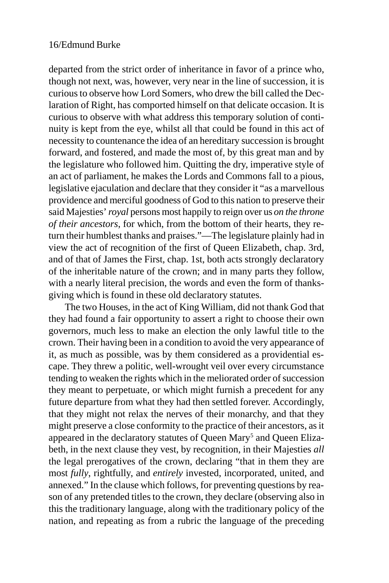departed from the strict order of inheritance in favor of a prince who, though not next, was, however, very near in the line of succession, it is curious to observe how Lord Somers, who drew the bill called the Declaration of Right, has comported himself on that delicate occasion. It is curious to observe with what address this temporary solution of continuity is kept from the eye, whilst all that could be found in this act of necessity to countenance the idea of an hereditary succession is brought forward, and fostered, and made the most of, by this great man and by the legislature who followed him. Quitting the dry, imperative style of an act of parliament, he makes the Lords and Commons fall to a pious, legislative ejaculation and declare that they consider it "as a marvellous providence and merciful goodness of God to this nation to preserve their said Majesties' *royal* persons most happily to reign over us *on the throne of their ancestors*, for which, from the bottom of their hearts, they return their humblest thanks and praises."—The legislature plainly had in view the act of recognition of the first of Queen Elizabeth, chap. 3rd, and of that of James the First, chap. 1st, both acts strongly declaratory of the inheritable nature of the crown; and in many parts they follow, with a nearly literal precision, the words and even the form of thanksgiving which is found in these old declaratory statutes.

The two Houses, in the act of King William, did not thank God that they had found a fair opportunity to assert a right to choose their own governors, much less to make an election the only lawful title to the crown. Their having been in a condition to avoid the very appearance of it, as much as possible, was by them considered as a providential escape. They threw a politic, well-wrought veil over every circumstance tending to weaken the rights which in the meliorated order of succession they meant to perpetuate, or which might furnish a precedent for any future departure from what they had then settled forever. Accordingly, that they might not relax the nerves of their monarchy, and that they might preserve a close conformity to the practice of their ancestors, as it appeared in the declaratory statutes of Queen Mary<sup>5</sup> and Queen Elizabeth, in the next clause they vest, by recognition, in their Majesties *all* the legal prerogatives of the crown, declaring "that in them they are most *fully*, rightfully, and *entirely* invested, incorporated, united, and annexed." In the clause which follows, for preventing questions by reason of any pretended titles to the crown, they declare (observing also in this the traditionary language, along with the traditionary policy of the nation, and repeating as from a rubric the language of the preceding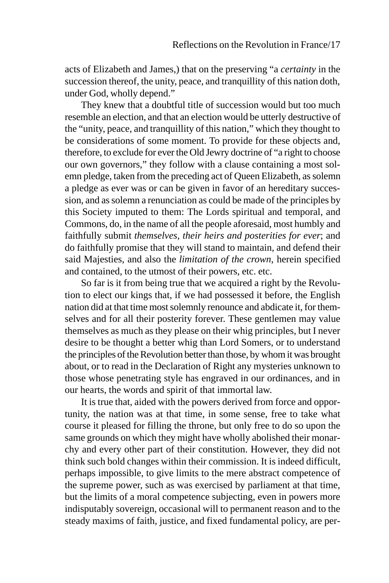acts of Elizabeth and James,) that on the preserving "a *certainty* in the succession thereof, the unity, peace, and tranquillity of this nation doth, under God, wholly depend."

They knew that a doubtful title of succession would but too much resemble an election, and that an election would be utterly destructive of the "unity, peace, and tranquillity of this nation," which they thought to be considerations of some moment. To provide for these objects and, therefore, to exclude for ever the Old Jewry doctrine of "a right to choose our own governors," they follow with a clause containing a most solemn pledge, taken from the preceding act of Queen Elizabeth, as solemn a pledge as ever was or can be given in favor of an hereditary succession, and as solemn a renunciation as could be made of the principles by this Society imputed to them: The Lords spiritual and temporal, and Commons, do, in the name of all the people aforesaid, most humbly and faithfully submit *themselves, their heirs and posterities for ever*; and do faithfully promise that they will stand to maintain, and defend their said Majesties, and also the *limitation of the crown*, herein specified and contained, to the utmost of their powers, etc. etc.

So far is it from being true that we acquired a right by the Revolution to elect our kings that, if we had possessed it before, the English nation did at that time most solemnly renounce and abdicate it, for themselves and for all their posterity forever. These gentlemen may value themselves as much as they please on their whig principles, but I never desire to be thought a better whig than Lord Somers, or to understand the principles of the Revolution better than those, by whom it was brought about, or to read in the Declaration of Right any mysteries unknown to those whose penetrating style has engraved in our ordinances, and in our hearts, the words and spirit of that immortal law.

It is true that, aided with the powers derived from force and opportunity, the nation was at that time, in some sense, free to take what course it pleased for filling the throne, but only free to do so upon the same grounds on which they might have wholly abolished their monarchy and every other part of their constitution. However, they did not think such bold changes within their commission. It is indeed difficult, perhaps impossible, to give limits to the mere abstract competence of the supreme power, such as was exercised by parliament at that time, but the limits of a moral competence subjecting, even in powers more indisputably sovereign, occasional will to permanent reason and to the steady maxims of faith, justice, and fixed fundamental policy, are per-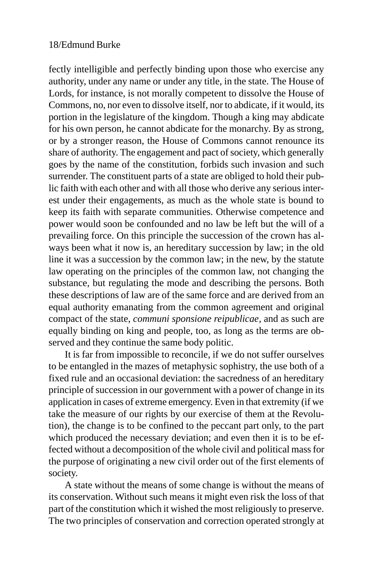fectly intelligible and perfectly binding upon those who exercise any authority, under any name or under any title, in the state. The House of Lords, for instance, is not morally competent to dissolve the House of Commons, no, nor even to dissolve itself, nor to abdicate, if it would, its portion in the legislature of the kingdom. Though a king may abdicate for his own person, he cannot abdicate for the monarchy. By as strong, or by a stronger reason, the House of Commons cannot renounce its share of authority. The engagement and pact of society, which generally goes by the name of the constitution, forbids such invasion and such surrender. The constituent parts of a state are obliged to hold their public faith with each other and with all those who derive any serious interest under their engagements, as much as the whole state is bound to keep its faith with separate communities. Otherwise competence and power would soon be confounded and no law be left but the will of a prevailing force. On this principle the succession of the crown has always been what it now is, an hereditary succession by law; in the old line it was a succession by the common law; in the new, by the statute law operating on the principles of the common law, not changing the substance, but regulating the mode and describing the persons. Both these descriptions of law are of the same force and are derived from an equal authority emanating from the common agreement and original compact of the state, *communi sponsione reipublicae*, and as such are equally binding on king and people, too, as long as the terms are observed and they continue the same body politic.

It is far from impossible to reconcile, if we do not suffer ourselves to be entangled in the mazes of metaphysic sophistry, the use both of a fixed rule and an occasional deviation: the sacredness of an hereditary principle of succession in our government with a power of change in its application in cases of extreme emergency. Even in that extremity (if we take the measure of our rights by our exercise of them at the Revolution), the change is to be confined to the peccant part only, to the part which produced the necessary deviation; and even then it is to be effected without a decomposition of the whole civil and political mass for the purpose of originating a new civil order out of the first elements of society.

A state without the means of some change is without the means of its conservation. Without such means it might even risk the loss of that part of the constitution which it wished the most religiously to preserve. The two principles of conservation and correction operated strongly at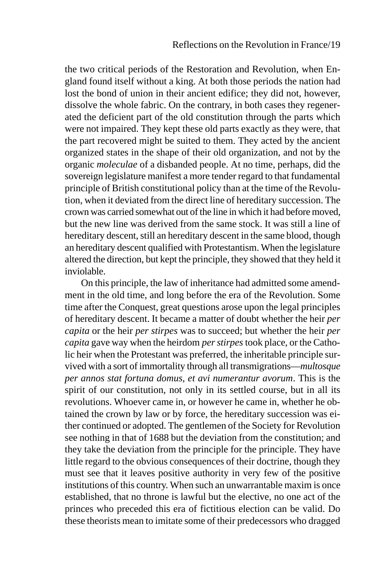the two critical periods of the Restoration and Revolution, when England found itself without a king. At both those periods the nation had lost the bond of union in their ancient edifice; they did not, however, dissolve the whole fabric. On the contrary, in both cases they regenerated the deficient part of the old constitution through the parts which were not impaired. They kept these old parts exactly as they were, that the part recovered might be suited to them. They acted by the ancient organized states in the shape of their old organization, and not by the organic *moleculae* of a disbanded people. At no time, perhaps, did the sovereign legislature manifest a more tender regard to that fundamental principle of British constitutional policy than at the time of the Revolution, when it deviated from the direct line of hereditary succession. The crown was carried somewhat out of the line in which it had before moved, but the new line was derived from the same stock. It was still a line of hereditary descent, still an hereditary descent in the same blood, though an hereditary descent qualified with Protestantism. When the legislature altered the direction, but kept the principle, they showed that they held it inviolable.

On this principle, the law of inheritance had admitted some amendment in the old time, and long before the era of the Revolution. Some time after the Conquest, great questions arose upon the legal principles of hereditary descent. It became a matter of doubt whether the heir *per capita* or the heir *per stirpes* was to succeed; but whether the heir *per capita* gave way when the heirdom *per stirpes* took place, or the Catholic heir when the Protestant was preferred, the inheritable principle survived with a sort of immortality through all transmigrations—*multosque per annos stat fortuna domus, et avi numerantur avorum*. This is the spirit of our constitution, not only in its settled course, but in all its revolutions. Whoever came in, or however he came in, whether he obtained the crown by law or by force, the hereditary succession was either continued or adopted. The gentlemen of the Society for Revolution see nothing in that of 1688 but the deviation from the constitution; and they take the deviation from the principle for the principle. They have little regard to the obvious consequences of their doctrine, though they must see that it leaves positive authority in very few of the positive institutions of this country. When such an unwarrantable maxim is once established, that no throne is lawful but the elective, no one act of the princes who preceded this era of fictitious election can be valid. Do these theorists mean to imitate some of their predecessors who dragged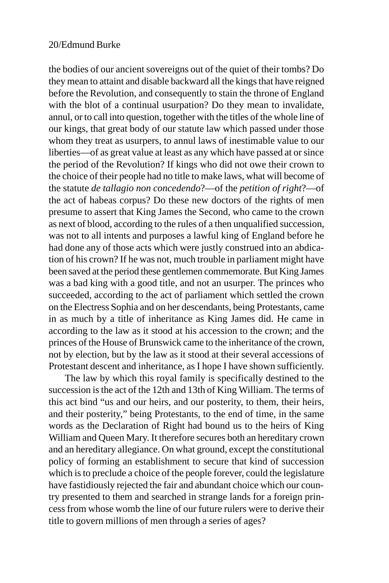the bodies of our ancient sovereigns out of the quiet of their tombs? Do they mean to attaint and disable backward all the kings that have reigned before the Revolution, and consequently to stain the throne of England with the blot of a continual usurpation? Do they mean to invalidate, annul, or to call into question, together with the titles of the whole line of our kings, that great body of our statute law which passed under those whom they treat as usurpers, to annul laws of inestimable value to our liberties—of as great value at least as any which have passed at or since the period of the Revolution? If kings who did not owe their crown to the choice of their people had no title to make laws, what will become of the statute *de tallagio non concedendo*?—of the *petition of right*?—of the act of habeas corpus? Do these new doctors of the rights of men presume to assert that King James the Second, who came to the crown as next of blood, according to the rules of a then unqualified succession, was not to all intents and purposes a lawful king of England before he had done any of those acts which were justly construed into an abdication of his crown? If he was not, much trouble in parliament might have been saved at the period these gentlemen commemorate. But King James was a bad king with a good title, and not an usurper. The princes who succeeded, according to the act of parliament which settled the crown on the Electress Sophia and on her descendants, being Protestants, came in as much by a title of inheritance as King James did. He came in according to the law as it stood at his accession to the crown; and the princes of the House of Brunswick came to the inheritance of the crown, not by election, but by the law as it stood at their several accessions of Protestant descent and inheritance, as I hope I have shown sufficiently.

The law by which this royal family is specifically destined to the succession is the act of the 12th and 13th of King William. The terms of this act bind "us and our heirs, and our posterity, to them, their heirs, and their posterity," being Protestants, to the end of time, in the same words as the Declaration of Right had bound us to the heirs of King William and Queen Mary. It therefore secures both an hereditary crown and an hereditary allegiance. On what ground, except the constitutional policy of forming an establishment to secure that kind of succession which is to preclude a choice of the people forever, could the legislature have fastidiously rejected the fair and abundant choice which our country presented to them and searched in strange lands for a foreign princess from whose womb the line of our future rulers were to derive their title to govern millions of men through a series of ages?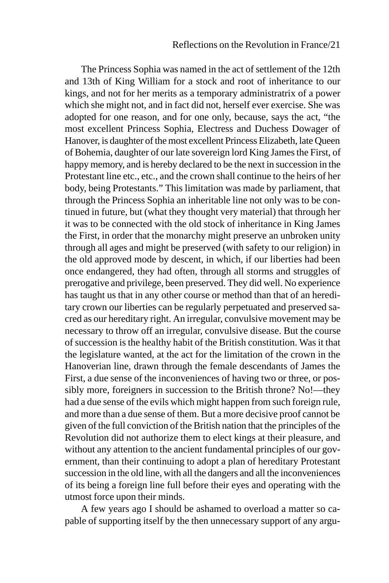The Princess Sophia was named in the act of settlement of the 12th and 13th of King William for a stock and root of inheritance to our kings, and not for her merits as a temporary administratrix of a power which she might not, and in fact did not, herself ever exercise. She was adopted for one reason, and for one only, because, says the act, "the most excellent Princess Sophia, Electress and Duchess Dowager of Hanover, is daughter of the most excellent Princess Elizabeth, late Queen of Bohemia, daughter of our late sovereign lord King James the First, of happy memory, and is hereby declared to be the next in succession in the Protestant line etc., etc., and the crown shall continue to the heirs of her body, being Protestants." This limitation was made by parliament, that through the Princess Sophia an inheritable line not only was to be continued in future, but (what they thought very material) that through her it was to be connected with the old stock of inheritance in King James the First, in order that the monarchy might preserve an unbroken unity through all ages and might be preserved (with safety to our religion) in the old approved mode by descent, in which, if our liberties had been once endangered, they had often, through all storms and struggles of prerogative and privilege, been preserved. They did well. No experience has taught us that in any other course or method than that of an hereditary crown our liberties can be regularly perpetuated and preserved sacred as our hereditary right. An irregular, convulsive movement may be necessary to throw off an irregular, convulsive disease. But the course of succession is the healthy habit of the British constitution. Was it that the legislature wanted, at the act for the limitation of the crown in the Hanoverian line, drawn through the female descendants of James the First, a due sense of the inconveniences of having two or three, or possibly more, foreigners in succession to the British throne? No!—they had a due sense of the evils which might happen from such foreign rule, and more than a due sense of them. But a more decisive proof cannot be given of the full conviction of the British nation that the principles of the Revolution did not authorize them to elect kings at their pleasure, and without any attention to the ancient fundamental principles of our government, than their continuing to adopt a plan of hereditary Protestant succession in the old line, with all the dangers and all the inconveniences of its being a foreign line full before their eyes and operating with the utmost force upon their minds.

A few years ago I should be ashamed to overload a matter so capable of supporting itself by the then unnecessary support of any argu-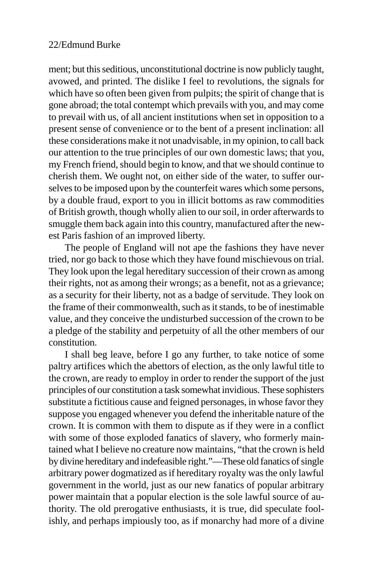ment; but this seditious, unconstitutional doctrine is now publicly taught, avowed, and printed. The dislike I feel to revolutions, the signals for which have so often been given from pulpits; the spirit of change that is gone abroad; the total contempt which prevails with you, and may come to prevail with us, of all ancient institutions when set in opposition to a present sense of convenience or to the bent of a present inclination: all these considerations make it not unadvisable, in my opinion, to call back our attention to the true principles of our own domestic laws; that you, my French friend, should begin to know, and that we should continue to cherish them. We ought not, on either side of the water, to suffer ourselves to be imposed upon by the counterfeit wares which some persons, by a double fraud, export to you in illicit bottoms as raw commodities of British growth, though wholly alien to our soil, in order afterwards to smuggle them back again into this country, manufactured after the newest Paris fashion of an improved liberty.

The people of England will not ape the fashions they have never tried, nor go back to those which they have found mischievous on trial. They look upon the legal hereditary succession of their crown as among their rights, not as among their wrongs; as a benefit, not as a grievance; as a security for their liberty, not as a badge of servitude. They look on the frame of their commonwealth, such as it stands, to be of inestimable value, and they conceive the undisturbed succession of the crown to be a pledge of the stability and perpetuity of all the other members of our constitution.

I shall beg leave, before I go any further, to take notice of some paltry artifices which the abettors of election, as the only lawful title to the crown, are ready to employ in order to render the support of the just principles of our constitution a task somewhat invidious. These sophisters substitute a fictitious cause and feigned personages, in whose favor they suppose you engaged whenever you defend the inheritable nature of the crown. It is common with them to dispute as if they were in a conflict with some of those exploded fanatics of slavery, who formerly maintained what I believe no creature now maintains, "that the crown is held by divine hereditary and indefeasible right."—These old fanatics of single arbitrary power dogmatized as if hereditary royalty was the only lawful government in the world, just as our new fanatics of popular arbitrary power maintain that a popular election is the sole lawful source of authority. The old prerogative enthusiasts, it is true, did speculate foolishly, and perhaps impiously too, as if monarchy had more of a divine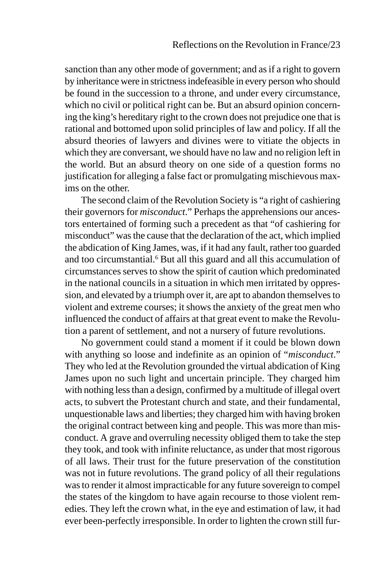sanction than any other mode of government; and as if a right to govern by inheritance were in strictness indefeasible in every person who should be found in the succession to a throne, and under every circumstance, which no civil or political right can be. But an absurd opinion concerning the king's hereditary right to the crown does not prejudice one that is rational and bottomed upon solid principles of law and policy. If all the absurd theories of lawyers and divines were to vitiate the objects in which they are conversant, we should have no law and no religion left in the world. But an absurd theory on one side of a question forms no justification for alleging a false fact or promulgating mischievous maxims on the other.

The second claim of the Revolution Society is "a right of cashiering their governors for *misconduct*." Perhaps the apprehensions our ancestors entertained of forming such a precedent as that "of cashiering for misconduct" was the cause that the declaration of the act, which implied the abdication of King James, was, if it had any fault, rather too guarded and too circumstantial.<sup>6</sup> But all this guard and all this accumulation of circumstances serves to show the spirit of caution which predominated in the national councils in a situation in which men irritated by oppression, and elevated by a triumph over it, are apt to abandon themselves to violent and extreme courses; it shows the anxiety of the great men who influenced the conduct of affairs at that great event to make the Revolution a parent of settlement, and not a nursery of future revolutions.

No government could stand a moment if it could be blown down with anything so loose and indefinite as an opinion of "*misconduct*." They who led at the Revolution grounded the virtual abdication of King James upon no such light and uncertain principle. They charged him with nothing less than a design, confirmed by a multitude of illegal overt acts, to subvert the Protestant church and state, and their fundamental, unquestionable laws and liberties; they charged him with having broken the original contract between king and people. This was more than misconduct. A grave and overruling necessity obliged them to take the step they took, and took with infinite reluctance, as under that most rigorous of all laws. Their trust for the future preservation of the constitution was not in future revolutions. The grand policy of all their regulations was to render it almost impracticable for any future sovereign to compel the states of the kingdom to have again recourse to those violent remedies. They left the crown what, in the eye and estimation of law, it had ever been-perfectly irresponsible. In order to lighten the crown still fur-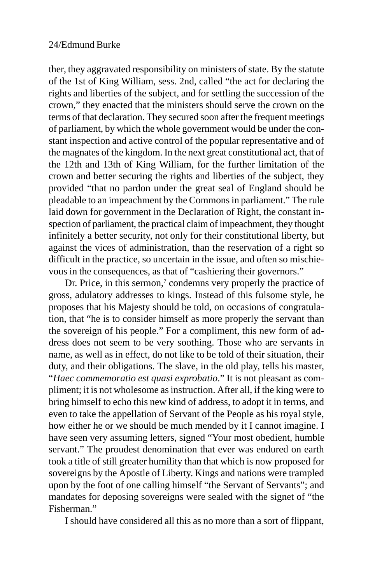ther, they aggravated responsibility on ministers of state. By the statute of the 1st of King William, sess. 2nd, called "the act for declaring the rights and liberties of the subject, and for settling the succession of the crown," they enacted that the ministers should serve the crown on the terms of that declaration. They secured soon after the frequent meetings of parliament, by which the whole government would be under the constant inspection and active control of the popular representative and of the magnates of the kingdom. In the next great constitutional act, that of the 12th and 13th of King William, for the further limitation of the crown and better securing the rights and liberties of the subject, they provided "that no pardon under the great seal of England should be pleadable to an impeachment by the Commons in parliament." The rule laid down for government in the Declaration of Right, the constant inspection of parliament, the practical claim of impeachment, they thought infinitely a better security, not only for their constitutional liberty, but against the vices of administration, than the reservation of a right so difficult in the practice, so uncertain in the issue, and often so mischievous in the consequences, as that of "cashiering their governors."

Dr. Price, in this sermon, $\alpha$  condemns very properly the practice of gross, adulatory addresses to kings. Instead of this fulsome style, he proposes that his Majesty should be told, on occasions of congratulation, that "he is to consider himself as more properly the servant than the sovereign of his people." For a compliment, this new form of address does not seem to be very soothing. Those who are servants in name, as well as in effect, do not like to be told of their situation, their duty, and their obligations. The slave, in the old play, tells his master, "*Haec commemoratio est quasi exprobatio*." It is not pleasant as compliment; it is not wholesome as instruction. After all, if the king were to bring himself to echo this new kind of address, to adopt it in terms, and even to take the appellation of Servant of the People as his royal style, how either he or we should be much mended by it I cannot imagine. I have seen very assuming letters, signed "Your most obedient, humble servant." The proudest denomination that ever was endured on earth took a title of still greater humility than that which is now proposed for sovereigns by the Apostle of Liberty. Kings and nations were trampled upon by the foot of one calling himself "the Servant of Servants"; and mandates for deposing sovereigns were sealed with the signet of "the Fisherman."

I should have considered all this as no more than a sort of flippant,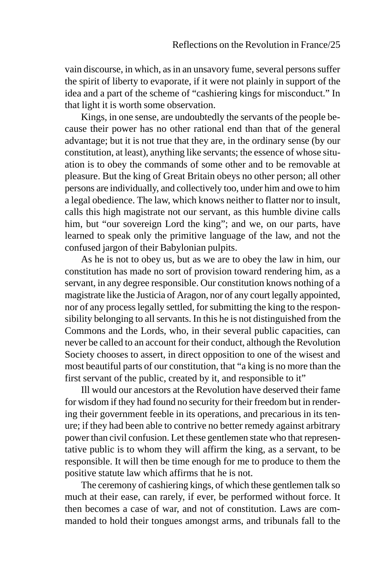vain discourse, in which, as in an unsavory fume, several persons suffer the spirit of liberty to evaporate, if it were not plainly in support of the idea and a part of the scheme of "cashiering kings for misconduct." In that light it is worth some observation.

Kings, in one sense, are undoubtedly the servants of the people because their power has no other rational end than that of the general advantage; but it is not true that they are, in the ordinary sense (by our constitution, at least), anything like servants; the essence of whose situation is to obey the commands of some other and to be removable at pleasure. But the king of Great Britain obeys no other person; all other persons are individually, and collectively too, under him and owe to him a legal obedience. The law, which knows neither to flatter nor to insult, calls this high magistrate not our servant, as this humble divine calls him, but "our sovereign Lord the king"; and we, on our parts, have learned to speak only the primitive language of the law, and not the confused jargon of their Babylonian pulpits.

As he is not to obey us, but as we are to obey the law in him, our constitution has made no sort of provision toward rendering him, as a servant, in any degree responsible. Our constitution knows nothing of a magistrate like the Justicia of Aragon, nor of any court legally appointed, nor of any process legally settled, for submitting the king to the responsibility belonging to all servants. In this he is not distinguished from the Commons and the Lords, who, in their several public capacities, can never be called to an account for their conduct, although the Revolution Society chooses to assert, in direct opposition to one of the wisest and most beautiful parts of our constitution, that "a king is no more than the first servant of the public, created by it, and responsible to it"

Ill would our ancestors at the Revolution have deserved their fame for wisdom if they had found no security for their freedom but in rendering their government feeble in its operations, and precarious in its tenure; if they had been able to contrive no better remedy against arbitrary power than civil confusion. Let these gentlemen state who that representative public is to whom they will affirm the king, as a servant, to be responsible. It will then be time enough for me to produce to them the positive statute law which affirms that he is not.

The ceremony of cashiering kings, of which these gentlemen talk so much at their ease, can rarely, if ever, be performed without force. It then becomes a case of war, and not of constitution. Laws are commanded to hold their tongues amongst arms, and tribunals fall to the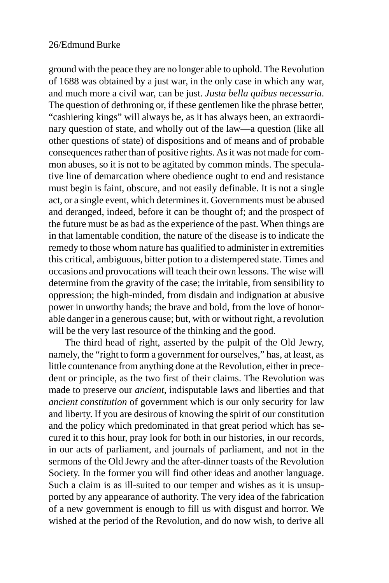ground with the peace they are no longer able to uphold. The Revolution of 1688 was obtained by a just war, in the only case in which any war, and much more a civil war, can be just. *Justa bella quibus necessaria*. The question of dethroning or, if these gentlemen like the phrase better, "cashiering kings" will always be, as it has always been, an extraordinary question of state, and wholly out of the law—a question (like all other questions of state) of dispositions and of means and of probable consequences rather than of positive rights. As it was not made for common abuses, so it is not to be agitated by common minds. The speculative line of demarcation where obedience ought to end and resistance must begin is faint, obscure, and not easily definable. It is not a single act, or a single event, which determines it. Governments must be abused and deranged, indeed, before it can be thought of; and the prospect of the future must be as bad as the experience of the past. When things are in that lamentable condition, the nature of the disease is to indicate the remedy to those whom nature has qualified to administer in extremities this critical, ambiguous, bitter potion to a distempered state. Times and occasions and provocations will teach their own lessons. The wise will determine from the gravity of the case; the irritable, from sensibility to oppression; the high-minded, from disdain and indignation at abusive power in unworthy hands; the brave and bold, from the love of honorable danger in a generous cause; but, with or without right, a revolution will be the very last resource of the thinking and the good.

The third head of right, asserted by the pulpit of the Old Jewry, namely, the "right to form a government for ourselves," has, at least, as little countenance from anything done at the Revolution, either in precedent or principle, as the two first of their claims. The Revolution was made to preserve our *ancient*, indisputable laws and liberties and that *ancient constitution* of government which is our only security for law and liberty. If you are desirous of knowing the spirit of our constitution and the policy which predominated in that great period which has secured it to this hour, pray look for both in our histories, in our records, in our acts of parliament, and journals of parliament, and not in the sermons of the Old Jewry and the after-dinner toasts of the Revolution Society. In the former you will find other ideas and another language. Such a claim is as ill-suited to our temper and wishes as it is unsupported by any appearance of authority. The very idea of the fabrication of a new government is enough to fill us with disgust and horror. We wished at the period of the Revolution, and do now wish, to derive all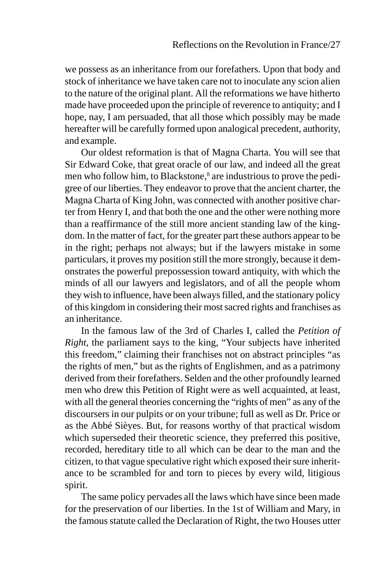we possess as an inheritance from our forefathers. Upon that body and stock of inheritance we have taken care not to inoculate any scion alien to the nature of the original plant. All the reformations we have hitherto made have proceeded upon the principle of reverence to antiquity; and I hope, nay, I am persuaded, that all those which possibly may be made hereafter will be carefully formed upon analogical precedent, authority, and example.

Our oldest reformation is that of Magna Charta. You will see that Sir Edward Coke, that great oracle of our law, and indeed all the great men who follow him, to Blackstone,<sup>8</sup> are industrious to prove the pedigree of our liberties. They endeavor to prove that the ancient charter, the Magna Charta of King John, was connected with another positive charter from Henry I, and that both the one and the other were nothing more than a reaffirmance of the still more ancient standing law of the kingdom. In the matter of fact, for the greater part these authors appear to be in the right; perhaps not always; but if the lawyers mistake in some particulars, it proves my position still the more strongly, because it demonstrates the powerful prepossession toward antiquity, with which the minds of all our lawyers and legislators, and of all the people whom they wish to influence, have been always filled, and the stationary policy of this kingdom in considering their most sacred rights and franchises as an inheritance.

In the famous law of the 3rd of Charles I, called the *Petition of Right*, the parliament says to the king, "Your subjects have inherited this freedom," claiming their franchises not on abstract principles "as the rights of men," but as the rights of Englishmen, and as a patrimony derived from their forefathers. Selden and the other profoundly learned men who drew this Petition of Right were as well acquainted, at least, with all the general theories concerning the "rights of men" as any of the discoursers in our pulpits or on your tribune; full as well as Dr. Price or as the Abbé Sièyes. But, for reasons worthy of that practical wisdom which superseded their theoretic science, they preferred this positive, recorded, hereditary title to all which can be dear to the man and the citizen, to that vague speculative right which exposed their sure inheritance to be scrambled for and torn to pieces by every wild, litigious spirit.

The same policy pervades all the laws which have since been made for the preservation of our liberties. In the 1st of William and Mary, in the famous statute called the Declaration of Right, the two Houses utter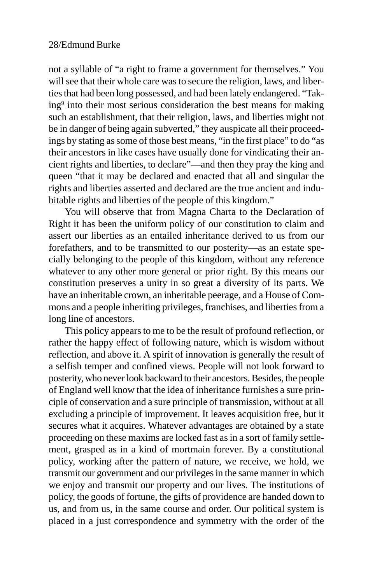not a syllable of "a right to frame a government for themselves." You will see that their whole care was to secure the religion, laws, and liberties that had been long possessed, and had been lately endangered. "Taking9 into their most serious consideration the best means for making such an establishment, that their religion, laws, and liberties might not be in danger of being again subverted," they auspicate all their proceedings by stating as some of those best means, "in the first place" to do "as their ancestors in like cases have usually done for vindicating their ancient rights and liberties, to declare"—and then they pray the king and queen "that it may be declared and enacted that all and singular the rights and liberties asserted and declared are the true ancient and indubitable rights and liberties of the people of this kingdom."

You will observe that from Magna Charta to the Declaration of Right it has been the uniform policy of our constitution to claim and assert our liberties as an entailed inheritance derived to us from our forefathers, and to be transmitted to our posterity—as an estate specially belonging to the people of this kingdom, without any reference whatever to any other more general or prior right. By this means our constitution preserves a unity in so great a diversity of its parts. We have an inheritable crown, an inheritable peerage, and a House of Commons and a people inheriting privileges, franchises, and liberties from a long line of ancestors.

This policy appears to me to be the result of profound reflection, or rather the happy effect of following nature, which is wisdom without reflection, and above it. A spirit of innovation is generally the result of a selfish temper and confined views. People will not look forward to posterity, who never look backward to their ancestors. Besides, the people of England well know that the idea of inheritance furnishes a sure principle of conservation and a sure principle of transmission, without at all excluding a principle of improvement. It leaves acquisition free, but it secures what it acquires. Whatever advantages are obtained by a state proceeding on these maxims are locked fast as in a sort of family settlement, grasped as in a kind of mortmain forever. By a constitutional policy, working after the pattern of nature, we receive, we hold, we transmit our government and our privileges in the same manner in which we enjoy and transmit our property and our lives. The institutions of policy, the goods of fortune, the gifts of providence are handed down to us, and from us, in the same course and order. Our political system is placed in a just correspondence and symmetry with the order of the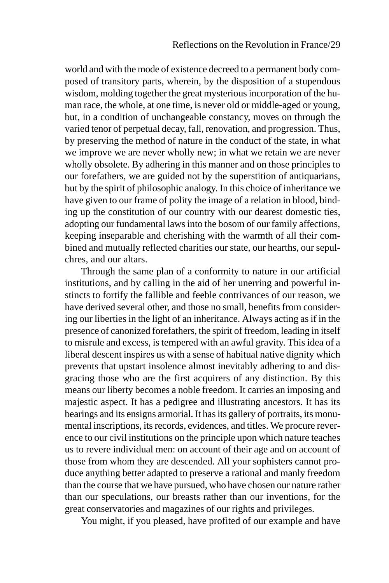world and with the mode of existence decreed to a permanent body composed of transitory parts, wherein, by the disposition of a stupendous wisdom, molding together the great mysterious incorporation of the human race, the whole, at one time, is never old or middle-aged or young, but, in a condition of unchangeable constancy, moves on through the varied tenor of perpetual decay, fall, renovation, and progression. Thus, by preserving the method of nature in the conduct of the state, in what we improve we are never wholly new; in what we retain we are never wholly obsolete. By adhering in this manner and on those principles to our forefathers, we are guided not by the superstition of antiquarians, but by the spirit of philosophic analogy. In this choice of inheritance we have given to our frame of polity the image of a relation in blood, binding up the constitution of our country with our dearest domestic ties, adopting our fundamental laws into the bosom of our family affections, keeping inseparable and cherishing with the warmth of all their combined and mutually reflected charities our state, our hearths, our sepulchres, and our altars.

Through the same plan of a conformity to nature in our artificial institutions, and by calling in the aid of her unerring and powerful instincts to fortify the fallible and feeble contrivances of our reason, we have derived several other, and those no small, benefits from considering our liberties in the light of an inheritance. Always acting as if in the presence of canonized forefathers, the spirit of freedom, leading in itself to misrule and excess, is tempered with an awful gravity. This idea of a liberal descent inspires us with a sense of habitual native dignity which prevents that upstart insolence almost inevitably adhering to and disgracing those who are the first acquirers of any distinction. By this means our liberty becomes a noble freedom. It carries an imposing and majestic aspect. It has a pedigree and illustrating ancestors. It has its bearings and its ensigns armorial. It has its gallery of portraits, its monumental inscriptions, its records, evidences, and titles. We procure reverence to our civil institutions on the principle upon which nature teaches us to revere individual men: on account of their age and on account of those from whom they are descended. All your sophisters cannot produce anything better adapted to preserve a rational and manly freedom than the course that we have pursued, who have chosen our nature rather than our speculations, our breasts rather than our inventions, for the great conservatories and magazines of our rights and privileges.

You might, if you pleased, have profited of our example and have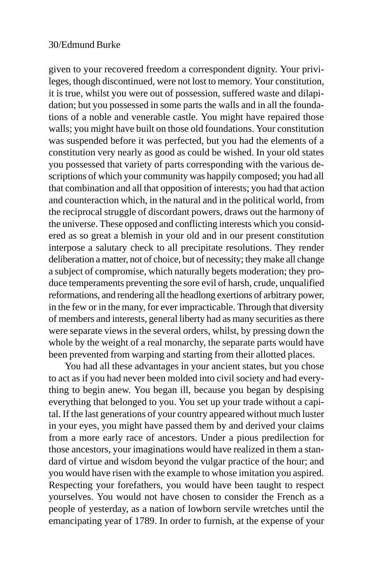given to your recovered freedom a correspondent dignity. Your privileges, though discontinued, were not lost to memory. Your constitution, it is true, whilst you were out of possession, suffered waste and dilapidation; but you possessed in some parts the walls and in all the foundations of a noble and venerable castle. You might have repaired those walls; you might have built on those old foundations. Your constitution was suspended before it was perfected, but you had the elements of a constitution very nearly as good as could be wished. In your old states you possessed that variety of parts corresponding with the various descriptions of which your community was happily composed; you had all that combination and all that opposition of interests; you had that action and counteraction which, in the natural and in the political world, from the reciprocal struggle of discordant powers, draws out the harmony of the universe. These opposed and conflicting interests which you considered as so great a blemish in your old and in our present constitution interpose a salutary check to all precipitate resolutions. They render deliberation a matter, not of choice, but of necessity; they make all change a subject of compromise, which naturally begets moderation; they produce temperaments preventing the sore evil of harsh, crude, unqualified reformations, and rendering all the headlong exertions of arbitrary power, in the few or in the many, for ever impracticable. Through that diversity of members and interests, general liberty had as many securities as there were separate views in the several orders, whilst, by pressing down the whole by the weight of a real monarchy, the separate parts would have been prevented from warping and starting from their allotted places.

You had all these advantages in your ancient states, but you chose to act as if you had never been molded into civil society and had everything to begin anew. You began ill, because you began by despising everything that belonged to you. You set up your trade without a capital. If the last generations of your country appeared without much luster in your eyes, you might have passed them by and derived your claims from a more early race of ancestors. Under a pious predilection for those ancestors, your imaginations would have realized in them a standard of virtue and wisdom beyond the vulgar practice of the hour; and you would have risen with the example to whose imitation you aspired. Respecting your forefathers, you would have been taught to respect yourselves. You would not have chosen to consider the French as a people of yesterday, as a nation of lowborn servile wretches until the emancipating year of 1789. In order to furnish, at the expense of your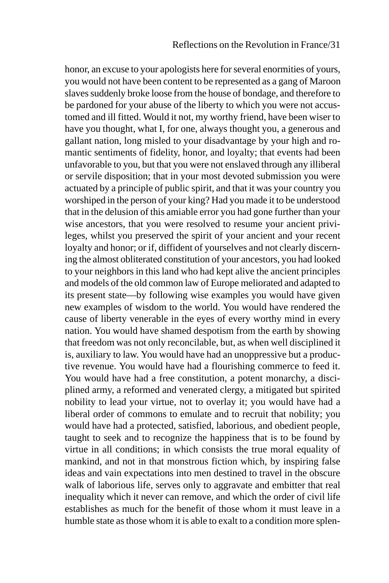honor, an excuse to your apologists here for several enormities of yours, you would not have been content to be represented as a gang of Maroon slaves suddenly broke loose from the house of bondage, and therefore to be pardoned for your abuse of the liberty to which you were not accustomed and ill fitted. Would it not, my worthy friend, have been wiser to have you thought, what I, for one, always thought you, a generous and gallant nation, long misled to your disadvantage by your high and romantic sentiments of fidelity, honor, and loyalty; that events had been unfavorable to you, but that you were not enslaved through any illiberal or servile disposition; that in your most devoted submission you were actuated by a principle of public spirit, and that it was your country you worshiped in the person of your king? Had you made it to be understood that in the delusion of this amiable error you had gone further than your wise ancestors, that you were resolved to resume your ancient privileges, whilst you preserved the spirit of your ancient and your recent loyalty and honor; or if, diffident of yourselves and not clearly discerning the almost obliterated constitution of your ancestors, you had looked to your neighbors in this land who had kept alive the ancient principles and models of the old common law of Europe meliorated and adapted to its present state—by following wise examples you would have given new examples of wisdom to the world. You would have rendered the cause of liberty venerable in the eyes of every worthy mind in every nation. You would have shamed despotism from the earth by showing that freedom was not only reconcilable, but, as when well disciplined it is, auxiliary to law. You would have had an unoppressive but a productive revenue. You would have had a flourishing commerce to feed it. You would have had a free constitution, a potent monarchy, a disciplined army, a reformed and venerated clergy, a mitigated but spirited nobility to lead your virtue, not to overlay it; you would have had a liberal order of commons to emulate and to recruit that nobility; you would have had a protected, satisfied, laborious, and obedient people, taught to seek and to recognize the happiness that is to be found by virtue in all conditions; in which consists the true moral equality of mankind, and not in that monstrous fiction which, by inspiring false ideas and vain expectations into men destined to travel in the obscure walk of laborious life, serves only to aggravate and embitter that real inequality which it never can remove, and which the order of civil life establishes as much for the benefit of those whom it must leave in a humble state as those whom it is able to exalt to a condition more splen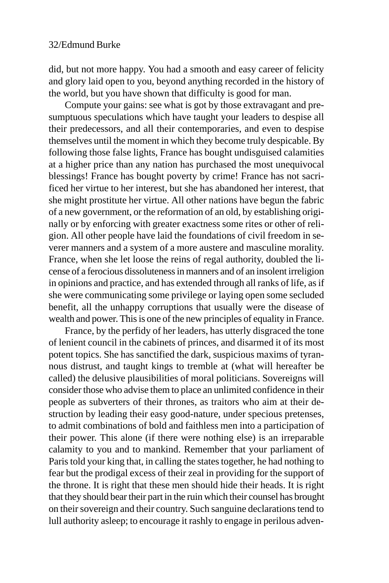did, but not more happy. You had a smooth and easy career of felicity and glory laid open to you, beyond anything recorded in the history of the world, but you have shown that difficulty is good for man.

Compute your gains: see what is got by those extravagant and presumptuous speculations which have taught your leaders to despise all their predecessors, and all their contemporaries, and even to despise themselves until the moment in which they become truly despicable. By following those false lights, France has bought undisguised calamities at a higher price than any nation has purchased the most unequivocal blessings! France has bought poverty by crime! France has not sacrificed her virtue to her interest, but she has abandoned her interest, that she might prostitute her virtue. All other nations have begun the fabric of a new government, or the reformation of an old, by establishing originally or by enforcing with greater exactness some rites or other of religion. All other people have laid the foundations of civil freedom in severer manners and a system of a more austere and masculine morality. France, when she let loose the reins of regal authority, doubled the license of a ferocious dissoluteness in manners and of an insolent irreligion in opinions and practice, and has extended through all ranks of life, as if she were communicating some privilege or laying open some secluded benefit, all the unhappy corruptions that usually were the disease of wealth and power. This is one of the new principles of equality in France.

France, by the perfidy of her leaders, has utterly disgraced the tone of lenient council in the cabinets of princes, and disarmed it of its most potent topics. She has sanctified the dark, suspicious maxims of tyrannous distrust, and taught kings to tremble at (what will hereafter be called) the delusive plausibilities of moral politicians. Sovereigns will consider those who advise them to place an unlimited confidence in their people as subverters of their thrones, as traitors who aim at their destruction by leading their easy good-nature, under specious pretenses, to admit combinations of bold and faithless men into a participation of their power. This alone (if there were nothing else) is an irreparable calamity to you and to mankind. Remember that your parliament of Paris told your king that, in calling the states together, he had nothing to fear but the prodigal excess of their zeal in providing for the support of the throne. It is right that these men should hide their heads. It is right that they should bear their part in the ruin which their counsel has brought on their sovereign and their country. Such sanguine declarations tend to lull authority asleep; to encourage it rashly to engage in perilous adven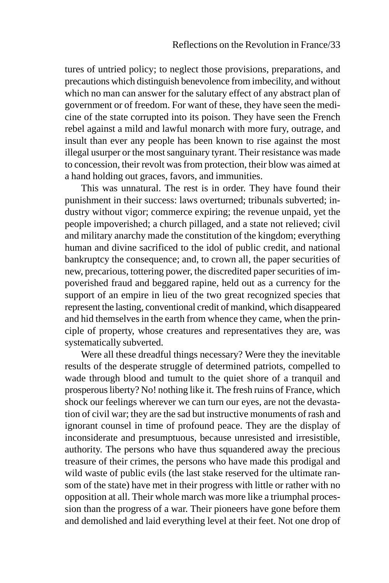tures of untried policy; to neglect those provisions, preparations, and precautions which distinguish benevolence from imbecility, and without which no man can answer for the salutary effect of any abstract plan of government or of freedom. For want of these, they have seen the medicine of the state corrupted into its poison. They have seen the French rebel against a mild and lawful monarch with more fury, outrage, and insult than ever any people has been known to rise against the most illegal usurper or the most sanguinary tyrant. Their resistance was made to concession, their revolt was from protection, their blow was aimed at a hand holding out graces, favors, and immunities.

This was unnatural. The rest is in order. They have found their punishment in their success: laws overturned; tribunals subverted; industry without vigor; commerce expiring; the revenue unpaid, yet the people impoverished; a church pillaged, and a state not relieved; civil and military anarchy made the constitution of the kingdom; everything human and divine sacrificed to the idol of public credit, and national bankruptcy the consequence; and, to crown all, the paper securities of new, precarious, tottering power, the discredited paper securities of impoverished fraud and beggared rapine, held out as a currency for the support of an empire in lieu of the two great recognized species that represent the lasting, conventional credit of mankind, which disappeared and hid themselves in the earth from whence they came, when the principle of property, whose creatures and representatives they are, was systematically subverted.

Were all these dreadful things necessary? Were they the inevitable results of the desperate struggle of determined patriots, compelled to wade through blood and tumult to the quiet shore of a tranquil and prosperous liberty? No! nothing like it. The fresh ruins of France, which shock our feelings wherever we can turn our eyes, are not the devastation of civil war; they are the sad but instructive monuments of rash and ignorant counsel in time of profound peace. They are the display of inconsiderate and presumptuous, because unresisted and irresistible, authority. The persons who have thus squandered away the precious treasure of their crimes, the persons who have made this prodigal and wild waste of public evils (the last stake reserved for the ultimate ransom of the state) have met in their progress with little or rather with no opposition at all. Their whole march was more like a triumphal procession than the progress of a war. Their pioneers have gone before them and demolished and laid everything level at their feet. Not one drop of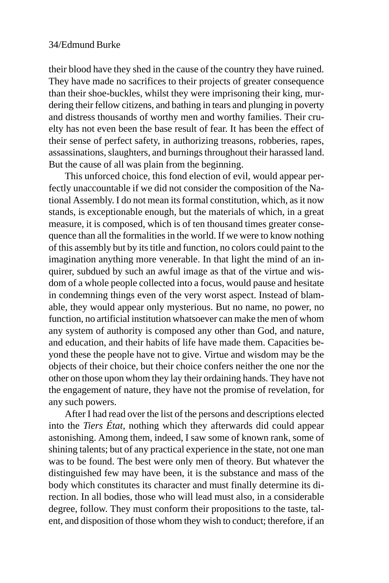their blood have they shed in the cause of the country they have ruined. They have made no sacrifices to their projects of greater consequence than their shoe-buckles, whilst they were imprisoning their king, murdering their fellow citizens, and bathing in tears and plunging in poverty and distress thousands of worthy men and worthy families. Their cruelty has not even been the base result of fear. It has been the effect of their sense of perfect safety, in authorizing treasons, robberies, rapes, assassinations, slaughters, and burnings throughout their harassed land. But the cause of all was plain from the beginning.

This unforced choice, this fond election of evil, would appear perfectly unaccountable if we did not consider the composition of the National Assembly. I do not mean its formal constitution, which, as it now stands, is exceptionable enough, but the materials of which, in a great measure, it is composed, which is of ten thousand times greater consequence than all the formalities in the world. If we were to know nothing of this assembly but by its title and function, no colors could paint to the imagination anything more venerable. In that light the mind of an inquirer, subdued by such an awful image as that of the virtue and wisdom of a whole people collected into a focus, would pause and hesitate in condemning things even of the very worst aspect. Instead of blamable, they would appear only mysterious. But no name, no power, no function, no artificial institution whatsoever can make the men of whom any system of authority is composed any other than God, and nature, and education, and their habits of life have made them. Capacities beyond these the people have not to give. Virtue and wisdom may be the objects of their choice, but their choice confers neither the one nor the other on those upon whom they lay their ordaining hands. They have not the engagement of nature, they have not the promise of revelation, for any such powers.

After I had read over the list of the persons and descriptions elected into the *Tiers État*, nothing which they afterwards did could appear astonishing. Among them, indeed, I saw some of known rank, some of shining talents; but of any practical experience in the state, not one man was to be found. The best were only men of theory. But whatever the distinguished few may have been, it is the substance and mass of the body which constitutes its character and must finally determine its direction. In all bodies, those who will lead must also, in a considerable degree, follow. They must conform their propositions to the taste, talent, and disposition of those whom they wish to conduct; therefore, if an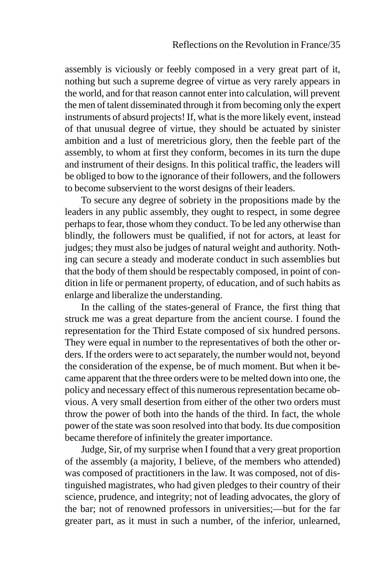assembly is viciously or feebly composed in a very great part of it, nothing but such a supreme degree of virtue as very rarely appears in the world, and for that reason cannot enter into calculation, will prevent the men of talent disseminated through it from becoming only the expert instruments of absurd projects! If, what is the more likely event, instead of that unusual degree of virtue, they should be actuated by sinister ambition and a lust of meretricious glory, then the feeble part of the assembly, to whom at first they conform, becomes in its turn the dupe and instrument of their designs. In this political traffic, the leaders will be obliged to bow to the ignorance of their followers, and the followers to become subservient to the worst designs of their leaders.

To secure any degree of sobriety in the propositions made by the leaders in any public assembly, they ought to respect, in some degree perhaps to fear, those whom they conduct. To be led any otherwise than blindly, the followers must be qualified, if not for actors, at least for judges; they must also be judges of natural weight and authority. Nothing can secure a steady and moderate conduct in such assemblies but that the body of them should be respectably composed, in point of condition in life or permanent property, of education, and of such habits as enlarge and liberalize the understanding.

In the calling of the states-general of France, the first thing that struck me was a great departure from the ancient course. I found the representation for the Third Estate composed of six hundred persons. They were equal in number to the representatives of both the other orders. If the orders were to act separately, the number would not, beyond the consideration of the expense, be of much moment. But when it became apparent that the three orders were to be melted down into one, the policy and necessary effect of this numerous representation became obvious. A very small desertion from either of the other two orders must throw the power of both into the hands of the third. In fact, the whole power of the state was soon resolved into that body. Its due composition became therefore of infinitely the greater importance.

Judge, Sir, of my surprise when I found that a very great proportion of the assembly (a majority, I believe, of the members who attended) was composed of practitioners in the law. It was composed, not of distinguished magistrates, who had given pledges to their country of their science, prudence, and integrity; not of leading advocates, the glory of the bar; not of renowned professors in universities;—but for the far greater part, as it must in such a number, of the inferior, unlearned,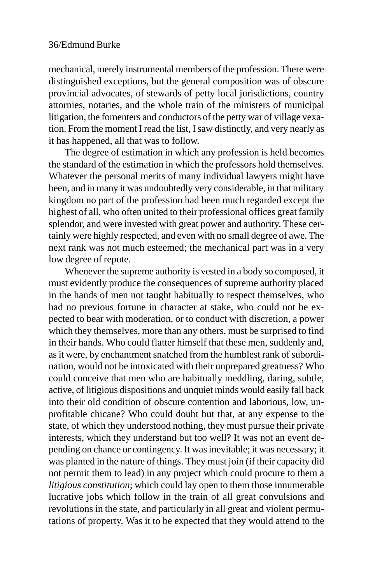mechanical, merely instrumental members of the profession. There were distinguished exceptions, but the general composition was of obscure provincial advocates, of stewards of petty local jurisdictions, country attornies, notaries, and the whole train of the ministers of municipal litigation, the fomenters and conductors of the petty war of village vexation. From the moment I read the list, I saw distinctly, and very nearly as it has happened, all that was to follow.

The degree of estimation in which any profession is held becomes the standard of the estimation in which the professors hold themselves. Whatever the personal merits of many individual lawyers might have been, and in many it was undoubtedly very considerable, in that military kingdom no part of the profession had been much regarded except the highest of all, who often united to their professional offices great family splendor, and were invested with great power and authority. These certainly were highly respected, and even with no small degree of awe. The next rank was not much esteemed; the mechanical part was in a very low degree of repute.

Whenever the supreme authority is vested in a body so composed, it must evidently produce the consequences of supreme authority placed in the hands of men not taught habitually to respect themselves, who had no previous fortune in character at stake, who could not be expected to bear with moderation, or to conduct with discretion, a power which they themselves, more than any others, must be surprised to find in their hands. Who could flatter himself that these men, suddenly and, as it were, by enchantment snatched from the humblest rank of subordination, would not be intoxicated with their unprepared greatness? Who could conceive that men who are habitually meddling, daring, subtle, active, of litigious dispositions and unquiet minds would easily fall back into their old condition of obscure contention and laborious, low, unprofitable chicane? Who could doubt but that, at any expense to the state, of which they understood nothing, they must pursue their private interests, which they understand but too well? It was not an event depending on chance or contingency. It was inevitable; it was necessary; it was planted in the nature of things. They must join (if their capacity did not permit them to lead) in any project which could procure to them a *litigious constitution*; which could lay open to them those innumerable lucrative jobs which follow in the train of all great convulsions and revolutions in the state, and particularly in all great and violent permutations of property. Was it to be expected that they would attend to the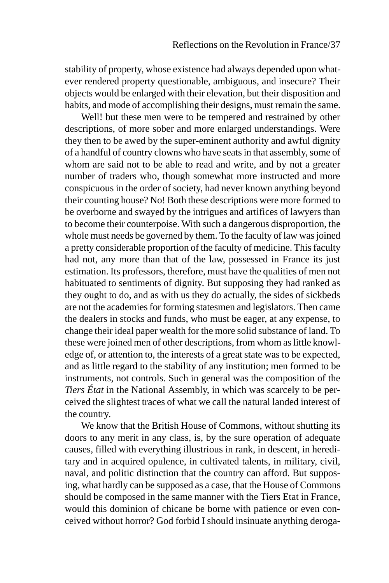stability of property, whose existence had always depended upon whatever rendered property questionable, ambiguous, and insecure? Their objects would be enlarged with their elevation, but their disposition and habits, and mode of accomplishing their designs, must remain the same.

Well! but these men were to be tempered and restrained by other descriptions, of more sober and more enlarged understandings. Were they then to be awed by the super-eminent authority and awful dignity of a handful of country clowns who have seats in that assembly, some of whom are said not to be able to read and write, and by not a greater number of traders who, though somewhat more instructed and more conspicuous in the order of society, had never known anything beyond their counting house? No! Both these descriptions were more formed to be overborne and swayed by the intrigues and artifices of lawyers than to become their counterpoise. With such a dangerous disproportion, the whole must needs be governed by them. To the faculty of law was joined a pretty considerable proportion of the faculty of medicine. This faculty had not, any more than that of the law, possessed in France its just estimation. Its professors, therefore, must have the qualities of men not habituated to sentiments of dignity. But supposing they had ranked as they ought to do, and as with us they do actually, the sides of sickbeds are not the academies for forming statesmen and legislators. Then came the dealers in stocks and funds, who must be eager, at any expense, to change their ideal paper wealth for the more solid substance of land. To these were joined men of other descriptions, from whom as little knowledge of, or attention to, the interests of a great state was to be expected, and as little regard to the stability of any institution; men formed to be instruments, not controls. Such in general was the composition of the *Tiers État* in the National Assembly, in which was scarcely to be perceived the slightest traces of what we call the natural landed interest of the country.

We know that the British House of Commons, without shutting its doors to any merit in any class, is, by the sure operation of adequate causes, filled with everything illustrious in rank, in descent, in hereditary and in acquired opulence, in cultivated talents, in military, civil, naval, and politic distinction that the country can afford. But supposing, what hardly can be supposed as a case, that the House of Commons should be composed in the same manner with the Tiers Etat in France, would this dominion of chicane be borne with patience or even conceived without horror? God forbid I should insinuate anything deroga-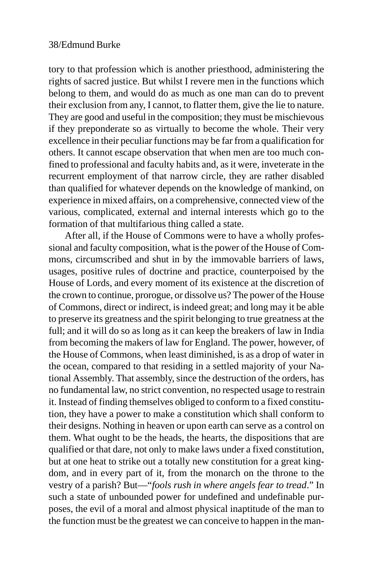tory to that profession which is another priesthood, administering the rights of sacred justice. But whilst I revere men in the functions which belong to them, and would do as much as one man can do to prevent their exclusion from any, I cannot, to flatter them, give the lie to nature. They are good and useful in the composition; they must be mischievous if they preponderate so as virtually to become the whole. Their very excellence in their peculiar functions may be far from a qualification for others. It cannot escape observation that when men are too much confined to professional and faculty habits and, as it were, inveterate in the recurrent employment of that narrow circle, they are rather disabled than qualified for whatever depends on the knowledge of mankind, on experience in mixed affairs, on a comprehensive, connected view of the various, complicated, external and internal interests which go to the formation of that multifarious thing called a state.

After all, if the House of Commons were to have a wholly professional and faculty composition, what is the power of the House of Commons, circumscribed and shut in by the immovable barriers of laws, usages, positive rules of doctrine and practice, counterpoised by the House of Lords, and every moment of its existence at the discretion of the crown to continue, prorogue, or dissolve us? The power of the House of Commons, direct or indirect, is indeed great; and long may it be able to preserve its greatness and the spirit belonging to true greatness at the full; and it will do so as long as it can keep the breakers of law in India from becoming the makers of law for England. The power, however, of the House of Commons, when least diminished, is as a drop of water in the ocean, compared to that residing in a settled majority of your National Assembly. That assembly, since the destruction of the orders, has no fundamental law, no strict convention, no respected usage to restrain it. Instead of finding themselves obliged to conform to a fixed constitution, they have a power to make a constitution which shall conform to their designs. Nothing in heaven or upon earth can serve as a control on them. What ought to be the heads, the hearts, the dispositions that are qualified or that dare, not only to make laws under a fixed constitution, but at one heat to strike out a totally new constitution for a great kingdom, and in every part of it, from the monarch on the throne to the vestry of a parish? But—"*fools rush in where angels fear to tread*." In such a state of unbounded power for undefined and undefinable purposes, the evil of a moral and almost physical inaptitude of the man to the function must be the greatest we can conceive to happen in the man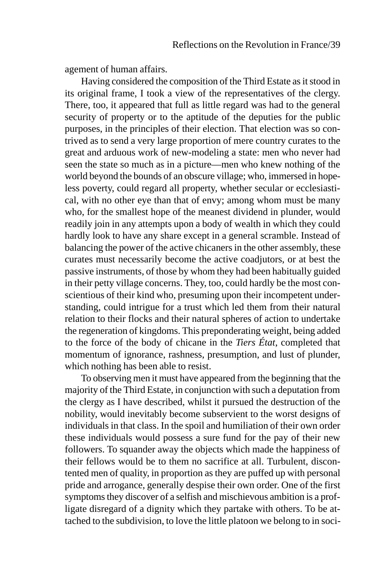agement of human affairs.

Having considered the composition of the Third Estate as it stood in its original frame, I took a view of the representatives of the clergy. There, too, it appeared that full as little regard was had to the general security of property or to the aptitude of the deputies for the public purposes, in the principles of their election. That election was so contrived as to send a very large proportion of mere country curates to the great and arduous work of new-modeling a state: men who never had seen the state so much as in a picture—men who knew nothing of the world beyond the bounds of an obscure village; who, immersed in hopeless poverty, could regard all property, whether secular or ecclesiastical, with no other eye than that of envy; among whom must be many who, for the smallest hope of the meanest dividend in plunder, would readily join in any attempts upon a body of wealth in which they could hardly look to have any share except in a general scramble. Instead of balancing the power of the active chicaners in the other assembly, these curates must necessarily become the active coadjutors, or at best the passive instruments, of those by whom they had been habitually guided in their petty village concerns. They, too, could hardly be the most conscientious of their kind who, presuming upon their incompetent understanding, could intrigue for a trust which led them from their natural relation to their flocks and their natural spheres of action to undertake the regeneration of kingdoms. This preponderating weight, being added to the force of the body of chicane in the *Tiers État*, completed that momentum of ignorance, rashness, presumption, and lust of plunder, which nothing has been able to resist.

To observing men it must have appeared from the beginning that the majority of the Third Estate, in conjunction with such a deputation from the clergy as I have described, whilst it pursued the destruction of the nobility, would inevitably become subservient to the worst designs of individuals in that class. In the spoil and humiliation of their own order these individuals would possess a sure fund for the pay of their new followers. To squander away the objects which made the happiness of their fellows would be to them no sacrifice at all. Turbulent, discontented men of quality, in proportion as they are puffed up with personal pride and arrogance, generally despise their own order. One of the first symptoms they discover of a selfish and mischievous ambition is a profligate disregard of a dignity which they partake with others. To be attached to the subdivision, to love the little platoon we belong to in soci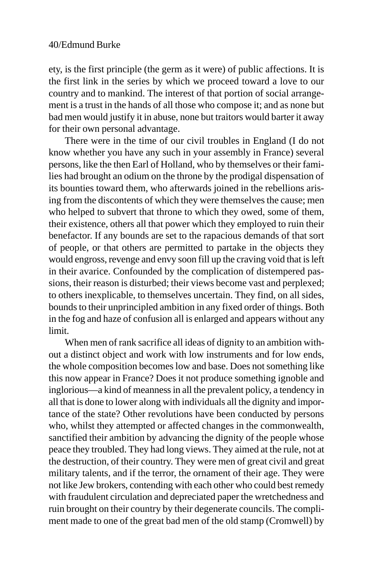ety, is the first principle (the germ as it were) of public affections. It is the first link in the series by which we proceed toward a love to our country and to mankind. The interest of that portion of social arrangement is a trust in the hands of all those who compose it; and as none but bad men would justify it in abuse, none but traitors would barter it away for their own personal advantage.

There were in the time of our civil troubles in England (I do not know whether you have any such in your assembly in France) several persons, like the then Earl of Holland, who by themselves or their families had brought an odium on the throne by the prodigal dispensation of its bounties toward them, who afterwards joined in the rebellions arising from the discontents of which they were themselves the cause; men who helped to subvert that throne to which they owed, some of them, their existence, others all that power which they employed to ruin their benefactor. If any bounds are set to the rapacious demands of that sort of people, or that others are permitted to partake in the objects they would engross, revenge and envy soon fill up the craving void that is left in their avarice. Confounded by the complication of distempered passions, their reason is disturbed; their views become vast and perplexed; to others inexplicable, to themselves uncertain. They find, on all sides, bounds to their unprincipled ambition in any fixed order of things. Both in the fog and haze of confusion all is enlarged and appears without any limit.

When men of rank sacrifice all ideas of dignity to an ambition without a distinct object and work with low instruments and for low ends, the whole composition becomes low and base. Does not something like this now appear in France? Does it not produce something ignoble and inglorious—a kind of meanness in all the prevalent policy, a tendency in all that is done to lower along with individuals all the dignity and importance of the state? Other revolutions have been conducted by persons who, whilst they attempted or affected changes in the commonwealth, sanctified their ambition by advancing the dignity of the people whose peace they troubled. They had long views. They aimed at the rule, not at the destruction, of their country. They were men of great civil and great military talents, and if the terror, the ornament of their age. They were not like Jew brokers, contending with each other who could best remedy with fraudulent circulation and depreciated paper the wretchedness and ruin brought on their country by their degenerate councils. The compliment made to one of the great bad men of the old stamp (Cromwell) by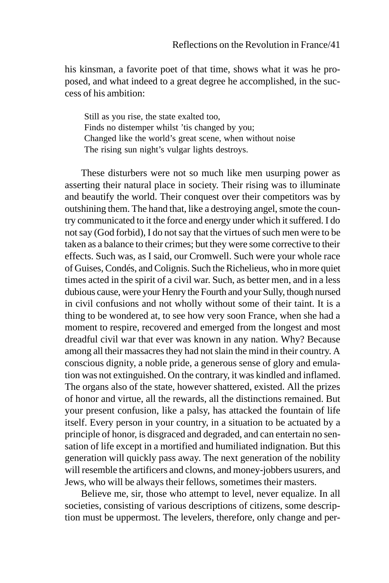his kinsman, a favorite poet of that time, shows what it was he proposed, and what indeed to a great degree he accomplished, in the success of his ambition:

Still as you rise, the state exalted too, Finds no distemper whilst 'tis changed by you; Changed like the world's great scene, when without noise The rising sun night's vulgar lights destroys.

These disturbers were not so much like men usurping power as asserting their natural place in society. Their rising was to illuminate and beautify the world. Their conquest over their competitors was by outshining them. The hand that, like a destroying angel, smote the country communicated to it the force and energy under which it suffered. I do not say (God forbid), I do not say that the virtues of such men were to be taken as a balance to their crimes; but they were some corrective to their effects. Such was, as I said, our Cromwell. Such were your whole race of Guises, Condés, and Colignis. Such the Richelieus, who in more quiet times acted in the spirit of a civil war. Such, as better men, and in a less dubious cause, were your Henry the Fourth and your Sully, though nursed in civil confusions and not wholly without some of their taint. It is a thing to be wondered at, to see how very soon France, when she had a moment to respire, recovered and emerged from the longest and most dreadful civil war that ever was known in any nation. Why? Because among all their massacres they had not slain the mind in their country. A conscious dignity, a noble pride, a generous sense of glory and emulation was not extinguished. On the contrary, it was kindled and inflamed. The organs also of the state, however shattered, existed. All the prizes of honor and virtue, all the rewards, all the distinctions remained. But your present confusion, like a palsy, has attacked the fountain of life itself. Every person in your country, in a situation to be actuated by a principle of honor, is disgraced and degraded, and can entertain no sensation of life except in a mortified and humiliated indignation. But this generation will quickly pass away. The next generation of the nobility will resemble the artificers and clowns, and money-jobbers usurers, and Jews, who will be always their fellows, sometimes their masters.

Believe me, sir, those who attempt to level, never equalize. In all societies, consisting of various descriptions of citizens, some description must be uppermost. The levelers, therefore, only change and per-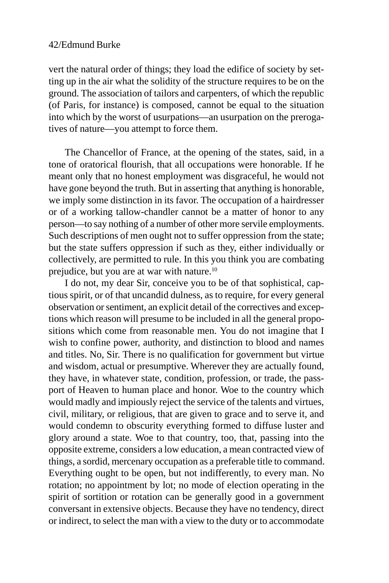vert the natural order of things; they load the edifice of society by setting up in the air what the solidity of the structure requires to be on the ground. The association of tailors and carpenters, of which the republic (of Paris, for instance) is composed, cannot be equal to the situation into which by the worst of usurpations—an usurpation on the prerogatives of nature—you attempt to force them.

The Chancellor of France, at the opening of the states, said, in a tone of oratorical flourish, that all occupations were honorable. If he meant only that no honest employment was disgraceful, he would not have gone beyond the truth. But in asserting that anything is honorable, we imply some distinction in its favor. The occupation of a hairdresser or of a working tallow-chandler cannot be a matter of honor to any person—to say nothing of a number of other more servile employments. Such descriptions of men ought not to suffer oppression from the state; but the state suffers oppression if such as they, either individually or collectively, are permitted to rule. In this you think you are combating prejudice, but you are at war with nature.10

I do not, my dear Sir, conceive you to be of that sophistical, captious spirit, or of that uncandid dulness, as to require, for every general observation or sentiment, an explicit detail of the correctives and exceptions which reason will presume to be included in all the general propositions which come from reasonable men. You do not imagine that I wish to confine power, authority, and distinction to blood and names and titles. No, Sir. There is no qualification for government but virtue and wisdom, actual or presumptive. Wherever they are actually found, they have, in whatever state, condition, profession, or trade, the passport of Heaven to human place and honor. Woe to the country which would madly and impiously reject the service of the talents and virtues, civil, military, or religious, that are given to grace and to serve it, and would condemn to obscurity everything formed to diffuse luster and glory around a state. Woe to that country, too, that, passing into the opposite extreme, considers a low education, a mean contracted view of things, a sordid, mercenary occupation as a preferable title to command. Everything ought to be open, but not indifferently, to every man. No rotation; no appointment by lot; no mode of election operating in the spirit of sortition or rotation can be generally good in a government conversant in extensive objects. Because they have no tendency, direct or indirect, to select the man with a view to the duty or to accommodate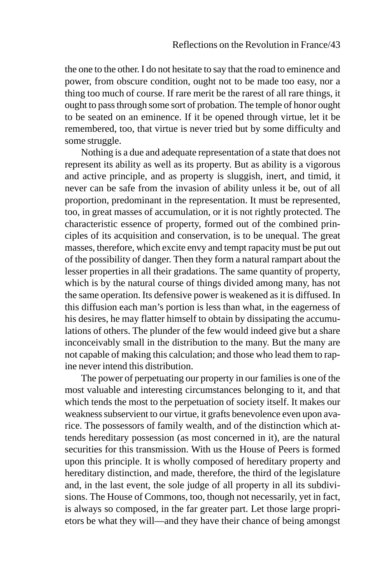the one to the other. I do not hesitate to say that the road to eminence and power, from obscure condition, ought not to be made too easy, nor a thing too much of course. If rare merit be the rarest of all rare things, it ought to pass through some sort of probation. The temple of honor ought to be seated on an eminence. If it be opened through virtue, let it be remembered, too, that virtue is never tried but by some difficulty and some struggle.

Nothing is a due and adequate representation of a state that does not represent its ability as well as its property. But as ability is a vigorous and active principle, and as property is sluggish, inert, and timid, it never can be safe from the invasion of ability unless it be, out of all proportion, predominant in the representation. It must be represented, too, in great masses of accumulation, or it is not rightly protected. The characteristic essence of property, formed out of the combined principles of its acquisition and conservation, is to be unequal. The great masses, therefore, which excite envy and tempt rapacity must be put out of the possibility of danger. Then they form a natural rampart about the lesser properties in all their gradations. The same quantity of property, which is by the natural course of things divided among many, has not the same operation. Its defensive power is weakened as it is diffused. In this diffusion each man's portion is less than what, in the eagerness of his desires, he may flatter himself to obtain by dissipating the accumulations of others. The plunder of the few would indeed give but a share inconceivably small in the distribution to the many. But the many are not capable of making this calculation; and those who lead them to rapine never intend this distribution.

The power of perpetuating our property in our families is one of the most valuable and interesting circumstances belonging to it, and that which tends the most to the perpetuation of society itself. It makes our weakness subservient to our virtue, it grafts benevolence even upon avarice. The possessors of family wealth, and of the distinction which attends hereditary possession (as most concerned in it), are the natural securities for this transmission. With us the House of Peers is formed upon this principle. It is wholly composed of hereditary property and hereditary distinction, and made, therefore, the third of the legislature and, in the last event, the sole judge of all property in all its subdivisions. The House of Commons, too, though not necessarily, yet in fact, is always so composed, in the far greater part. Let those large proprietors be what they will—and they have their chance of being amongst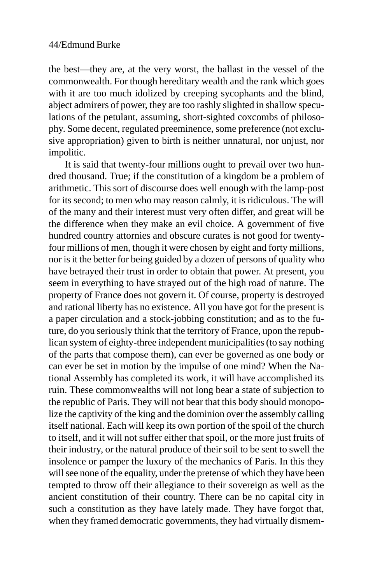the best—they are, at the very worst, the ballast in the vessel of the commonwealth. For though hereditary wealth and the rank which goes with it are too much idolized by creeping sycophants and the blind, abject admirers of power, they are too rashly slighted in shallow speculations of the petulant, assuming, short-sighted coxcombs of philosophy. Some decent, regulated preeminence, some preference (not exclusive appropriation) given to birth is neither unnatural, nor unjust, nor impolitic.

It is said that twenty-four millions ought to prevail over two hundred thousand. True; if the constitution of a kingdom be a problem of arithmetic. This sort of discourse does well enough with the lamp-post for its second; to men who may reason calmly, it is ridiculous. The will of the many and their interest must very often differ, and great will be the difference when they make an evil choice. A government of five hundred country attornies and obscure curates is not good for twentyfour millions of men, though it were chosen by eight and forty millions, nor is it the better for being guided by a dozen of persons of quality who have betrayed their trust in order to obtain that power. At present, you seem in everything to have strayed out of the high road of nature. The property of France does not govern it. Of course, property is destroyed and rational liberty has no existence. All you have got for the present is a paper circulation and a stock-jobbing constitution; and as to the future, do you seriously think that the territory of France, upon the republican system of eighty-three independent municipalities (to say nothing of the parts that compose them), can ever be governed as one body or can ever be set in motion by the impulse of one mind? When the National Assembly has completed its work, it will have accomplished its ruin. These commonwealths will not long bear a state of subjection to the republic of Paris. They will not bear that this body should monopolize the captivity of the king and the dominion over the assembly calling itself national. Each will keep its own portion of the spoil of the church to itself, and it will not suffer either that spoil, or the more just fruits of their industry, or the natural produce of their soil to be sent to swell the insolence or pamper the luxury of the mechanics of Paris. In this they will see none of the equality, under the pretense of which they have been tempted to throw off their allegiance to their sovereign as well as the ancient constitution of their country. There can be no capital city in such a constitution as they have lately made. They have forgot that, when they framed democratic governments, they had virtually dismem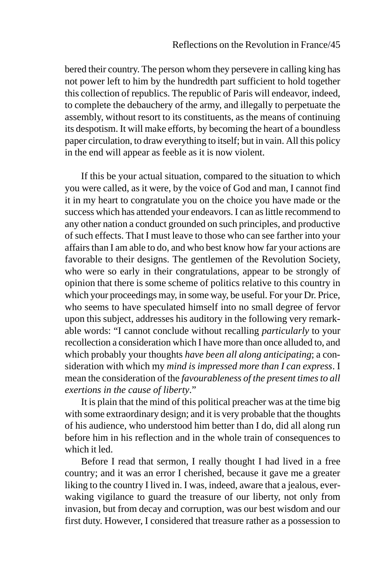bered their country. The person whom they persevere in calling king has not power left to him by the hundredth part sufficient to hold together this collection of republics. The republic of Paris will endeavor, indeed, to complete the debauchery of the army, and illegally to perpetuate the assembly, without resort to its constituents, as the means of continuing its despotism. It will make efforts, by becoming the heart of a boundless paper circulation, to draw everything to itself; but in vain. All this policy in the end will appear as feeble as it is now violent.

If this be your actual situation, compared to the situation to which you were called, as it were, by the voice of God and man, I cannot find it in my heart to congratulate you on the choice you have made or the success which has attended your endeavors. I can as little recommend to any other nation a conduct grounded on such principles, and productive of such effects. That I must leave to those who can see farther into your affairs than I am able to do, and who best know how far your actions are favorable to their designs. The gentlemen of the Revolution Society, who were so early in their congratulations, appear to be strongly of opinion that there is some scheme of politics relative to this country in which your proceedings may, in some way, be useful. For your Dr. Price, who seems to have speculated himself into no small degree of fervor upon this subject, addresses his auditory in the following very remarkable words: "I cannot conclude without recalling *particularly* to your recollection a consideration which I have more than once alluded to, and which probably your thoughts *have been all along anticipating*; a consideration with which my *mind is impressed more than I can express*. I mean the consideration of the *favourableness of the present times to all exertions in the cause of liberty*."

It is plain that the mind of this political preacher was at the time big with some extraordinary design; and it is very probable that the thoughts of his audience, who understood him better than I do, did all along run before him in his reflection and in the whole train of consequences to which it led.

Before I read that sermon, I really thought I had lived in a free country; and it was an error I cherished, because it gave me a greater liking to the country I lived in. I was, indeed, aware that a jealous, everwaking vigilance to guard the treasure of our liberty, not only from invasion, but from decay and corruption, was our best wisdom and our first duty. However, I considered that treasure rather as a possession to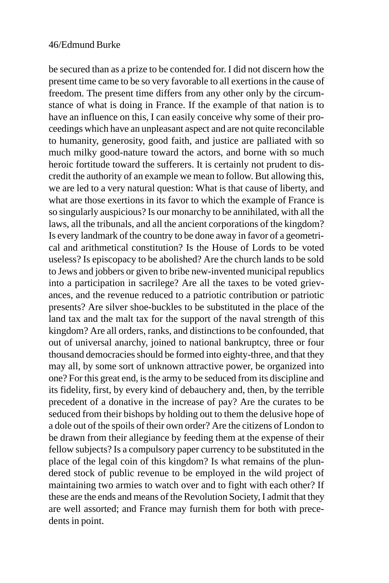be secured than as a prize to be contended for. I did not discern how the present time came to be so very favorable to all exertions in the cause of freedom. The present time differs from any other only by the circumstance of what is doing in France. If the example of that nation is to have an influence on this, I can easily conceive why some of their proceedings which have an unpleasant aspect and are not quite reconcilable to humanity, generosity, good faith, and justice are palliated with so much milky good-nature toward the actors, and borne with so much heroic fortitude toward the sufferers. It is certainly not prudent to discredit the authority of an example we mean to follow. But allowing this, we are led to a very natural question: What is that cause of liberty, and what are those exertions in its favor to which the example of France is so singularly auspicious? Is our monarchy to be annihilated, with all the laws, all the tribunals, and all the ancient corporations of the kingdom? Is every landmark of the country to be done away in favor of a geometrical and arithmetical constitution? Is the House of Lords to be voted useless? Is episcopacy to be abolished? Are the church lands to be sold to Jews and jobbers or given to bribe new-invented municipal republics into a participation in sacrilege? Are all the taxes to be voted grievances, and the revenue reduced to a patriotic contribution or patriotic presents? Are silver shoe-buckles to be substituted in the place of the land tax and the malt tax for the support of the naval strength of this kingdom? Are all orders, ranks, and distinctions to be confounded, that out of universal anarchy, joined to national bankruptcy, three or four thousand democracies should be formed into eighty-three, and that they may all, by some sort of unknown attractive power, be organized into one? For this great end, is the army to be seduced from its discipline and its fidelity, first, by every kind of debauchery and, then, by the terrible precedent of a donative in the increase of pay? Are the curates to be seduced from their bishops by holding out to them the delusive hope of a dole out of the spoils of their own order? Are the citizens of London to be drawn from their allegiance by feeding them at the expense of their fellow subjects? Is a compulsory paper currency to be substituted in the place of the legal coin of this kingdom? Is what remains of the plundered stock of public revenue to be employed in the wild project of maintaining two armies to watch over and to fight with each other? If these are the ends and means of the Revolution Society, I admit that they are well assorted; and France may furnish them for both with precedents in point.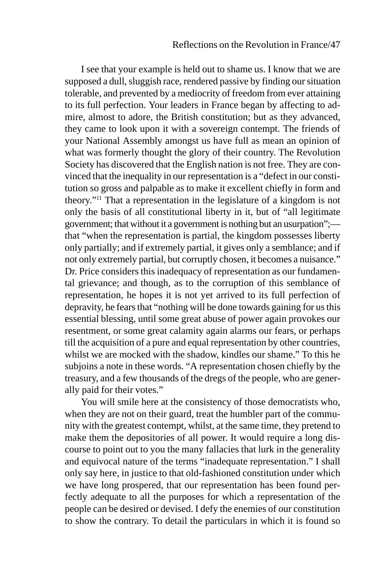I see that your example is held out to shame us. I know that we are supposed a dull, sluggish race, rendered passive by finding our situation tolerable, and prevented by a mediocrity of freedom from ever attaining to its full perfection. Your leaders in France began by affecting to admire, almost to adore, the British constitution; but as they advanced, they came to look upon it with a sovereign contempt. The friends of your National Assembly amongst us have full as mean an opinion of what was formerly thought the glory of their country. The Revolution Society has discovered that the English nation is not free. They are convinced that the inequality in our representation is a "defect in our constitution so gross and palpable as to make it excellent chiefly in form and theory."11 That a representation in the legislature of a kingdom is not only the basis of all constitutional liberty in it, but of "all legitimate government; that without it a government is nothing but an usurpation"; that "when the representation is partial, the kingdom possesses liberty only partially; and if extremely partial, it gives only a semblance; and if not only extremely partial, but corruptly chosen, it becomes a nuisance." Dr. Price considers this inadequacy of representation as our fundamental grievance; and though, as to the corruption of this semblance of representation, he hopes it is not yet arrived to its full perfection of depravity, he fears that "nothing will be done towards gaining for us this essential blessing, until some great abuse of power again provokes our resentment, or some great calamity again alarms our fears, or perhaps till the acquisition of a pure and equal representation by other countries, whilst we are mocked with the shadow, kindles our shame." To this he subjoins a note in these words. "A representation chosen chiefly by the treasury, and a few thousands of the dregs of the people, who are generally paid for their votes."

You will smile here at the consistency of those democratists who, when they are not on their guard, treat the humbler part of the community with the greatest contempt, whilst, at the same time, they pretend to make them the depositories of all power. It would require a long discourse to point out to you the many fallacies that lurk in the generality and equivocal nature of the terms "inadequate representation." I shall only say here, in justice to that old-fashioned constitution under which we have long prospered, that our representation has been found perfectly adequate to all the purposes for which a representation of the people can be desired or devised. I defy the enemies of our constitution to show the contrary. To detail the particulars in which it is found so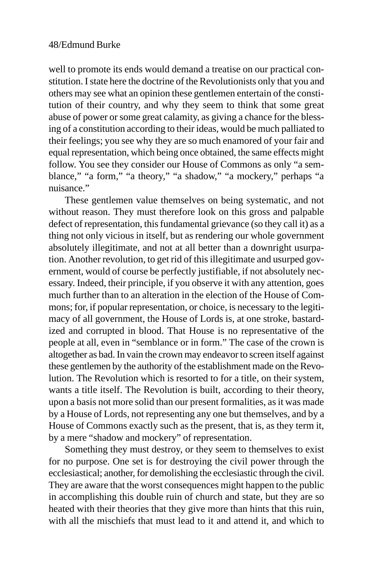well to promote its ends would demand a treatise on our practical constitution. I state here the doctrine of the Revolutionists only that you and others may see what an opinion these gentlemen entertain of the constitution of their country, and why they seem to think that some great abuse of power or some great calamity, as giving a chance for the blessing of a constitution according to their ideas, would be much palliated to their feelings; you see why they are so much enamored of your fair and equal representation, which being once obtained, the same effects might follow. You see they consider our House of Commons as only "a semblance," "a form," "a theory," "a shadow," "a mockery," perhaps "a nuisance."

These gentlemen value themselves on being systematic, and not without reason. They must therefore look on this gross and palpable defect of representation, this fundamental grievance (so they call it) as a thing not only vicious in itself, but as rendering our whole government absolutely illegitimate, and not at all better than a downright usurpation. Another revolution, to get rid of this illegitimate and usurped government, would of course be perfectly justifiable, if not absolutely necessary. Indeed, their principle, if you observe it with any attention, goes much further than to an alteration in the election of the House of Commons; for, if popular representation, or choice, is necessary to the legitimacy of all government, the House of Lords is, at one stroke, bastardized and corrupted in blood. That House is no representative of the people at all, even in "semblance or in form." The case of the crown is altogether as bad. In vain the crown may endeavor to screen itself against these gentlemen by the authority of the establishment made on the Revolution. The Revolution which is resorted to for a title, on their system, wants a title itself. The Revolution is built, according to their theory, upon a basis not more solid than our present formalities, as it was made by a House of Lords, not representing any one but themselves, and by a House of Commons exactly such as the present, that is, as they term it, by a mere "shadow and mockery" of representation.

Something they must destroy, or they seem to themselves to exist for no purpose. One set is for destroying the civil power through the ecclesiastical; another, for demolishing the ecclesiastic through the civil. They are aware that the worst consequences might happen to the public in accomplishing this double ruin of church and state, but they are so heated with their theories that they give more than hints that this ruin, with all the mischiefs that must lead to it and attend it, and which to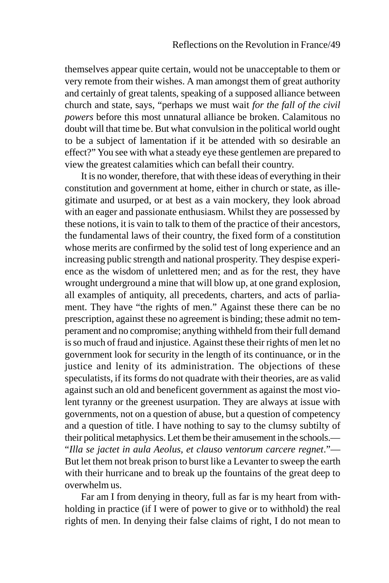themselves appear quite certain, would not be unacceptable to them or very remote from their wishes. A man amongst them of great authority and certainly of great talents, speaking of a supposed alliance between church and state, says, "perhaps we must wait *for the fall of the civil powers* before this most unnatural alliance be broken. Calamitous no doubt will that time be. But what convulsion in the political world ought to be a subject of lamentation if it be attended with so desirable an effect?" You see with what a steady eye these gentlemen are prepared to view the greatest calamities which can befall their country.

It is no wonder, therefore, that with these ideas of everything in their constitution and government at home, either in church or state, as illegitimate and usurped, or at best as a vain mockery, they look abroad with an eager and passionate enthusiasm. Whilst they are possessed by these notions, it is vain to talk to them of the practice of their ancestors, the fundamental laws of their country, the fixed form of a constitution whose merits are confirmed by the solid test of long experience and an increasing public strength and national prosperity. They despise experience as the wisdom of unlettered men; and as for the rest, they have wrought underground a mine that will blow up, at one grand explosion, all examples of antiquity, all precedents, charters, and acts of parliament. They have "the rights of men." Against these there can be no prescription, against these no agreement is binding; these admit no temperament and no compromise; anything withheld from their full demand is so much of fraud and injustice. Against these their rights of men let no government look for security in the length of its continuance, or in the justice and lenity of its administration. The objections of these speculatists, if its forms do not quadrate with their theories, are as valid against such an old and beneficent government as against the most violent tyranny or the greenest usurpation. They are always at issue with governments, not on a question of abuse, but a question of competency and a question of title. I have nothing to say to the clumsy subtilty of their political metaphysics. Let them be their amusement in the schools.— "*Illa se jactet in aula Aeolus, et clauso ventorum carcere regnet*."— But let them not break prison to burst like a Levanter to sweep the earth with their hurricane and to break up the fountains of the great deep to overwhelm us.

Far am I from denying in theory, full as far is my heart from withholding in practice (if I were of power to give or to withhold) the real rights of men. In denying their false claims of right, I do not mean to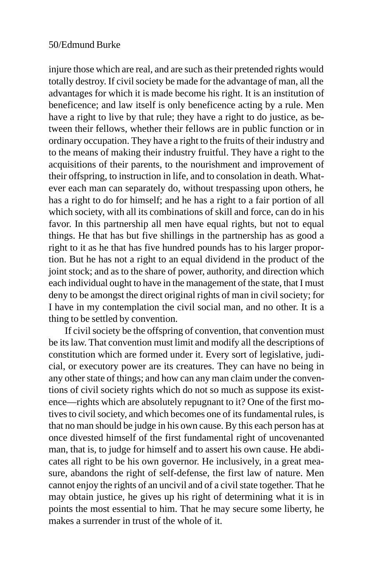injure those which are real, and are such as their pretended rights would totally destroy. If civil society be made for the advantage of man, all the advantages for which it is made become his right. It is an institution of beneficence; and law itself is only beneficence acting by a rule. Men have a right to live by that rule; they have a right to do justice, as between their fellows, whether their fellows are in public function or in ordinary occupation. They have a right to the fruits of their industry and to the means of making their industry fruitful. They have a right to the acquisitions of their parents, to the nourishment and improvement of their offspring, to instruction in life, and to consolation in death. Whatever each man can separately do, without trespassing upon others, he has a right to do for himself; and he has a right to a fair portion of all which society, with all its combinations of skill and force, can do in his favor. In this partnership all men have equal rights, but not to equal things. He that has but five shillings in the partnership has as good a right to it as he that has five hundred pounds has to his larger proportion. But he has not a right to an equal dividend in the product of the joint stock; and as to the share of power, authority, and direction which each individual ought to have in the management of the state, that I must deny to be amongst the direct original rights of man in civil society; for I have in my contemplation the civil social man, and no other. It is a thing to be settled by convention.

If civil society be the offspring of convention, that convention must be its law. That convention must limit and modify all the descriptions of constitution which are formed under it. Every sort of legislative, judicial, or executory power are its creatures. They can have no being in any other state of things; and how can any man claim under the conventions of civil society rights which do not so much as suppose its existence—rights which are absolutely repugnant to it? One of the first motives to civil society, and which becomes one of its fundamental rules, is that no man should be judge in his own cause. By this each person has at once divested himself of the first fundamental right of uncovenanted man, that is, to judge for himself and to assert his own cause. He abdicates all right to be his own governor. He inclusively, in a great measure, abandons the right of self-defense, the first law of nature. Men cannot enjoy the rights of an uncivil and of a civil state together. That he may obtain justice, he gives up his right of determining what it is in points the most essential to him. That he may secure some liberty, he makes a surrender in trust of the whole of it.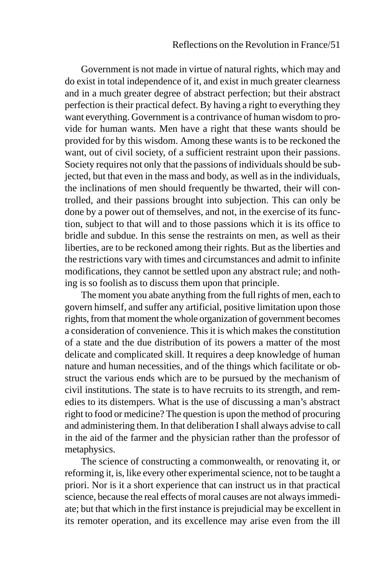Government is not made in virtue of natural rights, which may and do exist in total independence of it, and exist in much greater clearness and in a much greater degree of abstract perfection; but their abstract perfection is their practical defect. By having a right to everything they want everything. Government is a contrivance of human wisdom to provide for human wants. Men have a right that these wants should be provided for by this wisdom. Among these wants is to be reckoned the want, out of civil society, of a sufficient restraint upon their passions. Society requires not only that the passions of individuals should be subjected, but that even in the mass and body, as well as in the individuals, the inclinations of men should frequently be thwarted, their will controlled, and their passions brought into subjection. This can only be done by a power out of themselves, and not, in the exercise of its function, subject to that will and to those passions which it is its office to bridle and subdue. In this sense the restraints on men, as well as their liberties, are to be reckoned among their rights. But as the liberties and the restrictions vary with times and circumstances and admit to infinite modifications, they cannot be settled upon any abstract rule; and nothing is so foolish as to discuss them upon that principle.

The moment you abate anything from the full rights of men, each to govern himself, and suffer any artificial, positive limitation upon those rights, from that moment the whole organization of government becomes a consideration of convenience. This it is which makes the constitution of a state and the due distribution of its powers a matter of the most delicate and complicated skill. It requires a deep knowledge of human nature and human necessities, and of the things which facilitate or obstruct the various ends which are to be pursued by the mechanism of civil institutions. The state is to have recruits to its strength, and remedies to its distempers. What is the use of discussing a man's abstract right to food or medicine? The question is upon the method of procuring and administering them. In that deliberation I shall always advise to call in the aid of the farmer and the physician rather than the professor of metaphysics.

The science of constructing a commonwealth, or renovating it, or reforming it, is, like every other experimental science, not to be taught a priori. Nor is it a short experience that can instruct us in that practical science, because the real effects of moral causes are not always immediate; but that which in the first instance is prejudicial may be excellent in its remoter operation, and its excellence may arise even from the ill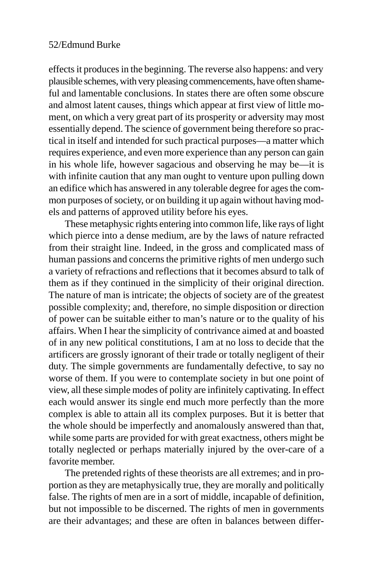effects it produces in the beginning. The reverse also happens: and very plausible schemes, with very pleasing commencements, have often shameful and lamentable conclusions. In states there are often some obscure and almost latent causes, things which appear at first view of little moment, on which a very great part of its prosperity or adversity may most essentially depend. The science of government being therefore so practical in itself and intended for such practical purposes—a matter which requires experience, and even more experience than any person can gain in his whole life, however sagacious and observing he may be—it is with infinite caution that any man ought to venture upon pulling down an edifice which has answered in any tolerable degree for ages the common purposes of society, or on building it up again without having models and patterns of approved utility before his eyes.

These metaphysic rights entering into common life, like rays of light which pierce into a dense medium, are by the laws of nature refracted from their straight line. Indeed, in the gross and complicated mass of human passions and concerns the primitive rights of men undergo such a variety of refractions and reflections that it becomes absurd to talk of them as if they continued in the simplicity of their original direction. The nature of man is intricate; the objects of society are of the greatest possible complexity; and, therefore, no simple disposition or direction of power can be suitable either to man's nature or to the quality of his affairs. When I hear the simplicity of contrivance aimed at and boasted of in any new political constitutions, I am at no loss to decide that the artificers are grossly ignorant of their trade or totally negligent of their duty. The simple governments are fundamentally defective, to say no worse of them. If you were to contemplate society in but one point of view, all these simple modes of polity are infinitely captivating. In effect each would answer its single end much more perfectly than the more complex is able to attain all its complex purposes. But it is better that the whole should be imperfectly and anomalously answered than that, while some parts are provided for with great exactness, others might be totally neglected or perhaps materially injured by the over-care of a favorite member.

The pretended rights of these theorists are all extremes; and in proportion as they are metaphysically true, they are morally and politically false. The rights of men are in a sort of middle, incapable of definition, but not impossible to be discerned. The rights of men in governments are their advantages; and these are often in balances between differ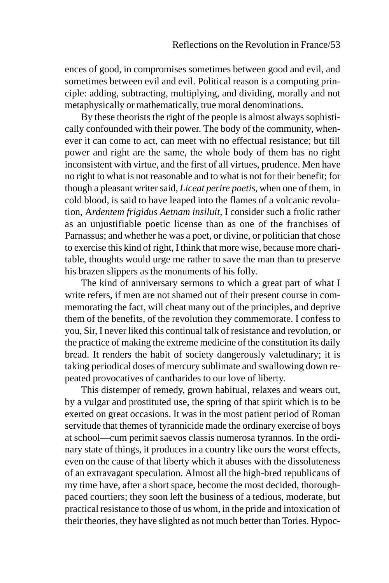ences of good, in compromises sometimes between good and evil, and sometimes between evil and evil. Political reason is a computing principle: adding, subtracting, multiplying, and dividing, morally and not metaphysically or mathematically, true moral denominations.

By these theorists the right of the people is almost always sophistically confounded with their power. The body of the community, whenever it can come to act, can meet with no effectual resistance; but till power and right are the same, the whole body of them has no right inconsistent with virtue, and the first of all virtues, prudence. Men have no right to what is not reasonable and to what is not for their benefit; for though a pleasant writer said, *Liceat perire poetis*, when one of them, in cold blood, is said to have leaped into the flames of a volcanic revolution, A*rdentem frigidus Aetnam insiluit*, I consider such a frolic rather as an unjustifiable poetic license than as one of the franchises of Parnassus; and whether he was a poet, or divine, or politician that chose to exercise this kind of right, I think that more wise, because more charitable, thoughts would urge me rather to save the man than to preserve his brazen slippers as the monuments of his folly.

The kind of anniversary sermons to which a great part of what I write refers, if men are not shamed out of their present course in commemorating the fact, will cheat many out of the principles, and deprive them of the benefits, of the revolution they commemorate. I confess to you, Sir, I never liked this continual talk of resistance and revolution, or the practice of making the extreme medicine of the constitution its daily bread. It renders the habit of society dangerously valetudinary; it is taking periodical doses of mercury sublimate and swallowing down repeated provocatives of cantharides to our love of liberty.

This distemper of remedy, grown habitual, relaxes and wears out, by a vulgar and prostituted use, the spring of that spirit which is to be exerted on great occasions. It was in the most patient period of Roman servitude that themes of tyrannicide made the ordinary exercise of boys at school—cum perimit saevos classis numerosa tyrannos. In the ordinary state of things, it produces in a country like ours the worst effects, even on the cause of that liberty which it abuses with the dissoluteness of an extravagant speculation. Almost all the high-bred republicans of my time have, after a short space, become the most decided, thoroughpaced courtiers; they soon left the business of a tedious, moderate, but practical resistance to those of us whom, in the pride and intoxication of their theories, they have slighted as not much better than Tories. Hypoc-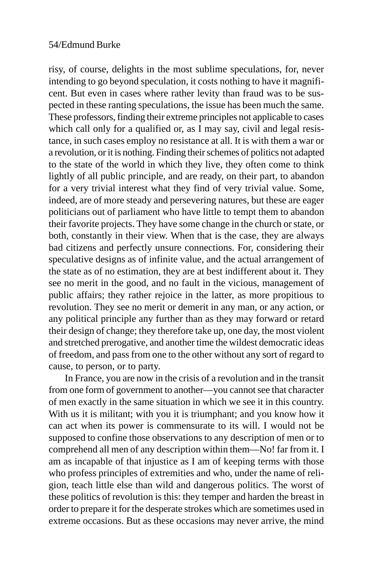risy, of course, delights in the most sublime speculations, for, never intending to go beyond speculation, it costs nothing to have it magnificent. But even in cases where rather levity than fraud was to be suspected in these ranting speculations, the issue has been much the same. These professors, finding their extreme principles not applicable to cases which call only for a qualified or, as I may say, civil and legal resistance, in such cases employ no resistance at all. It is with them a war or a revolution, or it is nothing. Finding their schemes of politics not adapted to the state of the world in which they live, they often come to think lightly of all public principle, and are ready, on their part, to abandon for a very trivial interest what they find of very trivial value. Some, indeed, are of more steady and persevering natures, but these are eager politicians out of parliament who have little to tempt them to abandon their favorite projects. They have some change in the church or state, or both, constantly in their view. When that is the case, they are always bad citizens and perfectly unsure connections. For, considering their speculative designs as of infinite value, and the actual arrangement of the state as of no estimation, they are at best indifferent about it. They see no merit in the good, and no fault in the vicious, management of public affairs; they rather rejoice in the latter, as more propitious to revolution. They see no merit or demerit in any man, or any action, or any political principle any further than as they may forward or retard their design of change; they therefore take up, one day, the most violent and stretched prerogative, and another time the wildest democratic ideas of freedom, and pass from one to the other without any sort of regard to cause, to person, or to party.

In France, you are now in the crisis of a revolution and in the transit from one form of government to another—you cannot see that character of men exactly in the same situation in which we see it in this country. With us it is militant; with you it is triumphant; and you know how it can act when its power is commensurate to its will. I would not be supposed to confine those observations to any description of men or to comprehend all men of any description within them—No! far from it. I am as incapable of that injustice as I am of keeping terms with those who profess principles of extremities and who, under the name of religion, teach little else than wild and dangerous politics. The worst of these politics of revolution is this: they temper and harden the breast in order to prepare it for the desperate strokes which are sometimes used in extreme occasions. But as these occasions may never arrive, the mind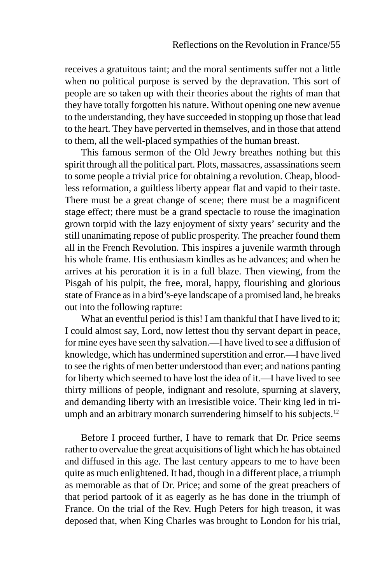receives a gratuitous taint; and the moral sentiments suffer not a little when no political purpose is served by the depravation. This sort of people are so taken up with their theories about the rights of man that they have totally forgotten his nature. Without opening one new avenue to the understanding, they have succeeded in stopping up those that lead to the heart. They have perverted in themselves, and in those that attend to them, all the well-placed sympathies of the human breast.

This famous sermon of the Old Jewry breathes nothing but this spirit through all the political part. Plots, massacres, assassinations seem to some people a trivial price for obtaining a revolution. Cheap, bloodless reformation, a guiltless liberty appear flat and vapid to their taste. There must be a great change of scene; there must be a magnificent stage effect; there must be a grand spectacle to rouse the imagination grown torpid with the lazy enjoyment of sixty years' security and the still unanimating repose of public prosperity. The preacher found them all in the French Revolution. This inspires a juvenile warmth through his whole frame. His enthusiasm kindles as he advances; and when he arrives at his peroration it is in a full blaze. Then viewing, from the Pisgah of his pulpit, the free, moral, happy, flourishing and glorious state of France as in a bird's-eye landscape of a promised land, he breaks out into the following rapture:

What an eventful period is this! I am thankful that I have lived to it; I could almost say, Lord, now lettest thou thy servant depart in peace, for mine eyes have seen thy salvation.—I have lived to see a diffusion of knowledge, which has undermined superstition and error.—I have lived to see the rights of men better understood than ever; and nations panting for liberty which seemed to have lost the idea of it.—I have lived to see thirty millions of people, indignant and resolute, spurning at slavery, and demanding liberty with an irresistible voice. Their king led in triumph and an arbitrary monarch surrendering himself to his subjects.<sup>12</sup>

Before I proceed further, I have to remark that Dr. Price seems rather to overvalue the great acquisitions of light which he has obtained and diffused in this age. The last century appears to me to have been quite as much enlightened. It had, though in a different place, a triumph as memorable as that of Dr. Price; and some of the great preachers of that period partook of it as eagerly as he has done in the triumph of France. On the trial of the Rev. Hugh Peters for high treason, it was deposed that, when King Charles was brought to London for his trial,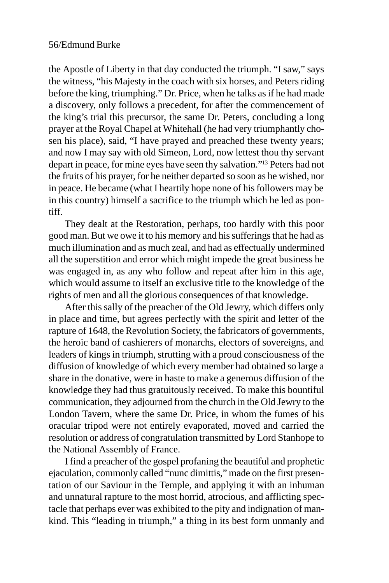the Apostle of Liberty in that day conducted the triumph. "I saw," says the witness, "his Majesty in the coach with six horses, and Peters riding before the king, triumphing." Dr. Price, when he talks as if he had made a discovery, only follows a precedent, for after the commencement of the king's trial this precursor, the same Dr. Peters, concluding a long prayer at the Royal Chapel at Whitehall (he had very triumphantly chosen his place), said, "I have prayed and preached these twenty years; and now I may say with old Simeon, Lord, now lettest thou thy servant depart in peace, for mine eyes have seen thy salvation."13 Peters had not the fruits of his prayer, for he neither departed so soon as he wished, nor in peace. He became (what I heartily hope none of his followers may be in this country) himself a sacrifice to the triumph which he led as pontiff.

They dealt at the Restoration, perhaps, too hardly with this poor good man. But we owe it to his memory and his sufferings that he had as much illumination and as much zeal, and had as effectually undermined all the superstition and error which might impede the great business he was engaged in, as any who follow and repeat after him in this age, which would assume to itself an exclusive title to the knowledge of the rights of men and all the glorious consequences of that knowledge.

After this sally of the preacher of the Old Jewry, which differs only in place and time, but agrees perfectly with the spirit and letter of the rapture of 1648, the Revolution Society, the fabricators of governments, the heroic band of cashierers of monarchs, electors of sovereigns, and leaders of kings in triumph, strutting with a proud consciousness of the diffusion of knowledge of which every member had obtained so large a share in the donative, were in haste to make a generous diffusion of the knowledge they had thus gratuitously received. To make this bountiful communication, they adjourned from the church in the Old Jewry to the London Tavern, where the same Dr. Price, in whom the fumes of his oracular tripod were not entirely evaporated, moved and carried the resolution or address of congratulation transmitted by Lord Stanhope to the National Assembly of France.

I find a preacher of the gospel profaning the beautiful and prophetic ejaculation, commonly called "nunc dimittis," made on the first presentation of our Saviour in the Temple, and applying it with an inhuman and unnatural rapture to the most horrid, atrocious, and afflicting spectacle that perhaps ever was exhibited to the pity and indignation of mankind. This "leading in triumph," a thing in its best form unmanly and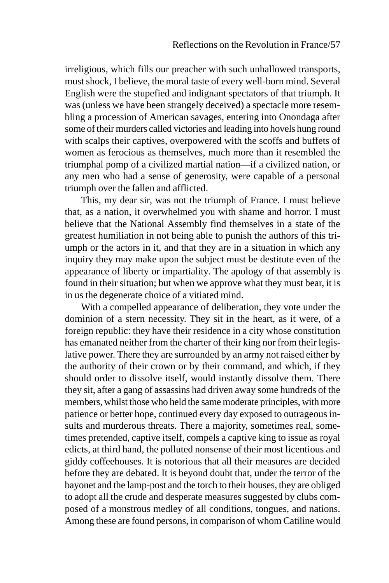irreligious, which fills our preacher with such unhallowed transports, must shock, I believe, the moral taste of every well-born mind. Several English were the stupefied and indignant spectators of that triumph. It was (unless we have been strangely deceived) a spectacle more resembling a procession of American savages, entering into Onondaga after some of their murders called victories and leading into hovels hung round with scalps their captives, overpowered with the scoffs and buffets of women as ferocious as themselves, much more than it resembled the triumphal pomp of a civilized martial nation—if a civilized nation, or any men who had a sense of generosity, were capable of a personal triumph over the fallen and afflicted.

This, my dear sir, was not the triumph of France. I must believe that, as a nation, it overwhelmed you with shame and horror. I must believe that the National Assembly find themselves in a state of the greatest humiliation in not being able to punish the authors of this triumph or the actors in it, and that they are in a situation in which any inquiry they may make upon the subject must be destitute even of the appearance of liberty or impartiality. The apology of that assembly is found in their situation; but when we approve what they must bear, it is in us the degenerate choice of a vitiated mind.

With a compelled appearance of deliberation, they vote under the dominion of a stern necessity. They sit in the heart, as it were, of a foreign republic: they have their residence in a city whose constitution has emanated neither from the charter of their king nor from their legislative power. There they are surrounded by an army not raised either by the authority of their crown or by their command, and which, if they should order to dissolve itself, would instantly dissolve them. There they sit, after a gang of assassins had driven away some hundreds of the members, whilst those who held the same moderate principles, with more patience or better hope, continued every day exposed to outrageous insults and murderous threats. There a majority, sometimes real, sometimes pretended, captive itself, compels a captive king to issue as royal edicts, at third hand, the polluted nonsense of their most licentious and giddy coffeehouses. It is notorious that all their measures are decided before they are debated. It is beyond doubt that, under the terror of the bayonet and the lamp-post and the torch to their houses, they are obliged to adopt all the crude and desperate measures suggested by clubs composed of a monstrous medley of all conditions, tongues, and nations. Among these are found persons, in comparison of whom Catiline would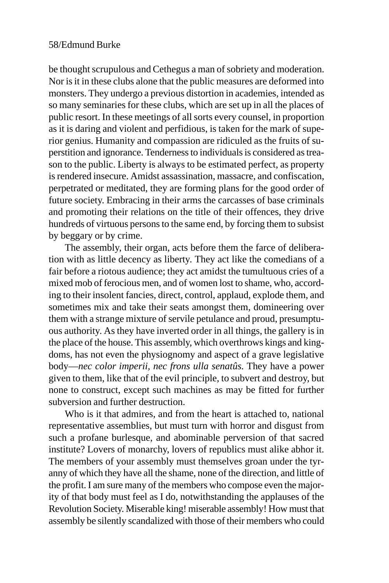be thought scrupulous and Cethegus a man of sobriety and moderation. Nor is it in these clubs alone that the public measures are deformed into monsters. They undergo a previous distortion in academies, intended as so many seminaries for these clubs, which are set up in all the places of public resort. In these meetings of all sorts every counsel, in proportion as it is daring and violent and perfidious, is taken for the mark of superior genius. Humanity and compassion are ridiculed as the fruits of superstition and ignorance. Tenderness to individuals is considered as treason to the public. Liberty is always to be estimated perfect, as property is rendered insecure. Amidst assassination, massacre, and confiscation, perpetrated or meditated, they are forming plans for the good order of future society. Embracing in their arms the carcasses of base criminals and promoting their relations on the title of their offences, they drive hundreds of virtuous persons to the same end, by forcing them to subsist by beggary or by crime.

The assembly, their organ, acts before them the farce of deliberation with as little decency as liberty. They act like the comedians of a fair before a riotous audience; they act amidst the tumultuous cries of a mixed mob of ferocious men, and of women lost to shame, who, according to their insolent fancies, direct, control, applaud, explode them, and sometimes mix and take their seats amongst them, domineering over them with a strange mixture of servile petulance and proud, presumptuous authority. As they have inverted order in all things, the gallery is in the place of the house. This assembly, which overthrows kings and kingdoms, has not even the physiognomy and aspect of a grave legislative body—*nec color imperii, nec frons ulla senatûs*. They have a power given to them, like that of the evil principle, to subvert and destroy, but none to construct, except such machines as may be fitted for further subversion and further destruction.

Who is it that admires, and from the heart is attached to, national representative assemblies, but must turn with horror and disgust from such a profane burlesque, and abominable perversion of that sacred institute? Lovers of monarchy, lovers of republics must alike abhor it. The members of your assembly must themselves groan under the tyranny of which they have all the shame, none of the direction, and little of the profit. I am sure many of the members who compose even the majority of that body must feel as I do, notwithstanding the applauses of the Revolution Society. Miserable king! miserable assembly! How must that assembly be silently scandalized with those of their members who could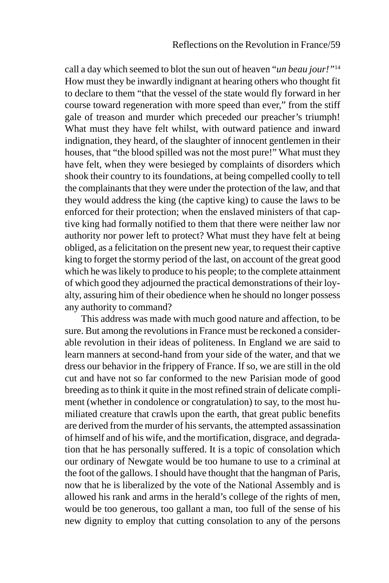call a day which seemed to blot the sun out of heaven "*un beau jour!"*<sup>14</sup> How must they be inwardly indignant at hearing others who thought fit to declare to them "that the vessel of the state would fly forward in her course toward regeneration with more speed than ever," from the stiff gale of treason and murder which preceded our preacher's triumph! What must they have felt whilst, with outward patience and inward indignation, they heard, of the slaughter of innocent gentlemen in their houses, that "the blood spilled was not the most pure!" What must they have felt, when they were besieged by complaints of disorders which shook their country to its foundations, at being compelled coolly to tell the complainants that they were under the protection of the law, and that they would address the king (the captive king) to cause the laws to be enforced for their protection; when the enslaved ministers of that captive king had formally notified to them that there were neither law nor authority nor power left to protect? What must they have felt at being obliged, as a felicitation on the present new year, to request their captive king to forget the stormy period of the last, on account of the great good which he was likely to produce to his people; to the complete attainment of which good they adjourned the practical demonstrations of their loyalty, assuring him of their obedience when he should no longer possess any authority to command?

This address was made with much good nature and affection, to be sure. But among the revolutions in France must be reckoned a considerable revolution in their ideas of politeness. In England we are said to learn manners at second-hand from your side of the water, and that we dress our behavior in the frippery of France. If so, we are still in the old cut and have not so far conformed to the new Parisian mode of good breeding as to think it quite in the most refined strain of delicate compliment (whether in condolence or congratulation) to say, to the most humiliated creature that crawls upon the earth, that great public benefits are derived from the murder of his servants, the attempted assassination of himself and of his wife, and the mortification, disgrace, and degradation that he has personally suffered. It is a topic of consolation which our ordinary of Newgate would be too humane to use to a criminal at the foot of the gallows. I should have thought that the hangman of Paris, now that he is liberalized by the vote of the National Assembly and is allowed his rank and arms in the herald's college of the rights of men, would be too generous, too gallant a man, too full of the sense of his new dignity to employ that cutting consolation to any of the persons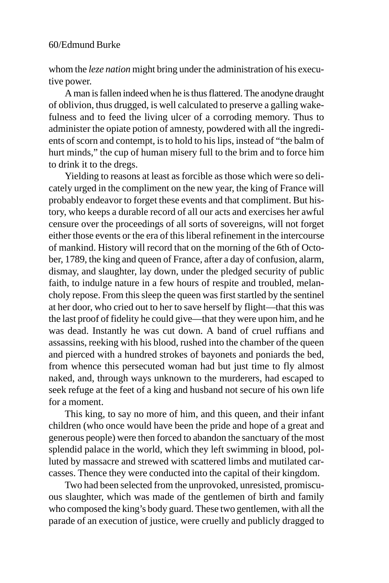whom the *leze nation* might bring under the administration of his executive power.

A man is fallen indeed when he is thus flattered. The anodyne draught of oblivion, thus drugged, is well calculated to preserve a galling wakefulness and to feed the living ulcer of a corroding memory. Thus to administer the opiate potion of amnesty, powdered with all the ingredients of scorn and contempt, is to hold to his lips, instead of "the balm of hurt minds," the cup of human misery full to the brim and to force him to drink it to the dregs.

Yielding to reasons at least as forcible as those which were so delicately urged in the compliment on the new year, the king of France will probably endeavor to forget these events and that compliment. But history, who keeps a durable record of all our acts and exercises her awful censure over the proceedings of all sorts of sovereigns, will not forget either those events or the era of this liberal refinement in the intercourse of mankind. History will record that on the morning of the 6th of October, 1789, the king and queen of France, after a day of confusion, alarm, dismay, and slaughter, lay down, under the pledged security of public faith, to indulge nature in a few hours of respite and troubled, melancholy repose. From this sleep the queen was first startled by the sentinel at her door, who cried out to her to save herself by flight—that this was the last proof of fidelity he could give—that they were upon him, and he was dead. Instantly he was cut down. A band of cruel ruffians and assassins, reeking with his blood, rushed into the chamber of the queen and pierced with a hundred strokes of bayonets and poniards the bed, from whence this persecuted woman had but just time to fly almost naked, and, through ways unknown to the murderers, had escaped to seek refuge at the feet of a king and husband not secure of his own life for a moment.

This king, to say no more of him, and this queen, and their infant children (who once would have been the pride and hope of a great and generous people) were then forced to abandon the sanctuary of the most splendid palace in the world, which they left swimming in blood, polluted by massacre and strewed with scattered limbs and mutilated carcasses. Thence they were conducted into the capital of their kingdom.

Two had been selected from the unprovoked, unresisted, promiscuous slaughter, which was made of the gentlemen of birth and family who composed the king's body guard. These two gentlemen, with all the parade of an execution of justice, were cruelly and publicly dragged to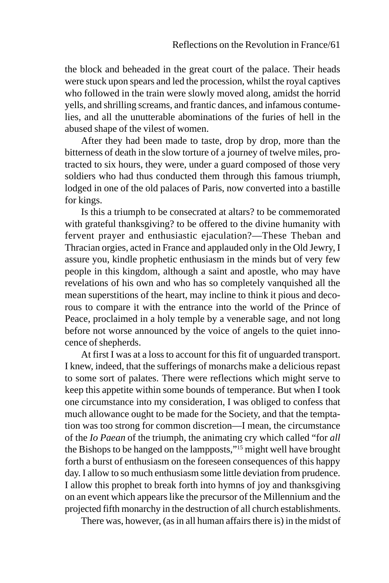the block and beheaded in the great court of the palace. Their heads were stuck upon spears and led the procession, whilst the royal captives who followed in the train were slowly moved along, amidst the horrid yells, and shrilling screams, and frantic dances, and infamous contumelies, and all the unutterable abominations of the furies of hell in the abused shape of the vilest of women.

After they had been made to taste, drop by drop, more than the bitterness of death in the slow torture of a journey of twelve miles, protracted to six hours, they were, under a guard composed of those very soldiers who had thus conducted them through this famous triumph, lodged in one of the old palaces of Paris, now converted into a bastille for kings.

Is this a triumph to be consecrated at altars? to be commemorated with grateful thanksgiving? to be offered to the divine humanity with fervent prayer and enthusiastic ejaculation?—These Theban and Thracian orgies, acted in France and applauded only in the Old Jewry, I assure you, kindle prophetic enthusiasm in the minds but of very few people in this kingdom, although a saint and apostle, who may have revelations of his own and who has so completely vanquished all the mean superstitions of the heart, may incline to think it pious and decorous to compare it with the entrance into the world of the Prince of Peace, proclaimed in a holy temple by a venerable sage, and not long before not worse announced by the voice of angels to the quiet innocence of shepherds.

At first I was at a loss to account for this fit of unguarded transport. I knew, indeed, that the sufferings of monarchs make a delicious repast to some sort of palates. There were reflections which might serve to keep this appetite within some bounds of temperance. But when I took one circumstance into my consideration, I was obliged to confess that much allowance ought to be made for the Society, and that the temptation was too strong for common discretion—I mean, the circumstance of the *Io Paean* of the triumph, the animating cry which called "for *all* the Bishops to be hanged on the lampposts,"15 might well have brought forth a burst of enthusiasm on the foreseen consequences of this happy day. I allow to so much enthusiasm some little deviation from prudence. I allow this prophet to break forth into hymns of joy and thanksgiving on an event which appears like the precursor of the Millennium and the projected fifth monarchy in the destruction of all church establishments.

There was, however, (as in all human affairs there is) in the midst of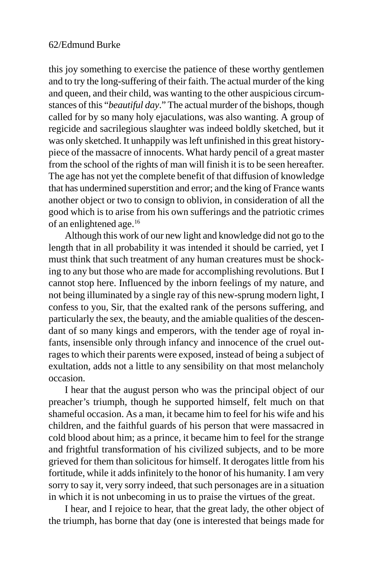this joy something to exercise the patience of these worthy gentlemen and to try the long-suffering of their faith. The actual murder of the king and queen, and their child, was wanting to the other auspicious circumstances of this "*beautiful day*." The actual murder of the bishops, though called for by so many holy ejaculations, was also wanting. A group of regicide and sacrilegious slaughter was indeed boldly sketched, but it was only sketched. It unhappily was left unfinished in this great historypiece of the massacre of innocents. What hardy pencil of a great master from the school of the rights of man will finish it is to be seen hereafter. The age has not yet the complete benefit of that diffusion of knowledge that has undermined superstition and error; and the king of France wants another object or two to consign to oblivion, in consideration of all the good which is to arise from his own sufferings and the patriotic crimes of an enlightened age.16

Although this work of our new light and knowledge did not go to the length that in all probability it was intended it should be carried, yet I must think that such treatment of any human creatures must be shocking to any but those who are made for accomplishing revolutions. But I cannot stop here. Influenced by the inborn feelings of my nature, and not being illuminated by a single ray of this new-sprung modern light, I confess to you, Sir, that the exalted rank of the persons suffering, and particularly the sex, the beauty, and the amiable qualities of the descendant of so many kings and emperors, with the tender age of royal infants, insensible only through infancy and innocence of the cruel outrages to which their parents were exposed, instead of being a subject of exultation, adds not a little to any sensibility on that most melancholy occasion.

I hear that the august person who was the principal object of our preacher's triumph, though he supported himself, felt much on that shameful occasion. As a man, it became him to feel for his wife and his children, and the faithful guards of his person that were massacred in cold blood about him; as a prince, it became him to feel for the strange and frightful transformation of his civilized subjects, and to be more grieved for them than solicitous for himself. It derogates little from his fortitude, while it adds infinitely to the honor of his humanity. I am very sorry to say it, very sorry indeed, that such personages are in a situation in which it is not unbecoming in us to praise the virtues of the great.

I hear, and I rejoice to hear, that the great lady, the other object of the triumph, has borne that day (one is interested that beings made for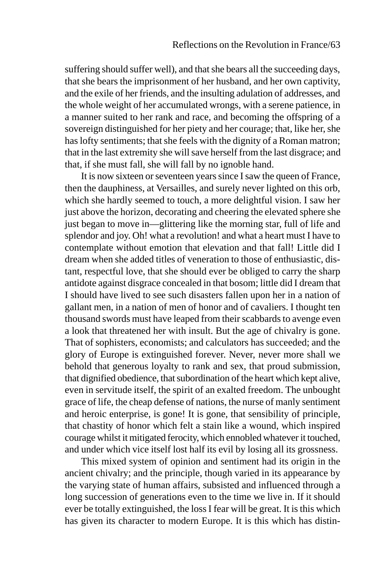suffering should suffer well), and that she bears all the succeeding days, that she bears the imprisonment of her husband, and her own captivity, and the exile of her friends, and the insulting adulation of addresses, and the whole weight of her accumulated wrongs, with a serene patience, in a manner suited to her rank and race, and becoming the offspring of a sovereign distinguished for her piety and her courage; that, like her, she has lofty sentiments; that she feels with the dignity of a Roman matron; that in the last extremity she will save herself from the last disgrace; and that, if she must fall, she will fall by no ignoble hand.

It is now sixteen or seventeen years since I saw the queen of France, then the dauphiness, at Versailles, and surely never lighted on this orb, which she hardly seemed to touch, a more delightful vision. I saw her just above the horizon, decorating and cheering the elevated sphere she just began to move in—glittering like the morning star, full of life and splendor and joy. Oh! what a revolution! and what a heart must I have to contemplate without emotion that elevation and that fall! Little did I dream when she added titles of veneration to those of enthusiastic, distant, respectful love, that she should ever be obliged to carry the sharp antidote against disgrace concealed in that bosom; little did I dream that I should have lived to see such disasters fallen upon her in a nation of gallant men, in a nation of men of honor and of cavaliers. I thought ten thousand swords must have leaped from their scabbards to avenge even a look that threatened her with insult. But the age of chivalry is gone. That of sophisters, economists; and calculators has succeeded; and the glory of Europe is extinguished forever. Never, never more shall we behold that generous loyalty to rank and sex, that proud submission, that dignified obedience, that subordination of the heart which kept alive, even in servitude itself, the spirit of an exalted freedom. The unbought grace of life, the cheap defense of nations, the nurse of manly sentiment and heroic enterprise, is gone! It is gone, that sensibility of principle, that chastity of honor which felt a stain like a wound, which inspired courage whilst it mitigated ferocity, which ennobled whatever it touched, and under which vice itself lost half its evil by losing all its grossness.

This mixed system of opinion and sentiment had its origin in the ancient chivalry; and the principle, though varied in its appearance by the varying state of human affairs, subsisted and influenced through a long succession of generations even to the time we live in. If it should ever be totally extinguished, the loss I fear will be great. It is this which has given its character to modern Europe. It is this which has distin-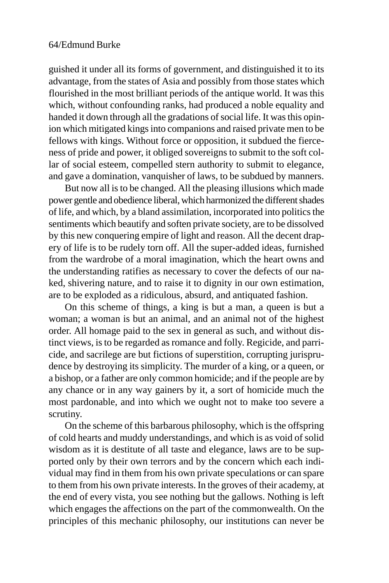guished it under all its forms of government, and distinguished it to its advantage, from the states of Asia and possibly from those states which flourished in the most brilliant periods of the antique world. It was this which, without confounding ranks, had produced a noble equality and handed it down through all the gradations of social life. It was this opinion which mitigated kings into companions and raised private men to be fellows with kings. Without force or opposition, it subdued the fierceness of pride and power, it obliged sovereigns to submit to the soft collar of social esteem, compelled stern authority to submit to elegance, and gave a domination, vanquisher of laws, to be subdued by manners.

But now all is to be changed. All the pleasing illusions which made power gentle and obedience liberal, which harmonized the different shades of life, and which, by a bland assimilation, incorporated into politics the sentiments which beautify and soften private society, are to be dissolved by this new conquering empire of light and reason. All the decent drapery of life is to be rudely torn off. All the super-added ideas, furnished from the wardrobe of a moral imagination, which the heart owns and the understanding ratifies as necessary to cover the defects of our naked, shivering nature, and to raise it to dignity in our own estimation, are to be exploded as a ridiculous, absurd, and antiquated fashion.

On this scheme of things, a king is but a man, a queen is but a woman; a woman is but an animal, and an animal not of the highest order. All homage paid to the sex in general as such, and without distinct views, is to be regarded as romance and folly. Regicide, and parricide, and sacrilege are but fictions of superstition, corrupting jurisprudence by destroying its simplicity. The murder of a king, or a queen, or a bishop, or a father are only common homicide; and if the people are by any chance or in any way gainers by it, a sort of homicide much the most pardonable, and into which we ought not to make too severe a scrutiny.

On the scheme of this barbarous philosophy, which is the offspring of cold hearts and muddy understandings, and which is as void of solid wisdom as it is destitute of all taste and elegance, laws are to be supported only by their own terrors and by the concern which each individual may find in them from his own private speculations or can spare to them from his own private interests. In the groves of their academy, at the end of every vista, you see nothing but the gallows. Nothing is left which engages the affections on the part of the commonwealth. On the principles of this mechanic philosophy, our institutions can never be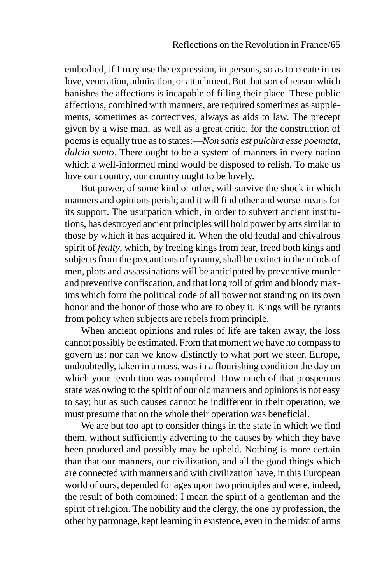embodied, if I may use the expression, in persons, so as to create in us love, veneration, admiration, or attachment. But that sort of reason which banishes the affections is incapable of filling their place. These public affections, combined with manners, are required sometimes as supplements, sometimes as correctives, always as aids to law. The precept given by a wise man, as well as a great critic, for the construction of poems is equally true as to states:—*Non satis est pulchra esse poemata, dulcia sunto*. There ought to be a system of manners in every nation which a well-informed mind would be disposed to relish. To make us love our country, our country ought to be lovely.

But power, of some kind or other, will survive the shock in which manners and opinions perish; and it will find other and worse means for its support. The usurpation which, in order to subvert ancient institutions, has destroyed ancient principles will hold power by arts similar to those by which it has acquired it. When the old feudal and chivalrous spirit of *fealty*, which, by freeing kings from fear, freed both kings and subjects from the precautions of tyranny, shall be extinct in the minds of men, plots and assassinations will be anticipated by preventive murder and preventive confiscation, and that long roll of grim and bloody maxims which form the political code of all power not standing on its own honor and the honor of those who are to obey it. Kings will be tyrants from policy when subjects are rebels from principle.

When ancient opinions and rules of life are taken away, the loss cannot possibly be estimated. From that moment we have no compass to govern us; nor can we know distinctly to what port we steer. Europe, undoubtedly, taken in a mass, was in a flourishing condition the day on which your revolution was completed. How much of that prosperous state was owing to the spirit of our old manners and opinions is not easy to say; but as such causes cannot be indifferent in their operation, we must presume that on the whole their operation was beneficial.

We are but too apt to consider things in the state in which we find them, without sufficiently adverting to the causes by which they have been produced and possibly may be upheld. Nothing is more certain than that our manners, our civilization, and all the good things which are connected with manners and with civilization have, in this European world of ours, depended for ages upon two principles and were, indeed, the result of both combined: I mean the spirit of a gentleman and the spirit of religion. The nobility and the clergy, the one by profession, the other by patronage, kept learning in existence, even in the midst of arms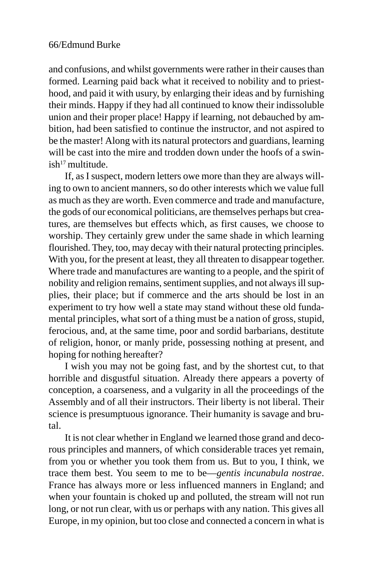and confusions, and whilst governments were rather in their causes than formed. Learning paid back what it received to nobility and to priesthood, and paid it with usury, by enlarging their ideas and by furnishing their minds. Happy if they had all continued to know their indissoluble union and their proper place! Happy if learning, not debauched by ambition, had been satisfied to continue the instructor, and not aspired to be the master! Along with its natural protectors and guardians, learning will be cast into the mire and trodden down under the hoofs of a swin $ish<sup>17</sup>$  multitude.

If, as I suspect, modern letters owe more than they are always willing to own to ancient manners, so do other interests which we value full as much as they are worth. Even commerce and trade and manufacture, the gods of our economical politicians, are themselves perhaps but creatures, are themselves but effects which, as first causes, we choose to worship. They certainly grew under the same shade in which learning flourished. They, too, may decay with their natural protecting principles. With you, for the present at least, they all threaten to disappear together. Where trade and manufactures are wanting to a people, and the spirit of nobility and religion remains, sentiment supplies, and not always ill supplies, their place; but if commerce and the arts should be lost in an experiment to try how well a state may stand without these old fundamental principles, what sort of a thing must be a nation of gross, stupid, ferocious, and, at the same time, poor and sordid barbarians, destitute of religion, honor, or manly pride, possessing nothing at present, and hoping for nothing hereafter?

I wish you may not be going fast, and by the shortest cut, to that horrible and disgustful situation. Already there appears a poverty of conception, a coarseness, and a vulgarity in all the proceedings of the Assembly and of all their instructors. Their liberty is not liberal. Their science is presumptuous ignorance. Their humanity is savage and brutal.

It is not clear whether in England we learned those grand and decorous principles and manners, of which considerable traces yet remain, from you or whether you took them from us. But to you, I think, we trace them best. You seem to me to be—*gentis incunabula nostrae*. France has always more or less influenced manners in England; and when your fountain is choked up and polluted, the stream will not run long, or not run clear, with us or perhaps with any nation. This gives all Europe, in my opinion, but too close and connected a concern in what is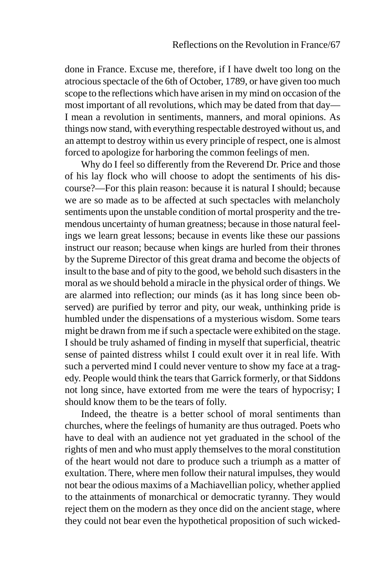done in France. Excuse me, therefore, if I have dwelt too long on the atrocious spectacle of the 6th of October, 1789, or have given too much scope to the reflections which have arisen in my mind on occasion of the most important of all revolutions, which may be dated from that day— I mean a revolution in sentiments, manners, and moral opinions. As things now stand, with everything respectable destroyed without us, and an attempt to destroy within us every principle of respect, one is almost forced to apologize for harboring the common feelings of men.

Why do I feel so differently from the Reverend Dr. Price and those of his lay flock who will choose to adopt the sentiments of his discourse?—For this plain reason: because it is natural I should; because we are so made as to be affected at such spectacles with melancholy sentiments upon the unstable condition of mortal prosperity and the tremendous uncertainty of human greatness; because in those natural feelings we learn great lessons; because in events like these our passions instruct our reason; because when kings are hurled from their thrones by the Supreme Director of this great drama and become the objects of insult to the base and of pity to the good, we behold such disasters in the moral as we should behold a miracle in the physical order of things. We are alarmed into reflection; our minds (as it has long since been observed) are purified by terror and pity, our weak, unthinking pride is humbled under the dispensations of a mysterious wisdom. Some tears might be drawn from me if such a spectacle were exhibited on the stage. I should be truly ashamed of finding in myself that superficial, theatric sense of painted distress whilst I could exult over it in real life. With such a perverted mind I could never venture to show my face at a tragedy. People would think the tears that Garrick formerly, or that Siddons not long since, have extorted from me were the tears of hypocrisy; I should know them to be the tears of folly.

Indeed, the theatre is a better school of moral sentiments than churches, where the feelings of humanity are thus outraged. Poets who have to deal with an audience not yet graduated in the school of the rights of men and who must apply themselves to the moral constitution of the heart would not dare to produce such a triumph as a matter of exultation. There, where men follow their natural impulses, they would not bear the odious maxims of a Machiavellian policy, whether applied to the attainments of monarchical or democratic tyranny. They would reject them on the modern as they once did on the ancient stage, where they could not bear even the hypothetical proposition of such wicked-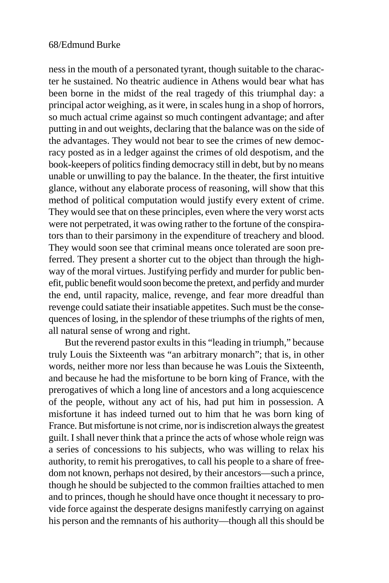ness in the mouth of a personated tyrant, though suitable to the character he sustained. No theatric audience in Athens would bear what has been borne in the midst of the real tragedy of this triumphal day: a principal actor weighing, as it were, in scales hung in a shop of horrors, so much actual crime against so much contingent advantage; and after putting in and out weights, declaring that the balance was on the side of the advantages. They would not bear to see the crimes of new democracy posted as in a ledger against the crimes of old despotism, and the book-keepers of politics finding democracy still in debt, but by no means unable or unwilling to pay the balance. In the theater, the first intuitive glance, without any elaborate process of reasoning, will show that this method of political computation would justify every extent of crime. They would see that on these principles, even where the very worst acts were not perpetrated, it was owing rather to the fortune of the conspirators than to their parsimony in the expenditure of treachery and blood. They would soon see that criminal means once tolerated are soon preferred. They present a shorter cut to the object than through the highway of the moral virtues. Justifying perfidy and murder for public benefit, public benefit would soon become the pretext, and perfidy and murder the end, until rapacity, malice, revenge, and fear more dreadful than revenge could satiate their insatiable appetites. Such must be the consequences of losing, in the splendor of these triumphs of the rights of men, all natural sense of wrong and right.

But the reverend pastor exults in this "leading in triumph," because truly Louis the Sixteenth was "an arbitrary monarch"; that is, in other words, neither more nor less than because he was Louis the Sixteenth, and because he had the misfortune to be born king of France, with the prerogatives of which a long line of ancestors and a long acquiescence of the people, without any act of his, had put him in possession. A misfortune it has indeed turned out to him that he was born king of France. But misfortune is not crime, nor is indiscretion always the greatest guilt. I shall never think that a prince the acts of whose whole reign was a series of concessions to his subjects, who was willing to relax his authority, to remit his prerogatives, to call his people to a share of freedom not known, perhaps not desired, by their ancestors—such a prince, though he should be subjected to the common frailties attached to men and to princes, though he should have once thought it necessary to provide force against the desperate designs manifestly carrying on against his person and the remnants of his authority—though all this should be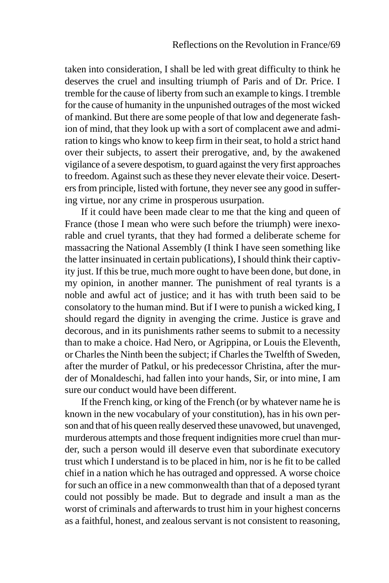taken into consideration, I shall be led with great difficulty to think he deserves the cruel and insulting triumph of Paris and of Dr. Price. I tremble for the cause of liberty from such an example to kings. I tremble for the cause of humanity in the unpunished outrages of the most wicked of mankind. But there are some people of that low and degenerate fashion of mind, that they look up with a sort of complacent awe and admiration to kings who know to keep firm in their seat, to hold a strict hand over their subjects, to assert their prerogative, and, by the awakened vigilance of a severe despotism, to guard against the very first approaches to freedom. Against such as these they never elevate their voice. Deserters from principle, listed with fortune, they never see any good in suffering virtue, nor any crime in prosperous usurpation.

If it could have been made clear to me that the king and queen of France (those I mean who were such before the triumph) were inexorable and cruel tyrants, that they had formed a deliberate scheme for massacring the National Assembly (I think I have seen something like the latter insinuated in certain publications), I should think their captivity just. If this be true, much more ought to have been done, but done, in my opinion, in another manner. The punishment of real tyrants is a noble and awful act of justice; and it has with truth been said to be consolatory to the human mind. But if I were to punish a wicked king, I should regard the dignity in avenging the crime. Justice is grave and decorous, and in its punishments rather seems to submit to a necessity than to make a choice. Had Nero, or Agrippina, or Louis the Eleventh, or Charles the Ninth been the subject; if Charles the Twelfth of Sweden, after the murder of Patkul, or his predecessor Christina, after the murder of Monaldeschi, had fallen into your hands, Sir, or into mine, I am sure our conduct would have been different.

If the French king, or king of the French (or by whatever name he is known in the new vocabulary of your constitution), has in his own person and that of his queen really deserved these unavowed, but unavenged, murderous attempts and those frequent indignities more cruel than murder, such a person would ill deserve even that subordinate executory trust which I understand is to be placed in him, nor is he fit to be called chief in a nation which he has outraged and oppressed. A worse choice for such an office in a new commonwealth than that of a deposed tyrant could not possibly be made. But to degrade and insult a man as the worst of criminals and afterwards to trust him in your highest concerns as a faithful, honest, and zealous servant is not consistent to reasoning,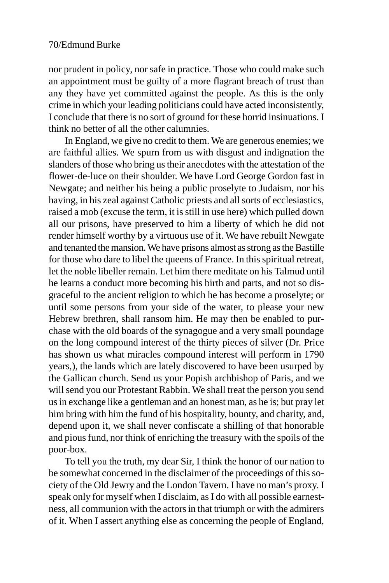nor prudent in policy, nor safe in practice. Those who could make such an appointment must be guilty of a more flagrant breach of trust than any they have yet committed against the people. As this is the only crime in which your leading politicians could have acted inconsistently, I conclude that there is no sort of ground for these horrid insinuations. I think no better of all the other calumnies.

In England, we give no credit to them. We are generous enemies; we are faithful allies. We spurn from us with disgust and indignation the slanders of those who bring us their anecdotes with the attestation of the flower-de-luce on their shoulder. We have Lord George Gordon fast in Newgate; and neither his being a public proselyte to Judaism, nor his having, in his zeal against Catholic priests and all sorts of ecclesiastics, raised a mob (excuse the term, it is still in use here) which pulled down all our prisons, have preserved to him a liberty of which he did not render himself worthy by a virtuous use of it. We have rebuilt Newgate and tenanted the mansion. We have prisons almost as strong as the Bastille for those who dare to libel the queens of France. In this spiritual retreat, let the noble libeller remain. Let him there meditate on his Talmud until he learns a conduct more becoming his birth and parts, and not so disgraceful to the ancient religion to which he has become a proselyte; or until some persons from your side of the water, to please your new Hebrew brethren, shall ransom him. He may then be enabled to purchase with the old boards of the synagogue and a very small poundage on the long compound interest of the thirty pieces of silver (Dr. Price has shown us what miracles compound interest will perform in 1790 years,), the lands which are lately discovered to have been usurped by the Gallican church. Send us your Popish archbishop of Paris, and we will send you our Protestant Rabbin. We shall treat the person you send us in exchange like a gentleman and an honest man, as he is; but pray let him bring with him the fund of his hospitality, bounty, and charity, and, depend upon it, we shall never confiscate a shilling of that honorable and pious fund, nor think of enriching the treasury with the spoils of the poor-box.

To tell you the truth, my dear Sir, I think the honor of our nation to be somewhat concerned in the disclaimer of the proceedings of this society of the Old Jewry and the London Tavern. I have no man's proxy. I speak only for myself when I disclaim, as I do with all possible earnestness, all communion with the actors in that triumph or with the admirers of it. When I assert anything else as concerning the people of England,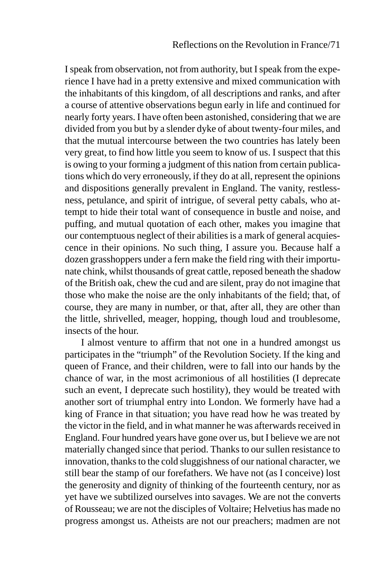I speak from observation, not from authority, but I speak from the experience I have had in a pretty extensive and mixed communication with the inhabitants of this kingdom, of all descriptions and ranks, and after a course of attentive observations begun early in life and continued for nearly forty years. I have often been astonished, considering that we are divided from you but by a slender dyke of about twenty-four miles, and that the mutual intercourse between the two countries has lately been very great, to find how little you seem to know of us. I suspect that this is owing to your forming a judgment of this nation from certain publications which do very erroneously, if they do at all, represent the opinions and dispositions generally prevalent in England. The vanity, restlessness, petulance, and spirit of intrigue, of several petty cabals, who attempt to hide their total want of consequence in bustle and noise, and puffing, and mutual quotation of each other, makes you imagine that our contemptuous neglect of their abilities is a mark of general acquiescence in their opinions. No such thing, I assure you. Because half a dozen grasshoppers under a fern make the field ring with their importunate chink, whilst thousands of great cattle, reposed beneath the shadow of the British oak, chew the cud and are silent, pray do not imagine that those who make the noise are the only inhabitants of the field; that, of course, they are many in number, or that, after all, they are other than the little, shrivelled, meager, hopping, though loud and troublesome, insects of the hour.

I almost venture to affirm that not one in a hundred amongst us participates in the "triumph" of the Revolution Society. If the king and queen of France, and their children, were to fall into our hands by the chance of war, in the most acrimonious of all hostilities (I deprecate such an event, I deprecate such hostility), they would be treated with another sort of triumphal entry into London. We formerly have had a king of France in that situation; you have read how he was treated by the victor in the field, and in what manner he was afterwards received in England. Four hundred years have gone over us, but I believe we are not materially changed since that period. Thanks to our sullen resistance to innovation, thanks to the cold sluggishness of our national character, we still bear the stamp of our forefathers. We have not (as I conceive) lost the generosity and dignity of thinking of the fourteenth century, nor as yet have we subtilized ourselves into savages. We are not the converts of Rousseau; we are not the disciples of Voltaire; Helvetius has made no progress amongst us. Atheists are not our preachers; madmen are not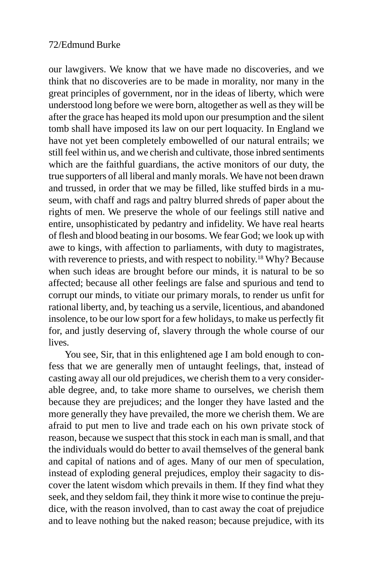our lawgivers. We know that we have made no discoveries, and we think that no discoveries are to be made in morality, nor many in the great principles of government, nor in the ideas of liberty, which were understood long before we were born, altogether as well as they will be after the grace has heaped its mold upon our presumption and the silent tomb shall have imposed its law on our pert loquacity. In England we have not yet been completely embowelled of our natural entrails; we still feel within us, and we cherish and cultivate, those inbred sentiments which are the faithful guardians, the active monitors of our duty, the true supporters of all liberal and manly morals. We have not been drawn and trussed, in order that we may be filled, like stuffed birds in a museum, with chaff and rags and paltry blurred shreds of paper about the rights of men. We preserve the whole of our feelings still native and entire, unsophisticated by pedantry and infidelity. We have real hearts of flesh and blood beating in our bosoms. We fear God; we look up with awe to kings, with affection to parliaments, with duty to magistrates, with reverence to priests, and with respect to nobility.<sup>18</sup> Why? Because when such ideas are brought before our minds, it is natural to be so affected; because all other feelings are false and spurious and tend to corrupt our minds, to vitiate our primary morals, to render us unfit for rational liberty, and, by teaching us a servile, licentious, and abandoned insolence, to be our low sport for a few holidays, to make us perfectly fit for, and justly deserving of, slavery through the whole course of our **lives** 

You see, Sir, that in this enlightened age I am bold enough to confess that we are generally men of untaught feelings, that, instead of casting away all our old prejudices, we cherish them to a very considerable degree, and, to take more shame to ourselves, we cherish them because they are prejudices; and the longer they have lasted and the more generally they have prevailed, the more we cherish them. We are afraid to put men to live and trade each on his own private stock of reason, because we suspect that this stock in each man is small, and that the individuals would do better to avail themselves of the general bank and capital of nations and of ages. Many of our men of speculation, instead of exploding general prejudices, employ their sagacity to discover the latent wisdom which prevails in them. If they find what they seek, and they seldom fail, they think it more wise to continue the prejudice, with the reason involved, than to cast away the coat of prejudice and to leave nothing but the naked reason; because prejudice, with its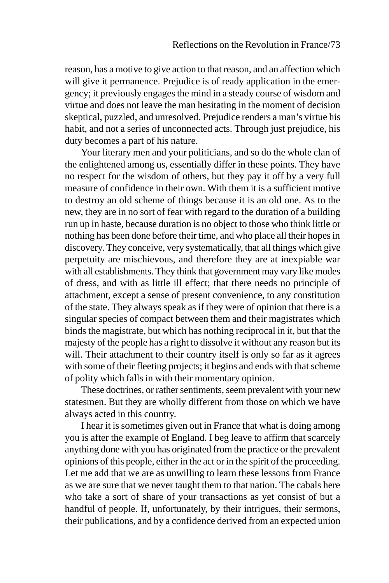reason, has a motive to give action to that reason, and an affection which will give it permanence. Prejudice is of ready application in the emergency; it previously engages the mind in a steady course of wisdom and virtue and does not leave the man hesitating in the moment of decision skeptical, puzzled, and unresolved. Prejudice renders a man's virtue his habit, and not a series of unconnected acts. Through just prejudice, his duty becomes a part of his nature.

Your literary men and your politicians, and so do the whole clan of the enlightened among us, essentially differ in these points. They have no respect for the wisdom of others, but they pay it off by a very full measure of confidence in their own. With them it is a sufficient motive to destroy an old scheme of things because it is an old one. As to the new, they are in no sort of fear with regard to the duration of a building run up in haste, because duration is no object to those who think little or nothing has been done before their time, and who place all their hopes in discovery. They conceive, very systematically, that all things which give perpetuity are mischievous, and therefore they are at inexpiable war with all establishments. They think that government may vary like modes of dress, and with as little ill effect; that there needs no principle of attachment, except a sense of present convenience, to any constitution of the state. They always speak as if they were of opinion that there is a singular species of compact between them and their magistrates which binds the magistrate, but which has nothing reciprocal in it, but that the majesty of the people has a right to dissolve it without any reason but its will. Their attachment to their country itself is only so far as it agrees with some of their fleeting projects; it begins and ends with that scheme of polity which falls in with their momentary opinion.

These doctrines, or rather sentiments, seem prevalent with your new statesmen. But they are wholly different from those on which we have always acted in this country.

I hear it is sometimes given out in France that what is doing among you is after the example of England. I beg leave to affirm that scarcely anything done with you has originated from the practice or the prevalent opinions of this people, either in the act or in the spirit of the proceeding. Let me add that we are as unwilling to learn these lessons from France as we are sure that we never taught them to that nation. The cabals here who take a sort of share of your transactions as yet consist of but a handful of people. If, unfortunately, by their intrigues, their sermons, their publications, and by a confidence derived from an expected union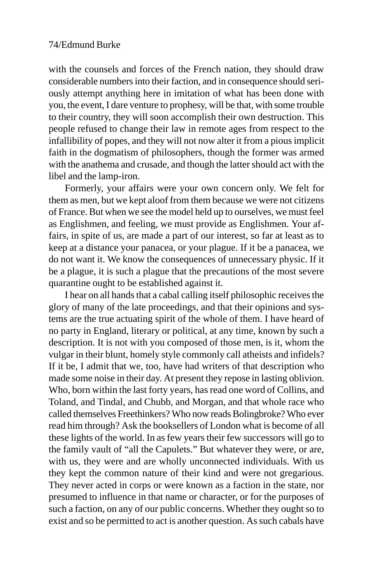with the counsels and forces of the French nation, they should draw considerable numbers into their faction, and in consequence should seriously attempt anything here in imitation of what has been done with you, the event, I dare venture to prophesy, will be that, with some trouble to their country, they will soon accomplish their own destruction. This people refused to change their law in remote ages from respect to the infallibility of popes, and they will not now alter it from a pious implicit faith in the dogmatism of philosophers, though the former was armed with the anathema and crusade, and though the latter should act with the libel and the lamp-iron.

Formerly, your affairs were your own concern only. We felt for them as men, but we kept aloof from them because we were not citizens of France. But when we see the model held up to ourselves, we must feel as Englishmen, and feeling, we must provide as Englishmen. Your affairs, in spite of us, are made a part of our interest, so far at least as to keep at a distance your panacea, or your plague. If it be a panacea, we do not want it. We know the consequences of unnecessary physic. If it be a plague, it is such a plague that the precautions of the most severe quarantine ought to be established against it.

I hear on all hands that a cabal calling itself philosophic receives the glory of many of the late proceedings, and that their opinions and systems are the true actuating spirit of the whole of them. I have heard of no party in England, literary or political, at any time, known by such a description. It is not with you composed of those men, is it, whom the vulgar in their blunt, homely style commonly call atheists and infidels? If it be, I admit that we, too, have had writers of that description who made some noise in their day. At present they repose in lasting oblivion. Who, born within the last forty years, has read one word of Collins, and Toland, and Tindal, and Chubb, and Morgan, and that whole race who called themselves Freethinkers? Who now reads Bolingbroke? Who ever read him through? Ask the booksellers of London what is become of all these lights of the world. In as few years their few successors will go to the family vault of "all the Capulets." But whatever they were, or are, with us, they were and are wholly unconnected individuals. With us they kept the common nature of their kind and were not gregarious. They never acted in corps or were known as a faction in the state, nor presumed to influence in that name or character, or for the purposes of such a faction, on any of our public concerns. Whether they ought so to exist and so be permitted to act is another question. As such cabals have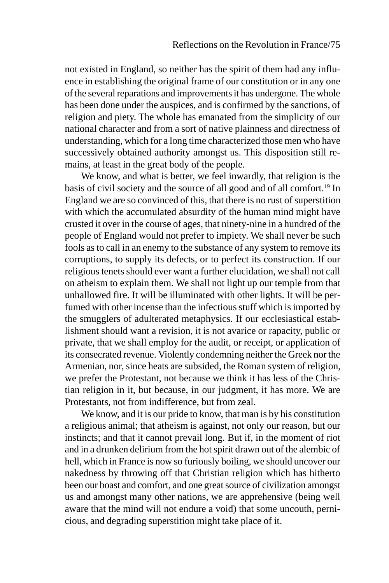not existed in England, so neither has the spirit of them had any influence in establishing the original frame of our constitution or in any one of the several reparations and improvements it has undergone. The whole has been done under the auspices, and is confirmed by the sanctions, of religion and piety. The whole has emanated from the simplicity of our national character and from a sort of native plainness and directness of understanding, which for a long time characterized those men who have successively obtained authority amongst us. This disposition still remains, at least in the great body of the people.

We know, and what is better, we feel inwardly, that religion is the basis of civil society and the source of all good and of all comfort.19 In England we are so convinced of this, that there is no rust of superstition with which the accumulated absurdity of the human mind might have crusted it over in the course of ages, that ninety-nine in a hundred of the people of England would not prefer to impiety. We shall never be such fools as to call in an enemy to the substance of any system to remove its corruptions, to supply its defects, or to perfect its construction. If our religious tenets should ever want a further elucidation, we shall not call on atheism to explain them. We shall not light up our temple from that unhallowed fire. It will be illuminated with other lights. It will be perfumed with other incense than the infectious stuff which is imported by the smugglers of adulterated metaphysics. If our ecclesiastical establishment should want a revision, it is not avarice or rapacity, public or private, that we shall employ for the audit, or receipt, or application of its consecrated revenue. Violently condemning neither the Greek nor the Armenian, nor, since heats are subsided, the Roman system of religion, we prefer the Protestant, not because we think it has less of the Christian religion in it, but because, in our judgment, it has more. We are Protestants, not from indifference, but from zeal.

We know, and it is our pride to know, that man is by his constitution a religious animal; that atheism is against, not only our reason, but our instincts; and that it cannot prevail long. But if, in the moment of riot and in a drunken delirium from the hot spirit drawn out of the alembic of hell, which in France is now so furiously boiling, we should uncover our nakedness by throwing off that Christian religion which has hitherto been our boast and comfort, and one great source of civilization amongst us and amongst many other nations, we are apprehensive (being well aware that the mind will not endure a void) that some uncouth, pernicious, and degrading superstition might take place of it.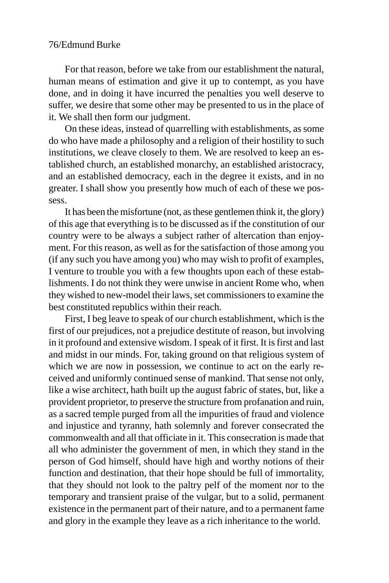For that reason, before we take from our establishment the natural, human means of estimation and give it up to contempt, as you have done, and in doing it have incurred the penalties you well deserve to suffer, we desire that some other may be presented to us in the place of it. We shall then form our judgment.

On these ideas, instead of quarrelling with establishments, as some do who have made a philosophy and a religion of their hostility to such institutions, we cleave closely to them. We are resolved to keep an established church, an established monarchy, an established aristocracy, and an established democracy, each in the degree it exists, and in no greater. I shall show you presently how much of each of these we possess.

It has been the misfortune (not, as these gentlemen think it, the glory) of this age that everything is to be discussed as if the constitution of our country were to be always a subject rather of altercation than enjoyment. For this reason, as well as for the satisfaction of those among you (if any such you have among you) who may wish to profit of examples, I venture to trouble you with a few thoughts upon each of these establishments. I do not think they were unwise in ancient Rome who, when they wished to new-model their laws, set commissioners to examine the best constituted republics within their reach.

First, I beg leave to speak of our church establishment, which is the first of our prejudices, not a prejudice destitute of reason, but involving in it profound and extensive wisdom. I speak of it first. It is first and last and midst in our minds. For, taking ground on that religious system of which we are now in possession, we continue to act on the early received and uniformly continued sense of mankind. That sense not only, like a wise architect, hath built up the august fabric of states, but, like a provident proprietor, to preserve the structure from profanation and ruin, as a sacred temple purged from all the impurities of fraud and violence and injustice and tyranny, hath solemnly and forever consecrated the commonwealth and all that officiate in it. This consecration is made that all who administer the government of men, in which they stand in the person of God himself, should have high and worthy notions of their function and destination, that their hope should be full of immortality, that they should not look to the paltry pelf of the moment nor to the temporary and transient praise of the vulgar, but to a solid, permanent existence in the permanent part of their nature, and to a permanent fame and glory in the example they leave as a rich inheritance to the world.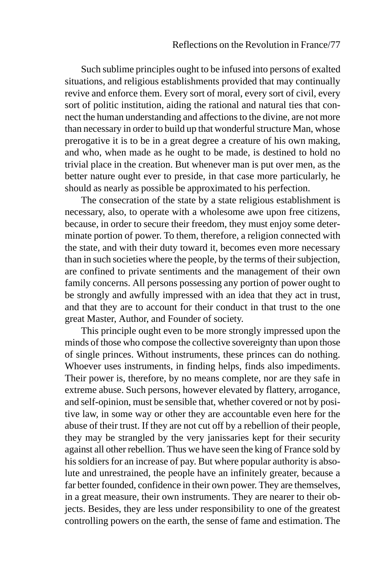Such sublime principles ought to be infused into persons of exalted situations, and religious establishments provided that may continually revive and enforce them. Every sort of moral, every sort of civil, every sort of politic institution, aiding the rational and natural ties that connect the human understanding and affections to the divine, are not more than necessary in order to build up that wonderful structure Man, whose prerogative it is to be in a great degree a creature of his own making, and who, when made as he ought to be made, is destined to hold no trivial place in the creation. But whenever man is put over men, as the better nature ought ever to preside, in that case more particularly, he should as nearly as possible be approximated to his perfection.

The consecration of the state by a state religious establishment is necessary, also, to operate with a wholesome awe upon free citizens, because, in order to secure their freedom, they must enjoy some determinate portion of power. To them, therefore, a religion connected with the state, and with their duty toward it, becomes even more necessary than in such societies where the people, by the terms of their subjection, are confined to private sentiments and the management of their own family concerns. All persons possessing any portion of power ought to be strongly and awfully impressed with an idea that they act in trust, and that they are to account for their conduct in that trust to the one great Master, Author, and Founder of society.

This principle ought even to be more strongly impressed upon the minds of those who compose the collective sovereignty than upon those of single princes. Without instruments, these princes can do nothing. Whoever uses instruments, in finding helps, finds also impediments. Their power is, therefore, by no means complete, nor are they safe in extreme abuse. Such persons, however elevated by flattery, arrogance, and self-opinion, must be sensible that, whether covered or not by positive law, in some way or other they are accountable even here for the abuse of their trust. If they are not cut off by a rebellion of their people, they may be strangled by the very janissaries kept for their security against all other rebellion. Thus we have seen the king of France sold by his soldiers for an increase of pay. But where popular authority is absolute and unrestrained, the people have an infinitely greater, because a far better founded, confidence in their own power. They are themselves, in a great measure, their own instruments. They are nearer to their objects. Besides, they are less under responsibility to one of the greatest controlling powers on the earth, the sense of fame and estimation. The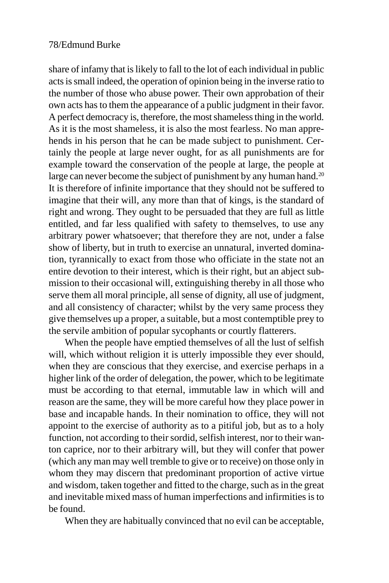share of infamy that is likely to fall to the lot of each individual in public acts is small indeed, the operation of opinion being in the inverse ratio to the number of those who abuse power. Their own approbation of their own acts has to them the appearance of a public judgment in their favor. A perfect democracy is, therefore, the most shameless thing in the world. As it is the most shameless, it is also the most fearless. No man apprehends in his person that he can be made subject to punishment. Certainly the people at large never ought, for as all punishments are for example toward the conservation of the people at large, the people at large can never become the subject of punishment by any human hand.<sup>20</sup> It is therefore of infinite importance that they should not be suffered to imagine that their will, any more than that of kings, is the standard of right and wrong. They ought to be persuaded that they are full as little entitled, and far less qualified with safety to themselves, to use any arbitrary power whatsoever; that therefore they are not, under a false show of liberty, but in truth to exercise an unnatural, inverted domination, tyrannically to exact from those who officiate in the state not an entire devotion to their interest, which is their right, but an abject submission to their occasional will, extinguishing thereby in all those who serve them all moral principle, all sense of dignity, all use of judgment, and all consistency of character; whilst by the very same process they give themselves up a proper, a suitable, but a most contemptible prey to the servile ambition of popular sycophants or courtly flatterers.

When the people have emptied themselves of all the lust of selfish will, which without religion it is utterly impossible they ever should, when they are conscious that they exercise, and exercise perhaps in a higher link of the order of delegation, the power, which to be legitimate must be according to that eternal, immutable law in which will and reason are the same, they will be more careful how they place power in base and incapable hands. In their nomination to office, they will not appoint to the exercise of authority as to a pitiful job, but as to a holy function, not according to their sordid, selfish interest, nor to their wanton caprice, nor to their arbitrary will, but they will confer that power (which any man may well tremble to give or to receive) on those only in whom they may discern that predominant proportion of active virtue and wisdom, taken together and fitted to the charge, such as in the great and inevitable mixed mass of human imperfections and infirmities is to be found.

When they are habitually convinced that no evil can be acceptable,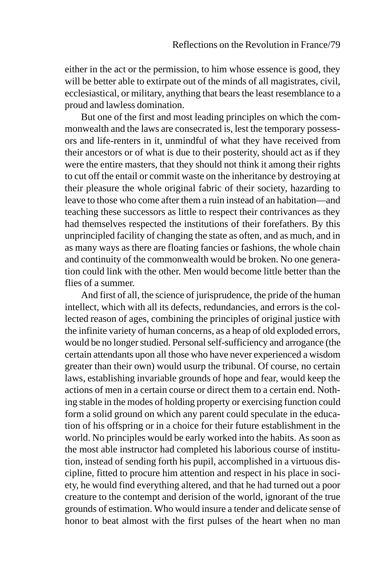either in the act or the permission, to him whose essence is good, they will be better able to extirpate out of the minds of all magistrates, civil, ecclesiastical, or military, anything that bears the least resemblance to a proud and lawless domination.

But one of the first and most leading principles on which the commonwealth and the laws are consecrated is, lest the temporary possessors and life-renters in it, unmindful of what they have received from their ancestors or of what is due to their posterity, should act as if they were the entire masters, that they should not think it among their rights to cut off the entail or commit waste on the inheritance by destroying at their pleasure the whole original fabric of their society, hazarding to leave to those who come after them a ruin instead of an habitation—and teaching these successors as little to respect their contrivances as they had themselves respected the institutions of their forefathers. By this unprincipled facility of changing the state as often, and as much, and in as many ways as there are floating fancies or fashions, the whole chain and continuity of the commonwealth would be broken. No one generation could link with the other. Men would become little better than the flies of a summer.

And first of all, the science of jurisprudence, the pride of the human intellect, which with all its defects, redundancies, and errors is the collected reason of ages, combining the principles of original justice with the infinite variety of human concerns, as a heap of old exploded errors, would be no longer studied. Personal self-sufficiency and arrogance (the certain attendants upon all those who have never experienced a wisdom greater than their own) would usurp the tribunal. Of course, no certain laws, establishing invariable grounds of hope and fear, would keep the actions of men in a certain course or direct them to a certain end. Nothing stable in the modes of holding property or exercising function could form a solid ground on which any parent could speculate in the education of his offspring or in a choice for their future establishment in the world. No principles would be early worked into the habits. As soon as the most able instructor had completed his laborious course of institution, instead of sending forth his pupil, accomplished in a virtuous discipline, fitted to procure him attention and respect in his place in society, he would find everything altered, and that he had turned out a poor creature to the contempt and derision of the world, ignorant of the true grounds of estimation. Who would insure a tender and delicate sense of honor to beat almost with the first pulses of the heart when no man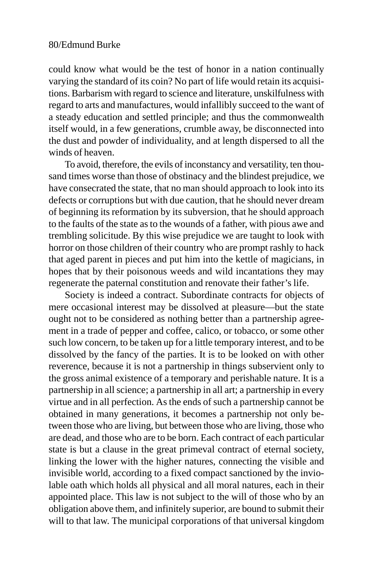could know what would be the test of honor in a nation continually varying the standard of its coin? No part of life would retain its acquisitions. Barbarism with regard to science and literature, unskilfulness with regard to arts and manufactures, would infallibly succeed to the want of a steady education and settled principle; and thus the commonwealth itself would, in a few generations, crumble away, be disconnected into the dust and powder of individuality, and at length dispersed to all the winds of heaven.

To avoid, therefore, the evils of inconstancy and versatility, ten thousand times worse than those of obstinacy and the blindest prejudice, we have consecrated the state, that no man should approach to look into its defects or corruptions but with due caution, that he should never dream of beginning its reformation by its subversion, that he should approach to the faults of the state as to the wounds of a father, with pious awe and trembling solicitude. By this wise prejudice we are taught to look with horror on those children of their country who are prompt rashly to hack that aged parent in pieces and put him into the kettle of magicians, in hopes that by their poisonous weeds and wild incantations they may regenerate the paternal constitution and renovate their father's life.

Society is indeed a contract. Subordinate contracts for objects of mere occasional interest may be dissolved at pleasure—but the state ought not to be considered as nothing better than a partnership agreement in a trade of pepper and coffee, calico, or tobacco, or some other such low concern, to be taken up for a little temporary interest, and to be dissolved by the fancy of the parties. It is to be looked on with other reverence, because it is not a partnership in things subservient only to the gross animal existence of a temporary and perishable nature. It is a partnership in all science; a partnership in all art; a partnership in every virtue and in all perfection. As the ends of such a partnership cannot be obtained in many generations, it becomes a partnership not only between those who are living, but between those who are living, those who are dead, and those who are to be born. Each contract of each particular state is but a clause in the great primeval contract of eternal society, linking the lower with the higher natures, connecting the visible and invisible world, according to a fixed compact sanctioned by the inviolable oath which holds all physical and all moral natures, each in their appointed place. This law is not subject to the will of those who by an obligation above them, and infinitely superior, are bound to submit their will to that law. The municipal corporations of that universal kingdom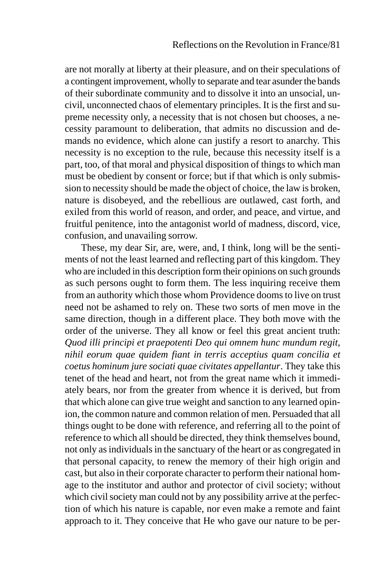are not morally at liberty at their pleasure, and on their speculations of a contingent improvement, wholly to separate and tear asunder the bands of their subordinate community and to dissolve it into an unsocial, uncivil, unconnected chaos of elementary principles. It is the first and supreme necessity only, a necessity that is not chosen but chooses, a necessity paramount to deliberation, that admits no discussion and demands no evidence, which alone can justify a resort to anarchy. This necessity is no exception to the rule, because this necessity itself is a part, too, of that moral and physical disposition of things to which man must be obedient by consent or force; but if that which is only submission to necessity should be made the object of choice, the law is broken, nature is disobeyed, and the rebellious are outlawed, cast forth, and exiled from this world of reason, and order, and peace, and virtue, and fruitful penitence, into the antagonist world of madness, discord, vice, confusion, and unavailing sorrow.

These, my dear Sir, are, were, and, I think, long will be the sentiments of not the least learned and reflecting part of this kingdom. They who are included in this description form their opinions on such grounds as such persons ought to form them. The less inquiring receive them from an authority which those whom Providence dooms to live on trust need not be ashamed to rely on. These two sorts of men move in the same direction, though in a different place. They both move with the order of the universe. They all know or feel this great ancient truth: *Quod illi principi et praepotenti Deo qui omnem hunc mundum regit, nihil eorum quae quidem fiant in terris acceptius quam concilia et coetus hominum jure sociati quae civitates appellantur*. They take this tenet of the head and heart, not from the great name which it immediately bears, nor from the greater from whence it is derived, but from that which alone can give true weight and sanction to any learned opinion, the common nature and common relation of men. Persuaded that all things ought to be done with reference, and referring all to the point of reference to which all should be directed, they think themselves bound, not only as individuals in the sanctuary of the heart or as congregated in that personal capacity, to renew the memory of their high origin and cast, but also in their corporate character to perform their national homage to the institutor and author and protector of civil society; without which civil society man could not by any possibility arrive at the perfection of which his nature is capable, nor even make a remote and faint approach to it. They conceive that He who gave our nature to be per-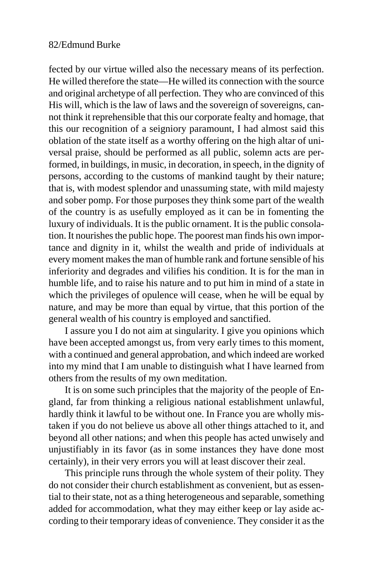fected by our virtue willed also the necessary means of its perfection. He willed therefore the state—He willed its connection with the source and original archetype of all perfection. They who are convinced of this His will, which is the law of laws and the sovereign of sovereigns, cannot think it reprehensible that this our corporate fealty and homage, that this our recognition of a seigniory paramount, I had almost said this oblation of the state itself as a worthy offering on the high altar of universal praise, should be performed as all public, solemn acts are performed, in buildings, in music, in decoration, in speech, in the dignity of persons, according to the customs of mankind taught by their nature; that is, with modest splendor and unassuming state, with mild majesty and sober pomp. For those purposes they think some part of the wealth of the country is as usefully employed as it can be in fomenting the luxury of individuals. It is the public ornament. It is the public consolation. It nourishes the public hope. The poorest man finds his own importance and dignity in it, whilst the wealth and pride of individuals at every moment makes the man of humble rank and fortune sensible of his inferiority and degrades and vilifies his condition. It is for the man in humble life, and to raise his nature and to put him in mind of a state in which the privileges of opulence will cease, when he will be equal by nature, and may be more than equal by virtue, that this portion of the general wealth of his country is employed and sanctified.

I assure you I do not aim at singularity. I give you opinions which have been accepted amongst us, from very early times to this moment, with a continued and general approbation, and which indeed are worked into my mind that I am unable to distinguish what I have learned from others from the results of my own meditation.

It is on some such principles that the majority of the people of England, far from thinking a religious national establishment unlawful, hardly think it lawful to be without one. In France you are wholly mistaken if you do not believe us above all other things attached to it, and beyond all other nations; and when this people has acted unwisely and unjustifiably in its favor (as in some instances they have done most certainly), in their very errors you will at least discover their zeal.

This principle runs through the whole system of their polity. They do not consider their church establishment as convenient, but as essential to their state, not as a thing heterogeneous and separable, something added for accommodation, what they may either keep or lay aside according to their temporary ideas of convenience. They consider it as the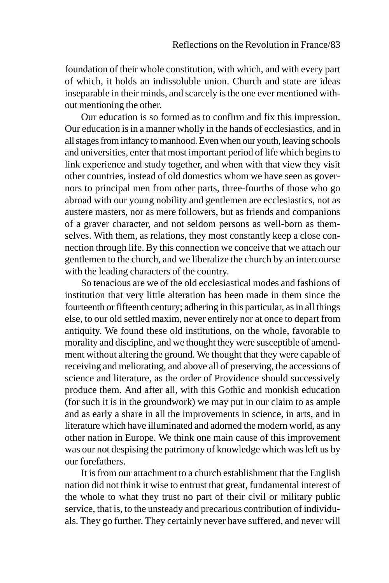foundation of their whole constitution, with which, and with every part of which, it holds an indissoluble union. Church and state are ideas inseparable in their minds, and scarcely is the one ever mentioned without mentioning the other.

Our education is so formed as to confirm and fix this impression. Our education is in a manner wholly in the hands of ecclesiastics, and in all stages from infancy to manhood. Even when our youth, leaving schools and universities, enter that most important period of life which begins to link experience and study together, and when with that view they visit other countries, instead of old domestics whom we have seen as governors to principal men from other parts, three-fourths of those who go abroad with our young nobility and gentlemen are ecclesiastics, not as austere masters, nor as mere followers, but as friends and companions of a graver character, and not seldom persons as well-born as themselves. With them, as relations, they most constantly keep a close connection through life. By this connection we conceive that we attach our gentlemen to the church, and we liberalize the church by an intercourse with the leading characters of the country.

So tenacious are we of the old ecclesiastical modes and fashions of institution that very little alteration has been made in them since the fourteenth or fifteenth century; adhering in this particular, as in all things else, to our old settled maxim, never entirely nor at once to depart from antiquity. We found these old institutions, on the whole, favorable to morality and discipline, and we thought they were susceptible of amendment without altering the ground. We thought that they were capable of receiving and meliorating, and above all of preserving, the accessions of science and literature, as the order of Providence should successively produce them. And after all, with this Gothic and monkish education (for such it is in the groundwork) we may put in our claim to as ample and as early a share in all the improvements in science, in arts, and in literature which have illuminated and adorned the modern world, as any other nation in Europe. We think one main cause of this improvement was our not despising the patrimony of knowledge which was left us by our forefathers.

It is from our attachment to a church establishment that the English nation did not think it wise to entrust that great, fundamental interest of the whole to what they trust no part of their civil or military public service, that is, to the unsteady and precarious contribution of individuals. They go further. They certainly never have suffered, and never will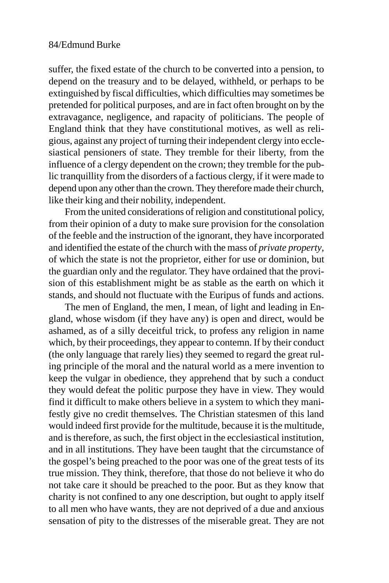suffer, the fixed estate of the church to be converted into a pension, to depend on the treasury and to be delayed, withheld, or perhaps to be extinguished by fiscal difficulties, which difficulties may sometimes be pretended for political purposes, and are in fact often brought on by the extravagance, negligence, and rapacity of politicians. The people of England think that they have constitutional motives, as well as religious, against any project of turning their independent clergy into ecclesiastical pensioners of state. They tremble for their liberty, from the influence of a clergy dependent on the crown; they tremble for the public tranquillity from the disorders of a factious clergy, if it were made to depend upon any other than the crown. They therefore made their church, like their king and their nobility, independent.

From the united considerations of religion and constitutional policy, from their opinion of a duty to make sure provision for the consolation of the feeble and the instruction of the ignorant, they have incorporated and identified the estate of the church with the mass of *private property*, of which the state is not the proprietor, either for use or dominion, but the guardian only and the regulator. They have ordained that the provision of this establishment might be as stable as the earth on which it stands, and should not fluctuate with the Euripus of funds and actions.

The men of England, the men, I mean, of light and leading in England, whose wisdom (if they have any) is open and direct, would be ashamed, as of a silly deceitful trick, to profess any religion in name which, by their proceedings, they appear to contemn. If by their conduct (the only language that rarely lies) they seemed to regard the great ruling principle of the moral and the natural world as a mere invention to keep the vulgar in obedience, they apprehend that by such a conduct they would defeat the politic purpose they have in view. They would find it difficult to make others believe in a system to which they manifestly give no credit themselves. The Christian statesmen of this land would indeed first provide for the multitude, because it is the multitude, and is therefore, as such, the first object in the ecclesiastical institution, and in all institutions. They have been taught that the circumstance of the gospel's being preached to the poor was one of the great tests of its true mission. They think, therefore, that those do not believe it who do not take care it should be preached to the poor. But as they know that charity is not confined to any one description, but ought to apply itself to all men who have wants, they are not deprived of a due and anxious sensation of pity to the distresses of the miserable great. They are not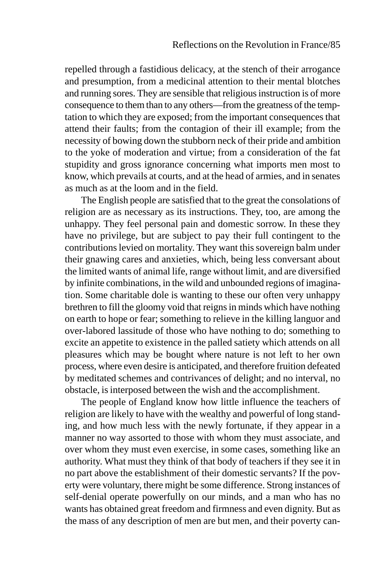repelled through a fastidious delicacy, at the stench of their arrogance and presumption, from a medicinal attention to their mental blotches and running sores. They are sensible that religious instruction is of more consequence to them than to any others—from the greatness of the temptation to which they are exposed; from the important consequences that attend their faults; from the contagion of their ill example; from the necessity of bowing down the stubborn neck of their pride and ambition to the yoke of moderation and virtue; from a consideration of the fat stupidity and gross ignorance concerning what imports men most to know, which prevails at courts, and at the head of armies, and in senates as much as at the loom and in the field.

The English people are satisfied that to the great the consolations of religion are as necessary as its instructions. They, too, are among the unhappy. They feel personal pain and domestic sorrow. In these they have no privilege, but are subject to pay their full contingent to the contributions levied on mortality. They want this sovereign balm under their gnawing cares and anxieties, which, being less conversant about the limited wants of animal life, range without limit, and are diversified by infinite combinations, in the wild and unbounded regions of imagination. Some charitable dole is wanting to these our often very unhappy brethren to fill the gloomy void that reigns in minds which have nothing on earth to hope or fear; something to relieve in the killing languor and over-labored lassitude of those who have nothing to do; something to excite an appetite to existence in the palled satiety which attends on all pleasures which may be bought where nature is not left to her own process, where even desire is anticipated, and therefore fruition defeated by meditated schemes and contrivances of delight; and no interval, no obstacle, is interposed between the wish and the accomplishment.

The people of England know how little influence the teachers of religion are likely to have with the wealthy and powerful of long standing, and how much less with the newly fortunate, if they appear in a manner no way assorted to those with whom they must associate, and over whom they must even exercise, in some cases, something like an authority. What must they think of that body of teachers if they see it in no part above the establishment of their domestic servants? If the poverty were voluntary, there might be some difference. Strong instances of self-denial operate powerfully on our minds, and a man who has no wants has obtained great freedom and firmness and even dignity. But as the mass of any description of men are but men, and their poverty can-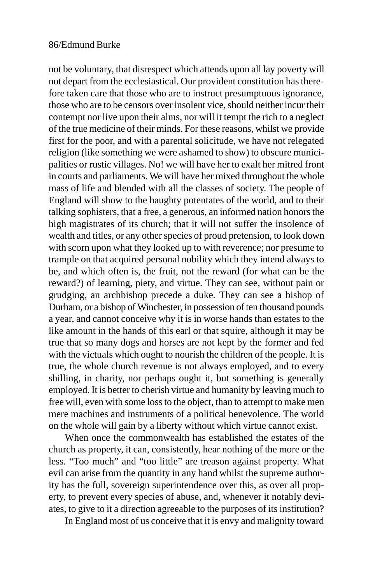not be voluntary, that disrespect which attends upon all lay poverty will not depart from the ecclesiastical. Our provident constitution has therefore taken care that those who are to instruct presumptuous ignorance, those who are to be censors over insolent vice, should neither incur their contempt nor live upon their alms, nor will it tempt the rich to a neglect of the true medicine of their minds. For these reasons, whilst we provide first for the poor, and with a parental solicitude, we have not relegated religion (like something we were ashamed to show) to obscure municipalities or rustic villages. No! we will have her to exalt her mitred front in courts and parliaments. We will have her mixed throughout the whole mass of life and blended with all the classes of society. The people of England will show to the haughty potentates of the world, and to their talking sophisters, that a free, a generous, an informed nation honors the high magistrates of its church; that it will not suffer the insolence of wealth and titles, or any other species of proud pretension, to look down with scorn upon what they looked up to with reverence; nor presume to trample on that acquired personal nobility which they intend always to be, and which often is, the fruit, not the reward (for what can be the reward?) of learning, piety, and virtue. They can see, without pain or grudging, an archbishop precede a duke. They can see a bishop of Durham, or a bishop of Winchester, in possession of ten thousand pounds a year, and cannot conceive why it is in worse hands than estates to the like amount in the hands of this earl or that squire, although it may be true that so many dogs and horses are not kept by the former and fed with the victuals which ought to nourish the children of the people. It is true, the whole church revenue is not always employed, and to every shilling, in charity, nor perhaps ought it, but something is generally employed. It is better to cherish virtue and humanity by leaving much to free will, even with some loss to the object, than to attempt to make men mere machines and instruments of a political benevolence. The world on the whole will gain by a liberty without which virtue cannot exist.

When once the commonwealth has established the estates of the church as property, it can, consistently, hear nothing of the more or the less. "Too much" and "too little" are treason against property. What evil can arise from the quantity in any hand whilst the supreme authority has the full, sovereign superintendence over this, as over all property, to prevent every species of abuse, and, whenever it notably deviates, to give to it a direction agreeable to the purposes of its institution?

In England most of us conceive that it is envy and malignity toward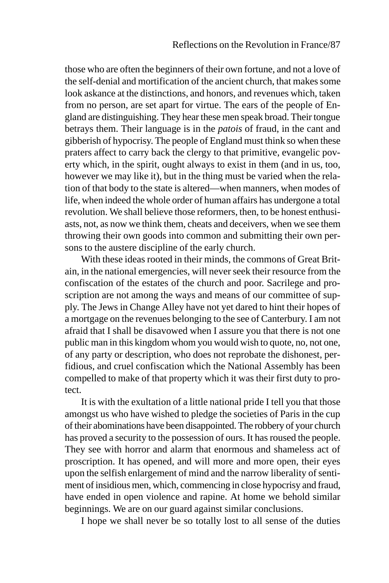those who are often the beginners of their own fortune, and not a love of the self-denial and mortification of the ancient church, that makes some look askance at the distinctions, and honors, and revenues which, taken from no person, are set apart for virtue. The ears of the people of England are distinguishing. They hear these men speak broad. Their tongue betrays them. Their language is in the *patois* of fraud, in the cant and gibberish of hypocrisy. The people of England must think so when these praters affect to carry back the clergy to that primitive, evangelic poverty which, in the spirit, ought always to exist in them (and in us, too, however we may like it), but in the thing must be varied when the relation of that body to the state is altered—when manners, when modes of life, when indeed the whole order of human affairs has undergone a total revolution. We shall believe those reformers, then, to be honest enthusiasts, not, as now we think them, cheats and deceivers, when we see them throwing their own goods into common and submitting their own persons to the austere discipline of the early church.

With these ideas rooted in their minds, the commons of Great Britain, in the national emergencies, will never seek their resource from the confiscation of the estates of the church and poor. Sacrilege and proscription are not among the ways and means of our committee of supply. The Jews in Change Alley have not yet dared to hint their hopes of a mortgage on the revenues belonging to the see of Canterbury. I am not afraid that I shall be disavowed when I assure you that there is not one public man in this kingdom whom you would wish to quote, no, not one, of any party or description, who does not reprobate the dishonest, perfidious, and cruel confiscation which the National Assembly has been compelled to make of that property which it was their first duty to protect.

It is with the exultation of a little national pride I tell you that those amongst us who have wished to pledge the societies of Paris in the cup of their abominations have been disappointed. The robbery of your church has proved a security to the possession of ours. It has roused the people. They see with horror and alarm that enormous and shameless act of proscription. It has opened, and will more and more open, their eyes upon the selfish enlargement of mind and the narrow liberality of sentiment of insidious men, which, commencing in close hypocrisy and fraud, have ended in open violence and rapine. At home we behold similar beginnings. We are on our guard against similar conclusions.

I hope we shall never be so totally lost to all sense of the duties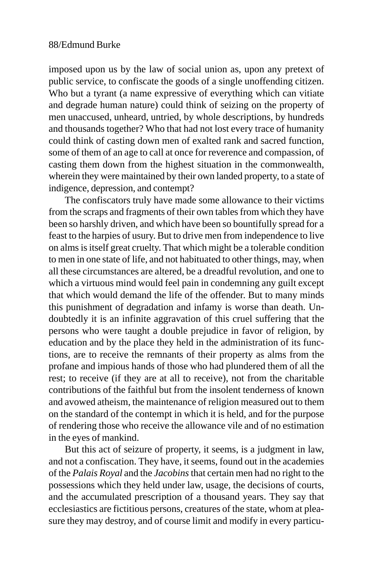imposed upon us by the law of social union as, upon any pretext of public service, to confiscate the goods of a single unoffending citizen. Who but a tyrant (a name expressive of everything which can vitiate and degrade human nature) could think of seizing on the property of men unaccused, unheard, untried, by whole descriptions, by hundreds and thousands together? Who that had not lost every trace of humanity could think of casting down men of exalted rank and sacred function, some of them of an age to call at once for reverence and compassion, of casting them down from the highest situation in the commonwealth, wherein they were maintained by their own landed property, to a state of indigence, depression, and contempt?

The confiscators truly have made some allowance to their victims from the scraps and fragments of their own tables from which they have been so harshly driven, and which have been so bountifully spread for a feast to the harpies of usury. But to drive men from independence to live on alms is itself great cruelty. That which might be a tolerable condition to men in one state of life, and not habituated to other things, may, when all these circumstances are altered, be a dreadful revolution, and one to which a virtuous mind would feel pain in condemning any guilt except that which would demand the life of the offender. But to many minds this punishment of degradation and infamy is worse than death. Undoubtedly it is an infinite aggravation of this cruel suffering that the persons who were taught a double prejudice in favor of religion, by education and by the place they held in the administration of its functions, are to receive the remnants of their property as alms from the profane and impious hands of those who had plundered them of all the rest; to receive (if they are at all to receive), not from the charitable contributions of the faithful but from the insolent tenderness of known and avowed atheism, the maintenance of religion measured out to them on the standard of the contempt in which it is held, and for the purpose of rendering those who receive the allowance vile and of no estimation in the eyes of mankind.

But this act of seizure of property, it seems, is a judgment in law, and not a confiscation. They have, it seems, found out in the academies of the *Palais Royal* and the *Jacobins* that certain men had no right to the possessions which they held under law, usage, the decisions of courts, and the accumulated prescription of a thousand years. They say that ecclesiastics are fictitious persons, creatures of the state, whom at pleasure they may destroy, and of course limit and modify in every particu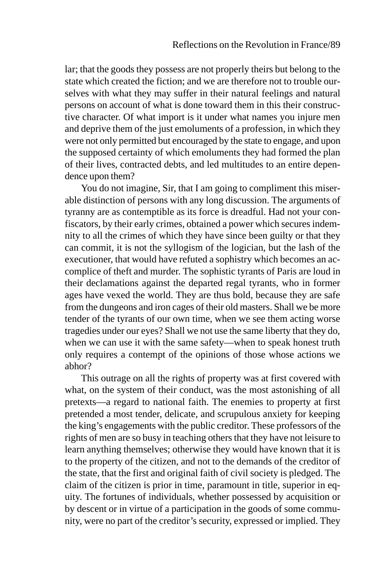lar; that the goods they possess are not properly theirs but belong to the state which created the fiction; and we are therefore not to trouble ourselves with what they may suffer in their natural feelings and natural persons on account of what is done toward them in this their constructive character. Of what import is it under what names you injure men and deprive them of the just emoluments of a profession, in which they were not only permitted but encouraged by the state to engage, and upon the supposed certainty of which emoluments they had formed the plan of their lives, contracted debts, and led multitudes to an entire dependence upon them?

You do not imagine, Sir, that I am going to compliment this miserable distinction of persons with any long discussion. The arguments of tyranny are as contemptible as its force is dreadful. Had not your confiscators, by their early crimes, obtained a power which secures indemnity to all the crimes of which they have since been guilty or that they can commit, it is not the syllogism of the logician, but the lash of the executioner, that would have refuted a sophistry which becomes an accomplice of theft and murder. The sophistic tyrants of Paris are loud in their declamations against the departed regal tyrants, who in former ages have vexed the world. They are thus bold, because they are safe from the dungeons and iron cages of their old masters. Shall we be more tender of the tyrants of our own time, when we see them acting worse tragedies under our eyes? Shall we not use the same liberty that they do, when we can use it with the same safety—when to speak honest truth only requires a contempt of the opinions of those whose actions we abhor?

This outrage on all the rights of property was at first covered with what, on the system of their conduct, was the most astonishing of all pretexts—a regard to national faith. The enemies to property at first pretended a most tender, delicate, and scrupulous anxiety for keeping the king's engagements with the public creditor. These professors of the rights of men are so busy in teaching others that they have not leisure to learn anything themselves; otherwise they would have known that it is to the property of the citizen, and not to the demands of the creditor of the state, that the first and original faith of civil society is pledged. The claim of the citizen is prior in time, paramount in title, superior in equity. The fortunes of individuals, whether possessed by acquisition or by descent or in virtue of a participation in the goods of some community, were no part of the creditor's security, expressed or implied. They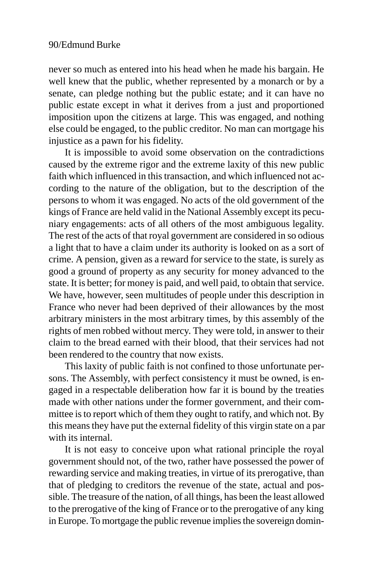never so much as entered into his head when he made his bargain. He well knew that the public, whether represented by a monarch or by a senate, can pledge nothing but the public estate; and it can have no public estate except in what it derives from a just and proportioned imposition upon the citizens at large. This was engaged, and nothing else could be engaged, to the public creditor. No man can mortgage his injustice as a pawn for his fidelity.

It is impossible to avoid some observation on the contradictions caused by the extreme rigor and the extreme laxity of this new public faith which influenced in this transaction, and which influenced not according to the nature of the obligation, but to the description of the persons to whom it was engaged. No acts of the old government of the kings of France are held valid in the National Assembly except its pecuniary engagements: acts of all others of the most ambiguous legality. The rest of the acts of that royal government are considered in so odious a light that to have a claim under its authority is looked on as a sort of crime. A pension, given as a reward for service to the state, is surely as good a ground of property as any security for money advanced to the state. It is better; for money is paid, and well paid, to obtain that service. We have, however, seen multitudes of people under this description in France who never had been deprived of their allowances by the most arbitrary ministers in the most arbitrary times, by this assembly of the rights of men robbed without mercy. They were told, in answer to their claim to the bread earned with their blood, that their services had not been rendered to the country that now exists.

This laxity of public faith is not confined to those unfortunate persons. The Assembly, with perfect consistency it must be owned, is engaged in a respectable deliberation how far it is bound by the treaties made with other nations under the former government, and their committee is to report which of them they ought to ratify, and which not. By this means they have put the external fidelity of this virgin state on a par with its internal.

It is not easy to conceive upon what rational principle the royal government should not, of the two, rather have possessed the power of rewarding service and making treaties, in virtue of its prerogative, than that of pledging to creditors the revenue of the state, actual and possible. The treasure of the nation, of all things, has been the least allowed to the prerogative of the king of France or to the prerogative of any king in Europe. To mortgage the public revenue implies the sovereign domin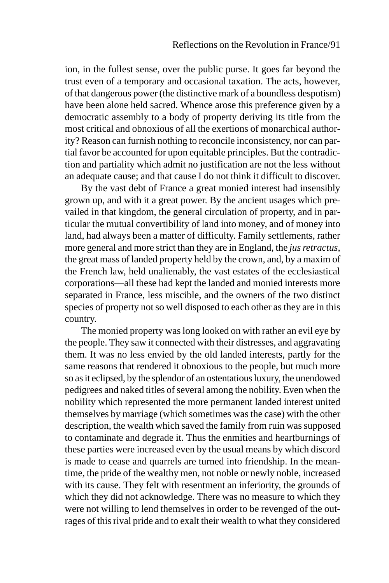ion, in the fullest sense, over the public purse. It goes far beyond the trust even of a temporary and occasional taxation. The acts, however, of that dangerous power (the distinctive mark of a boundless despotism) have been alone held sacred. Whence arose this preference given by a democratic assembly to a body of property deriving its title from the most critical and obnoxious of all the exertions of monarchical authority? Reason can furnish nothing to reconcile inconsistency, nor can partial favor be accounted for upon equitable principles. But the contradiction and partiality which admit no justification are not the less without an adequate cause; and that cause I do not think it difficult to discover.

By the vast debt of France a great monied interest had insensibly grown up, and with it a great power. By the ancient usages which prevailed in that kingdom, the general circulation of property, and in particular the mutual convertibility of land into money, and of money into land, had always been a matter of difficulty. Family settlements, rather more general and more strict than they are in England, the *jus retractus*, the great mass of landed property held by the crown, and, by a maxim of the French law, held unalienably, the vast estates of the ecclesiastical corporations—all these had kept the landed and monied interests more separated in France, less miscible, and the owners of the two distinct species of property not so well disposed to each other as they are in this country.

The monied property was long looked on with rather an evil eye by the people. They saw it connected with their distresses, and aggravating them. It was no less envied by the old landed interests, partly for the same reasons that rendered it obnoxious to the people, but much more so as it eclipsed, by the splendor of an ostentatious luxury, the unendowed pedigrees and naked titles of several among the nobility. Even when the nobility which represented the more permanent landed interest united themselves by marriage (which sometimes was the case) with the other description, the wealth which saved the family from ruin was supposed to contaminate and degrade it. Thus the enmities and heartburnings of these parties were increased even by the usual means by which discord is made to cease and quarrels are turned into friendship. In the meantime, the pride of the wealthy men, not noble or newly noble, increased with its cause. They felt with resentment an inferiority, the grounds of which they did not acknowledge. There was no measure to which they were not willing to lend themselves in order to be revenged of the outrages of this rival pride and to exalt their wealth to what they considered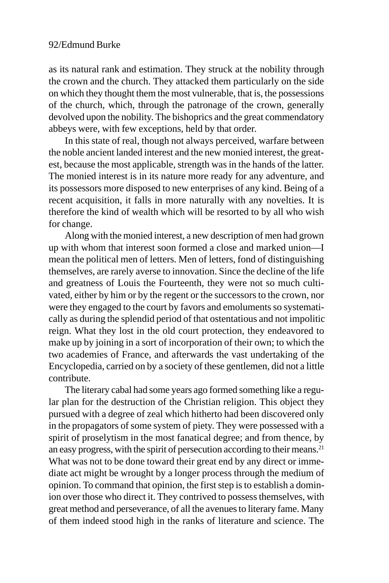as its natural rank and estimation. They struck at the nobility through the crown and the church. They attacked them particularly on the side on which they thought them the most vulnerable, that is, the possessions of the church, which, through the patronage of the crown, generally devolved upon the nobility. The bishoprics and the great commendatory abbeys were, with few exceptions, held by that order.

In this state of real, though not always perceived, warfare between the noble ancient landed interest and the new monied interest, the greatest, because the most applicable, strength was in the hands of the latter. The monied interest is in its nature more ready for any adventure, and its possessors more disposed to new enterprises of any kind. Being of a recent acquisition, it falls in more naturally with any novelties. It is therefore the kind of wealth which will be resorted to by all who wish for change.

Along with the monied interest, a new description of men had grown up with whom that interest soon formed a close and marked union—I mean the political men of letters. Men of letters, fond of distinguishing themselves, are rarely averse to innovation. Since the decline of the life and greatness of Louis the Fourteenth, they were not so much cultivated, either by him or by the regent or the successors to the crown, nor were they engaged to the court by favors and emoluments so systematically as during the splendid period of that ostentatious and not impolitic reign. What they lost in the old court protection, they endeavored to make up by joining in a sort of incorporation of their own; to which the two academies of France, and afterwards the vast undertaking of the Encyclopedia, carried on by a society of these gentlemen, did not a little contribute.

The literary cabal had some years ago formed something like a regular plan for the destruction of the Christian religion. This object they pursued with a degree of zeal which hitherto had been discovered only in the propagators of some system of piety. They were possessed with a spirit of proselytism in the most fanatical degree; and from thence, by an easy progress, with the spirit of persecution according to their means.<sup>21</sup> What was not to be done toward their great end by any direct or immediate act might be wrought by a longer process through the medium of opinion. To command that opinion, the first step is to establish a dominion over those who direct it. They contrived to possess themselves, with great method and perseverance, of all the avenues to literary fame. Many of them indeed stood high in the ranks of literature and science. The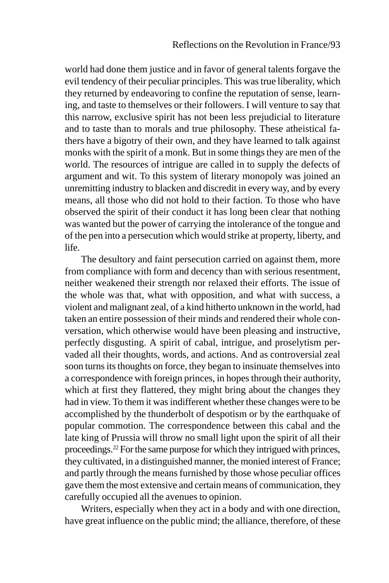world had done them justice and in favor of general talents forgave the evil tendency of their peculiar principles. This was true liberality, which they returned by endeavoring to confine the reputation of sense, learning, and taste to themselves or their followers. I will venture to say that this narrow, exclusive spirit has not been less prejudicial to literature and to taste than to morals and true philosophy. These atheistical fathers have a bigotry of their own, and they have learned to talk against monks with the spirit of a monk. But in some things they are men of the world. The resources of intrigue are called in to supply the defects of argument and wit. To this system of literary monopoly was joined an unremitting industry to blacken and discredit in every way, and by every means, all those who did not hold to their faction. To those who have observed the spirit of their conduct it has long been clear that nothing was wanted but the power of carrying the intolerance of the tongue and of the pen into a persecution which would strike at property, liberty, and life.

The desultory and faint persecution carried on against them, more from compliance with form and decency than with serious resentment, neither weakened their strength nor relaxed their efforts. The issue of the whole was that, what with opposition, and what with success, a violent and malignant zeal, of a kind hitherto unknown in the world, had taken an entire possession of their minds and rendered their whole conversation, which otherwise would have been pleasing and instructive, perfectly disgusting. A spirit of cabal, intrigue, and proselytism pervaded all their thoughts, words, and actions. And as controversial zeal soon turns its thoughts on force, they began to insinuate themselves into a correspondence with foreign princes, in hopes through their authority, which at first they flattered, they might bring about the changes they had in view. To them it was indifferent whether these changes were to be accomplished by the thunderbolt of despotism or by the earthquake of popular commotion. The correspondence between this cabal and the late king of Prussia will throw no small light upon the spirit of all their proceedings.22 For the same purpose for which they intrigued with princes, they cultivated, in a distinguished manner, the monied interest of France; and partly through the means furnished by those whose peculiar offices gave them the most extensive and certain means of communication, they carefully occupied all the avenues to opinion.

Writers, especially when they act in a body and with one direction, have great influence on the public mind; the alliance, therefore, of these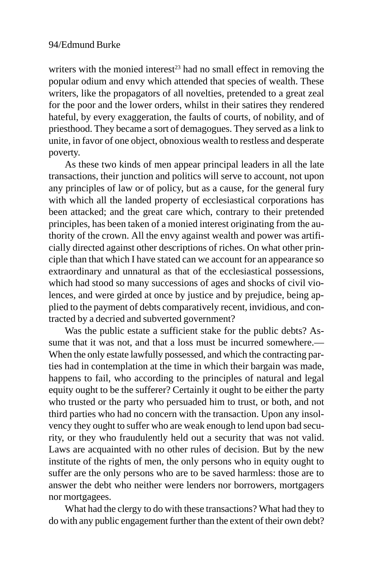writers with the monied interest<sup>23</sup> had no small effect in removing the popular odium and envy which attended that species of wealth. These writers, like the propagators of all novelties, pretended to a great zeal for the poor and the lower orders, whilst in their satires they rendered hateful, by every exaggeration, the faults of courts, of nobility, and of priesthood. They became a sort of demagogues. They served as a link to unite, in favor of one object, obnoxious wealth to restless and desperate poverty.

As these two kinds of men appear principal leaders in all the late transactions, their junction and politics will serve to account, not upon any principles of law or of policy, but as a cause, for the general fury with which all the landed property of ecclesiastical corporations has been attacked; and the great care which, contrary to their pretended principles, has been taken of a monied interest originating from the authority of the crown. All the envy against wealth and power was artificially directed against other descriptions of riches. On what other principle than that which I have stated can we account for an appearance so extraordinary and unnatural as that of the ecclesiastical possessions, which had stood so many successions of ages and shocks of civil violences, and were girded at once by justice and by prejudice, being applied to the payment of debts comparatively recent, invidious, and contracted by a decried and subverted government?

Was the public estate a sufficient stake for the public debts? Assume that it was not, and that a loss must be incurred somewhere.— When the only estate lawfully possessed, and which the contracting parties had in contemplation at the time in which their bargain was made, happens to fail, who according to the principles of natural and legal equity ought to be the sufferer? Certainly it ought to be either the party who trusted or the party who persuaded him to trust, or both, and not third parties who had no concern with the transaction. Upon any insolvency they ought to suffer who are weak enough to lend upon bad security, or they who fraudulently held out a security that was not valid. Laws are acquainted with no other rules of decision. But by the new institute of the rights of men, the only persons who in equity ought to suffer are the only persons who are to be saved harmless: those are to answer the debt who neither were lenders nor borrowers, mortgagers nor mortgagees.

What had the clergy to do with these transactions? What had they to do with any public engagement further than the extent of their own debt?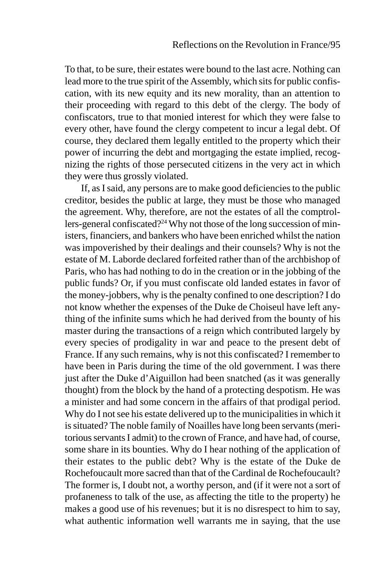To that, to be sure, their estates were bound to the last acre. Nothing can lead more to the true spirit of the Assembly, which sits for public confiscation, with its new equity and its new morality, than an attention to their proceeding with regard to this debt of the clergy. The body of confiscators, true to that monied interest for which they were false to every other, have found the clergy competent to incur a legal debt. Of course, they declared them legally entitled to the property which their power of incurring the debt and mortgaging the estate implied, recognizing the rights of those persecuted citizens in the very act in which they were thus grossly violated.

If, as I said, any persons are to make good deficiencies to the public creditor, besides the public at large, they must be those who managed the agreement. Why, therefore, are not the estates of all the comptrollers-general confiscated?24 Why not those of the long succession of ministers, financiers, and bankers who have been enriched whilst the nation was impoverished by their dealings and their counsels? Why is not the estate of M. Laborde declared forfeited rather than of the archbishop of Paris, who has had nothing to do in the creation or in the jobbing of the public funds? Or, if you must confiscate old landed estates in favor of the money-jobbers, why is the penalty confined to one description? I do not know whether the expenses of the Duke de Choiseul have left anything of the infinite sums which he had derived from the bounty of his master during the transactions of a reign which contributed largely by every species of prodigality in war and peace to the present debt of France. If any such remains, why is not this confiscated? I remember to have been in Paris during the time of the old government. I was there just after the Duke d'Aiguillon had been snatched (as it was generally thought) from the block by the hand of a protecting despotism. He was a minister and had some concern in the affairs of that prodigal period. Why do I not see his estate delivered up to the municipalities in which it is situated? The noble family of Noailles have long been servants (meritorious servants I admit) to the crown of France, and have had, of course, some share in its bounties. Why do I hear nothing of the application of their estates to the public debt? Why is the estate of the Duke de Rochefoucault more sacred than that of the Cardinal de Rochefoucault? The former is, I doubt not, a worthy person, and (if it were not a sort of profaneness to talk of the use, as affecting the title to the property) he makes a good use of his revenues; but it is no disrespect to him to say, what authentic information well warrants me in saying, that the use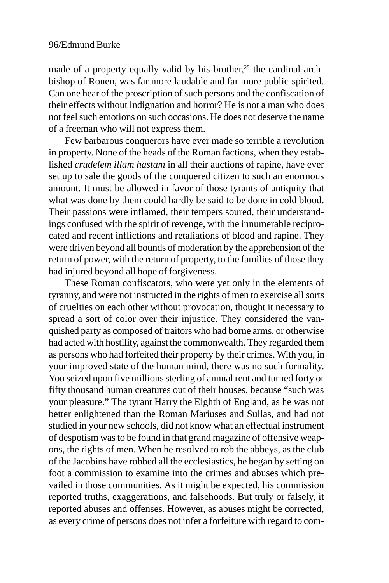made of a property equally valid by his brother, $25$  the cardinal archbishop of Rouen, was far more laudable and far more public-spirited. Can one hear of the proscription of such persons and the confiscation of their effects without indignation and horror? He is not a man who does not feel such emotions on such occasions. He does not deserve the name of a freeman who will not express them.

Few barbarous conquerors have ever made so terrible a revolution in property. None of the heads of the Roman factions, when they established *crudelem illam hastam* in all their auctions of rapine, have ever set up to sale the goods of the conquered citizen to such an enormous amount. It must be allowed in favor of those tyrants of antiquity that what was done by them could hardly be said to be done in cold blood. Their passions were inflamed, their tempers soured, their understandings confused with the spirit of revenge, with the innumerable reciprocated and recent inflictions and retaliations of blood and rapine. They were driven beyond all bounds of moderation by the apprehension of the return of power, with the return of property, to the families of those they had injured beyond all hope of forgiveness.

These Roman confiscators, who were yet only in the elements of tyranny, and were not instructed in the rights of men to exercise all sorts of cruelties on each other without provocation, thought it necessary to spread a sort of color over their injustice. They considered the vanquished party as composed of traitors who had borne arms, or otherwise had acted with hostility, against the commonwealth. They regarded them as persons who had forfeited their property by their crimes. With you, in your improved state of the human mind, there was no such formality. You seized upon five millions sterling of annual rent and turned forty or fifty thousand human creatures out of their houses, because "such was your pleasure." The tyrant Harry the Eighth of England, as he was not better enlightened than the Roman Mariuses and Sullas, and had not studied in your new schools, did not know what an effectual instrument of despotism was to be found in that grand magazine of offensive weapons, the rights of men. When he resolved to rob the abbeys, as the club of the Jacobins have robbed all the ecclesiastics, he began by setting on foot a commission to examine into the crimes and abuses which prevailed in those communities. As it might be expected, his commission reported truths, exaggerations, and falsehoods. But truly or falsely, it reported abuses and offenses. However, as abuses might be corrected, as every crime of persons does not infer a forfeiture with regard to com-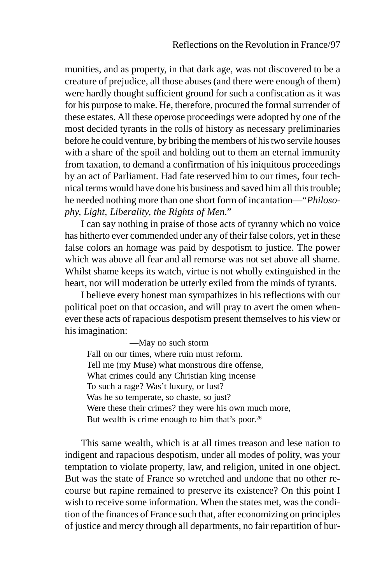munities, and as property, in that dark age, was not discovered to be a creature of prejudice, all those abuses (and there were enough of them) were hardly thought sufficient ground for such a confiscation as it was for his purpose to make. He, therefore, procured the formal surrender of these estates. All these operose proceedings were adopted by one of the most decided tyrants in the rolls of history as necessary preliminaries before he could venture, by bribing the members of his two servile houses with a share of the spoil and holding out to them an eternal immunity from taxation, to demand a confirmation of his iniquitous proceedings by an act of Parliament. Had fate reserved him to our times, four technical terms would have done his business and saved him all this trouble; he needed nothing more than one short form of incantation—"*Philosophy, Light, Liberality, the Rights of Men*."

I can say nothing in praise of those acts of tyranny which no voice has hitherto ever commended under any of their false colors, yet in these false colors an homage was paid by despotism to justice. The power which was above all fear and all remorse was not set above all shame. Whilst shame keeps its watch, virtue is not wholly extinguished in the heart, nor will moderation be utterly exiled from the minds of tyrants.

I believe every honest man sympathizes in his reflections with our political poet on that occasion, and will pray to avert the omen whenever these acts of rapacious despotism present themselves to his view or his imagination:

—May no such storm Fall on our times, where ruin must reform. Tell me (my Muse) what monstrous dire offense, What crimes could any Christian king incense To such a rage? Was't luxury, or lust? Was he so temperate, so chaste, so just? Were these their crimes? they were his own much more, But wealth is crime enough to him that's poor.<sup>26</sup>

This same wealth, which is at all times treason and lese nation to indigent and rapacious despotism, under all modes of polity, was your temptation to violate property, law, and religion, united in one object. But was the state of France so wretched and undone that no other recourse but rapine remained to preserve its existence? On this point I wish to receive some information. When the states met, was the condition of the finances of France such that, after economizing on principles of justice and mercy through all departments, no fair repartition of bur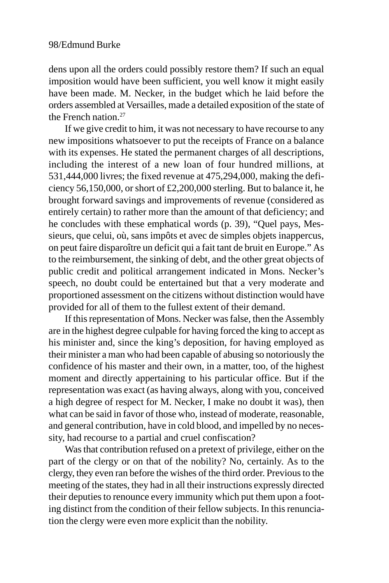dens upon all the orders could possibly restore them? If such an equal imposition would have been sufficient, you well know it might easily have been made. M. Necker, in the budget which he laid before the orders assembled at Versailles, made a detailed exposition of the state of the French nation.27

If we give credit to him, it was not necessary to have recourse to any new impositions whatsoever to put the receipts of France on a balance with its expenses. He stated the permanent charges of all descriptions, including the interest of a new loan of four hundred millions, at 531,444,000 livres; the fixed revenue at 475,294,000, making the deficiency 56,150,000, or short of £2,200,000 sterling. But to balance it, he brought forward savings and improvements of revenue (considered as entirely certain) to rather more than the amount of that deficiency; and he concludes with these emphatical words (p. 39), "Quel pays, Messieurs, que celui, où, sans impôts et avec de simples objets inappercus, on peut faire disparoître un deficit qui a fait tant de bruit en Europe." As to the reimbursement, the sinking of debt, and the other great objects of public credit and political arrangement indicated in Mons. Necker's speech, no doubt could be entertained but that a very moderate and proportioned assessment on the citizens without distinction would have provided for all of them to the fullest extent of their demand.

If this representation of Mons. Necker was false, then the Assembly are in the highest degree culpable for having forced the king to accept as his minister and, since the king's deposition, for having employed as their minister a man who had been capable of abusing so notoriously the confidence of his master and their own, in a matter, too, of the highest moment and directly appertaining to his particular office. But if the representation was exact (as having always, along with you, conceived a high degree of respect for M. Necker, I make no doubt it was), then what can be said in favor of those who, instead of moderate, reasonable, and general contribution, have in cold blood, and impelled by no necessity, had recourse to a partial and cruel confiscation?

Was that contribution refused on a pretext of privilege, either on the part of the clergy or on that of the nobility? No, certainly. As to the clergy, they even ran before the wishes of the third order. Previous to the meeting of the states, they had in all their instructions expressly directed their deputies to renounce every immunity which put them upon a footing distinct from the condition of their fellow subjects. In this renunciation the clergy were even more explicit than the nobility.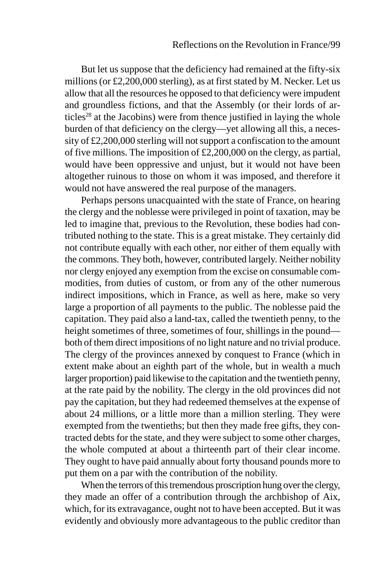But let us suppose that the deficiency had remained at the fifty-six millions (or £2,200,000 sterling), as at first stated by M. Necker. Let us allow that all the resources he opposed to that deficiency were impudent and groundless fictions, and that the Assembly (or their lords of articles<sup>28</sup> at the Jacobins) were from thence justified in laying the whole burden of that deficiency on the clergy—yet allowing all this, a necessity of £2,200,000 sterling will not support a confiscation to the amount of five millions. The imposition of £2,200,000 on the clergy, as partial, would have been oppressive and unjust, but it would not have been altogether ruinous to those on whom it was imposed, and therefore it would not have answered the real purpose of the managers.

Perhaps persons unacquainted with the state of France, on hearing the clergy and the noblesse were privileged in point of taxation, may be led to imagine that, previous to the Revolution, these bodies had contributed nothing to the state. This is a great mistake. They certainly did not contribute equally with each other, nor either of them equally with the commons. They both, however, contributed largely. Neither nobility nor clergy enjoyed any exemption from the excise on consumable commodities, from duties of custom, or from any of the other numerous indirect impositions, which in France, as well as here, make so very large a proportion of all payments to the public. The noblesse paid the capitation. They paid also a land-tax, called the twentieth penny, to the height sometimes of three, sometimes of four, shillings in the pound both of them direct impositions of no light nature and no trivial produce. The clergy of the provinces annexed by conquest to France (which in extent make about an eighth part of the whole, but in wealth a much larger proportion) paid likewise to the capitation and the twentieth penny, at the rate paid by the nobility. The clergy in the old provinces did not pay the capitation, but they had redeemed themselves at the expense of about 24 millions, or a little more than a million sterling. They were exempted from the twentieths; but then they made free gifts, they contracted debts for the state, and they were subject to some other charges, the whole computed at about a thirteenth part of their clear income. They ought to have paid annually about forty thousand pounds more to put them on a par with the contribution of the nobility.

When the terrors of this tremendous proscription hung over the clergy, they made an offer of a contribution through the archbishop of Aix, which, for its extravagance, ought not to have been accepted. But it was evidently and obviously more advantageous to the public creditor than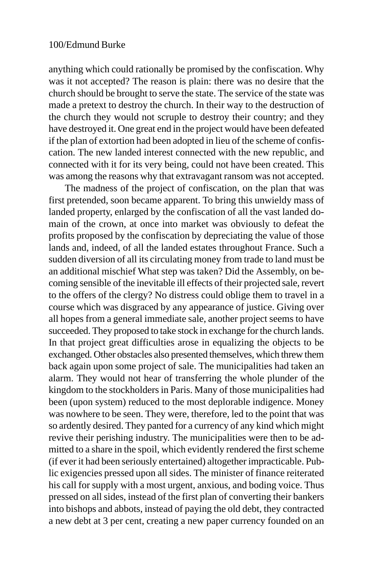anything which could rationally be promised by the confiscation. Why was it not accepted? The reason is plain: there was no desire that the church should be brought to serve the state. The service of the state was made a pretext to destroy the church. In their way to the destruction of the church they would not scruple to destroy their country; and they have destroyed it. One great end in the project would have been defeated if the plan of extortion had been adopted in lieu of the scheme of confiscation. The new landed interest connected with the new republic, and connected with it for its very being, could not have been created. This was among the reasons why that extravagant ransom was not accepted.

The madness of the project of confiscation, on the plan that was first pretended, soon became apparent. To bring this unwieldy mass of landed property, enlarged by the confiscation of all the vast landed domain of the crown, at once into market was obviously to defeat the profits proposed by the confiscation by depreciating the value of those lands and, indeed, of all the landed estates throughout France. Such a sudden diversion of all its circulating money from trade to land must be an additional mischief What step was taken? Did the Assembly, on becoming sensible of the inevitable ill effects of their projected sale, revert to the offers of the clergy? No distress could oblige them to travel in a course which was disgraced by any appearance of justice. Giving over all hopes from a general immediate sale, another project seems to have succeeded. They proposed to take stock in exchange for the church lands. In that project great difficulties arose in equalizing the objects to be exchanged. Other obstacles also presented themselves, which threw them back again upon some project of sale. The municipalities had taken an alarm. They would not hear of transferring the whole plunder of the kingdom to the stockholders in Paris. Many of those municipalities had been (upon system) reduced to the most deplorable indigence. Money was nowhere to be seen. They were, therefore, led to the point that was so ardently desired. They panted for a currency of any kind which might revive their perishing industry. The municipalities were then to be admitted to a share in the spoil, which evidently rendered the first scheme (if ever it had been seriously entertained) altogether impracticable. Public exigencies pressed upon all sides. The minister of finance reiterated his call for supply with a most urgent, anxious, and boding voice. Thus pressed on all sides, instead of the first plan of converting their bankers into bishops and abbots, instead of paying the old debt, they contracted a new debt at 3 per cent, creating a new paper currency founded on an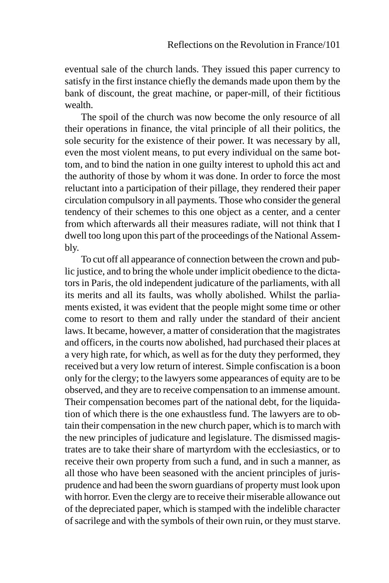eventual sale of the church lands. They issued this paper currency to satisfy in the first instance chiefly the demands made upon them by the bank of discount, the great machine, or paper-mill, of their fictitious wealth.

The spoil of the church was now become the only resource of all their operations in finance, the vital principle of all their politics, the sole security for the existence of their power. It was necessary by all, even the most violent means, to put every individual on the same bottom, and to bind the nation in one guilty interest to uphold this act and the authority of those by whom it was done. In order to force the most reluctant into a participation of their pillage, they rendered their paper circulation compulsory in all payments. Those who consider the general tendency of their schemes to this one object as a center, and a center from which afterwards all their measures radiate, will not think that I dwell too long upon this part of the proceedings of the National Assembly.

To cut off all appearance of connection between the crown and public justice, and to bring the whole under implicit obedience to the dictators in Paris, the old independent judicature of the parliaments, with all its merits and all its faults, was wholly abolished. Whilst the parliaments existed, it was evident that the people might some time or other come to resort to them and rally under the standard of their ancient laws. It became, however, a matter of consideration that the magistrates and officers, in the courts now abolished, had purchased their places at a very high rate, for which, as well as for the duty they performed, they received but a very low return of interest. Simple confiscation is a boon only for the clergy; to the lawyers some appearances of equity are to be observed, and they are to receive compensation to an immense amount. Their compensation becomes part of the national debt, for the liquidation of which there is the one exhaustless fund. The lawyers are to obtain their compensation in the new church paper, which is to march with the new principles of judicature and legislature. The dismissed magistrates are to take their share of martyrdom with the ecclesiastics, or to receive their own property from such a fund, and in such a manner, as all those who have been seasoned with the ancient principles of jurisprudence and had been the sworn guardians of property must look upon with horror. Even the clergy are to receive their miserable allowance out of the depreciated paper, which is stamped with the indelible character of sacrilege and with the symbols of their own ruin, or they must starve.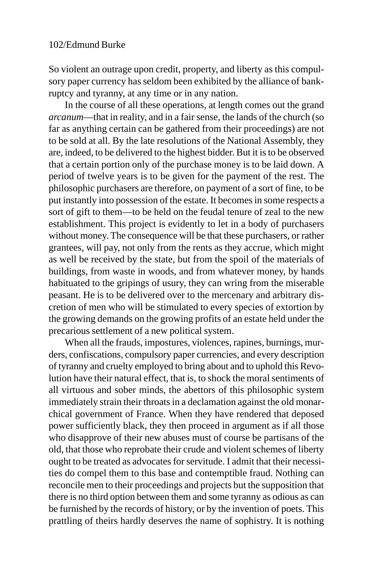So violent an outrage upon credit, property, and liberty as this compulsory paper currency has seldom been exhibited by the alliance of bankruptcy and tyranny, at any time or in any nation.

In the course of all these operations, at length comes out the grand *arcanum*—that in reality, and in a fair sense, the lands of the church (so far as anything certain can be gathered from their proceedings) are not to be sold at all. By the late resolutions of the National Assembly, they are, indeed, to be delivered to the highest bidder. But it is to be observed that a certain portion only of the purchase money is to be laid down. A period of twelve years is to be given for the payment of the rest. The philosophic purchasers are therefore, on payment of a sort of fine, to be put instantly into possession of the estate. It becomes in some respects a sort of gift to them—to be held on the feudal tenure of zeal to the new establishment. This project is evidently to let in a body of purchasers without money. The consequence will be that these purchasers, or rather grantees, will pay, not only from the rents as they accrue, which might as well be received by the state, but from the spoil of the materials of buildings, from waste in woods, and from whatever money, by hands habituated to the gripings of usury, they can wring from the miserable peasant. He is to be delivered over to the mercenary and arbitrary discretion of men who will be stimulated to every species of extortion by the growing demands on the growing profits of an estate held under the precarious settlement of a new political system.

When all the frauds, impostures, violences, rapines, burnings, murders, confiscations, compulsory paper currencies, and every description of tyranny and cruelty employed to bring about and to uphold this Revolution have their natural effect, that is, to shock the moral sentiments of all virtuous and sober minds, the abettors of this philosophic system immediately strain their throats in a declamation against the old monarchical government of France. When they have rendered that deposed power sufficiently black, they then proceed in argument as if all those who disapprove of their new abuses must of course be partisans of the old, that those who reprobate their crude and violent schemes of liberty ought to be treated as advocates for servitude. I admit that their necessities do compel them to this base and contemptible fraud. Nothing can reconcile men to their proceedings and projects but the supposition that there is no third option between them and some tyranny as odious as can be furnished by the records of history, or by the invention of poets. This prattling of theirs hardly deserves the name of sophistry. It is nothing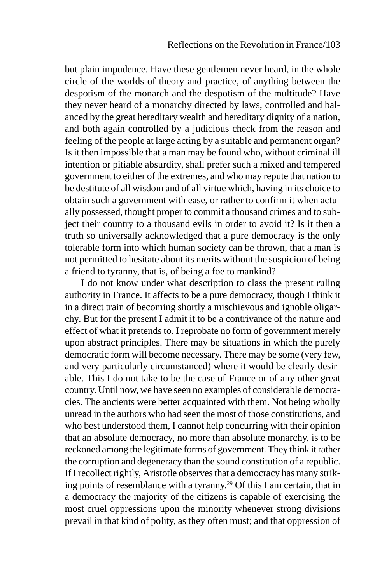but plain impudence. Have these gentlemen never heard, in the whole circle of the worlds of theory and practice, of anything between the despotism of the monarch and the despotism of the multitude? Have they never heard of a monarchy directed by laws, controlled and balanced by the great hereditary wealth and hereditary dignity of a nation, and both again controlled by a judicious check from the reason and feeling of the people at large acting by a suitable and permanent organ? Is it then impossible that a man may be found who, without criminal ill intention or pitiable absurdity, shall prefer such a mixed and tempered government to either of the extremes, and who may repute that nation to be destitute of all wisdom and of all virtue which, having in its choice to obtain such a government with ease, or rather to confirm it when actually possessed, thought proper to commit a thousand crimes and to subject their country to a thousand evils in order to avoid it? Is it then a truth so universally acknowledged that a pure democracy is the only tolerable form into which human society can be thrown, that a man is not permitted to hesitate about its merits without the suspicion of being a friend to tyranny, that is, of being a foe to mankind?

I do not know under what description to class the present ruling authority in France. It affects to be a pure democracy, though I think it in a direct train of becoming shortly a mischievous and ignoble oligarchy. But for the present I admit it to be a contrivance of the nature and effect of what it pretends to. I reprobate no form of government merely upon abstract principles. There may be situations in which the purely democratic form will become necessary. There may be some (very few, and very particularly circumstanced) where it would be clearly desirable. This I do not take to be the case of France or of any other great country. Until now, we have seen no examples of considerable democracies. The ancients were better acquainted with them. Not being wholly unread in the authors who had seen the most of those constitutions, and who best understood them, I cannot help concurring with their opinion that an absolute democracy, no more than absolute monarchy, is to be reckoned among the legitimate forms of government. They think it rather the corruption and degeneracy than the sound constitution of a republic. If I recollect rightly, Aristotle observes that a democracy has many striking points of resemblance with a tyranny.29 Of this I am certain, that in a democracy the majority of the citizens is capable of exercising the most cruel oppressions upon the minority whenever strong divisions prevail in that kind of polity, as they often must; and that oppression of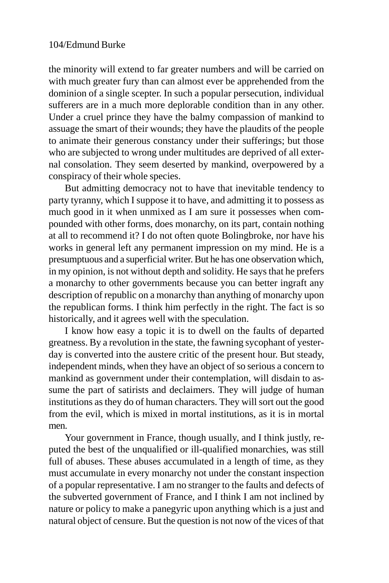the minority will extend to far greater numbers and will be carried on with much greater fury than can almost ever be apprehended from the dominion of a single scepter. In such a popular persecution, individual sufferers are in a much more deplorable condition than in any other. Under a cruel prince they have the balmy compassion of mankind to assuage the smart of their wounds; they have the plaudits of the people to animate their generous constancy under their sufferings; but those who are subjected to wrong under multitudes are deprived of all external consolation. They seem deserted by mankind, overpowered by a conspiracy of their whole species.

But admitting democracy not to have that inevitable tendency to party tyranny, which I suppose it to have, and admitting it to possess as much good in it when unmixed as I am sure it possesses when compounded with other forms, does monarchy, on its part, contain nothing at all to recommend it? I do not often quote Bolingbroke, nor have his works in general left any permanent impression on my mind. He is a presumptuous and a superficial writer. But he has one observation which, in my opinion, is not without depth and solidity. He says that he prefers a monarchy to other governments because you can better ingraft any description of republic on a monarchy than anything of monarchy upon the republican forms. I think him perfectly in the right. The fact is so historically, and it agrees well with the speculation.

I know how easy a topic it is to dwell on the faults of departed greatness. By a revolution in the state, the fawning sycophant of yesterday is converted into the austere critic of the present hour. But steady, independent minds, when they have an object of so serious a concern to mankind as government under their contemplation, will disdain to assume the part of satirists and declaimers. They will judge of human institutions as they do of human characters. They will sort out the good from the evil, which is mixed in mortal institutions, as it is in mortal men.

Your government in France, though usually, and I think justly, reputed the best of the unqualified or ill-qualified monarchies, was still full of abuses. These abuses accumulated in a length of time, as they must accumulate in every monarchy not under the constant inspection of a popular representative. I am no stranger to the faults and defects of the subverted government of France, and I think I am not inclined by nature or policy to make a panegyric upon anything which is a just and natural object of censure. But the question is not now of the vices of that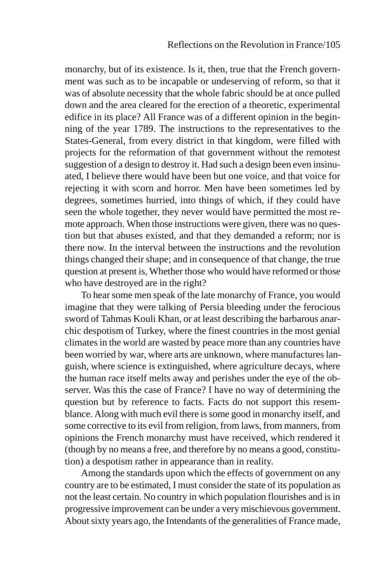monarchy, but of its existence. Is it, then, true that the French government was such as to be incapable or undeserving of reform, so that it was of absolute necessity that the whole fabric should be at once pulled down and the area cleared for the erection of a theoretic, experimental edifice in its place? All France was of a different opinion in the beginning of the year 1789. The instructions to the representatives to the States-General, from every district in that kingdom, were filled with projects for the reformation of that government without the remotest suggestion of a design to destroy it. Had such a design been even insinuated, I believe there would have been but one voice, and that voice for rejecting it with scorn and horror. Men have been sometimes led by degrees, sometimes hurried, into things of which, if they could have seen the whole together, they never would have permitted the most remote approach. When those instructions were given, there was no question but that abuses existed, and that they demanded a reform; nor is there now. In the interval between the instructions and the revolution things changed their shape; and in consequence of that change, the true question at present is, Whether those who would have reformed or those who have destroyed are in the right?

To hear some men speak of the late monarchy of France, you would imagine that they were talking of Persia bleeding under the ferocious sword of Tahmas Kouli Khan, or at least describing the barbarous anarchic despotism of Turkey, where the finest countries in the most genial climates in the world are wasted by peace more than any countries have been worried by war, where arts are unknown, where manufactures languish, where science is extinguished, where agriculture decays, where the human race itself melts away and perishes under the eye of the observer. Was this the case of France? I have no way of determining the question but by reference to facts. Facts do not support this resemblance. Along with much evil there is some good in monarchy itself, and some corrective to its evil from religion, from laws, from manners, from opinions the French monarchy must have received, which rendered it (though by no means a free, and therefore by no means a good, constitution) a despotism rather in appearance than in reality.

Among the standards upon which the effects of government on any country are to be estimated, I must consider the state of its population as not the least certain. No country in which population flourishes and is in progressive improvement can be under a very mischievous government. About sixty years ago, the Intendants of the generalities of France made,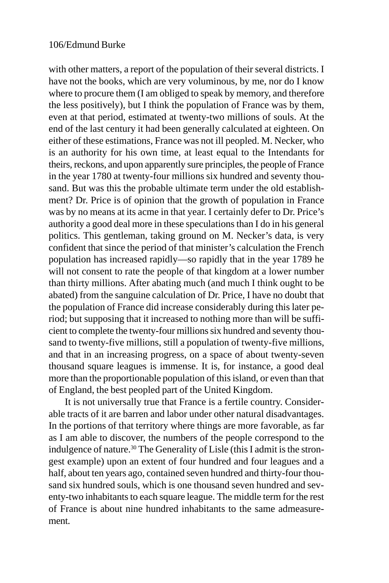with other matters, a report of the population of their several districts. I have not the books, which are very voluminous, by me, nor do I know where to procure them (I am obliged to speak by memory, and therefore the less positively), but I think the population of France was by them, even at that period, estimated at twenty-two millions of souls. At the end of the last century it had been generally calculated at eighteen. On either of these estimations, France was not ill peopled. M. Necker, who is an authority for his own time, at least equal to the Intendants for theirs, reckons, and upon apparently sure principles, the people of France in the year 1780 at twenty-four millions six hundred and seventy thousand. But was this the probable ultimate term under the old establishment? Dr. Price is of opinion that the growth of population in France was by no means at its acme in that year. I certainly defer to Dr. Price's authority a good deal more in these speculations than I do in his general politics. This gentleman, taking ground on M. Necker's data, is very confident that since the period of that minister's calculation the French population has increased rapidly—so rapidly that in the year 1789 he will not consent to rate the people of that kingdom at a lower number than thirty millions. After abating much (and much I think ought to be abated) from the sanguine calculation of Dr. Price, I have no doubt that the population of France did increase considerably during this later period; but supposing that it increased to nothing more than will be sufficient to complete the twenty-four millions six hundred and seventy thousand to twenty-five millions, still a population of twenty-five millions, and that in an increasing progress, on a space of about twenty-seven thousand square leagues is immense. It is, for instance, a good deal more than the proportionable population of this island, or even than that of England, the best peopled part of the United Kingdom.

It is not universally true that France is a fertile country. Considerable tracts of it are barren and labor under other natural disadvantages. In the portions of that territory where things are more favorable, as far as I am able to discover, the numbers of the people correspond to the indulgence of nature.<sup>30</sup> The Generality of Lisle (this I admit is the strongest example) upon an extent of four hundred and four leagues and a half, about ten years ago, contained seven hundred and thirty-four thousand six hundred souls, which is one thousand seven hundred and seventy-two inhabitants to each square league. The middle term for the rest of France is about nine hundred inhabitants to the same admeasurement.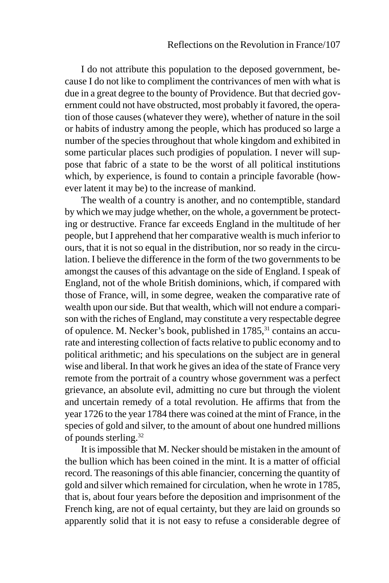I do not attribute this population to the deposed government, because I do not like to compliment the contrivances of men with what is due in a great degree to the bounty of Providence. But that decried government could not have obstructed, most probably it favored, the operation of those causes (whatever they were), whether of nature in the soil or habits of industry among the people, which has produced so large a number of the species throughout that whole kingdom and exhibited in some particular places such prodigies of population. I never will suppose that fabric of a state to be the worst of all political institutions which, by experience, is found to contain a principle favorable (however latent it may be) to the increase of mankind.

The wealth of a country is another, and no contemptible, standard by which we may judge whether, on the whole, a government be protecting or destructive. France far exceeds England in the multitude of her people, but I apprehend that her comparative wealth is much inferior to ours, that it is not so equal in the distribution, nor so ready in the circulation. I believe the difference in the form of the two governments to be amongst the causes of this advantage on the side of England. I speak of England, not of the whole British dominions, which, if compared with those of France, will, in some degree, weaken the comparative rate of wealth upon our side. But that wealth, which will not endure a comparison with the riches of England, may constitute a very respectable degree of opulence. M. Necker's book, published in 1785,<sup>31</sup> contains an accurate and interesting collection of facts relative to public economy and to political arithmetic; and his speculations on the subject are in general wise and liberal. In that work he gives an idea of the state of France very remote from the portrait of a country whose government was a perfect grievance, an absolute evil, admitting no cure but through the violent and uncertain remedy of a total revolution. He affirms that from the year 1726 to the year 1784 there was coined at the mint of France, in the species of gold and silver, to the amount of about one hundred millions of pounds sterling.32

It is impossible that M. Necker should be mistaken in the amount of the bullion which has been coined in the mint. It is a matter of official record. The reasonings of this able financier, concerning the quantity of gold and silver which remained for circulation, when he wrote in 1785, that is, about four years before the deposition and imprisonment of the French king, are not of equal certainty, but they are laid on grounds so apparently solid that it is not easy to refuse a considerable degree of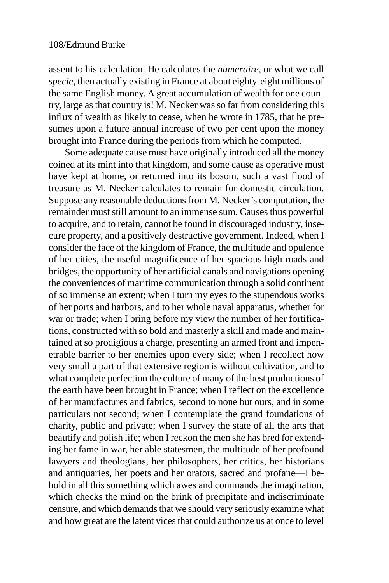assent to his calculation. He calculates the *numeraire*, or what we call *specie*, then actually existing in France at about eighty-eight millions of the same English money. A great accumulation of wealth for one country, large as that country is! M. Necker was so far from considering this influx of wealth as likely to cease, when he wrote in 1785, that he presumes upon a future annual increase of two per cent upon the money brought into France during the periods from which he computed.

Some adequate cause must have originally introduced all the money coined at its mint into that kingdom, and some cause as operative must have kept at home, or returned into its bosom, such a vast flood of treasure as M. Necker calculates to remain for domestic circulation. Suppose any reasonable deductions from M. Necker's computation, the remainder must still amount to an immense sum. Causes thus powerful to acquire, and to retain, cannot be found in discouraged industry, insecure property, and a positively destructive government. Indeed, when I consider the face of the kingdom of France, the multitude and opulence of her cities, the useful magnificence of her spacious high roads and bridges, the opportunity of her artificial canals and navigations opening the conveniences of maritime communication through a solid continent of so immense an extent; when I turn my eyes to the stupendous works of her ports and harbors, and to her whole naval apparatus, whether for war or trade; when I bring before my view the number of her fortifications, constructed with so bold and masterly a skill and made and maintained at so prodigious a charge, presenting an armed front and impenetrable barrier to her enemies upon every side; when I recollect how very small a part of that extensive region is without cultivation, and to what complete perfection the culture of many of the best productions of the earth have been brought in France; when I reflect on the excellence of her manufactures and fabrics, second to none but ours, and in some particulars not second; when I contemplate the grand foundations of charity, public and private; when I survey the state of all the arts that beautify and polish life; when I reckon the men she has bred for extending her fame in war, her able statesmen, the multitude of her profound lawyers and theologians, her philosophers, her critics, her historians and antiquaries, her poets and her orators, sacred and profane—I behold in all this something which awes and commands the imagination, which checks the mind on the brink of precipitate and indiscriminate censure, and which demands that we should very seriously examine what and how great are the latent vices that could authorize us at once to level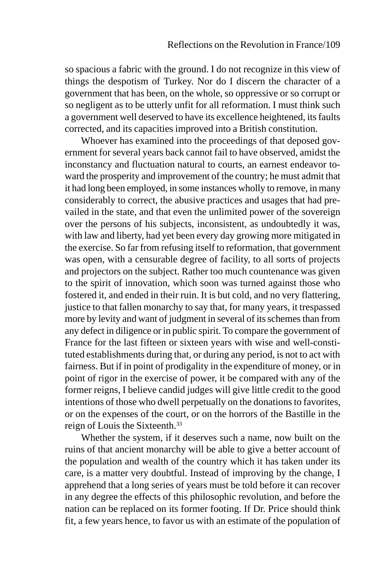so spacious a fabric with the ground. I do not recognize in this view of things the despotism of Turkey. Nor do I discern the character of a government that has been, on the whole, so oppressive or so corrupt or so negligent as to be utterly unfit for all reformation. I must think such a government well deserved to have its excellence heightened, its faults corrected, and its capacities improved into a British constitution.

Whoever has examined into the proceedings of that deposed government for several years back cannot fail to have observed, amidst the inconstancy and fluctuation natural to courts, an earnest endeavor toward the prosperity and improvement of the country; he must admit that it had long been employed, in some instances wholly to remove, in many considerably to correct, the abusive practices and usages that had prevailed in the state, and that even the unlimited power of the sovereign over the persons of his subjects, inconsistent, as undoubtedly it was, with law and liberty, had yet been every day growing more mitigated in the exercise. So far from refusing itself to reformation, that government was open, with a censurable degree of facility, to all sorts of projects and projectors on the subject. Rather too much countenance was given to the spirit of innovation, which soon was turned against those who fostered it, and ended in their ruin. It is but cold, and no very flattering, justice to that fallen monarchy to say that, for many years, it trespassed more by levity and want of judgment in several of its schemes than from any defect in diligence or in public spirit. To compare the government of France for the last fifteen or sixteen years with wise and well-constituted establishments during that, or during any period, is not to act with fairness. But if in point of prodigality in the expenditure of money, or in point of rigor in the exercise of power, it be compared with any of the former reigns, I believe candid judges will give little credit to the good intentions of those who dwell perpetually on the donations to favorites, or on the expenses of the court, or on the horrors of the Bastille in the reign of Louis the Sixteenth.33

Whether the system, if it deserves such a name, now built on the ruins of that ancient monarchy will be able to give a better account of the population and wealth of the country which it has taken under its care, is a matter very doubtful. Instead of improving by the change, I apprehend that a long series of years must be told before it can recover in any degree the effects of this philosophic revolution, and before the nation can be replaced on its former footing. If Dr. Price should think fit, a few years hence, to favor us with an estimate of the population of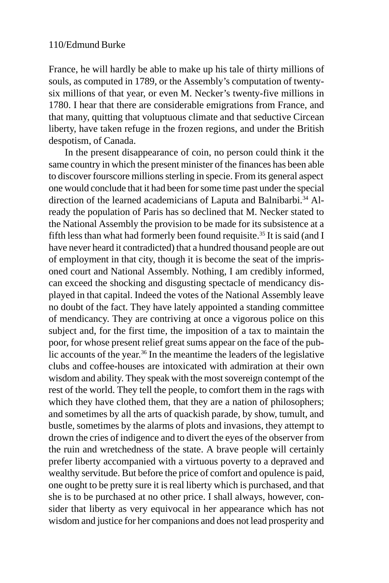France, he will hardly be able to make up his tale of thirty millions of souls, as computed in 1789, or the Assembly's computation of twentysix millions of that year, or even M. Necker's twenty-five millions in 1780. I hear that there are considerable emigrations from France, and that many, quitting that voluptuous climate and that seductive Circean liberty, have taken refuge in the frozen regions, and under the British despotism, of Canada.

In the present disappearance of coin, no person could think it the same country in which the present minister of the finances has been able to discover fourscore millions sterling in specie. From its general aspect one would conclude that it had been for some time past under the special direction of the learned academicians of Laputa and Balnibarbi.<sup>34</sup> Already the population of Paris has so declined that M. Necker stated to the National Assembly the provision to be made for its subsistence at a fifth less than what had formerly been found requisite.35 It is said (and I have never heard it contradicted) that a hundred thousand people are out of employment in that city, though it is become the seat of the imprisoned court and National Assembly. Nothing, I am credibly informed, can exceed the shocking and disgusting spectacle of mendicancy displayed in that capital. Indeed the votes of the National Assembly leave no doubt of the fact. They have lately appointed a standing committee of mendicancy. They are contriving at once a vigorous police on this subject and, for the first time, the imposition of a tax to maintain the poor, for whose present relief great sums appear on the face of the public accounts of the year.36 In the meantime the leaders of the legislative clubs and coffee-houses are intoxicated with admiration at their own wisdom and ability. They speak with the most sovereign contempt of the rest of the world. They tell the people, to comfort them in the rags with which they have clothed them, that they are a nation of philosophers; and sometimes by all the arts of quackish parade, by show, tumult, and bustle, sometimes by the alarms of plots and invasions, they attempt to drown the cries of indigence and to divert the eyes of the observer from the ruin and wretchedness of the state. A brave people will certainly prefer liberty accompanied with a virtuous poverty to a depraved and wealthy servitude. But before the price of comfort and opulence is paid, one ought to be pretty sure it is real liberty which is purchased, and that she is to be purchased at no other price. I shall always, however, consider that liberty as very equivocal in her appearance which has not wisdom and justice for her companions and does not lead prosperity and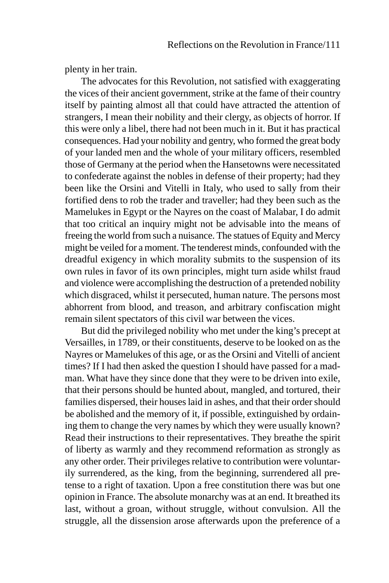plenty in her train.

The advocates for this Revolution, not satisfied with exaggerating the vices of their ancient government, strike at the fame of their country itself by painting almost all that could have attracted the attention of strangers, I mean their nobility and their clergy, as objects of horror. If this were only a libel, there had not been much in it. But it has practical consequences. Had your nobility and gentry, who formed the great body of your landed men and the whole of your military officers, resembled those of Germany at the period when the Hansetowns were necessitated to confederate against the nobles in defense of their property; had they been like the Orsini and Vitelli in Italy, who used to sally from their fortified dens to rob the trader and traveller; had they been such as the Mamelukes in Egypt or the Nayres on the coast of Malabar, I do admit that too critical an inquiry might not be advisable into the means of freeing the world from such a nuisance. The statues of Equity and Mercy might be veiled for a moment. The tenderest minds, confounded with the dreadful exigency in which morality submits to the suspension of its own rules in favor of its own principles, might turn aside whilst fraud and violence were accomplishing the destruction of a pretended nobility which disgraced, whilst it persecuted, human nature. The persons most abhorrent from blood, and treason, and arbitrary confiscation might remain silent spectators of this civil war between the vices.

But did the privileged nobility who met under the king's precept at Versailles, in 1789, or their constituents, deserve to be looked on as the Nayres or Mamelukes of this age, or as the Orsini and Vitelli of ancient times? If I had then asked the question I should have passed for a madman. What have they since done that they were to be driven into exile, that their persons should be hunted about, mangled, and tortured, their families dispersed, their houses laid in ashes, and that their order should be abolished and the memory of it, if possible, extinguished by ordaining them to change the very names by which they were usually known? Read their instructions to their representatives. They breathe the spirit of liberty as warmly and they recommend reformation as strongly as any other order. Their privileges relative to contribution were voluntarily surrendered, as the king, from the beginning, surrendered all pretense to a right of taxation. Upon a free constitution there was but one opinion in France. The absolute monarchy was at an end. It breathed its last, without a groan, without struggle, without convulsion. All the struggle, all the dissension arose afterwards upon the preference of a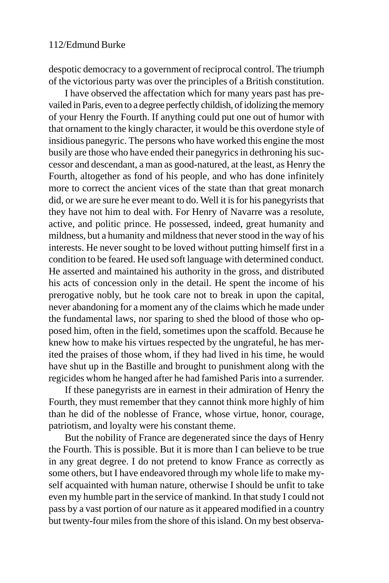despotic democracy to a government of reciprocal control. The triumph of the victorious party was over the principles of a British constitution.

I have observed the affectation which for many years past has prevailed in Paris, even to a degree perfectly childish, of idolizing the memory of your Henry the Fourth. If anything could put one out of humor with that ornament to the kingly character, it would be this overdone style of insidious panegyric. The persons who have worked this engine the most busily are those who have ended their panegyrics in dethroning his successor and descendant, a man as good-natured, at the least, as Henry the Fourth, altogether as fond of his people, and who has done infinitely more to correct the ancient vices of the state than that great monarch did, or we are sure he ever meant to do. Well it is for his panegyrists that they have not him to deal with. For Henry of Navarre was a resolute, active, and politic prince. He possessed, indeed, great humanity and mildness, but a humanity and mildness that never stood in the way of his interests. He never sought to be loved without putting himself first in a condition to be feared. He used soft language with determined conduct. He asserted and maintained his authority in the gross, and distributed his acts of concession only in the detail. He spent the income of his prerogative nobly, but he took care not to break in upon the capital, never abandoning for a moment any of the claims which he made under the fundamental laws, nor sparing to shed the blood of those who opposed him, often in the field, sometimes upon the scaffold. Because he knew how to make his virtues respected by the ungrateful, he has merited the praises of those whom, if they had lived in his time, he would have shut up in the Bastille and brought to punishment along with the regicides whom he hanged after he had famished Paris into a surrender.

If these panegyrists are in earnest in their admiration of Henry the Fourth, they must remember that they cannot think more highly of him than he did of the noblesse of France, whose virtue, honor, courage, patriotism, and loyalty were his constant theme.

But the nobility of France are degenerated since the days of Henry the Fourth. This is possible. But it is more than I can believe to be true in any great degree. I do not pretend to know France as correctly as some others, but I have endeavored through my whole life to make myself acquainted with human nature, otherwise I should be unfit to take even my humble part in the service of mankind. In that study I could not pass by a vast portion of our nature as it appeared modified in a country but twenty-four miles from the shore of this island. On my best observa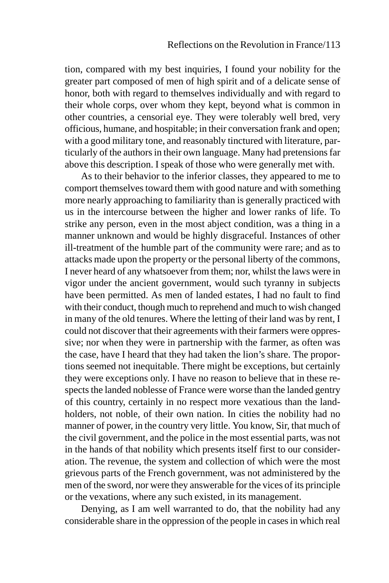tion, compared with my best inquiries, I found your nobility for the greater part composed of men of high spirit and of a delicate sense of honor, both with regard to themselves individually and with regard to their whole corps, over whom they kept, beyond what is common in other countries, a censorial eye. They were tolerably well bred, very officious, humane, and hospitable; in their conversation frank and open; with a good military tone, and reasonably tinctured with literature, particularly of the authors in their own language. Many had pretensions far above this description. I speak of those who were generally met with.

As to their behavior to the inferior classes, they appeared to me to comport themselves toward them with good nature and with something more nearly approaching to familiarity than is generally practiced with us in the intercourse between the higher and lower ranks of life. To strike any person, even in the most abject condition, was a thing in a manner unknown and would be highly disgraceful. Instances of other ill-treatment of the humble part of the community were rare; and as to attacks made upon the property or the personal liberty of the commons, I never heard of any whatsoever from them; nor, whilst the laws were in vigor under the ancient government, would such tyranny in subjects have been permitted. As men of landed estates, I had no fault to find with their conduct, though much to reprehend and much to wish changed in many of the old tenures. Where the letting of their land was by rent, I could not discover that their agreements with their farmers were oppressive; nor when they were in partnership with the farmer, as often was the case, have I heard that they had taken the lion's share. The proportions seemed not inequitable. There might be exceptions, but certainly they were exceptions only. I have no reason to believe that in these respects the landed noblesse of France were worse than the landed gentry of this country, certainly in no respect more vexatious than the landholders, not noble, of their own nation. In cities the nobility had no manner of power, in the country very little. You know, Sir, that much of the civil government, and the police in the most essential parts, was not in the hands of that nobility which presents itself first to our consideration. The revenue, the system and collection of which were the most grievous parts of the French government, was not administered by the men of the sword, nor were they answerable for the vices of its principle or the vexations, where any such existed, in its management.

Denying, as I am well warranted to do, that the nobility had any considerable share in the oppression of the people in cases in which real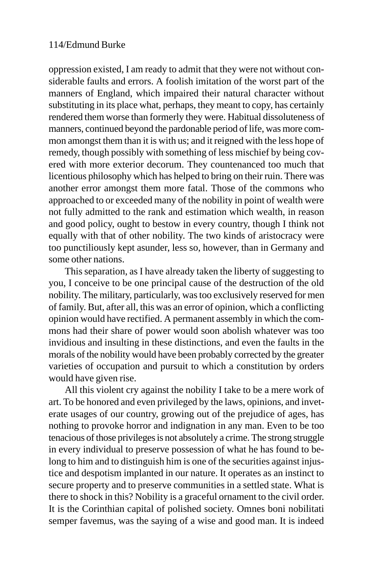oppression existed, I am ready to admit that they were not without considerable faults and errors. A foolish imitation of the worst part of the manners of England, which impaired their natural character without substituting in its place what, perhaps, they meant to copy, has certainly rendered them worse than formerly they were. Habitual dissoluteness of manners, continued beyond the pardonable period of life, was more common amongst them than it is with us; and it reigned with the less hope of remedy, though possibly with something of less mischief by being covered with more exterior decorum. They countenanced too much that licentious philosophy which has helped to bring on their ruin. There was another error amongst them more fatal. Those of the commons who approached to or exceeded many of the nobility in point of wealth were not fully admitted to the rank and estimation which wealth, in reason and good policy, ought to bestow in every country, though I think not equally with that of other nobility. The two kinds of aristocracy were too punctiliously kept asunder, less so, however, than in Germany and some other nations.

This separation, as I have already taken the liberty of suggesting to you, I conceive to be one principal cause of the destruction of the old nobility. The military, particularly, was too exclusively reserved for men of family. But, after all, this was an error of opinion, which a conflicting opinion would have rectified. A permanent assembly in which the commons had their share of power would soon abolish whatever was too invidious and insulting in these distinctions, and even the faults in the morals of the nobility would have been probably corrected by the greater varieties of occupation and pursuit to which a constitution by orders would have given rise.

All this violent cry against the nobility I take to be a mere work of art. To be honored and even privileged by the laws, opinions, and inveterate usages of our country, growing out of the prejudice of ages, has nothing to provoke horror and indignation in any man. Even to be too tenacious of those privileges is not absolutely a crime. The strong struggle in every individual to preserve possession of what he has found to belong to him and to distinguish him is one of the securities against injustice and despotism implanted in our nature. It operates as an instinct to secure property and to preserve communities in a settled state. What is there to shock in this? Nobility is a graceful ornament to the civil order. It is the Corinthian capital of polished society. Omnes boni nobilitati semper favemus, was the saying of a wise and good man. It is indeed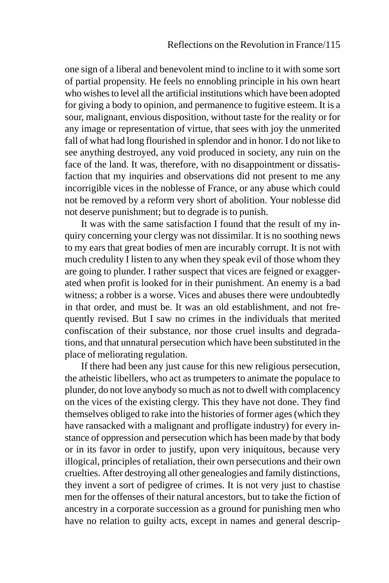one sign of a liberal and benevolent mind to incline to it with some sort of partial propensity. He feels no ennobling principle in his own heart who wishes to level all the artificial institutions which have been adopted for giving a body to opinion, and permanence to fugitive esteem. It is a sour, malignant, envious disposition, without taste for the reality or for any image or representation of virtue, that sees with joy the unmerited fall of what had long flourished in splendor and in honor. I do not like to see anything destroyed, any void produced in society, any ruin on the face of the land. It was, therefore, with no disappointment or dissatisfaction that my inquiries and observations did not present to me any incorrigible vices in the noblesse of France, or any abuse which could not be removed by a reform very short of abolition. Your noblesse did not deserve punishment; but to degrade is to punish.

It was with the same satisfaction I found that the result of my inquiry concerning your clergy was not dissimilar. It is no soothing news to my ears that great bodies of men are incurably corrupt. It is not with much credulity I listen to any when they speak evil of those whom they are going to plunder. I rather suspect that vices are feigned or exaggerated when profit is looked for in their punishment. An enemy is a bad witness; a robber is a worse. Vices and abuses there were undoubtedly in that order, and must be. It was an old establishment, and not frequently revised. But I saw no crimes in the individuals that merited confiscation of their substance, nor those cruel insults and degradations, and that unnatural persecution which have been substituted in the place of meliorating regulation.

If there had been any just cause for this new religious persecution, the atheistic libellers, who act as trumpeters to animate the populace to plunder, do not love anybody so much as not to dwell with complacency on the vices of the existing clergy. This they have not done. They find themselves obliged to rake into the histories of former ages (which they have ransacked with a malignant and profligate industry) for every instance of oppression and persecution which has been made by that body or in its favor in order to justify, upon very iniquitous, because very illogical, principles of retaliation, their own persecutions and their own cruelties. After destroying all other genealogies and family distinctions, they invent a sort of pedigree of crimes. It is not very just to chastise men for the offenses of their natural ancestors, but to take the fiction of ancestry in a corporate succession as a ground for punishing men who have no relation to guilty acts, except in names and general descrip-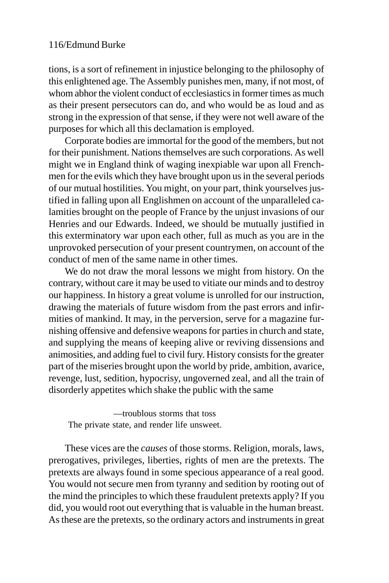tions, is a sort of refinement in injustice belonging to the philosophy of this enlightened age. The Assembly punishes men, many, if not most, of whom abhor the violent conduct of ecclesiastics in former times as much as their present persecutors can do, and who would be as loud and as strong in the expression of that sense, if they were not well aware of the purposes for which all this declamation is employed.

Corporate bodies are immortal for the good of the members, but not for their punishment. Nations themselves are such corporations. As well might we in England think of waging inexpiable war upon all Frenchmen for the evils which they have brought upon us in the several periods of our mutual hostilities. You might, on your part, think yourselves justified in falling upon all Englishmen on account of the unparalleled calamities brought on the people of France by the unjust invasions of our Henries and our Edwards. Indeed, we should be mutually justified in this exterminatory war upon each other, full as much as you are in the unprovoked persecution of your present countrymen, on account of the conduct of men of the same name in other times.

We do not draw the moral lessons we might from history. On the contrary, without care it may be used to vitiate our minds and to destroy our happiness. In history a great volume is unrolled for our instruction, drawing the materials of future wisdom from the past errors and infirmities of mankind. It may, in the perversion, serve for a magazine furnishing offensive and defensive weapons for parties in church and state, and supplying the means of keeping alive or reviving dissensions and animosities, and adding fuel to civil fury. History consists for the greater part of the miseries brought upon the world by pride, ambition, avarice, revenge, lust, sedition, hypocrisy, ungoverned zeal, and all the train of disorderly appetites which shake the public with the same

—troublous storms that toss The private state, and render life unsweet.

These vices are the *causes* of those storms. Religion, morals, laws, prerogatives, privileges, liberties, rights of men are the pretexts. The pretexts are always found in some specious appearance of a real good. You would not secure men from tyranny and sedition by rooting out of the mind the principles to which these fraudulent pretexts apply? If you did, you would root out everything that is valuable in the human breast. As these are the pretexts, so the ordinary actors and instruments in great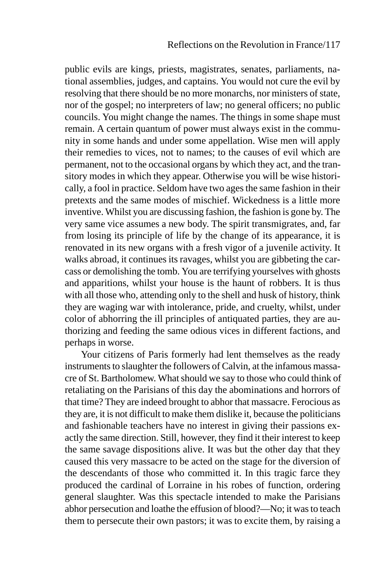public evils are kings, priests, magistrates, senates, parliaments, national assemblies, judges, and captains. You would not cure the evil by resolving that there should be no more monarchs, nor ministers of state, nor of the gospel; no interpreters of law; no general officers; no public councils. You might change the names. The things in some shape must remain. A certain quantum of power must always exist in the community in some hands and under some appellation. Wise men will apply their remedies to vices, not to names; to the causes of evil which are permanent, not to the occasional organs by which they act, and the transitory modes in which they appear. Otherwise you will be wise historically, a fool in practice. Seldom have two ages the same fashion in their pretexts and the same modes of mischief. Wickedness is a little more inventive. Whilst you are discussing fashion, the fashion is gone by. The very same vice assumes a new body. The spirit transmigrates, and, far from losing its principle of life by the change of its appearance, it is renovated in its new organs with a fresh vigor of a juvenile activity. It walks abroad, it continues its ravages, whilst you are gibbeting the carcass or demolishing the tomb. You are terrifying yourselves with ghosts and apparitions, whilst your house is the haunt of robbers. It is thus with all those who, attending only to the shell and husk of history, think they are waging war with intolerance, pride, and cruelty, whilst, under color of abhorring the ill principles of antiquated parties, they are authorizing and feeding the same odious vices in different factions, and perhaps in worse.

Your citizens of Paris formerly had lent themselves as the ready instruments to slaughter the followers of Calvin, at the infamous massacre of St. Bartholomew. What should we say to those who could think of retaliating on the Parisians of this day the abominations and horrors of that time? They are indeed brought to abhor that massacre. Ferocious as they are, it is not difficult to make them dislike it, because the politicians and fashionable teachers have no interest in giving their passions exactly the same direction. Still, however, they find it their interest to keep the same savage dispositions alive. It was but the other day that they caused this very massacre to be acted on the stage for the diversion of the descendants of those who committed it. In this tragic farce they produced the cardinal of Lorraine in his robes of function, ordering general slaughter. Was this spectacle intended to make the Parisians abhor persecution and loathe the effusion of blood?—No; it was to teach them to persecute their own pastors; it was to excite them, by raising a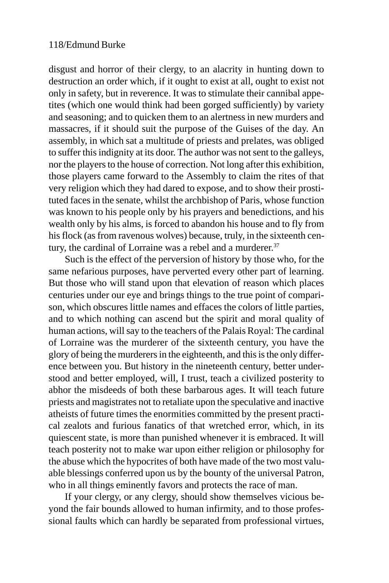disgust and horror of their clergy, to an alacrity in hunting down to destruction an order which, if it ought to exist at all, ought to exist not only in safety, but in reverence. It was to stimulate their cannibal appetites (which one would think had been gorged sufficiently) by variety and seasoning; and to quicken them to an alertness in new murders and massacres, if it should suit the purpose of the Guises of the day. An assembly, in which sat a multitude of priests and prelates, was obliged to suffer this indignity at its door. The author was not sent to the galleys, nor the players to the house of correction. Not long after this exhibition, those players came forward to the Assembly to claim the rites of that very religion which they had dared to expose, and to show their prostituted faces in the senate, whilst the archbishop of Paris, whose function was known to his people only by his prayers and benedictions, and his wealth only by his alms, is forced to abandon his house and to fly from his flock (as from ravenous wolves) because, truly, in the sixteenth century, the cardinal of Lorraine was a rebel and a murderer.<sup>37</sup>

Such is the effect of the perversion of history by those who, for the same nefarious purposes, have perverted every other part of learning. But those who will stand upon that elevation of reason which places centuries under our eye and brings things to the true point of comparison, which obscures little names and effaces the colors of little parties, and to which nothing can ascend but the spirit and moral quality of human actions, will say to the teachers of the Palais Royal: The cardinal of Lorraine was the murderer of the sixteenth century, you have the glory of being the murderers in the eighteenth, and this is the only difference between you. But history in the nineteenth century, better understood and better employed, will, I trust, teach a civilized posterity to abhor the misdeeds of both these barbarous ages. It will teach future priests and magistrates not to retaliate upon the speculative and inactive atheists of future times the enormities committed by the present practical zealots and furious fanatics of that wretched error, which, in its quiescent state, is more than punished whenever it is embraced. It will teach posterity not to make war upon either religion or philosophy for the abuse which the hypocrites of both have made of the two most valuable blessings conferred upon us by the bounty of the universal Patron, who in all things eminently favors and protects the race of man.

If your clergy, or any clergy, should show themselves vicious beyond the fair bounds allowed to human infirmity, and to those professional faults which can hardly be separated from professional virtues,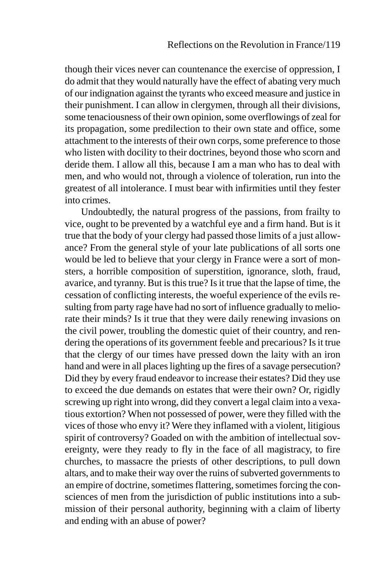though their vices never can countenance the exercise of oppression, I do admit that they would naturally have the effect of abating very much of our indignation against the tyrants who exceed measure and justice in their punishment. I can allow in clergymen, through all their divisions, some tenaciousness of their own opinion, some overflowings of zeal for its propagation, some predilection to their own state and office, some attachment to the interests of their own corps, some preference to those who listen with docility to their doctrines, beyond those who scorn and deride them. I allow all this, because I am a man who has to deal with men, and who would not, through a violence of toleration, run into the greatest of all intolerance. I must bear with infirmities until they fester into crimes.

Undoubtedly, the natural progress of the passions, from frailty to vice, ought to be prevented by a watchful eye and a firm hand. But is it true that the body of your clergy had passed those limits of a just allowance? From the general style of your late publications of all sorts one would be led to believe that your clergy in France were a sort of monsters, a horrible composition of superstition, ignorance, sloth, fraud, avarice, and tyranny. But is this true? Is it true that the lapse of time, the cessation of conflicting interests, the woeful experience of the evils resulting from party rage have had no sort of influence gradually to meliorate their minds? Is it true that they were daily renewing invasions on the civil power, troubling the domestic quiet of their country, and rendering the operations of its government feeble and precarious? Is it true that the clergy of our times have pressed down the laity with an iron hand and were in all places lighting up the fires of a savage persecution? Did they by every fraud endeavor to increase their estates? Did they use to exceed the due demands on estates that were their own? Or, rigidly screwing up right into wrong, did they convert a legal claim into a vexatious extortion? When not possessed of power, were they filled with the vices of those who envy it? Were they inflamed with a violent, litigious spirit of controversy? Goaded on with the ambition of intellectual sovereignty, were they ready to fly in the face of all magistracy, to fire churches, to massacre the priests of other descriptions, to pull down altars, and to make their way over the ruins of subverted governments to an empire of doctrine, sometimes flattering, sometimes forcing the consciences of men from the jurisdiction of public institutions into a submission of their personal authority, beginning with a claim of liberty and ending with an abuse of power?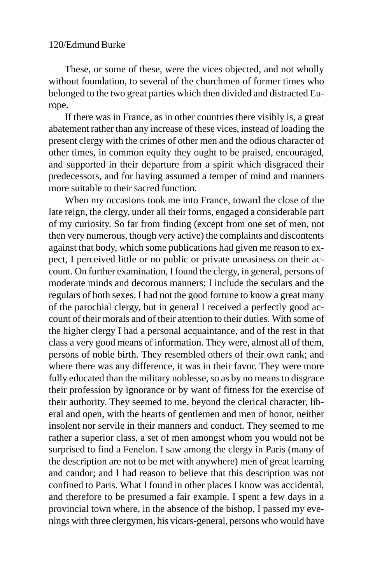These, or some of these, were the vices objected, and not wholly without foundation, to several of the churchmen of former times who belonged to the two great parties which then divided and distracted Europe.

If there was in France, as in other countries there visibly is, a great abatement rather than any increase of these vices, instead of loading the present clergy with the crimes of other men and the odious character of other times, in common equity they ought to be praised, encouraged, and supported in their departure from a spirit which disgraced their predecessors, and for having assumed a temper of mind and manners more suitable to their sacred function.

When my occasions took me into France, toward the close of the late reign, the clergy, under all their forms, engaged a considerable part of my curiosity. So far from finding (except from one set of men, not then very numerous, though very active) the complaints and discontents against that body, which some publications had given me reason to expect, I perceived little or no public or private uneasiness on their account. On further examination, I found the clergy, in general, persons of moderate minds and decorous manners; I include the seculars and the regulars of both sexes. I had not the good fortune to know a great many of the parochial clergy, but in general I received a perfectly good account of their morals and of their attention to their duties. With some of the higher clergy I had a personal acquaintance, and of the rest in that class a very good means of information. They were, almost all of them, persons of noble birth. They resembled others of their own rank; and where there was any difference, it was in their favor. They were more fully educated than the military noblesse, so as by no means to disgrace their profession by ignorance or by want of fitness for the exercise of their authority. They seemed to me, beyond the clerical character, liberal and open, with the hearts of gentlemen and men of honor, neither insolent nor servile in their manners and conduct. They seemed to me rather a superior class, a set of men amongst whom you would not be surprised to find a Fenelon. I saw among the clergy in Paris (many of the description are not to be met with anywhere) men of great learning and candor; and I had reason to believe that this description was not confined to Paris. What I found in other places I know was accidental, and therefore to be presumed a fair example. I spent a few days in a provincial town where, in the absence of the bishop, I passed my evenings with three clergymen, his vicars-general, persons who would have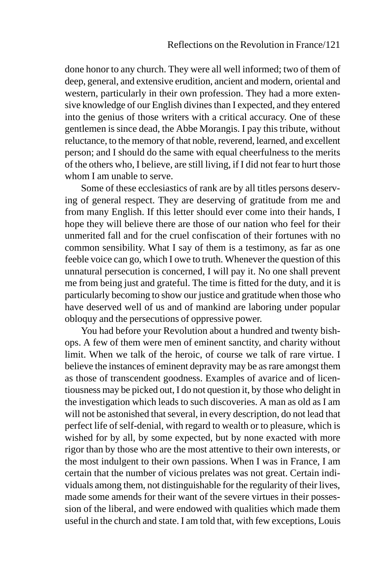done honor to any church. They were all well informed; two of them of deep, general, and extensive erudition, ancient and modern, oriental and western, particularly in their own profession. They had a more extensive knowledge of our English divines than I expected, and they entered into the genius of those writers with a critical accuracy. One of these gentlemen is since dead, the Abbe Morangis. I pay this tribute, without reluctance, to the memory of that noble, reverend, learned, and excellent person; and I should do the same with equal cheerfulness to the merits of the others who, I believe, are still living, if I did not fear to hurt those whom I am unable to serve.

Some of these ecclesiastics of rank are by all titles persons deserving of general respect. They are deserving of gratitude from me and from many English. If this letter should ever come into their hands, I hope they will believe there are those of our nation who feel for their unmerited fall and for the cruel confiscation of their fortunes with no common sensibility. What I say of them is a testimony, as far as one feeble voice can go, which I owe to truth. Whenever the question of this unnatural persecution is concerned, I will pay it. No one shall prevent me from being just and grateful. The time is fitted for the duty, and it is particularly becoming to show our justice and gratitude when those who have deserved well of us and of mankind are laboring under popular obloquy and the persecutions of oppressive power.

You had before your Revolution about a hundred and twenty bishops. A few of them were men of eminent sanctity, and charity without limit. When we talk of the heroic, of course we talk of rare virtue. I believe the instances of eminent depravity may be as rare amongst them as those of transcendent goodness. Examples of avarice and of licentiousness may be picked out, I do not question it, by those who delight in the investigation which leads to such discoveries. A man as old as I am will not be astonished that several, in every description, do not lead that perfect life of self-denial, with regard to wealth or to pleasure, which is wished for by all, by some expected, but by none exacted with more rigor than by those who are the most attentive to their own interests, or the most indulgent to their own passions. When I was in France, I am certain that the number of vicious prelates was not great. Certain individuals among them, not distinguishable for the regularity of their lives, made some amends for their want of the severe virtues in their possession of the liberal, and were endowed with qualities which made them useful in the church and state. I am told that, with few exceptions, Louis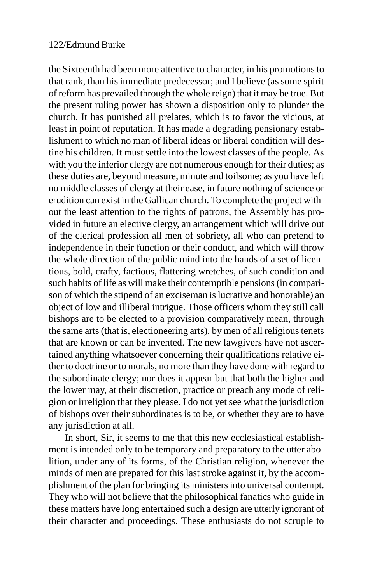the Sixteenth had been more attentive to character, in his promotions to that rank, than his immediate predecessor; and I believe (as some spirit of reform has prevailed through the whole reign) that it may be true. But the present ruling power has shown a disposition only to plunder the church. It has punished all prelates, which is to favor the vicious, at least in point of reputation. It has made a degrading pensionary establishment to which no man of liberal ideas or liberal condition will destine his children. It must settle into the lowest classes of the people. As with you the inferior clergy are not numerous enough for their duties; as these duties are, beyond measure, minute and toilsome; as you have left no middle classes of clergy at their ease, in future nothing of science or erudition can exist in the Gallican church. To complete the project without the least attention to the rights of patrons, the Assembly has provided in future an elective clergy, an arrangement which will drive out of the clerical profession all men of sobriety, all who can pretend to independence in their function or their conduct, and which will throw the whole direction of the public mind into the hands of a set of licentious, bold, crafty, factious, flattering wretches, of such condition and such habits of life as will make their contemptible pensions (in comparison of which the stipend of an exciseman is lucrative and honorable) an object of low and illiberal intrigue. Those officers whom they still call bishops are to be elected to a provision comparatively mean, through the same arts (that is, electioneering arts), by men of all religious tenets that are known or can be invented. The new lawgivers have not ascertained anything whatsoever concerning their qualifications relative either to doctrine or to morals, no more than they have done with regard to the subordinate clergy; nor does it appear but that both the higher and the lower may, at their discretion, practice or preach any mode of religion or irreligion that they please. I do not yet see what the jurisdiction of bishops over their subordinates is to be, or whether they are to have any jurisdiction at all.

In short, Sir, it seems to me that this new ecclesiastical establishment is intended only to be temporary and preparatory to the utter abolition, under any of its forms, of the Christian religion, whenever the minds of men are prepared for this last stroke against it, by the accomplishment of the plan for bringing its ministers into universal contempt. They who will not believe that the philosophical fanatics who guide in these matters have long entertained such a design are utterly ignorant of their character and proceedings. These enthusiasts do not scruple to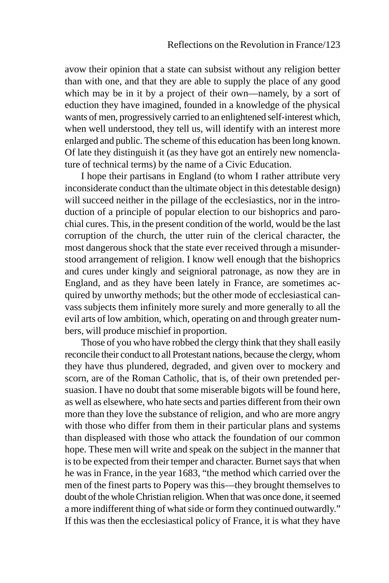avow their opinion that a state can subsist without any religion better than with one, and that they are able to supply the place of any good which may be in it by a project of their own—namely, by a sort of eduction they have imagined, founded in a knowledge of the physical wants of men, progressively carried to an enlightened self-interest which, when well understood, they tell us, will identify with an interest more enlarged and public. The scheme of this education has been long known. Of late they distinguish it (as they have got an entirely new nomenclature of technical terms) by the name of a Civic Education.

I hope their partisans in England (to whom I rather attribute very inconsiderate conduct than the ultimate object in this detestable design) will succeed neither in the pillage of the ecclesiastics, nor in the introduction of a principle of popular election to our bishoprics and parochial cures. This, in the present condition of the world, would be the last corruption of the church, the utter ruin of the clerical character, the most dangerous shock that the state ever received through a misunderstood arrangement of religion. I know well enough that the bishoprics and cures under kingly and seignioral patronage, as now they are in England, and as they have been lately in France, are sometimes acquired by unworthy methods; but the other mode of ecclesiastical canvass subjects them infinitely more surely and more generally to all the evil arts of low ambition, which, operating on and through greater numbers, will produce mischief in proportion.

Those of you who have robbed the clergy think that they shall easily reconcile their conduct to all Protestant nations, because the clergy, whom they have thus plundered, degraded, and given over to mockery and scorn, are of the Roman Catholic, that is, of their own pretended persuasion. I have no doubt that some miserable bigots will be found here, as well as elsewhere, who hate sects and parties different from their own more than they love the substance of religion, and who are more angry with those who differ from them in their particular plans and systems than displeased with those who attack the foundation of our common hope. These men will write and speak on the subject in the manner that is to be expected from their temper and character. Burnet says that when he was in France, in the year 1683, "the method which carried over the men of the finest parts to Popery was this—they brought themselves to doubt of the whole Christian religion. When that was once done, it seemed a more indifferent thing of what side or form they continued outwardly." If this was then the ecclesiastical policy of France, it is what they have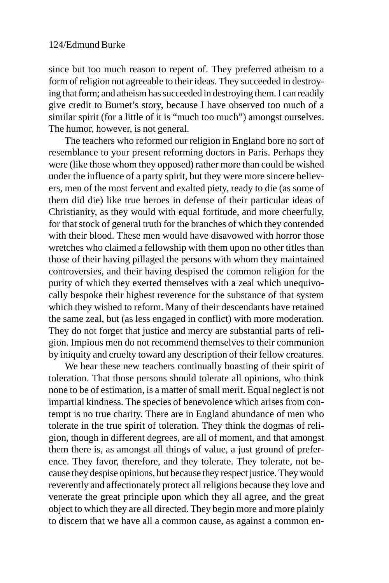since but too much reason to repent of. They preferred atheism to a form of religion not agreeable to their ideas. They succeeded in destroying that form; and atheism has succeeded in destroying them. I can readily give credit to Burnet's story, because I have observed too much of a similar spirit (for a little of it is "much too much") amongst ourselves. The humor, however, is not general.

The teachers who reformed our religion in England bore no sort of resemblance to your present reforming doctors in Paris. Perhaps they were (like those whom they opposed) rather more than could be wished under the influence of a party spirit, but they were more sincere believers, men of the most fervent and exalted piety, ready to die (as some of them did die) like true heroes in defense of their particular ideas of Christianity, as they would with equal fortitude, and more cheerfully, for that stock of general truth for the branches of which they contended with their blood. These men would have disavowed with horror those wretches who claimed a fellowship with them upon no other titles than those of their having pillaged the persons with whom they maintained controversies, and their having despised the common religion for the purity of which they exerted themselves with a zeal which unequivocally bespoke their highest reverence for the substance of that system which they wished to reform. Many of their descendants have retained the same zeal, but (as less engaged in conflict) with more moderation. They do not forget that justice and mercy are substantial parts of religion. Impious men do not recommend themselves to their communion by iniquity and cruelty toward any description of their fellow creatures.

We hear these new teachers continually boasting of their spirit of toleration. That those persons should tolerate all opinions, who think none to be of estimation, is a matter of small merit. Equal neglect is not impartial kindness. The species of benevolence which arises from contempt is no true charity. There are in England abundance of men who tolerate in the true spirit of toleration. They think the dogmas of religion, though in different degrees, are all of moment, and that amongst them there is, as amongst all things of value, a just ground of preference. They favor, therefore, and they tolerate. They tolerate, not because they despise opinions, but because they respect justice. They would reverently and affectionately protect all religions because they love and venerate the great principle upon which they all agree, and the great object to which they are all directed. They begin more and more plainly to discern that we have all a common cause, as against a common en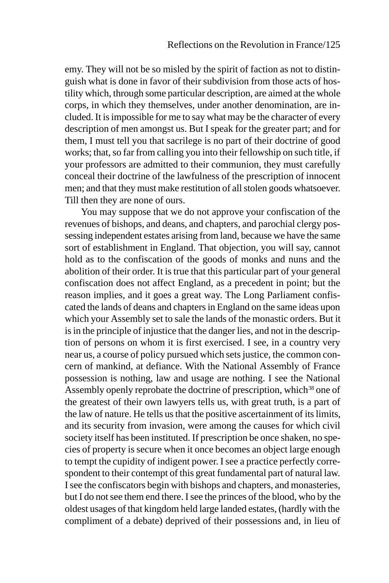emy. They will not be so misled by the spirit of faction as not to distinguish what is done in favor of their subdivision from those acts of hostility which, through some particular description, are aimed at the whole corps, in which they themselves, under another denomination, are included. It is impossible for me to say what may be the character of every description of men amongst us. But I speak for the greater part; and for them, I must tell you that sacrilege is no part of their doctrine of good works; that, so far from calling you into their fellowship on such title, if your professors are admitted to their communion, they must carefully conceal their doctrine of the lawfulness of the prescription of innocent men; and that they must make restitution of all stolen goods whatsoever. Till then they are none of ours.

You may suppose that we do not approve your confiscation of the revenues of bishops, and deans, and chapters, and parochial clergy possessing independent estates arising from land, because we have the same sort of establishment in England. That objection, you will say, cannot hold as to the confiscation of the goods of monks and nuns and the abolition of their order. It is true that this particular part of your general confiscation does not affect England, as a precedent in point; but the reason implies, and it goes a great way. The Long Parliament confiscated the lands of deans and chapters in England on the same ideas upon which your Assembly set to sale the lands of the monastic orders. But it is in the principle of injustice that the danger lies, and not in the description of persons on whom it is first exercised. I see, in a country very near us, a course of policy pursued which sets justice, the common concern of mankind, at defiance. With the National Assembly of France possession is nothing, law and usage are nothing. I see the National Assembly openly reprobate the doctrine of prescription, which  $38$  one of the greatest of their own lawyers tells us, with great truth, is a part of the law of nature. He tells us that the positive ascertainment of its limits, and its security from invasion, were among the causes for which civil society itself has been instituted. If prescription be once shaken, no species of property is secure when it once becomes an object large enough to tempt the cupidity of indigent power. I see a practice perfectly correspondent to their contempt of this great fundamental part of natural law. I see the confiscators begin with bishops and chapters, and monasteries, but I do not see them end there. I see the princes of the blood, who by the oldest usages of that kingdom held large landed estates, (hardly with the compliment of a debate) deprived of their possessions and, in lieu of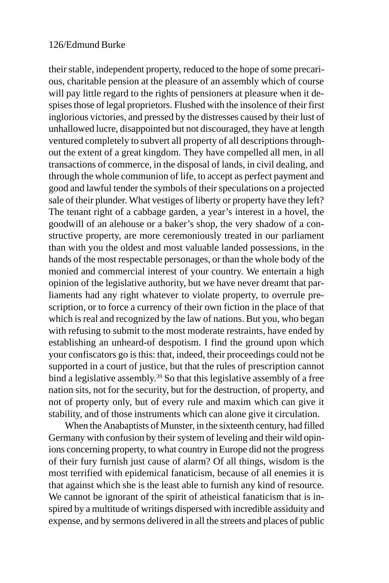their stable, independent property, reduced to the hope of some precarious, charitable pension at the pleasure of an assembly which of course will pay little regard to the rights of pensioners at pleasure when it despises those of legal proprietors. Flushed with the insolence of their first inglorious victories, and pressed by the distresses caused by their lust of unhallowed lucre, disappointed but not discouraged, they have at length ventured completely to subvert all property of all descriptions throughout the extent of a great kingdom. They have compelled all men, in all transactions of commerce, in the disposal of lands, in civil dealing, and through the whole communion of life, to accept as perfect payment and good and lawful tender the symbols of their speculations on a projected sale of their plunder. What vestiges of liberty or property have they left? The tenant right of a cabbage garden, a year's interest in a hovel, the goodwill of an alehouse or a baker's shop, the very shadow of a constructive property, are more ceremoniously treated in our parliament than with you the oldest and most valuable landed possessions, in the hands of the most respectable personages, or than the whole body of the monied and commercial interest of your country. We entertain a high opinion of the legislative authority, but we have never dreamt that parliaments had any right whatever to violate property, to overrule prescription, or to force a currency of their own fiction in the place of that which is real and recognized by the law of nations. But you, who began with refusing to submit to the most moderate restraints, have ended by establishing an unheard-of despotism. I find the ground upon which your confiscators go is this: that, indeed, their proceedings could not be supported in a court of justice, but that the rules of prescription cannot bind a legislative assembly.<sup>39</sup> So that this legislative assembly of a free nation sits, not for the security, but for the destruction, of property, and not of property only, but of every rule and maxim which can give it stability, and of those instruments which can alone give it circulation.

When the Anabaptists of Munster, in the sixteenth century, had filled Germany with confusion by their system of leveling and their wild opinions concerning property, to what country in Europe did not the progress of their fury furnish just cause of alarm? Of all things, wisdom is the most terrified with epidemical fanaticism, because of all enemies it is that against which she is the least able to furnish any kind of resource. We cannot be ignorant of the spirit of atheistical fanaticism that is inspired by a multitude of writings dispersed with incredible assiduity and expense, and by sermons delivered in all the streets and places of public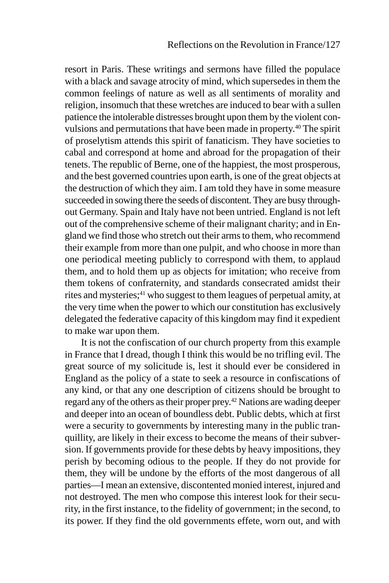resort in Paris. These writings and sermons have filled the populace with a black and savage atrocity of mind, which supersedes in them the common feelings of nature as well as all sentiments of morality and religion, insomuch that these wretches are induced to bear with a sullen patience the intolerable distresses brought upon them by the violent convulsions and permutations that have been made in property.<sup>40</sup> The spirit of proselytism attends this spirit of fanaticism. They have societies to cabal and correspond at home and abroad for the propagation of their tenets. The republic of Berne, one of the happiest, the most prosperous, and the best governed countries upon earth, is one of the great objects at the destruction of which they aim. I am told they have in some measure succeeded in sowing there the seeds of discontent. They are busy throughout Germany. Spain and Italy have not been untried. England is not left out of the comprehensive scheme of their malignant charity; and in England we find those who stretch out their arms to them, who recommend their example from more than one pulpit, and who choose in more than one periodical meeting publicly to correspond with them, to applaud them, and to hold them up as objects for imitation; who receive from them tokens of confraternity, and standards consecrated amidst their rites and mysteries;<sup>41</sup> who suggest to them leagues of perpetual amity, at the very time when the power to which our constitution has exclusively delegated the federative capacity of this kingdom may find it expedient to make war upon them.

It is not the confiscation of our church property from this example in France that I dread, though I think this would be no trifling evil. The great source of my solicitude is, lest it should ever be considered in England as the policy of a state to seek a resource in confiscations of any kind, or that any one description of citizens should be brought to regard any of the others as their proper prey.<sup>42</sup> Nations are wading deeper and deeper into an ocean of boundless debt. Public debts, which at first were a security to governments by interesting many in the public tranquillity, are likely in their excess to become the means of their subversion. If governments provide for these debts by heavy impositions, they perish by becoming odious to the people. If they do not provide for them, they will be undone by the efforts of the most dangerous of all parties—I mean an extensive, discontented monied interest, injured and not destroyed. The men who compose this interest look for their security, in the first instance, to the fidelity of government; in the second, to its power. If they find the old governments effete, worn out, and with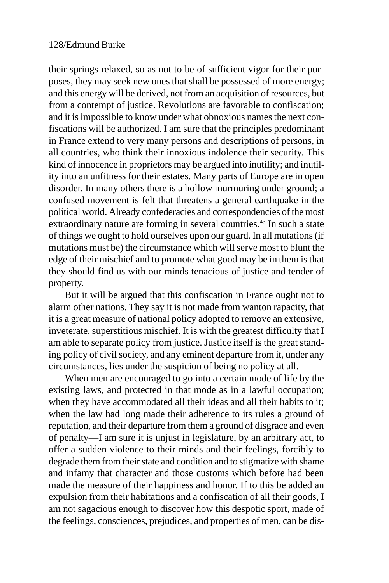their springs relaxed, so as not to be of sufficient vigor for their purposes, they may seek new ones that shall be possessed of more energy; and this energy will be derived, not from an acquisition of resources, but from a contempt of justice. Revolutions are favorable to confiscation; and it is impossible to know under what obnoxious names the next confiscations will be authorized. I am sure that the principles predominant in France extend to very many persons and descriptions of persons, in all countries, who think their innoxious indolence their security. This kind of innocence in proprietors may be argued into inutility; and inutility into an unfitness for their estates. Many parts of Europe are in open disorder. In many others there is a hollow murmuring under ground; a confused movement is felt that threatens a general earthquake in the political world. Already confederacies and correspondencies of the most extraordinary nature are forming in several countries.<sup>43</sup> In such a state of things we ought to hold ourselves upon our guard. In all mutations (if mutations must be) the circumstance which will serve most to blunt the edge of their mischief and to promote what good may be in them is that they should find us with our minds tenacious of justice and tender of property.

But it will be argued that this confiscation in France ought not to alarm other nations. They say it is not made from wanton rapacity, that it is a great measure of national policy adopted to remove an extensive, inveterate, superstitious mischief. It is with the greatest difficulty that I am able to separate policy from justice. Justice itself is the great standing policy of civil society, and any eminent departure from it, under any circumstances, lies under the suspicion of being no policy at all.

When men are encouraged to go into a certain mode of life by the existing laws, and protected in that mode as in a lawful occupation; when they have accommodated all their ideas and all their habits to it; when the law had long made their adherence to its rules a ground of reputation, and their departure from them a ground of disgrace and even of penalty—I am sure it is unjust in legislature, by an arbitrary act, to offer a sudden violence to their minds and their feelings, forcibly to degrade them from their state and condition and to stigmatize with shame and infamy that character and those customs which before had been made the measure of their happiness and honor. If to this be added an expulsion from their habitations and a confiscation of all their goods, I am not sagacious enough to discover how this despotic sport, made of the feelings, consciences, prejudices, and properties of men, can be dis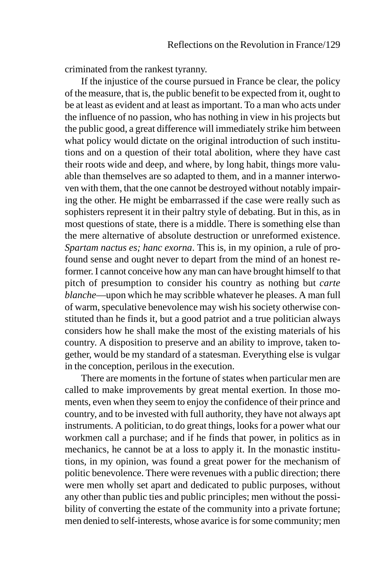criminated from the rankest tyranny.

If the injustice of the course pursued in France be clear, the policy of the measure, that is, the public benefit to be expected from it, ought to be at least as evident and at least as important. To a man who acts under the influence of no passion, who has nothing in view in his projects but the public good, a great difference will immediately strike him between what policy would dictate on the original introduction of such institutions and on a question of their total abolition, where they have cast their roots wide and deep, and where, by long habit, things more valuable than themselves are so adapted to them, and in a manner interwoven with them, that the one cannot be destroyed without notably impairing the other. He might be embarrassed if the case were really such as sophisters represent it in their paltry style of debating. But in this, as in most questions of state, there is a middle. There is something else than the mere alternative of absolute destruction or unreformed existence. *Spartam nactus es; hanc exorna*. This is, in my opinion, a rule of profound sense and ought never to depart from the mind of an honest reformer. I cannot conceive how any man can have brought himself to that pitch of presumption to consider his country as nothing but *carte blanche*—upon which he may scribble whatever he pleases. A man full of warm, speculative benevolence may wish his society otherwise constituted than he finds it, but a good patriot and a true politician always considers how he shall make the most of the existing materials of his country. A disposition to preserve and an ability to improve, taken together, would be my standard of a statesman. Everything else is vulgar in the conception, perilous in the execution.

There are moments in the fortune of states when particular men are called to make improvements by great mental exertion. In those moments, even when they seem to enjoy the confidence of their prince and country, and to be invested with full authority, they have not always apt instruments. A politician, to do great things, looks for a power what our workmen call a purchase; and if he finds that power, in politics as in mechanics, he cannot be at a loss to apply it. In the monastic institutions, in my opinion, was found a great power for the mechanism of politic benevolence. There were revenues with a public direction; there were men wholly set apart and dedicated to public purposes, without any other than public ties and public principles; men without the possibility of converting the estate of the community into a private fortune; men denied to self-interests, whose avarice is for some community; men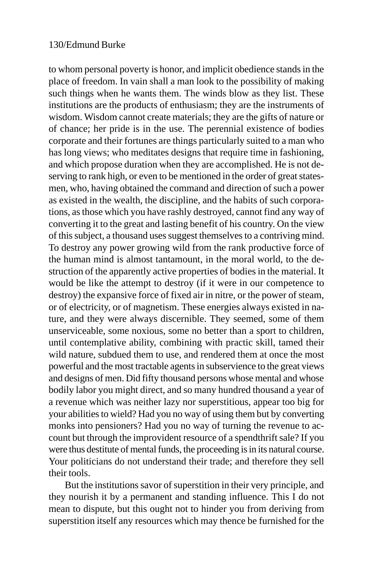to whom personal poverty is honor, and implicit obedience stands in the place of freedom. In vain shall a man look to the possibility of making such things when he wants them. The winds blow as they list. These institutions are the products of enthusiasm; they are the instruments of wisdom. Wisdom cannot create materials; they are the gifts of nature or of chance; her pride is in the use. The perennial existence of bodies corporate and their fortunes are things particularly suited to a man who has long views; who meditates designs that require time in fashioning, and which propose duration when they are accomplished. He is not deserving to rank high, or even to be mentioned in the order of great statesmen, who, having obtained the command and direction of such a power as existed in the wealth, the discipline, and the habits of such corporations, as those which you have rashly destroyed, cannot find any way of converting it to the great and lasting benefit of his country. On the view of this subject, a thousand uses suggest themselves to a contriving mind. To destroy any power growing wild from the rank productive force of the human mind is almost tantamount, in the moral world, to the destruction of the apparently active properties of bodies in the material. It would be like the attempt to destroy (if it were in our competence to destroy) the expansive force of fixed air in nitre, or the power of steam, or of electricity, or of magnetism. These energies always existed in nature, and they were always discernible. They seemed, some of them unserviceable, some noxious, some no better than a sport to children, until contemplative ability, combining with practic skill, tamed their wild nature, subdued them to use, and rendered them at once the most powerful and the most tractable agents in subservience to the great views and designs of men. Did fifty thousand persons whose mental and whose bodily labor you might direct, and so many hundred thousand a year of a revenue which was neither lazy nor superstitious, appear too big for your abilities to wield? Had you no way of using them but by converting monks into pensioners? Had you no way of turning the revenue to account but through the improvident resource of a spendthrift sale? If you were thus destitute of mental funds, the proceeding is in its natural course. Your politicians do not understand their trade; and therefore they sell their tools.

But the institutions savor of superstition in their very principle, and they nourish it by a permanent and standing influence. This I do not mean to dispute, but this ought not to hinder you from deriving from superstition itself any resources which may thence be furnished for the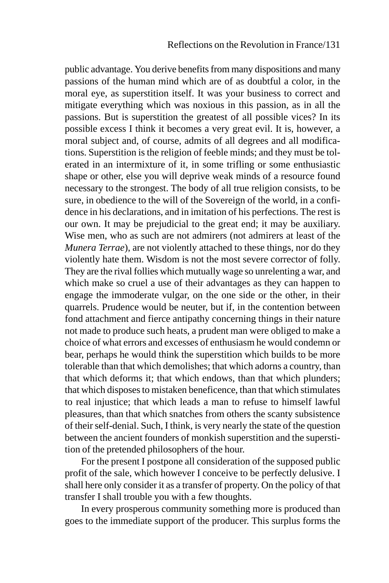public advantage. You derive benefits from many dispositions and many passions of the human mind which are of as doubtful a color, in the moral eye, as superstition itself. It was your business to correct and mitigate everything which was noxious in this passion, as in all the passions. But is superstition the greatest of all possible vices? In its possible excess I think it becomes a very great evil. It is, however, a moral subject and, of course, admits of all degrees and all modifications. Superstition is the religion of feeble minds; and they must be tolerated in an intermixture of it, in some trifling or some enthusiastic shape or other, else you will deprive weak minds of a resource found necessary to the strongest. The body of all true religion consists, to be sure, in obedience to the will of the Sovereign of the world, in a confidence in his declarations, and in imitation of his perfections. The rest is our own. It may be prejudicial to the great end; it may be auxiliary. Wise men, who as such are not admirers (not admirers at least of the *Munera Terrae*), are not violently attached to these things, nor do they violently hate them. Wisdom is not the most severe corrector of folly. They are the rival follies which mutually wage so unrelenting a war, and which make so cruel a use of their advantages as they can happen to engage the immoderate vulgar, on the one side or the other, in their quarrels. Prudence would be neuter, but if, in the contention between fond attachment and fierce antipathy concerning things in their nature not made to produce such heats, a prudent man were obliged to make a choice of what errors and excesses of enthusiasm he would condemn or bear, perhaps he would think the superstition which builds to be more tolerable than that which demolishes; that which adorns a country, than that which deforms it; that which endows, than that which plunders; that which disposes to mistaken beneficence, than that which stimulates to real injustice; that which leads a man to refuse to himself lawful pleasures, than that which snatches from others the scanty subsistence of their self-denial. Such, I think, is very nearly the state of the question between the ancient founders of monkish superstition and the superstition of the pretended philosophers of the hour.

For the present I postpone all consideration of the supposed public profit of the sale, which however I conceive to be perfectly delusive. I shall here only consider it as a transfer of property. On the policy of that transfer I shall trouble you with a few thoughts.

In every prosperous community something more is produced than goes to the immediate support of the producer. This surplus forms the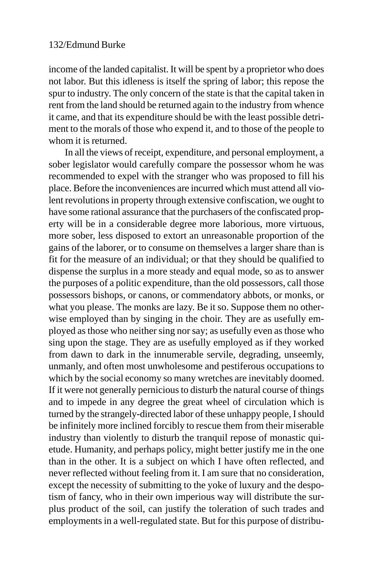income of the landed capitalist. It will be spent by a proprietor who does not labor. But this idleness is itself the spring of labor; this repose the spur to industry. The only concern of the state is that the capital taken in rent from the land should be returned again to the industry from whence it came, and that its expenditure should be with the least possible detriment to the morals of those who expend it, and to those of the people to whom it is returned.

In all the views of receipt, expenditure, and personal employment, a sober legislator would carefully compare the possessor whom he was recommended to expel with the stranger who was proposed to fill his place. Before the inconveniences are incurred which must attend all violent revolutions in property through extensive confiscation, we ought to have some rational assurance that the purchasers of the confiscated property will be in a considerable degree more laborious, more virtuous, more sober, less disposed to extort an unreasonable proportion of the gains of the laborer, or to consume on themselves a larger share than is fit for the measure of an individual; or that they should be qualified to dispense the surplus in a more steady and equal mode, so as to answer the purposes of a politic expenditure, than the old possessors, call those possessors bishops, or canons, or commendatory abbots, or monks, or what you please. The monks are lazy. Be it so. Suppose them no otherwise employed than by singing in the choir. They are as usefully employed as those who neither sing nor say; as usefully even as those who sing upon the stage. They are as usefully employed as if they worked from dawn to dark in the innumerable servile, degrading, unseemly, unmanly, and often most unwholesome and pestiferous occupations to which by the social economy so many wretches are inevitably doomed. If it were not generally pernicious to disturb the natural course of things and to impede in any degree the great wheel of circulation which is turned by the strangely-directed labor of these unhappy people, I should be infinitely more inclined forcibly to rescue them from their miserable industry than violently to disturb the tranquil repose of monastic quietude. Humanity, and perhaps policy, might better justify me in the one than in the other. It is a subject on which I have often reflected, and never reflected without feeling from it. I am sure that no consideration, except the necessity of submitting to the yoke of luxury and the despotism of fancy, who in their own imperious way will distribute the surplus product of the soil, can justify the toleration of such trades and employments in a well-regulated state. But for this purpose of distribu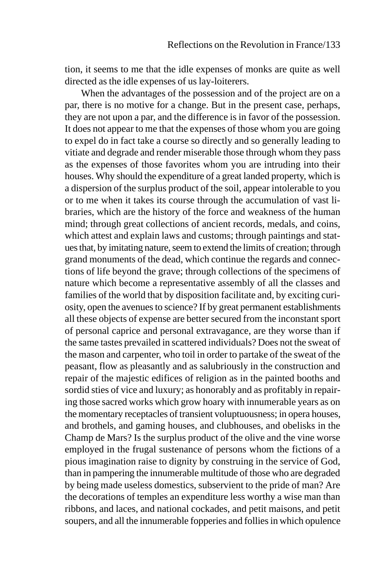tion, it seems to me that the idle expenses of monks are quite as well directed as the idle expenses of us lay-loiterers.

When the advantages of the possession and of the project are on a par, there is no motive for a change. But in the present case, perhaps, they are not upon a par, and the difference is in favor of the possession. It does not appear to me that the expenses of those whom you are going to expel do in fact take a course so directly and so generally leading to vitiate and degrade and render miserable those through whom they pass as the expenses of those favorites whom you are intruding into their houses. Why should the expenditure of a great landed property, which is a dispersion of the surplus product of the soil, appear intolerable to you or to me when it takes its course through the accumulation of vast libraries, which are the history of the force and weakness of the human mind; through great collections of ancient records, medals, and coins, which attest and explain laws and customs; through paintings and statues that, by imitating nature, seem to extend the limits of creation; through grand monuments of the dead, which continue the regards and connections of life beyond the grave; through collections of the specimens of nature which become a representative assembly of all the classes and families of the world that by disposition facilitate and, by exciting curiosity, open the avenues to science? If by great permanent establishments all these objects of expense are better secured from the inconstant sport of personal caprice and personal extravagance, are they worse than if the same tastes prevailed in scattered individuals? Does not the sweat of the mason and carpenter, who toil in order to partake of the sweat of the peasant, flow as pleasantly and as salubriously in the construction and repair of the majestic edifices of religion as in the painted booths and sordid sties of vice and luxury; as honorably and as profitably in repairing those sacred works which grow hoary with innumerable years as on the momentary receptacles of transient voluptuousness; in opera houses, and brothels, and gaming houses, and clubhouses, and obelisks in the Champ de Mars? Is the surplus product of the olive and the vine worse employed in the frugal sustenance of persons whom the fictions of a pious imagination raise to dignity by construing in the service of God, than in pampering the innumerable multitude of those who are degraded by being made useless domestics, subservient to the pride of man? Are the decorations of temples an expenditure less worthy a wise man than ribbons, and laces, and national cockades, and petit maisons, and petit soupers, and all the innumerable fopperies and follies in which opulence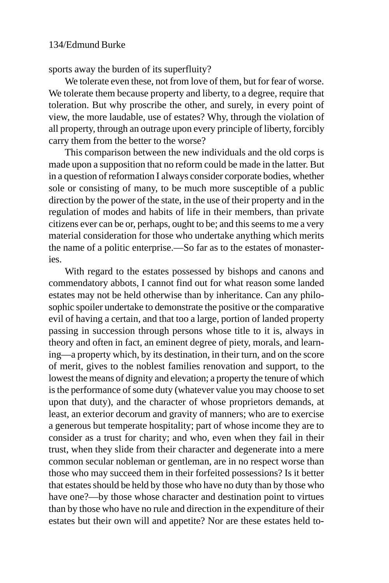sports away the burden of its superfluity?

We tolerate even these, not from love of them, but for fear of worse. We tolerate them because property and liberty, to a degree, require that toleration. But why proscribe the other, and surely, in every point of view, the more laudable, use of estates? Why, through the violation of all property, through an outrage upon every principle of liberty, forcibly carry them from the better to the worse?

This comparison between the new individuals and the old corps is made upon a supposition that no reform could be made in the latter. But in a question of reformation I always consider corporate bodies, whether sole or consisting of many, to be much more susceptible of a public direction by the power of the state, in the use of their property and in the regulation of modes and habits of life in their members, than private citizens ever can be or, perhaps, ought to be; and this seems to me a very material consideration for those who undertake anything which merits the name of a politic enterprise.—So far as to the estates of monasteries.

With regard to the estates possessed by bishops and canons and commendatory abbots, I cannot find out for what reason some landed estates may not be held otherwise than by inheritance. Can any philosophic spoiler undertake to demonstrate the positive or the comparative evil of having a certain, and that too a large, portion of landed property passing in succession through persons whose title to it is, always in theory and often in fact, an eminent degree of piety, morals, and learning—a property which, by its destination, in their turn, and on the score of merit, gives to the noblest families renovation and support, to the lowest the means of dignity and elevation; a property the tenure of which is the performance of some duty (whatever value you may choose to set upon that duty), and the character of whose proprietors demands, at least, an exterior decorum and gravity of manners; who are to exercise a generous but temperate hospitality; part of whose income they are to consider as a trust for charity; and who, even when they fail in their trust, when they slide from their character and degenerate into a mere common secular nobleman or gentleman, are in no respect worse than those who may succeed them in their forfeited possessions? Is it better that estates should be held by those who have no duty than by those who have one?—by those whose character and destination point to virtues than by those who have no rule and direction in the expenditure of their estates but their own will and appetite? Nor are these estates held to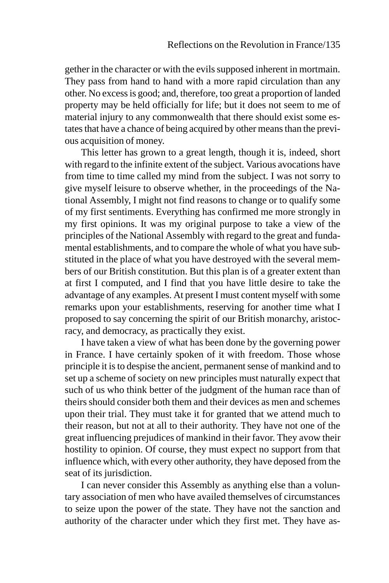gether in the character or with the evils supposed inherent in mortmain. They pass from hand to hand with a more rapid circulation than any other. No excess is good; and, therefore, too great a proportion of landed property may be held officially for life; but it does not seem to me of material injury to any commonwealth that there should exist some estates that have a chance of being acquired by other means than the previous acquisition of money.

This letter has grown to a great length, though it is, indeed, short with regard to the infinite extent of the subject. Various avocations have from time to time called my mind from the subject. I was not sorry to give myself leisure to observe whether, in the proceedings of the National Assembly, I might not find reasons to change or to qualify some of my first sentiments. Everything has confirmed me more strongly in my first opinions. It was my original purpose to take a view of the principles of the National Assembly with regard to the great and fundamental establishments, and to compare the whole of what you have substituted in the place of what you have destroyed with the several members of our British constitution. But this plan is of a greater extent than at first I computed, and I find that you have little desire to take the advantage of any examples. At present I must content myself with some remarks upon your establishments, reserving for another time what I proposed to say concerning the spirit of our British monarchy, aristocracy, and democracy, as practically they exist.

I have taken a view of what has been done by the governing power in France. I have certainly spoken of it with freedom. Those whose principle it is to despise the ancient, permanent sense of mankind and to set up a scheme of society on new principles must naturally expect that such of us who think better of the judgment of the human race than of theirs should consider both them and their devices as men and schemes upon their trial. They must take it for granted that we attend much to their reason, but not at all to their authority. They have not one of the great influencing prejudices of mankind in their favor. They avow their hostility to opinion. Of course, they must expect no support from that influence which, with every other authority, they have deposed from the seat of its jurisdiction.

I can never consider this Assembly as anything else than a voluntary association of men who have availed themselves of circumstances to seize upon the power of the state. They have not the sanction and authority of the character under which they first met. They have as-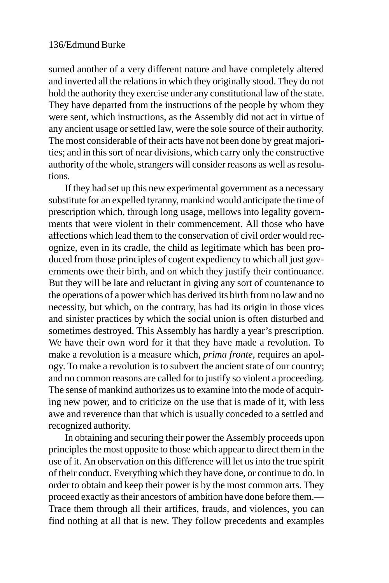sumed another of a very different nature and have completely altered and inverted all the relations in which they originally stood. They do not hold the authority they exercise under any constitutional law of the state. They have departed from the instructions of the people by whom they were sent, which instructions, as the Assembly did not act in virtue of any ancient usage or settled law, were the sole source of their authority. The most considerable of their acts have not been done by great majorities; and in this sort of near divisions, which carry only the constructive authority of the whole, strangers will consider reasons as well as resolutions.

If they had set up this new experimental government as a necessary substitute for an expelled tyranny, mankind would anticipate the time of prescription which, through long usage, mellows into legality governments that were violent in their commencement. All those who have affections which lead them to the conservation of civil order would recognize, even in its cradle, the child as legitimate which has been produced from those principles of cogent expediency to which all just governments owe their birth, and on which they justify their continuance. But they will be late and reluctant in giving any sort of countenance to the operations of a power which has derived its birth from no law and no necessity, but which, on the contrary, has had its origin in those vices and sinister practices by which the social union is often disturbed and sometimes destroyed. This Assembly has hardly a year's prescription. We have their own word for it that they have made a revolution. To make a revolution is a measure which, *prima fronte*, requires an apology. To make a revolution is to subvert the ancient state of our country; and no common reasons are called for to justify so violent a proceeding. The sense of mankind authorizes us to examine into the mode of acquiring new power, and to criticize on the use that is made of it, with less awe and reverence than that which is usually conceded to a settled and recognized authority.

In obtaining and securing their power the Assembly proceeds upon principles the most opposite to those which appear to direct them in the use of it. An observation on this difference will let us into the true spirit of their conduct. Everything which they have done, or continue to do. in order to obtain and keep their power is by the most common arts. They proceed exactly as their ancestors of ambition have done before them.— Trace them through all their artifices, frauds, and violences, you can find nothing at all that is new. They follow precedents and examples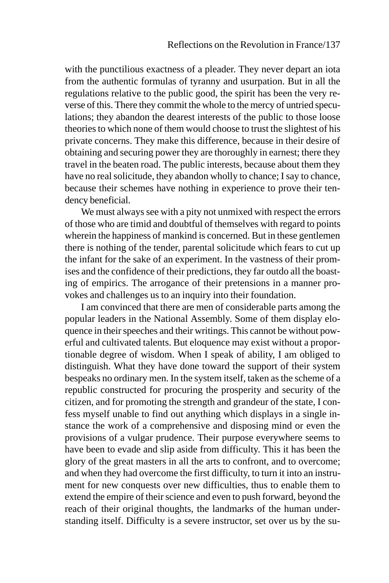with the punctilious exactness of a pleader. They never depart an iota from the authentic formulas of tyranny and usurpation. But in all the regulations relative to the public good, the spirit has been the very reverse of this. There they commit the whole to the mercy of untried speculations; they abandon the dearest interests of the public to those loose theories to which none of them would choose to trust the slightest of his private concerns. They make this difference, because in their desire of obtaining and securing power they are thoroughly in earnest; there they travel in the beaten road. The public interests, because about them they have no real solicitude, they abandon wholly to chance; I say to chance, because their schemes have nothing in experience to prove their tendency beneficial.

We must always see with a pity not unmixed with respect the errors of those who are timid and doubtful of themselves with regard to points wherein the happiness of mankind is concerned. But in these gentlemen there is nothing of the tender, parental solicitude which fears to cut up the infant for the sake of an experiment. In the vastness of their promises and the confidence of their predictions, they far outdo all the boasting of empirics. The arrogance of their pretensions in a manner provokes and challenges us to an inquiry into their foundation.

I am convinced that there are men of considerable parts among the popular leaders in the National Assembly. Some of them display eloquence in their speeches and their writings. This cannot be without powerful and cultivated talents. But eloquence may exist without a proportionable degree of wisdom. When I speak of ability, I am obliged to distinguish. What they have done toward the support of their system bespeaks no ordinary men. In the system itself, taken as the scheme of a republic constructed for procuring the prosperity and security of the citizen, and for promoting the strength and grandeur of the state, I confess myself unable to find out anything which displays in a single instance the work of a comprehensive and disposing mind or even the provisions of a vulgar prudence. Their purpose everywhere seems to have been to evade and slip aside from difficulty. This it has been the glory of the great masters in all the arts to confront, and to overcome; and when they had overcome the first difficulty, to turn it into an instrument for new conquests over new difficulties, thus to enable them to extend the empire of their science and even to push forward, beyond the reach of their original thoughts, the landmarks of the human understanding itself. Difficulty is a severe instructor, set over us by the su-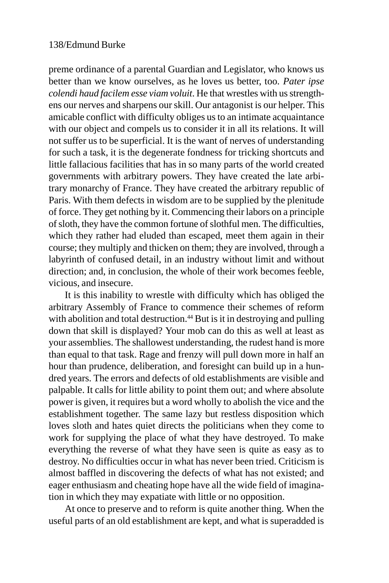preme ordinance of a parental Guardian and Legislator, who knows us better than we know ourselves, as he loves us better, too. *Pater ipse colendi haud facilem esse viam voluit*. He that wrestles with us strengthens our nerves and sharpens our skill. Our antagonist is our helper. This amicable conflict with difficulty obliges us to an intimate acquaintance with our object and compels us to consider it in all its relations. It will not suffer us to be superficial. It is the want of nerves of understanding for such a task, it is the degenerate fondness for tricking shortcuts and little fallacious facilities that has in so many parts of the world created governments with arbitrary powers. They have created the late arbitrary monarchy of France. They have created the arbitrary republic of Paris. With them defects in wisdom are to be supplied by the plenitude of force. They get nothing by it. Commencing their labors on a principle of sloth, they have the common fortune of slothful men. The difficulties, which they rather had eluded than escaped, meet them again in their course; they multiply and thicken on them; they are involved, through a labyrinth of confused detail, in an industry without limit and without direction; and, in conclusion, the whole of their work becomes feeble, vicious, and insecure.

It is this inability to wrestle with difficulty which has obliged the arbitrary Assembly of France to commence their schemes of reform with abolition and total destruction.<sup>44</sup> But is it in destroying and pulling down that skill is displayed? Your mob can do this as well at least as your assemblies. The shallowest understanding, the rudest hand is more than equal to that task. Rage and frenzy will pull down more in half an hour than prudence, deliberation, and foresight can build up in a hundred years. The errors and defects of old establishments are visible and palpable. It calls for little ability to point them out; and where absolute power is given, it requires but a word wholly to abolish the vice and the establishment together. The same lazy but restless disposition which loves sloth and hates quiet directs the politicians when they come to work for supplying the place of what they have destroyed. To make everything the reverse of what they have seen is quite as easy as to destroy. No difficulties occur in what has never been tried. Criticism is almost baffled in discovering the defects of what has not existed; and eager enthusiasm and cheating hope have all the wide field of imagination in which they may expatiate with little or no opposition.

At once to preserve and to reform is quite another thing. When the useful parts of an old establishment are kept, and what is superadded is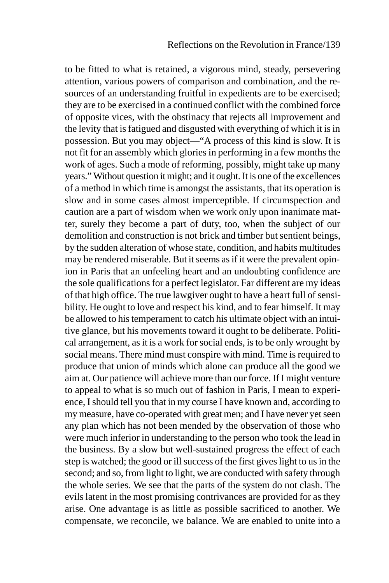to be fitted to what is retained, a vigorous mind, steady, persevering attention, various powers of comparison and combination, and the resources of an understanding fruitful in expedients are to be exercised; they are to be exercised in a continued conflict with the combined force of opposite vices, with the obstinacy that rejects all improvement and the levity that is fatigued and disgusted with everything of which it is in possession. But you may object—"A process of this kind is slow. It is not fit for an assembly which glories in performing in a few months the work of ages. Such a mode of reforming, possibly, might take up many years." Without question it might; and it ought. It is one of the excellences of a method in which time is amongst the assistants, that its operation is slow and in some cases almost imperceptible. If circumspection and caution are a part of wisdom when we work only upon inanimate matter, surely they become a part of duty, too, when the subject of our demolition and construction is not brick and timber but sentient beings, by the sudden alteration of whose state, condition, and habits multitudes may be rendered miserable. But it seems as if it were the prevalent opinion in Paris that an unfeeling heart and an undoubting confidence are the sole qualifications for a perfect legislator. Far different are my ideas of that high office. The true lawgiver ought to have a heart full of sensibility. He ought to love and respect his kind, and to fear himself. It may be allowed to his temperament to catch his ultimate object with an intuitive glance, but his movements toward it ought to be deliberate. Political arrangement, as it is a work for social ends, is to be only wrought by social means. There mind must conspire with mind. Time is required to produce that union of minds which alone can produce all the good we aim at. Our patience will achieve more than our force. If I might venture to appeal to what is so much out of fashion in Paris, I mean to experience, I should tell you that in my course I have known and, according to my measure, have co-operated with great men; and I have never yet seen any plan which has not been mended by the observation of those who were much inferior in understanding to the person who took the lead in the business. By a slow but well-sustained progress the effect of each step is watched; the good or ill success of the first gives light to us in the second; and so, from light to light, we are conducted with safety through the whole series. We see that the parts of the system do not clash. The evils latent in the most promising contrivances are provided for as they arise. One advantage is as little as possible sacrificed to another. We compensate, we reconcile, we balance. We are enabled to unite into a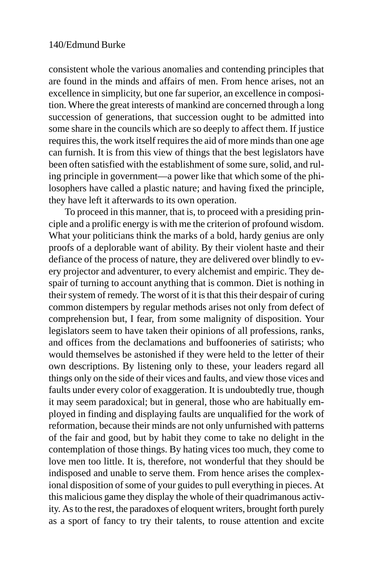consistent whole the various anomalies and contending principles that are found in the minds and affairs of men. From hence arises, not an excellence in simplicity, but one far superior, an excellence in composition. Where the great interests of mankind are concerned through a long succession of generations, that succession ought to be admitted into some share in the councils which are so deeply to affect them. If justice requires this, the work itself requires the aid of more minds than one age can furnish. It is from this view of things that the best legislators have been often satisfied with the establishment of some sure, solid, and ruling principle in government—a power like that which some of the philosophers have called a plastic nature; and having fixed the principle, they have left it afterwards to its own operation.

To proceed in this manner, that is, to proceed with a presiding principle and a prolific energy is with me the criterion of profound wisdom. What your politicians think the marks of a bold, hardy genius are only proofs of a deplorable want of ability. By their violent haste and their defiance of the process of nature, they are delivered over blindly to every projector and adventurer, to every alchemist and empiric. They despair of turning to account anything that is common. Diet is nothing in their system of remedy. The worst of it is that this their despair of curing common distempers by regular methods arises not only from defect of comprehension but, I fear, from some malignity of disposition. Your legislators seem to have taken their opinions of all professions, ranks, and offices from the declamations and buffooneries of satirists; who would themselves be astonished if they were held to the letter of their own descriptions. By listening only to these, your leaders regard all things only on the side of their vices and faults, and view those vices and faults under every color of exaggeration. It is undoubtedly true, though it may seem paradoxical; but in general, those who are habitually employed in finding and displaying faults are unqualified for the work of reformation, because their minds are not only unfurnished with patterns of the fair and good, but by habit they come to take no delight in the contemplation of those things. By hating vices too much, they come to love men too little. It is, therefore, not wonderful that they should be indisposed and unable to serve them. From hence arises the complexional disposition of some of your guides to pull everything in pieces. At this malicious game they display the whole of their quadrimanous activity. As to the rest, the paradoxes of eloquent writers, brought forth purely as a sport of fancy to try their talents, to rouse attention and excite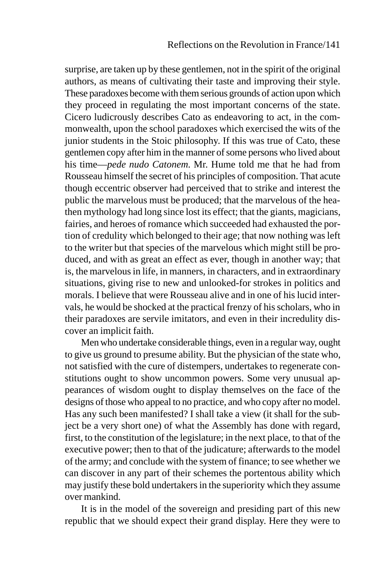surprise, are taken up by these gentlemen, not in the spirit of the original authors, as means of cultivating their taste and improving their style. These paradoxes become with them serious grounds of action upon which they proceed in regulating the most important concerns of the state. Cicero ludicrously describes Cato as endeavoring to act, in the commonwealth, upon the school paradoxes which exercised the wits of the junior students in the Stoic philosophy. If this was true of Cato, these gentlemen copy after him in the manner of some persons who lived about his time—*pede nudo Catonem*. Mr. Hume told me that he had from Rousseau himself the secret of his principles of composition. That acute though eccentric observer had perceived that to strike and interest the public the marvelous must be produced; that the marvelous of the heathen mythology had long since lost its effect; that the giants, magicians, fairies, and heroes of romance which succeeded had exhausted the portion of credulity which belonged to their age; that now nothing was left to the writer but that species of the marvelous which might still be produced, and with as great an effect as ever, though in another way; that is, the marvelous in life, in manners, in characters, and in extraordinary situations, giving rise to new and unlooked-for strokes in politics and morals. I believe that were Rousseau alive and in one of his lucid intervals, he would be shocked at the practical frenzy of his scholars, who in their paradoxes are servile imitators, and even in their incredulity discover an implicit faith.

Men who undertake considerable things, even in a regular way, ought to give us ground to presume ability. But the physician of the state who, not satisfied with the cure of distempers, undertakes to regenerate constitutions ought to show uncommon powers. Some very unusual appearances of wisdom ought to display themselves on the face of the designs of those who appeal to no practice, and who copy after no model. Has any such been manifested? I shall take a view (it shall for the subject be a very short one) of what the Assembly has done with regard, first, to the constitution of the legislature; in the next place, to that of the executive power; then to that of the judicature; afterwards to the model of the army; and conclude with the system of finance; to see whether we can discover in any part of their schemes the portentous ability which may justify these bold undertakers in the superiority which they assume over mankind.

It is in the model of the sovereign and presiding part of this new republic that we should expect their grand display. Here they were to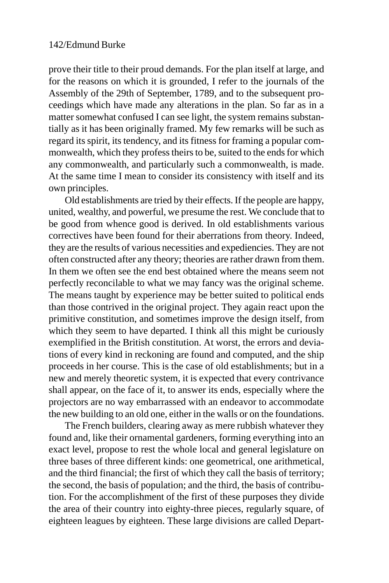prove their title to their proud demands. For the plan itself at large, and for the reasons on which it is grounded, I refer to the journals of the Assembly of the 29th of September, 1789, and to the subsequent proceedings which have made any alterations in the plan. So far as in a matter somewhat confused I can see light, the system remains substantially as it has been originally framed. My few remarks will be such as regard its spirit, its tendency, and its fitness for framing a popular commonwealth, which they profess theirs to be, suited to the ends for which any commonwealth, and particularly such a commonwealth, is made. At the same time I mean to consider its consistency with itself and its own principles.

Old establishments are tried by their effects. If the people are happy, united, wealthy, and powerful, we presume the rest. We conclude that to be good from whence good is derived. In old establishments various correctives have been found for their aberrations from theory. Indeed, they are the results of various necessities and expediencies. They are not often constructed after any theory; theories are rather drawn from them. In them we often see the end best obtained where the means seem not perfectly reconcilable to what we may fancy was the original scheme. The means taught by experience may be better suited to political ends than those contrived in the original project. They again react upon the primitive constitution, and sometimes improve the design itself, from which they seem to have departed. I think all this might be curiously exemplified in the British constitution. At worst, the errors and deviations of every kind in reckoning are found and computed, and the ship proceeds in her course. This is the case of old establishments; but in a new and merely theoretic system, it is expected that every contrivance shall appear, on the face of it, to answer its ends, especially where the projectors are no way embarrassed with an endeavor to accommodate the new building to an old one, either in the walls or on the foundations.

The French builders, clearing away as mere rubbish whatever they found and, like their ornamental gardeners, forming everything into an exact level, propose to rest the whole local and general legislature on three bases of three different kinds: one geometrical, one arithmetical, and the third financial; the first of which they call the basis of territory; the second, the basis of population; and the third, the basis of contribution. For the accomplishment of the first of these purposes they divide the area of their country into eighty-three pieces, regularly square, of eighteen leagues by eighteen. These large divisions are called Depart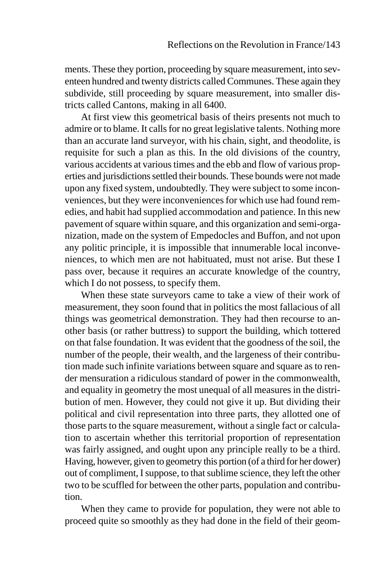ments. These they portion, proceeding by square measurement, into seventeen hundred and twenty districts called Communes. These again they subdivide, still proceeding by square measurement, into smaller districts called Cantons, making in all 6400.

At first view this geometrical basis of theirs presents not much to admire or to blame. It calls for no great legislative talents. Nothing more than an accurate land surveyor, with his chain, sight, and theodolite, is requisite for such a plan as this. In the old divisions of the country, various accidents at various times and the ebb and flow of various properties and jurisdictions settled their bounds. These bounds were not made upon any fixed system, undoubtedly. They were subject to some inconveniences, but they were inconveniences for which use had found remedies, and habit had supplied accommodation and patience. In this new pavement of square within square, and this organization and semi-organization, made on the system of Empedocles and Buffon, and not upon any politic principle, it is impossible that innumerable local inconveniences, to which men are not habituated, must not arise. But these I pass over, because it requires an accurate knowledge of the country, which I do not possess, to specify them.

When these state surveyors came to take a view of their work of measurement, they soon found that in politics the most fallacious of all things was geometrical demonstration. They had then recourse to another basis (or rather buttress) to support the building, which tottered on that false foundation. It was evident that the goodness of the soil, the number of the people, their wealth, and the largeness of their contribution made such infinite variations between square and square as to render mensuration a ridiculous standard of power in the commonwealth, and equality in geometry the most unequal of all measures in the distribution of men. However, they could not give it up. But dividing their political and civil representation into three parts, they allotted one of those parts to the square measurement, without a single fact or calculation to ascertain whether this territorial proportion of representation was fairly assigned, and ought upon any principle really to be a third. Having, however, given to geometry this portion (of a third for her dower) out of compliment, I suppose, to that sublime science, they left the other two to be scuffled for between the other parts, population and contribution.

When they came to provide for population, they were not able to proceed quite so smoothly as they had done in the field of their geom-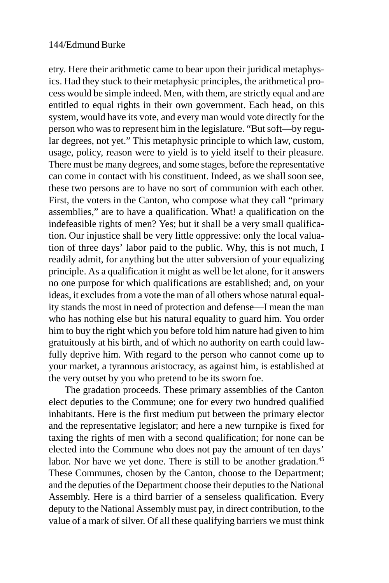etry. Here their arithmetic came to bear upon their juridical metaphysics. Had they stuck to their metaphysic principles, the arithmetical process would be simple indeed. Men, with them, are strictly equal and are entitled to equal rights in their own government. Each head, on this system, would have its vote, and every man would vote directly for the person who was to represent him in the legislature. "But soft—by regular degrees, not yet." This metaphysic principle to which law, custom, usage, policy, reason were to yield is to yield itself to their pleasure. There must be many degrees, and some stages, before the representative can come in contact with his constituent. Indeed, as we shall soon see, these two persons are to have no sort of communion with each other. First, the voters in the Canton, who compose what they call "primary assemblies," are to have a qualification. What! a qualification on the indefeasible rights of men? Yes; but it shall be a very small qualification. Our injustice shall be very little oppressive: only the local valuation of three days' labor paid to the public. Why, this is not much, I readily admit, for anything but the utter subversion of your equalizing principle. As a qualification it might as well be let alone, for it answers no one purpose for which qualifications are established; and, on your ideas, it excludes from a vote the man of all others whose natural equality stands the most in need of protection and defense—I mean the man who has nothing else but his natural equality to guard him. You order him to buy the right which you before told him nature had given to him gratuitously at his birth, and of which no authority on earth could lawfully deprive him. With regard to the person who cannot come up to your market, a tyrannous aristocracy, as against him, is established at the very outset by you who pretend to be its sworn foe.

The gradation proceeds. These primary assemblies of the Canton elect deputies to the Commune; one for every two hundred qualified inhabitants. Here is the first medium put between the primary elector and the representative legislator; and here a new turnpike is fixed for taxing the rights of men with a second qualification; for none can be elected into the Commune who does not pay the amount of ten days' labor. Nor have we yet done. There is still to be another gradation.<sup>45</sup> These Communes, chosen by the Canton, choose to the Department; and the deputies of the Department choose their deputies to the National Assembly. Here is a third barrier of a senseless qualification. Every deputy to the National Assembly must pay, in direct contribution, to the value of a mark of silver. Of all these qualifying barriers we must think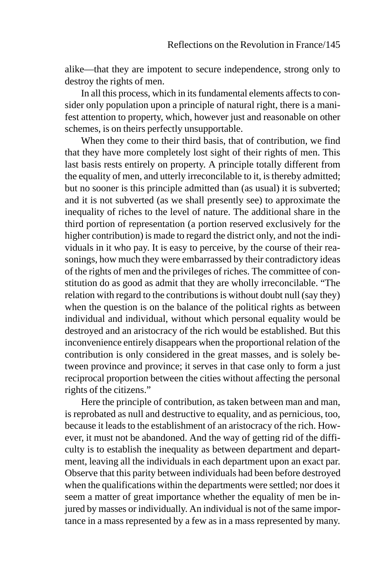alike—that they are impotent to secure independence, strong only to destroy the rights of men.

In all this process, which in its fundamental elements affects to consider only population upon a principle of natural right, there is a manifest attention to property, which, however just and reasonable on other schemes, is on theirs perfectly unsupportable.

When they come to their third basis, that of contribution, we find that they have more completely lost sight of their rights of men. This last basis rests entirely on property. A principle totally different from the equality of men, and utterly irreconcilable to it, is thereby admitted; but no sooner is this principle admitted than (as usual) it is subverted; and it is not subverted (as we shall presently see) to approximate the inequality of riches to the level of nature. The additional share in the third portion of representation (a portion reserved exclusively for the higher contribution) is made to regard the district only, and not the individuals in it who pay. It is easy to perceive, by the course of their reasonings, how much they were embarrassed by their contradictory ideas of the rights of men and the privileges of riches. The committee of constitution do as good as admit that they are wholly irreconcilable. "The relation with regard to the contributions is without doubt null (say they) when the question is on the balance of the political rights as between individual and individual, without which personal equality would be destroyed and an aristocracy of the rich would be established. But this inconvenience entirely disappears when the proportional relation of the contribution is only considered in the great masses, and is solely between province and province; it serves in that case only to form a just reciprocal proportion between the cities without affecting the personal rights of the citizens."

Here the principle of contribution, as taken between man and man, is reprobated as null and destructive to equality, and as pernicious, too, because it leads to the establishment of an aristocracy of the rich. However, it must not be abandoned. And the way of getting rid of the difficulty is to establish the inequality as between department and department, leaving all the individuals in each department upon an exact par. Observe that this parity between individuals had been before destroyed when the qualifications within the departments were settled; nor does it seem a matter of great importance whether the equality of men be injured by masses or individually. An individual is not of the same importance in a mass represented by a few as in a mass represented by many.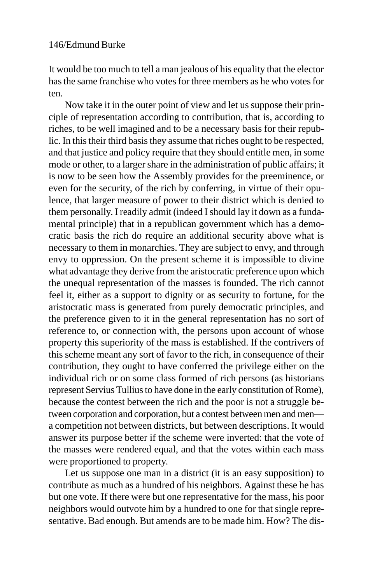It would be too much to tell a man jealous of his equality that the elector has the same franchise who votes for three members as he who votes for ten.

Now take it in the outer point of view and let us suppose their principle of representation according to contribution, that is, according to riches, to be well imagined and to be a necessary basis for their republic. In this their third basis they assume that riches ought to be respected, and that justice and policy require that they should entitle men, in some mode or other, to a larger share in the administration of public affairs; it is now to be seen how the Assembly provides for the preeminence, or even for the security, of the rich by conferring, in virtue of their opulence, that larger measure of power to their district which is denied to them personally. I readily admit (indeed I should lay it down as a fundamental principle) that in a republican government which has a democratic basis the rich do require an additional security above what is necessary to them in monarchies. They are subject to envy, and through envy to oppression. On the present scheme it is impossible to divine what advantage they derive from the aristocratic preference upon which the unequal representation of the masses is founded. The rich cannot feel it, either as a support to dignity or as security to fortune, for the aristocratic mass is generated from purely democratic principles, and the preference given to it in the general representation has no sort of reference to, or connection with, the persons upon account of whose property this superiority of the mass is established. If the contrivers of this scheme meant any sort of favor to the rich, in consequence of their contribution, they ought to have conferred the privilege either on the individual rich or on some class formed of rich persons (as historians represent Servius Tullius to have done in the early constitution of Rome), because the contest between the rich and the poor is not a struggle between corporation and corporation, but a contest between men and men a competition not between districts, but between descriptions. It would answer its purpose better if the scheme were inverted: that the vote of the masses were rendered equal, and that the votes within each mass were proportioned to property.

Let us suppose one man in a district (it is an easy supposition) to contribute as much as a hundred of his neighbors. Against these he has but one vote. If there were but one representative for the mass, his poor neighbors would outvote him by a hundred to one for that single representative. Bad enough. But amends are to be made him. How? The dis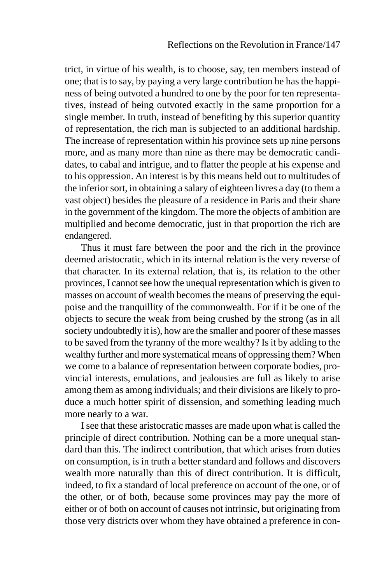trict, in virtue of his wealth, is to choose, say, ten members instead of one; that is to say, by paying a very large contribution he has the happiness of being outvoted a hundred to one by the poor for ten representatives, instead of being outvoted exactly in the same proportion for a single member. In truth, instead of benefiting by this superior quantity of representation, the rich man is subjected to an additional hardship. The increase of representation within his province sets up nine persons more, and as many more than nine as there may be democratic candidates, to cabal and intrigue, and to flatter the people at his expense and to his oppression. An interest is by this means held out to multitudes of the inferior sort, in obtaining a salary of eighteen livres a day (to them a vast object) besides the pleasure of a residence in Paris and their share in the government of the kingdom. The more the objects of ambition are multiplied and become democratic, just in that proportion the rich are endangered.

Thus it must fare between the poor and the rich in the province deemed aristocratic, which in its internal relation is the very reverse of that character. In its external relation, that is, its relation to the other provinces, I cannot see how the unequal representation which is given to masses on account of wealth becomes the means of preserving the equipoise and the tranquillity of the commonwealth. For if it be one of the objects to secure the weak from being crushed by the strong (as in all society undoubtedly it is), how are the smaller and poorer of these masses to be saved from the tyranny of the more wealthy? Is it by adding to the wealthy further and more systematical means of oppressing them? When we come to a balance of representation between corporate bodies, provincial interests, emulations, and jealousies are full as likely to arise among them as among individuals; and their divisions are likely to produce a much hotter spirit of dissension, and something leading much more nearly to a war.

I see that these aristocratic masses are made upon what is called the principle of direct contribution. Nothing can be a more unequal standard than this. The indirect contribution, that which arises from duties on consumption, is in truth a better standard and follows and discovers wealth more naturally than this of direct contribution. It is difficult, indeed, to fix a standard of local preference on account of the one, or of the other, or of both, because some provinces may pay the more of either or of both on account of causes not intrinsic, but originating from those very districts over whom they have obtained a preference in con-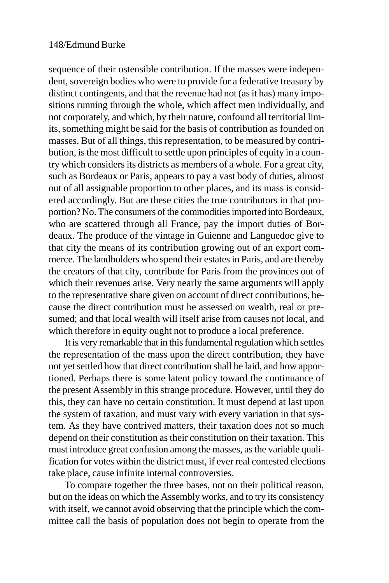sequence of their ostensible contribution. If the masses were independent, sovereign bodies who were to provide for a federative treasury by distinct contingents, and that the revenue had not (as it has) many impositions running through the whole, which affect men individually, and not corporately, and which, by their nature, confound all territorial limits, something might be said for the basis of contribution as founded on masses. But of all things, this representation, to be measured by contribution, is the most difficult to settle upon principles of equity in a country which considers its districts as members of a whole. For a great city, such as Bordeaux or Paris, appears to pay a vast body of duties, almost out of all assignable proportion to other places, and its mass is considered accordingly. But are these cities the true contributors in that proportion? No. The consumers of the commodities imported into Bordeaux, who are scattered through all France, pay the import duties of Bordeaux. The produce of the vintage in Guienne and Languedoc give to that city the means of its contribution growing out of an export commerce. The landholders who spend their estates in Paris, and are thereby the creators of that city, contribute for Paris from the provinces out of which their revenues arise. Very nearly the same arguments will apply to the representative share given on account of direct contributions, because the direct contribution must be assessed on wealth, real or presumed; and that local wealth will itself arise from causes not local, and which therefore in equity ought not to produce a local preference.

It is very remarkable that in this fundamental regulation which settles the representation of the mass upon the direct contribution, they have not yet settled how that direct contribution shall be laid, and how apportioned. Perhaps there is some latent policy toward the continuance of the present Assembly in this strange procedure. However, until they do this, they can have no certain constitution. It must depend at last upon the system of taxation, and must vary with every variation in that system. As they have contrived matters, their taxation does not so much depend on their constitution as their constitution on their taxation. This must introduce great confusion among the masses, as the variable qualification for votes within the district must, if ever real contested elections take place, cause infinite internal controversies.

To compare together the three bases, not on their political reason, but on the ideas on which the Assembly works, and to try its consistency with itself, we cannot avoid observing that the principle which the committee call the basis of population does not begin to operate from the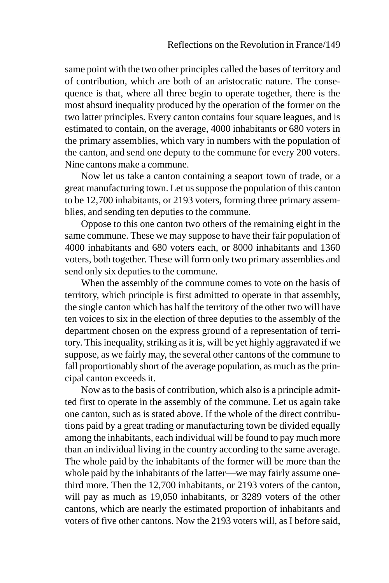same point with the two other principles called the bases of territory and of contribution, which are both of an aristocratic nature. The consequence is that, where all three begin to operate together, there is the most absurd inequality produced by the operation of the former on the two latter principles. Every canton contains four square leagues, and is estimated to contain, on the average, 4000 inhabitants or 680 voters in the primary assemblies, which vary in numbers with the population of the canton, and send one deputy to the commune for every 200 voters. Nine cantons make a commune.

Now let us take a canton containing a seaport town of trade, or a great manufacturing town. Let us suppose the population of this canton to be 12,700 inhabitants, or 2193 voters, forming three primary assemblies, and sending ten deputies to the commune.

Oppose to this one canton two others of the remaining eight in the same commune. These we may suppose to have their fair population of 4000 inhabitants and 680 voters each, or 8000 inhabitants and 1360 voters, both together. These will form only two primary assemblies and send only six deputies to the commune.

When the assembly of the commune comes to vote on the basis of territory, which principle is first admitted to operate in that assembly, the single canton which has half the territory of the other two will have ten voices to six in the election of three deputies to the assembly of the department chosen on the express ground of a representation of territory. This inequality, striking as it is, will be yet highly aggravated if we suppose, as we fairly may, the several other cantons of the commune to fall proportionably short of the average population, as much as the principal canton exceeds it.

Now as to the basis of contribution, which also is a principle admitted first to operate in the assembly of the commune. Let us again take one canton, such as is stated above. If the whole of the direct contributions paid by a great trading or manufacturing town be divided equally among the inhabitants, each individual will be found to pay much more than an individual living in the country according to the same average. The whole paid by the inhabitants of the former will be more than the whole paid by the inhabitants of the latter—we may fairly assume onethird more. Then the 12,700 inhabitants, or 2193 voters of the canton, will pay as much as 19,050 inhabitants, or 3289 voters of the other cantons, which are nearly the estimated proportion of inhabitants and voters of five other cantons. Now the 2193 voters will, as I before said,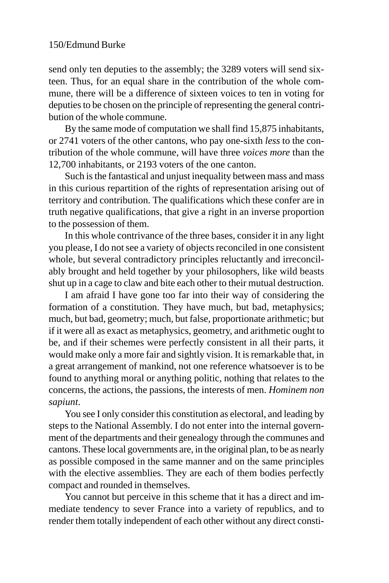send only ten deputies to the assembly; the 3289 voters will send sixteen. Thus, for an equal share in the contribution of the whole commune, there will be a difference of sixteen voices to ten in voting for deputies to be chosen on the principle of representing the general contribution of the whole commune.

By the same mode of computation we shall find 15,875 inhabitants, or 2741 voters of the other cantons, who pay one-sixth *less* to the contribution of the whole commune, will have three *voices more* than the 12,700 inhabitants, or 2193 voters of the one canton.

Such is the fantastical and unjust inequality between mass and mass in this curious repartition of the rights of representation arising out of territory and contribution. The qualifications which these confer are in truth negative qualifications, that give a right in an inverse proportion to the possession of them.

In this whole contrivance of the three bases, consider it in any light you please, I do not see a variety of objects reconciled in one consistent whole, but several contradictory principles reluctantly and irreconcilably brought and held together by your philosophers, like wild beasts shut up in a cage to claw and bite each other to their mutual destruction.

I am afraid I have gone too far into their way of considering the formation of a constitution. They have much, but bad, metaphysics; much, but bad, geometry; much, but false, proportionate arithmetic; but if it were all as exact as metaphysics, geometry, and arithmetic ought to be, and if their schemes were perfectly consistent in all their parts, it would make only a more fair and sightly vision. It is remarkable that, in a great arrangement of mankind, not one reference whatsoever is to be found to anything moral or anything politic, nothing that relates to the concerns, the actions, the passions, the interests of men. *Hominem non sapiunt*.

You see I only consider this constitution as electoral, and leading by steps to the National Assembly. I do not enter into the internal government of the departments and their genealogy through the communes and cantons. These local governments are, in the original plan, to be as nearly as possible composed in the same manner and on the same principles with the elective assemblies. They are each of them bodies perfectly compact and rounded in themselves.

You cannot but perceive in this scheme that it has a direct and immediate tendency to sever France into a variety of republics, and to render them totally independent of each other without any direct consti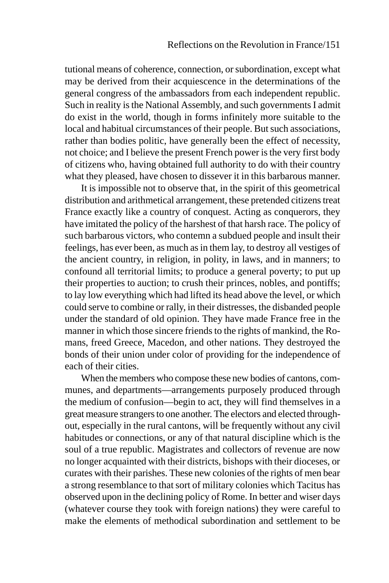tutional means of coherence, connection, or subordination, except what may be derived from their acquiescence in the determinations of the general congress of the ambassadors from each independent republic. Such in reality is the National Assembly, and such governments I admit do exist in the world, though in forms infinitely more suitable to the local and habitual circumstances of their people. But such associations, rather than bodies politic, have generally been the effect of necessity, not choice; and I believe the present French power is the very first body of citizens who, having obtained full authority to do with their country what they pleased, have chosen to dissever it in this barbarous manner.

It is impossible not to observe that, in the spirit of this geometrical distribution and arithmetical arrangement, these pretended citizens treat France exactly like a country of conquest. Acting as conquerors, they have imitated the policy of the harshest of that harsh race. The policy of such barbarous victors, who contemn a subdued people and insult their feelings, has ever been, as much as in them lay, to destroy all vestiges of the ancient country, in religion, in polity, in laws, and in manners; to confound all territorial limits; to produce a general poverty; to put up their properties to auction; to crush their princes, nobles, and pontiffs; to lay low everything which had lifted its head above the level, or which could serve to combine or rally, in their distresses, the disbanded people under the standard of old opinion. They have made France free in the manner in which those sincere friends to the rights of mankind, the Romans, freed Greece, Macedon, and other nations. They destroyed the bonds of their union under color of providing for the independence of each of their cities.

When the members who compose these new bodies of cantons, communes, and departments—arrangements purposely produced through the medium of confusion—begin to act, they will find themselves in a great measure strangers to one another. The electors and elected throughout, especially in the rural cantons, will be frequently without any civil habitudes or connections, or any of that natural discipline which is the soul of a true republic. Magistrates and collectors of revenue are now no longer acquainted with their districts, bishops with their dioceses, or curates with their parishes. These new colonies of the rights of men bear a strong resemblance to that sort of military colonies which Tacitus has observed upon in the declining policy of Rome. In better and wiser days (whatever course they took with foreign nations) they were careful to make the elements of methodical subordination and settlement to be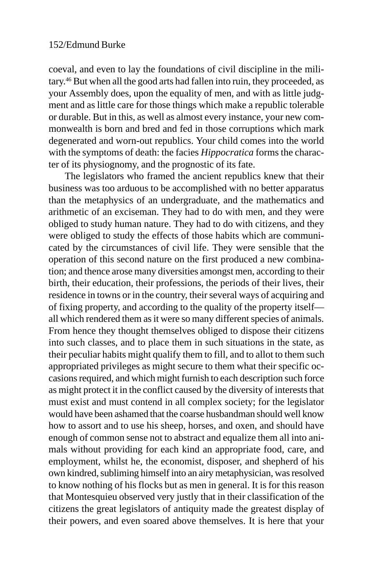coeval, and even to lay the foundations of civil discipline in the military.46 But when all the good arts had fallen into ruin, they proceeded, as your Assembly does, upon the equality of men, and with as little judgment and as little care for those things which make a republic tolerable or durable. But in this, as well as almost every instance, your new commonwealth is born and bred and fed in those corruptions which mark degenerated and worn-out republics. Your child comes into the world with the symptoms of death: the facies *Hippocratica* forms the character of its physiognomy, and the prognostic of its fate.

The legislators who framed the ancient republics knew that their business was too arduous to be accomplished with no better apparatus than the metaphysics of an undergraduate, and the mathematics and arithmetic of an exciseman. They had to do with men, and they were obliged to study human nature. They had to do with citizens, and they were obliged to study the effects of those habits which are communicated by the circumstances of civil life. They were sensible that the operation of this second nature on the first produced a new combination; and thence arose many diversities amongst men, according to their birth, their education, their professions, the periods of their lives, their residence in towns or in the country, their several ways of acquiring and of fixing property, and according to the quality of the property itself all which rendered them as it were so many different species of animals. From hence they thought themselves obliged to dispose their citizens into such classes, and to place them in such situations in the state, as their peculiar habits might qualify them to fill, and to allot to them such appropriated privileges as might secure to them what their specific occasions required, and which might furnish to each description such force as might protect it in the conflict caused by the diversity of interests that must exist and must contend in all complex society; for the legislator would have been ashamed that the coarse husbandman should well know how to assort and to use his sheep, horses, and oxen, and should have enough of common sense not to abstract and equalize them all into animals without providing for each kind an appropriate food, care, and employment, whilst he, the economist, disposer, and shepherd of his own kindred, subliming himself into an airy metaphysician, was resolved to know nothing of his flocks but as men in general. It is for this reason that Montesquieu observed very justly that in their classification of the citizens the great legislators of antiquity made the greatest display of their powers, and even soared above themselves. It is here that your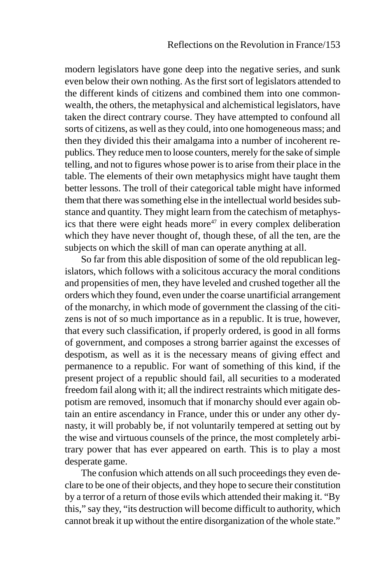modern legislators have gone deep into the negative series, and sunk even below their own nothing. As the first sort of legislators attended to the different kinds of citizens and combined them into one commonwealth, the others, the metaphysical and alchemistical legislators, have taken the direct contrary course. They have attempted to confound all sorts of citizens, as well as they could, into one homogeneous mass; and then they divided this their amalgama into a number of incoherent republics. They reduce men to loose counters, merely for the sake of simple telling, and not to figures whose power is to arise from their place in the table. The elements of their own metaphysics might have taught them better lessons. The troll of their categorical table might have informed them that there was something else in the intellectual world besides substance and quantity. They might learn from the catechism of metaphysics that there were eight heads more $47$  in every complex deliberation which they have never thought of, though these, of all the ten, are the subjects on which the skill of man can operate anything at all.

So far from this able disposition of some of the old republican legislators, which follows with a solicitous accuracy the moral conditions and propensities of men, they have leveled and crushed together all the orders which they found, even under the coarse unartificial arrangement of the monarchy, in which mode of government the classing of the citizens is not of so much importance as in a republic. It is true, however, that every such classification, if properly ordered, is good in all forms of government, and composes a strong barrier against the excesses of despotism, as well as it is the necessary means of giving effect and permanence to a republic. For want of something of this kind, if the present project of a republic should fail, all securities to a moderated freedom fail along with it; all the indirect restraints which mitigate despotism are removed, insomuch that if monarchy should ever again obtain an entire ascendancy in France, under this or under any other dynasty, it will probably be, if not voluntarily tempered at setting out by the wise and virtuous counsels of the prince, the most completely arbitrary power that has ever appeared on earth. This is to play a most desperate game.

The confusion which attends on all such proceedings they even declare to be one of their objects, and they hope to secure their constitution by a terror of a return of those evils which attended their making it. "By this," say they, "its destruction will become difficult to authority, which cannot break it up without the entire disorganization of the whole state."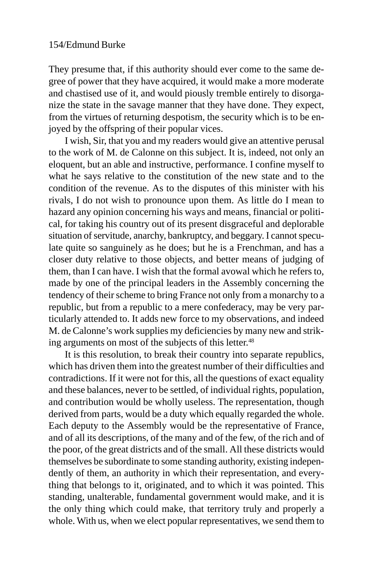They presume that, if this authority should ever come to the same degree of power that they have acquired, it would make a more moderate and chastised use of it, and would piously tremble entirely to disorganize the state in the savage manner that they have done. They expect, from the virtues of returning despotism, the security which is to be enjoyed by the offspring of their popular vices.

I wish, Sir, that you and my readers would give an attentive perusal to the work of M. de Calonne on this subject. It is, indeed, not only an eloquent, but an able and instructive, performance. I confine myself to what he says relative to the constitution of the new state and to the condition of the revenue. As to the disputes of this minister with his rivals, I do not wish to pronounce upon them. As little do I mean to hazard any opinion concerning his ways and means, financial or political, for taking his country out of its present disgraceful and deplorable situation of servitude, anarchy, bankruptcy, and beggary. I cannot speculate quite so sanguinely as he does; but he is a Frenchman, and has a closer duty relative to those objects, and better means of judging of them, than I can have. I wish that the formal avowal which he refers to, made by one of the principal leaders in the Assembly concerning the tendency of their scheme to bring France not only from a monarchy to a republic, but from a republic to a mere confederacy, may be very particularly attended to. It adds new force to my observations, and indeed M. de Calonne's work supplies my deficiencies by many new and striking arguments on most of the subjects of this letter.<sup>48</sup>

It is this resolution, to break their country into separate republics, which has driven them into the greatest number of their difficulties and contradictions. If it were not for this, all the questions of exact equality and these balances, never to be settled, of individual rights, population, and contribution would be wholly useless. The representation, though derived from parts, would be a duty which equally regarded the whole. Each deputy to the Assembly would be the representative of France, and of all its descriptions, of the many and of the few, of the rich and of the poor, of the great districts and of the small. All these districts would themselves be subordinate to some standing authority, existing independently of them, an authority in which their representation, and everything that belongs to it, originated, and to which it was pointed. This standing, unalterable, fundamental government would make, and it is the only thing which could make, that territory truly and properly a whole. With us, when we elect popular representatives, we send them to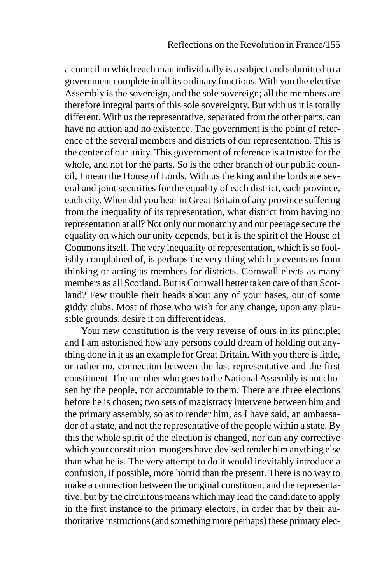a council in which each man individually is a subject and submitted to a government complete in all its ordinary functions. With you the elective Assembly is the sovereign, and the sole sovereign; all the members are therefore integral parts of this sole sovereignty. But with us it is totally different. With us the representative, separated from the other parts, can have no action and no existence. The government is the point of reference of the several members and districts of our representation. This is the center of our unity. This government of reference is a trustee for the whole, and not for the parts. So is the other branch of our public council, I mean the House of Lords. With us the king and the lords are several and joint securities for the equality of each district, each province, each city. When did you hear in Great Britain of any province suffering from the inequality of its representation, what district from having no representation at all? Not only our monarchy and our peerage secure the equality on which our unity depends, but it is the spirit of the House of Commons itself. The very inequality of representation, which is so foolishly complained of, is perhaps the very thing which prevents us from thinking or acting as members for districts. Cornwall elects as many members as all Scotland. But is Cornwall better taken care of than Scotland? Few trouble their heads about any of your bases, out of some giddy clubs. Most of those who wish for any change, upon any plausible grounds, desire it on different ideas.

Your new constitution is the very reverse of ours in its principle; and I am astonished how any persons could dream of holding out anything done in it as an example for Great Britain. With you there is little, or rather no, connection between the last representative and the first constituent. The member who goes to the National Assembly is not chosen by the people, nor accountable to them. There are three elections before he is chosen; two sets of magistracy intervene between him and the primary assembly, so as to render him, as I have said, an ambassador of a state, and not the representative of the people within a state. By this the whole spirit of the election is changed, nor can any corrective which your constitution-mongers have devised render him anything else than what he is. The very attempt to do it would inevitably introduce a confusion, if possible, more horrid than the present. There is no way to make a connection between the original constituent and the representative, but by the circuitous means which may lead the candidate to apply in the first instance to the primary electors, in order that by their authoritative instructions (and something more perhaps) these primary elec-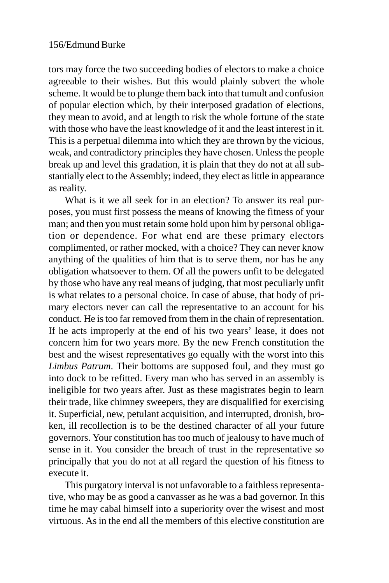tors may force the two succeeding bodies of electors to make a choice agreeable to their wishes. But this would plainly subvert the whole scheme. It would be to plunge them back into that tumult and confusion of popular election which, by their interposed gradation of elections, they mean to avoid, and at length to risk the whole fortune of the state with those who have the least knowledge of it and the least interest in it. This is a perpetual dilemma into which they are thrown by the vicious, weak, and contradictory principles they have chosen. Unless the people break up and level this gradation, it is plain that they do not at all substantially elect to the Assembly; indeed, they elect as little in appearance as reality.

What is it we all seek for in an election? To answer its real purposes, you must first possess the means of knowing the fitness of your man; and then you must retain some hold upon him by personal obligation or dependence. For what end are these primary electors complimented, or rather mocked, with a choice? They can never know anything of the qualities of him that is to serve them, nor has he any obligation whatsoever to them. Of all the powers unfit to be delegated by those who have any real means of judging, that most peculiarly unfit is what relates to a personal choice. In case of abuse, that body of primary electors never can call the representative to an account for his conduct. He is too far removed from them in the chain of representation. If he acts improperly at the end of his two years' lease, it does not concern him for two years more. By the new French constitution the best and the wisest representatives go equally with the worst into this *Limbus Patrum*. Their bottoms are supposed foul, and they must go into dock to be refitted. Every man who has served in an assembly is ineligible for two years after. Just as these magistrates begin to learn their trade, like chimney sweepers, they are disqualified for exercising it. Superficial, new, petulant acquisition, and interrupted, dronish, broken, ill recollection is to be the destined character of all your future governors. Your constitution has too much of jealousy to have much of sense in it. You consider the breach of trust in the representative so principally that you do not at all regard the question of his fitness to execute it.

This purgatory interval is not unfavorable to a faithless representative, who may be as good a canvasser as he was a bad governor. In this time he may cabal himself into a superiority over the wisest and most virtuous. As in the end all the members of this elective constitution are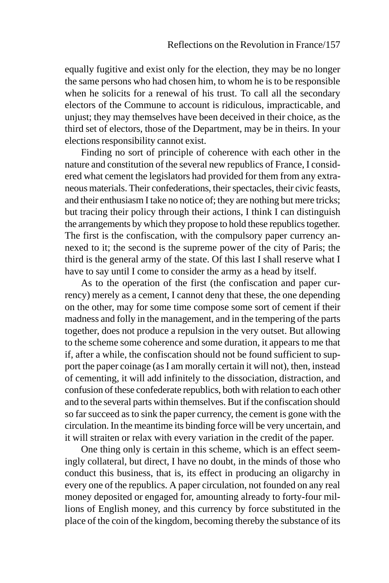equally fugitive and exist only for the election, they may be no longer the same persons who had chosen him, to whom he is to be responsible when he solicits for a renewal of his trust. To call all the secondary electors of the Commune to account is ridiculous, impracticable, and unjust; they may themselves have been deceived in their choice, as the third set of electors, those of the Department, may be in theirs. In your elections responsibility cannot exist.

Finding no sort of principle of coherence with each other in the nature and constitution of the several new republics of France, I considered what cement the legislators had provided for them from any extraneous materials. Their confederations, their spectacles, their civic feasts, and their enthusiasm I take no notice of; they are nothing but mere tricks; but tracing their policy through their actions, I think I can distinguish the arrangements by which they propose to hold these republics together. The first is the confiscation, with the compulsory paper currency annexed to it; the second is the supreme power of the city of Paris; the third is the general army of the state. Of this last I shall reserve what I have to say until I come to consider the army as a head by itself.

As to the operation of the first (the confiscation and paper currency) merely as a cement, I cannot deny that these, the one depending on the other, may for some time compose some sort of cement if their madness and folly in the management, and in the tempering of the parts together, does not produce a repulsion in the very outset. But allowing to the scheme some coherence and some duration, it appears to me that if, after a while, the confiscation should not be found sufficient to support the paper coinage (as I am morally certain it will not), then, instead of cementing, it will add infinitely to the dissociation, distraction, and confusion of these confederate republics, both with relation to each other and to the several parts within themselves. But if the confiscation should so far succeed as to sink the paper currency, the cement is gone with the circulation. In the meantime its binding force will be very uncertain, and it will straiten or relax with every variation in the credit of the paper.

One thing only is certain in this scheme, which is an effect seemingly collateral, but direct, I have no doubt, in the minds of those who conduct this business, that is, its effect in producing an oligarchy in every one of the republics. A paper circulation, not founded on any real money deposited or engaged for, amounting already to forty-four millions of English money, and this currency by force substituted in the place of the coin of the kingdom, becoming thereby the substance of its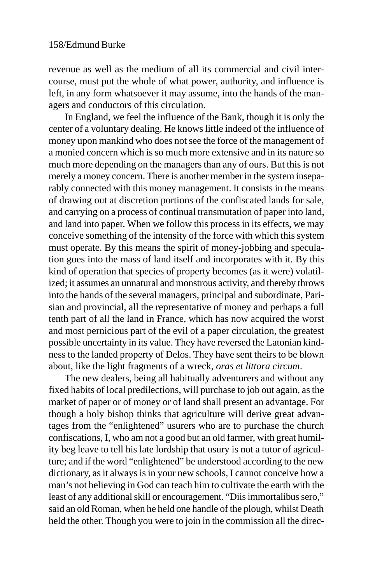revenue as well as the medium of all its commercial and civil intercourse, must put the whole of what power, authority, and influence is left, in any form whatsoever it may assume, into the hands of the managers and conductors of this circulation.

In England, we feel the influence of the Bank, though it is only the center of a voluntary dealing. He knows little indeed of the influence of money upon mankind who does not see the force of the management of a monied concern which is so much more extensive and in its nature so much more depending on the managers than any of ours. But this is not merely a money concern. There is another member in the system inseparably connected with this money management. It consists in the means of drawing out at discretion portions of the confiscated lands for sale, and carrying on a process of continual transmutation of paper into land, and land into paper. When we follow this process in its effects, we may conceive something of the intensity of the force with which this system must operate. By this means the spirit of money-jobbing and speculation goes into the mass of land itself and incorporates with it. By this kind of operation that species of property becomes (as it were) volatilized; it assumes an unnatural and monstrous activity, and thereby throws into the hands of the several managers, principal and subordinate, Parisian and provincial, all the representative of money and perhaps a full tenth part of all the land in France, which has now acquired the worst and most pernicious part of the evil of a paper circulation, the greatest possible uncertainty in its value. They have reversed the Latonian kindness to the landed property of Delos. They have sent theirs to be blown about, like the light fragments of a wreck, *oras et littora circum*.

The new dealers, being all habitually adventurers and without any fixed habits of local predilections, will purchase to job out again, as the market of paper or of money or of land shall present an advantage. For though a holy bishop thinks that agriculture will derive great advantages from the "enlightened" usurers who are to purchase the church confiscations, I, who am not a good but an old farmer, with great humility beg leave to tell his late lordship that usury is not a tutor of agriculture; and if the word "enlightened" be understood according to the new dictionary, as it always is in your new schools, I cannot conceive how a man's not believing in God can teach him to cultivate the earth with the least of any additional skill or encouragement. "Diis immortalibus sero," said an old Roman, when he held one handle of the plough, whilst Death held the other. Though you were to join in the commission all the direc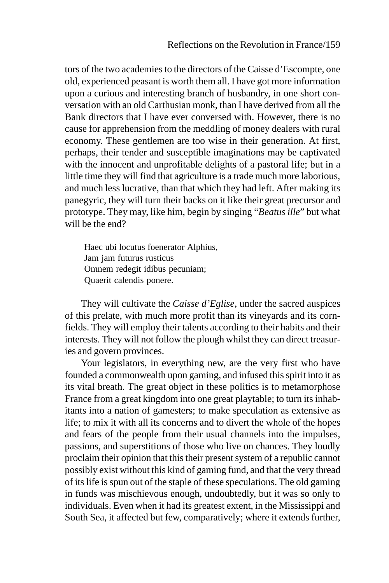tors of the two academies to the directors of the Caisse d'Escompte, one old, experienced peasant is worth them all. I have got more information upon a curious and interesting branch of husbandry, in one short conversation with an old Carthusian monk, than I have derived from all the Bank directors that I have ever conversed with. However, there is no cause for apprehension from the meddling of money dealers with rural economy. These gentlemen are too wise in their generation. At first, perhaps, their tender and susceptible imaginations may be captivated with the innocent and unprofitable delights of a pastoral life; but in a little time they will find that agriculture is a trade much more laborious, and much less lucrative, than that which they had left. After making its panegyric, they will turn their backs on it like their great precursor and prototype. They may, like him, begin by singing "*Beatus ille*" but what will be the end?

Haec ubi locutus foenerator Alphius, Jam jam futurus rusticus Omnem redegit idibus pecuniam; Quaerit calendis ponere.

They will cultivate the *Caisse d'Eglise*, under the sacred auspices of this prelate, with much more profit than its vineyards and its cornfields. They will employ their talents according to their habits and their interests. They will not follow the plough whilst they can direct treasuries and govern provinces.

Your legislators, in everything new, are the very first who have founded a commonwealth upon gaming, and infused this spirit into it as its vital breath. The great object in these politics is to metamorphose France from a great kingdom into one great playtable; to turn its inhabitants into a nation of gamesters; to make speculation as extensive as life; to mix it with all its concerns and to divert the whole of the hopes and fears of the people from their usual channels into the impulses, passions, and superstitions of those who live on chances. They loudly proclaim their opinion that this their present system of a republic cannot possibly exist without this kind of gaming fund, and that the very thread of its life is spun out of the staple of these speculations. The old gaming in funds was mischievous enough, undoubtedly, but it was so only to individuals. Even when it had its greatest extent, in the Mississippi and South Sea, it affected but few, comparatively; where it extends further,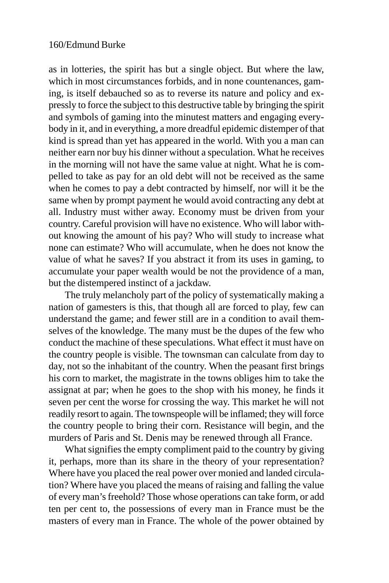as in lotteries, the spirit has but a single object. But where the law, which in most circumstances forbids, and in none countenances, gaming, is itself debauched so as to reverse its nature and policy and expressly to force the subject to this destructive table by bringing the spirit and symbols of gaming into the minutest matters and engaging everybody in it, and in everything, a more dreadful epidemic distemper of that kind is spread than yet has appeared in the world. With you a man can neither earn nor buy his dinner without a speculation. What he receives in the morning will not have the same value at night. What he is compelled to take as pay for an old debt will not be received as the same when he comes to pay a debt contracted by himself, nor will it be the same when by prompt payment he would avoid contracting any debt at all. Industry must wither away. Economy must be driven from your country. Careful provision will have no existence. Who will labor without knowing the amount of his pay? Who will study to increase what none can estimate? Who will accumulate, when he does not know the value of what he saves? If you abstract it from its uses in gaming, to accumulate your paper wealth would be not the providence of a man, but the distempered instinct of a jackdaw.

The truly melancholy part of the policy of systematically making a nation of gamesters is this, that though all are forced to play, few can understand the game; and fewer still are in a condition to avail themselves of the knowledge. The many must be the dupes of the few who conduct the machine of these speculations. What effect it must have on the country people is visible. The townsman can calculate from day to day, not so the inhabitant of the country. When the peasant first brings his corn to market, the magistrate in the towns obliges him to take the assignat at par; when he goes to the shop with his money, he finds it seven per cent the worse for crossing the way. This market he will not readily resort to again. The townspeople will be inflamed; they will force the country people to bring their corn. Resistance will begin, and the murders of Paris and St. Denis may be renewed through all France.

What signifies the empty compliment paid to the country by giving it, perhaps, more than its share in the theory of your representation? Where have you placed the real power over monied and landed circulation? Where have you placed the means of raising and falling the value of every man's freehold? Those whose operations can take form, or add ten per cent to, the possessions of every man in France must be the masters of every man in France. The whole of the power obtained by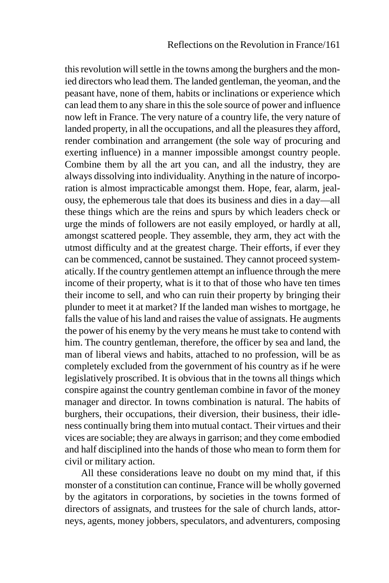this revolution will settle in the towns among the burghers and the monied directors who lead them. The landed gentleman, the yeoman, and the peasant have, none of them, habits or inclinations or experience which can lead them to any share in this the sole source of power and influence now left in France. The very nature of a country life, the very nature of landed property, in all the occupations, and all the pleasures they afford, render combination and arrangement (the sole way of procuring and exerting influence) in a manner impossible amongst country people. Combine them by all the art you can, and all the industry, they are always dissolving into individuality. Anything in the nature of incorporation is almost impracticable amongst them. Hope, fear, alarm, jealousy, the ephemerous tale that does its business and dies in a day—all these things which are the reins and spurs by which leaders check or urge the minds of followers are not easily employed, or hardly at all, amongst scattered people. They assemble, they arm, they act with the utmost difficulty and at the greatest charge. Their efforts, if ever they can be commenced, cannot be sustained. They cannot proceed systematically. If the country gentlemen attempt an influence through the mere income of their property, what is it to that of those who have ten times their income to sell, and who can ruin their property by bringing their plunder to meet it at market? If the landed man wishes to mortgage, he falls the value of his land and raises the value of assignats. He augments the power of his enemy by the very means he must take to contend with him. The country gentleman, therefore, the officer by sea and land, the man of liberal views and habits, attached to no profession, will be as completely excluded from the government of his country as if he were legislatively proscribed. It is obvious that in the towns all things which conspire against the country gentleman combine in favor of the money manager and director. In towns combination is natural. The habits of burghers, their occupations, their diversion, their business, their idleness continually bring them into mutual contact. Their virtues and their vices are sociable; they are always in garrison; and they come embodied and half disciplined into the hands of those who mean to form them for civil or military action.

All these considerations leave no doubt on my mind that, if this monster of a constitution can continue, France will be wholly governed by the agitators in corporations, by societies in the towns formed of directors of assignats, and trustees for the sale of church lands, attorneys, agents, money jobbers, speculators, and adventurers, composing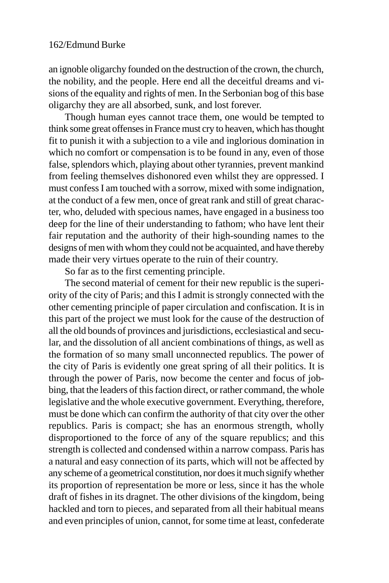an ignoble oligarchy founded on the destruction of the crown, the church, the nobility, and the people. Here end all the deceitful dreams and visions of the equality and rights of men. In the Serbonian bog of this base oligarchy they are all absorbed, sunk, and lost forever.

Though human eyes cannot trace them, one would be tempted to think some great offenses in France must cry to heaven, which has thought fit to punish it with a subjection to a vile and inglorious domination in which no comfort or compensation is to be found in any, even of those false, splendors which, playing about other tyrannies, prevent mankind from feeling themselves dishonored even whilst they are oppressed. I must confess I am touched with a sorrow, mixed with some indignation, at the conduct of a few men, once of great rank and still of great character, who, deluded with specious names, have engaged in a business too deep for the line of their understanding to fathom; who have lent their fair reputation and the authority of their high-sounding names to the designs of men with whom they could not be acquainted, and have thereby made their very virtues operate to the ruin of their country.

So far as to the first cementing principle.

The second material of cement for their new republic is the superiority of the city of Paris; and this I admit is strongly connected with the other cementing principle of paper circulation and confiscation. It is in this part of the project we must look for the cause of the destruction of all the old bounds of provinces and jurisdictions, ecclesiastical and secular, and the dissolution of all ancient combinations of things, as well as the formation of so many small unconnected republics. The power of the city of Paris is evidently one great spring of all their politics. It is through the power of Paris, now become the center and focus of jobbing, that the leaders of this faction direct, or rather command, the whole legislative and the whole executive government. Everything, therefore, must be done which can confirm the authority of that city over the other republics. Paris is compact; she has an enormous strength, wholly disproportioned to the force of any of the square republics; and this strength is collected and condensed within a narrow compass. Paris has a natural and easy connection of its parts, which will not be affected by any scheme of a geometrical constitution, nor does it much signify whether its proportion of representation be more or less, since it has the whole draft of fishes in its dragnet. The other divisions of the kingdom, being hackled and torn to pieces, and separated from all their habitual means and even principles of union, cannot, for some time at least, confederate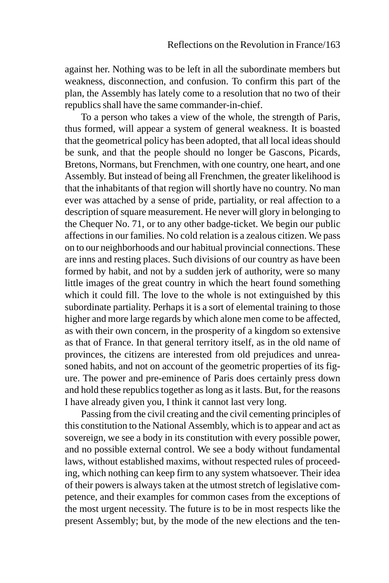against her. Nothing was to be left in all the subordinate members but weakness, disconnection, and confusion. To confirm this part of the plan, the Assembly has lately come to a resolution that no two of their republics shall have the same commander-in-chief.

To a person who takes a view of the whole, the strength of Paris, thus formed, will appear a system of general weakness. It is boasted that the geometrical policy has been adopted, that all local ideas should be sunk, and that the people should no longer be Gascons, Picards, Bretons, Normans, but Frenchmen, with one country, one heart, and one Assembly. But instead of being all Frenchmen, the greater likelihood is that the inhabitants of that region will shortly have no country. No man ever was attached by a sense of pride, partiality, or real affection to a description of square measurement. He never will glory in belonging to the Chequer No. 71, or to any other badge-ticket. We begin our public affections in our families. No cold relation is a zealous citizen. We pass on to our neighborhoods and our habitual provincial connections. These are inns and resting places. Such divisions of our country as have been formed by habit, and not by a sudden jerk of authority, were so many little images of the great country in which the heart found something which it could fill. The love to the whole is not extinguished by this subordinate partiality. Perhaps it is a sort of elemental training to those higher and more large regards by which alone men come to be affected, as with their own concern, in the prosperity of a kingdom so extensive as that of France. In that general territory itself, as in the old name of provinces, the citizens are interested from old prejudices and unreasoned habits, and not on account of the geometric properties of its figure. The power and pre-eminence of Paris does certainly press down and hold these republics together as long as it lasts. But, for the reasons I have already given you, I think it cannot last very long.

Passing from the civil creating and the civil cementing principles of this constitution to the National Assembly, which is to appear and act as sovereign, we see a body in its constitution with every possible power, and no possible external control. We see a body without fundamental laws, without established maxims, without respected rules of proceeding, which nothing can keep firm to any system whatsoever. Their idea of their powers is always taken at the utmost stretch of legislative competence, and their examples for common cases from the exceptions of the most urgent necessity. The future is to be in most respects like the present Assembly; but, by the mode of the new elections and the ten-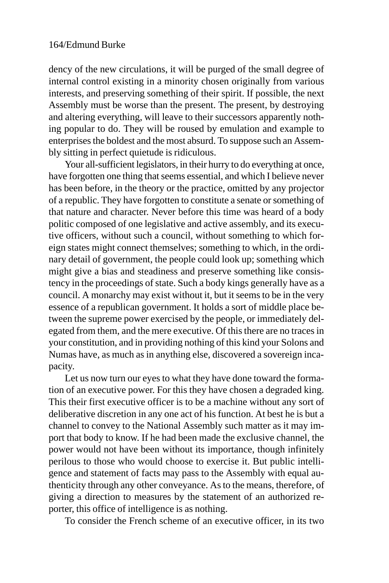dency of the new circulations, it will be purged of the small degree of internal control existing in a minority chosen originally from various interests, and preserving something of their spirit. If possible, the next Assembly must be worse than the present. The present, by destroying and altering everything, will leave to their successors apparently nothing popular to do. They will be roused by emulation and example to enterprises the boldest and the most absurd. To suppose such an Assembly sitting in perfect quietude is ridiculous.

Your all-sufficient legislators, in their hurry to do everything at once, have forgotten one thing that seems essential, and which I believe never has been before, in the theory or the practice, omitted by any projector of a republic. They have forgotten to constitute a senate or something of that nature and character. Never before this time was heard of a body politic composed of one legislative and active assembly, and its executive officers, without such a council, without something to which foreign states might connect themselves; something to which, in the ordinary detail of government, the people could look up; something which might give a bias and steadiness and preserve something like consistency in the proceedings of state. Such a body kings generally have as a council. A monarchy may exist without it, but it seems to be in the very essence of a republican government. It holds a sort of middle place between the supreme power exercised by the people, or immediately delegated from them, and the mere executive. Of this there are no traces in your constitution, and in providing nothing of this kind your Solons and Numas have, as much as in anything else, discovered a sovereign incapacity.

Let us now turn our eyes to what they have done toward the formation of an executive power. For this they have chosen a degraded king. This their first executive officer is to be a machine without any sort of deliberative discretion in any one act of his function. At best he is but a channel to convey to the National Assembly such matter as it may import that body to know. If he had been made the exclusive channel, the power would not have been without its importance, though infinitely perilous to those who would choose to exercise it. But public intelligence and statement of facts may pass to the Assembly with equal authenticity through any other conveyance. As to the means, therefore, of giving a direction to measures by the statement of an authorized reporter, this office of intelligence is as nothing.

To consider the French scheme of an executive officer, in its two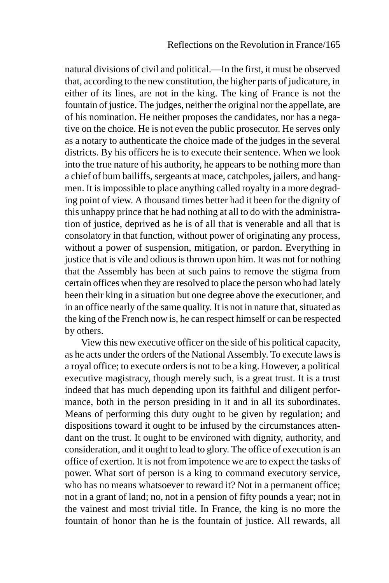natural divisions of civil and political.—In the first, it must be observed that, according to the new constitution, the higher parts of judicature, in either of its lines, are not in the king. The king of France is not the fountain of justice. The judges, neither the original nor the appellate, are of his nomination. He neither proposes the candidates, nor has a negative on the choice. He is not even the public prosecutor. He serves only as a notary to authenticate the choice made of the judges in the several districts. By his officers he is to execute their sentence. When we look into the true nature of his authority, he appears to be nothing more than a chief of bum bailiffs, sergeants at mace, catchpoles, jailers, and hangmen. It is impossible to place anything called royalty in a more degrading point of view. A thousand times better had it been for the dignity of this unhappy prince that he had nothing at all to do with the administration of justice, deprived as he is of all that is venerable and all that is consolatory in that function, without power of originating any process, without a power of suspension, mitigation, or pardon. Everything in justice that is vile and odious is thrown upon him. It was not for nothing that the Assembly has been at such pains to remove the stigma from certain offices when they are resolved to place the person who had lately been their king in a situation but one degree above the executioner, and in an office nearly of the same quality. It is not in nature that, situated as the king of the French now is, he can respect himself or can be respected by others.

View this new executive officer on the side of his political capacity, as he acts under the orders of the National Assembly. To execute laws is a royal office; to execute orders is not to be a king. However, a political executive magistracy, though merely such, is a great trust. It is a trust indeed that has much depending upon its faithful and diligent performance, both in the person presiding in it and in all its subordinates. Means of performing this duty ought to be given by regulation; and dispositions toward it ought to be infused by the circumstances attendant on the trust. It ought to be environed with dignity, authority, and consideration, and it ought to lead to glory. The office of execution is an office of exertion. It is not from impotence we are to expect the tasks of power. What sort of person is a king to command executory service, who has no means whatsoever to reward it? Not in a permanent office; not in a grant of land; no, not in a pension of fifty pounds a year; not in the vainest and most trivial title. In France, the king is no more the fountain of honor than he is the fountain of justice. All rewards, all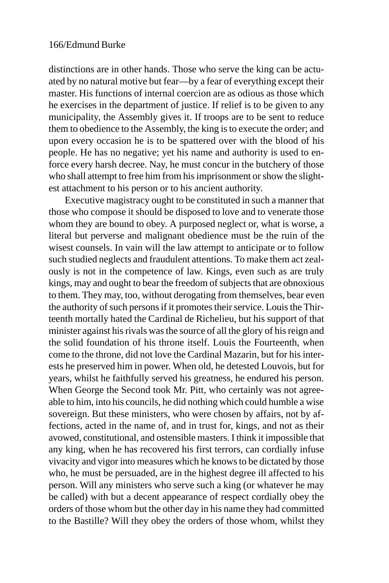distinctions are in other hands. Those who serve the king can be actuated by no natural motive but fear—by a fear of everything except their master. His functions of internal coercion are as odious as those which he exercises in the department of justice. If relief is to be given to any municipality, the Assembly gives it. If troops are to be sent to reduce them to obedience to the Assembly, the king is to execute the order; and upon every occasion he is to be spattered over with the blood of his people. He has no negative; yet his name and authority is used to enforce every harsh decree. Nay, he must concur in the butchery of those who shall attempt to free him from his imprisonment or show the slightest attachment to his person or to his ancient authority.

Executive magistracy ought to be constituted in such a manner that those who compose it should be disposed to love and to venerate those whom they are bound to obey. A purposed neglect or, what is worse, a literal but perverse and malignant obedience must be the ruin of the wisest counsels. In vain will the law attempt to anticipate or to follow such studied neglects and fraudulent attentions. To make them act zealously is not in the competence of law. Kings, even such as are truly kings, may and ought to bear the freedom of subjects that are obnoxious to them. They may, too, without derogating from themselves, bear even the authority of such persons if it promotes their service. Louis the Thirteenth mortally hated the Cardinal de Richelieu, but his support of that minister against his rivals was the source of all the glory of his reign and the solid foundation of his throne itself. Louis the Fourteenth, when come to the throne, did not love the Cardinal Mazarin, but for his interests he preserved him in power. When old, he detested Louvois, but for years, whilst he faithfully served his greatness, he endured his person. When George the Second took Mr. Pitt, who certainly was not agreeable to him, into his councils, he did nothing which could humble a wise sovereign. But these ministers, who were chosen by affairs, not by affections, acted in the name of, and in trust for, kings, and not as their avowed, constitutional, and ostensible masters. I think it impossible that any king, when he has recovered his first terrors, can cordially infuse vivacity and vigor into measures which he knows to be dictated by those who, he must be persuaded, are in the highest degree ill affected to his person. Will any ministers who serve such a king (or whatever he may be called) with but a decent appearance of respect cordially obey the orders of those whom but the other day in his name they had committed to the Bastille? Will they obey the orders of those whom, whilst they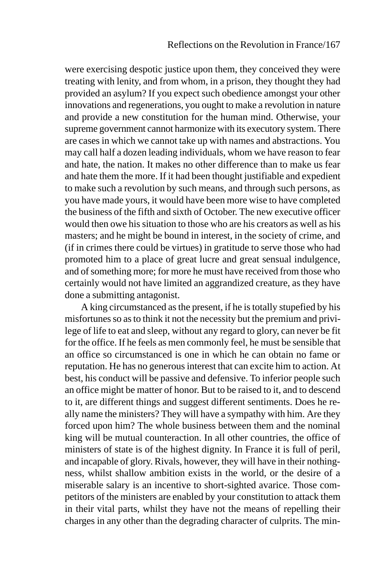were exercising despotic justice upon them, they conceived they were treating with lenity, and from whom, in a prison, they thought they had provided an asylum? If you expect such obedience amongst your other innovations and regenerations, you ought to make a revolution in nature and provide a new constitution for the human mind. Otherwise, your supreme government cannot harmonize with its executory system. There are cases in which we cannot take up with names and abstractions. You may call half a dozen leading individuals, whom we have reason to fear and hate, the nation. It makes no other difference than to make us fear and hate them the more. If it had been thought justifiable and expedient to make such a revolution by such means, and through such persons, as you have made yours, it would have been more wise to have completed the business of the fifth and sixth of October. The new executive officer would then owe his situation to those who are his creators as well as his masters; and he might be bound in interest, in the society of crime, and (if in crimes there could be virtues) in gratitude to serve those who had promoted him to a place of great lucre and great sensual indulgence, and of something more; for more he must have received from those who certainly would not have limited an aggrandized creature, as they have done a submitting antagonist.

A king circumstanced as the present, if he is totally stupefied by his misfortunes so as to think it not the necessity but the premium and privilege of life to eat and sleep, without any regard to glory, can never be fit for the office. If he feels as men commonly feel, he must be sensible that an office so circumstanced is one in which he can obtain no fame or reputation. He has no generous interest that can excite him to action. At best, his conduct will be passive and defensive. To inferior people such an office might be matter of honor. But to be raised to it, and to descend to it, are different things and suggest different sentiments. Does he really name the ministers? They will have a sympathy with him. Are they forced upon him? The whole business between them and the nominal king will be mutual counteraction. In all other countries, the office of ministers of state is of the highest dignity. In France it is full of peril, and incapable of glory. Rivals, however, they will have in their nothingness, whilst shallow ambition exists in the world, or the desire of a miserable salary is an incentive to short-sighted avarice. Those competitors of the ministers are enabled by your constitution to attack them in their vital parts, whilst they have not the means of repelling their charges in any other than the degrading character of culprits. The min-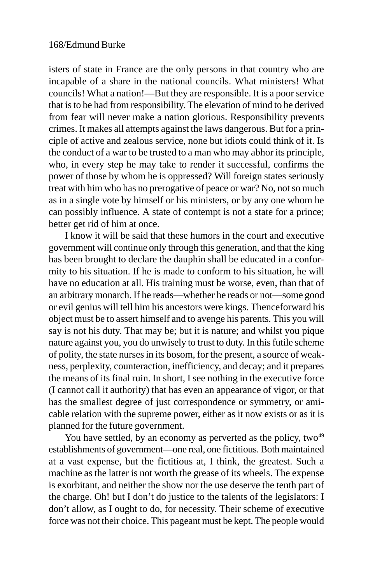isters of state in France are the only persons in that country who are incapable of a share in the national councils. What ministers! What councils! What a nation!—But they are responsible. It is a poor service that is to be had from responsibility. The elevation of mind to be derived from fear will never make a nation glorious. Responsibility prevents crimes. It makes all attempts against the laws dangerous. But for a principle of active and zealous service, none but idiots could think of it. Is the conduct of a war to be trusted to a man who may abhor its principle, who, in every step he may take to render it successful, confirms the power of those by whom he is oppressed? Will foreign states seriously treat with him who has no prerogative of peace or war? No, not so much as in a single vote by himself or his ministers, or by any one whom he can possibly influence. A state of contempt is not a state for a prince; better get rid of him at once.

I know it will be said that these humors in the court and executive government will continue only through this generation, and that the king has been brought to declare the dauphin shall be educated in a conformity to his situation. If he is made to conform to his situation, he will have no education at all. His training must be worse, even, than that of an arbitrary monarch. If he reads—whether he reads or not—some good or evil genius will tell him his ancestors were kings. Thenceforward his object must be to assert himself and to avenge his parents. This you will say is not his duty. That may be; but it is nature; and whilst you pique nature against you, you do unwisely to trust to duty. In this futile scheme of polity, the state nurses in its bosom, for the present, a source of weakness, perplexity, counteraction, inefficiency, and decay; and it prepares the means of its final ruin. In short, I see nothing in the executive force (I cannot call it authority) that has even an appearance of vigor, or that has the smallest degree of just correspondence or symmetry, or amicable relation with the supreme power, either as it now exists or as it is planned for the future government.

You have settled, by an economy as perverted as the policy, two $49$ establishments of government—one real, one fictitious. Both maintained at a vast expense, but the fictitious at, I think, the greatest. Such a machine as the latter is not worth the grease of its wheels. The expense is exorbitant, and neither the show nor the use deserve the tenth part of the charge. Oh! but I don't do justice to the talents of the legislators: I don't allow, as I ought to do, for necessity. Their scheme of executive force was not their choice. This pageant must be kept. The people would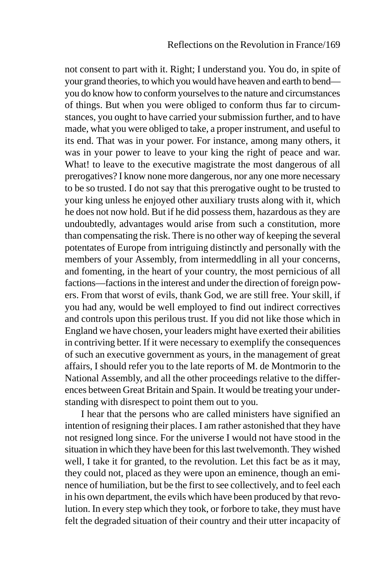not consent to part with it. Right; I understand you. You do, in spite of your grand theories, to which you would have heaven and earth to bend you do know how to conform yourselves to the nature and circumstances of things. But when you were obliged to conform thus far to circumstances, you ought to have carried your submission further, and to have made, what you were obliged to take, a proper instrument, and useful to its end. That was in your power. For instance, among many others, it was in your power to leave to your king the right of peace and war. What! to leave to the executive magistrate the most dangerous of all prerogatives? I know none more dangerous, nor any one more necessary to be so trusted. I do not say that this prerogative ought to be trusted to your king unless he enjoyed other auxiliary trusts along with it, which he does not now hold. But if he did possess them, hazardous as they are undoubtedly, advantages would arise from such a constitution, more than compensating the risk. There is no other way of keeping the several potentates of Europe from intriguing distinctly and personally with the members of your Assembly, from intermeddling in all your concerns, and fomenting, in the heart of your country, the most pernicious of all factions—factions in the interest and under the direction of foreign powers. From that worst of evils, thank God, we are still free. Your skill, if you had any, would be well employed to find out indirect correctives and controls upon this perilous trust. If you did not like those which in England we have chosen, your leaders might have exerted their abilities in contriving better. If it were necessary to exemplify the consequences of such an executive government as yours, in the management of great affairs, I should refer you to the late reports of M. de Montmorin to the National Assembly, and all the other proceedings relative to the differences between Great Britain and Spain. It would be treating your understanding with disrespect to point them out to you.

I hear that the persons who are called ministers have signified an intention of resigning their places. I am rather astonished that they have not resigned long since. For the universe I would not have stood in the situation in which they have been for this last twelvemonth. They wished well, I take it for granted, to the revolution. Let this fact be as it may, they could not, placed as they were upon an eminence, though an eminence of humiliation, but be the first to see collectively, and to feel each in his own department, the evils which have been produced by that revolution. In every step which they took, or forbore to take, they must have felt the degraded situation of their country and their utter incapacity of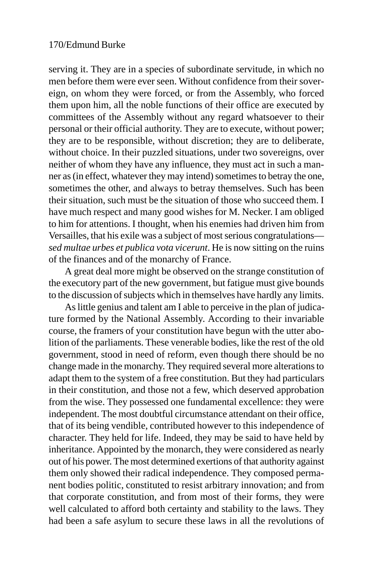serving it. They are in a species of subordinate servitude, in which no men before them were ever seen. Without confidence from their sovereign, on whom they were forced, or from the Assembly, who forced them upon him, all the noble functions of their office are executed by committees of the Assembly without any regard whatsoever to their personal or their official authority. They are to execute, without power; they are to be responsible, without discretion; they are to deliberate, without choice. In their puzzled situations, under two sovereigns, over neither of whom they have any influence, they must act in such a manner as (in effect, whatever they may intend) sometimes to betray the one, sometimes the other, and always to betray themselves. Such has been their situation, such must be the situation of those who succeed them. I have much respect and many good wishes for M. Necker. I am obliged to him for attentions. I thought, when his enemies had driven him from Versailles, that his exile was a subject of most serious congratulations *sed multae urbes et publica vota vicerunt*. He is now sitting on the ruins of the finances and of the monarchy of France.

A great deal more might be observed on the strange constitution of the executory part of the new government, but fatigue must give bounds to the discussion of subjects which in themselves have hardly any limits.

As little genius and talent am I able to perceive in the plan of judicature formed by the National Assembly. According to their invariable course, the framers of your constitution have begun with the utter abolition of the parliaments. These venerable bodies, like the rest of the old government, stood in need of reform, even though there should be no change made in the monarchy. They required several more alterations to adapt them to the system of a free constitution. But they had particulars in their constitution, and those not a few, which deserved approbation from the wise. They possessed one fundamental excellence: they were independent. The most doubtful circumstance attendant on their office, that of its being vendible, contributed however to this independence of character. They held for life. Indeed, they may be said to have held by inheritance. Appointed by the monarch, they were considered as nearly out of his power. The most determined exertions of that authority against them only showed their radical independence. They composed permanent bodies politic, constituted to resist arbitrary innovation; and from that corporate constitution, and from most of their forms, they were well calculated to afford both certainty and stability to the laws. They had been a safe asylum to secure these laws in all the revolutions of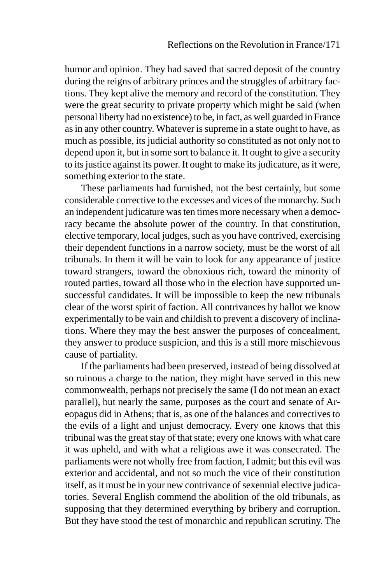humor and opinion. They had saved that sacred deposit of the country during the reigns of arbitrary princes and the struggles of arbitrary factions. They kept alive the memory and record of the constitution. They were the great security to private property which might be said (when personal liberty had no existence) to be, in fact, as well guarded in France as in any other country. Whatever is supreme in a state ought to have, as much as possible, its judicial authority so constituted as not only not to depend upon it, but in some sort to balance it. It ought to give a security to its justice against its power. It ought to make its judicature, as it were, something exterior to the state.

These parliaments had furnished, not the best certainly, but some considerable corrective to the excesses and vices of the monarchy. Such an independent judicature was ten times more necessary when a democracy became the absolute power of the country. In that constitution, elective temporary, local judges, such as you have contrived, exercising their dependent functions in a narrow society, must be the worst of all tribunals. In them it will be vain to look for any appearance of justice toward strangers, toward the obnoxious rich, toward the minority of routed parties, toward all those who in the election have supported unsuccessful candidates. It will be impossible to keep the new tribunals clear of the worst spirit of faction. All contrivances by ballot we know experimentally to be vain and childish to prevent a discovery of inclinations. Where they may the best answer the purposes of concealment, they answer to produce suspicion, and this is a still more mischievous cause of partiality.

If the parliaments had been preserved, instead of being dissolved at so ruinous a charge to the nation, they might have served in this new commonwealth, perhaps not precisely the same (I do not mean an exact parallel), but nearly the same, purposes as the court and senate of Areopagus did in Athens; that is, as one of the balances and correctives to the evils of a light and unjust democracy. Every one knows that this tribunal was the great stay of that state; every one knows with what care it was upheld, and with what a religious awe it was consecrated. The parliaments were not wholly free from faction, I admit; but this evil was exterior and accidental, and not so much the vice of their constitution itself, as it must be in your new contrivance of sexennial elective judicatories. Several English commend the abolition of the old tribunals, as supposing that they determined everything by bribery and corruption. But they have stood the test of monarchic and republican scrutiny. The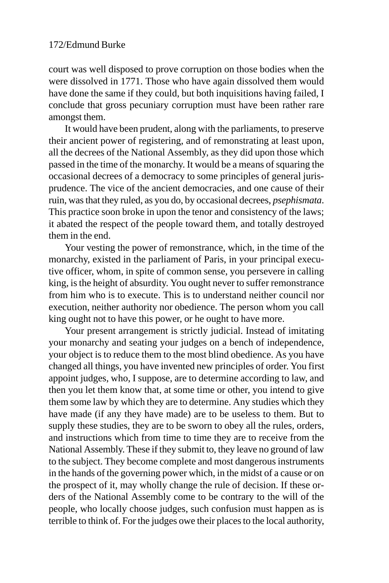court was well disposed to prove corruption on those bodies when the were dissolved in 1771. Those who have again dissolved them would have done the same if they could, but both inquisitions having failed, I conclude that gross pecuniary corruption must have been rather rare amongst them.

It would have been prudent, along with the parliaments, to preserve their ancient power of registering, and of remonstrating at least upon, all the decrees of the National Assembly, as they did upon those which passed in the time of the monarchy. It would be a means of squaring the occasional decrees of a democracy to some principles of general jurisprudence. The vice of the ancient democracies, and one cause of their ruin, was that they ruled, as you do, by occasional decrees, *psephismata*. This practice soon broke in upon the tenor and consistency of the laws; it abated the respect of the people toward them, and totally destroyed them in the end.

Your vesting the power of remonstrance, which, in the time of the monarchy, existed in the parliament of Paris, in your principal executive officer, whom, in spite of common sense, you persevere in calling king, is the height of absurdity. You ought never to suffer remonstrance from him who is to execute. This is to understand neither council nor execution, neither authority nor obedience. The person whom you call king ought not to have this power, or he ought to have more.

Your present arrangement is strictly judicial. Instead of imitating your monarchy and seating your judges on a bench of independence, your object is to reduce them to the most blind obedience. As you have changed all things, you have invented new principles of order. You first appoint judges, who, I suppose, are to determine according to law, and then you let them know that, at some time or other, you intend to give them some law by which they are to determine. Any studies which they have made (if any they have made) are to be useless to them. But to supply these studies, they are to be sworn to obey all the rules, orders, and instructions which from time to time they are to receive from the National Assembly. These if they submit to, they leave no ground of law to the subject. They become complete and most dangerous instruments in the hands of the governing power which, in the midst of a cause or on the prospect of it, may wholly change the rule of decision. If these orders of the National Assembly come to be contrary to the will of the people, who locally choose judges, such confusion must happen as is terrible to think of. For the judges owe their places to the local authority,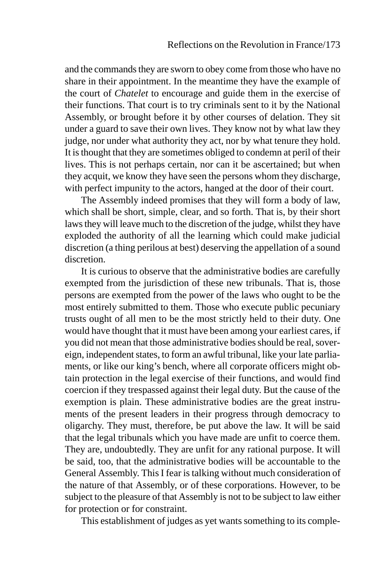and the commands they are sworn to obey come from those who have no share in their appointment. In the meantime they have the example of the court of *Chatelet* to encourage and guide them in the exercise of their functions. That court is to try criminals sent to it by the National Assembly, or brought before it by other courses of delation. They sit under a guard to save their own lives. They know not by what law they judge, nor under what authority they act, nor by what tenure they hold. It is thought that they are sometimes obliged to condemn at peril of their lives. This is not perhaps certain, nor can it be ascertained; but when they acquit, we know they have seen the persons whom they discharge, with perfect impunity to the actors, hanged at the door of their court.

The Assembly indeed promises that they will form a body of law, which shall be short, simple, clear, and so forth. That is, by their short laws they will leave much to the discretion of the judge, whilst they have exploded the authority of all the learning which could make judicial discretion (a thing perilous at best) deserving the appellation of a sound discretion.

It is curious to observe that the administrative bodies are carefully exempted from the jurisdiction of these new tribunals. That is, those persons are exempted from the power of the laws who ought to be the most entirely submitted to them. Those who execute public pecuniary trusts ought of all men to be the most strictly held to their duty. One would have thought that it must have been among your earliest cares, if you did not mean that those administrative bodies should be real, sovereign, independent states, to form an awful tribunal, like your late parliaments, or like our king's bench, where all corporate officers might obtain protection in the legal exercise of their functions, and would find coercion if they trespassed against their legal duty. But the cause of the exemption is plain. These administrative bodies are the great instruments of the present leaders in their progress through democracy to oligarchy. They must, therefore, be put above the law. It will be said that the legal tribunals which you have made are unfit to coerce them. They are, undoubtedly. They are unfit for any rational purpose. It will be said, too, that the administrative bodies will be accountable to the General Assembly. This I fear is talking without much consideration of the nature of that Assembly, or of these corporations. However, to be subject to the pleasure of that Assembly is not to be subject to law either for protection or for constraint.

This establishment of judges as yet wants something to its comple-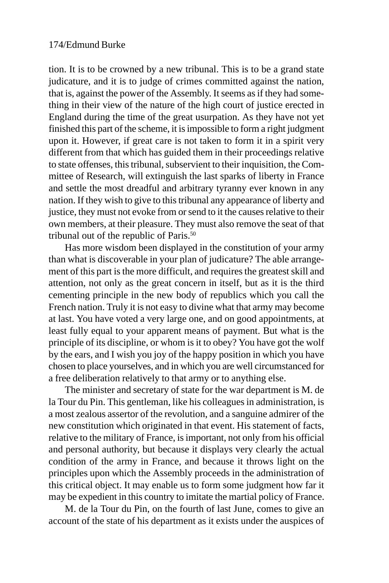tion. It is to be crowned by a new tribunal. This is to be a grand state judicature, and it is to judge of crimes committed against the nation, that is, against the power of the Assembly. It seems as if they had something in their view of the nature of the high court of justice erected in England during the time of the great usurpation. As they have not yet finished this part of the scheme, it is impossible to form a right judgment upon it. However, if great care is not taken to form it in a spirit very different from that which has guided them in their proceedings relative to state offenses, this tribunal, subservient to their inquisition, the Committee of Research, will extinguish the last sparks of liberty in France and settle the most dreadful and arbitrary tyranny ever known in any nation. If they wish to give to this tribunal any appearance of liberty and justice, they must not evoke from or send to it the causes relative to their own members, at their pleasure. They must also remove the seat of that tribunal out of the republic of Paris.<sup>50</sup>

Has more wisdom been displayed in the constitution of your army than what is discoverable in your plan of judicature? The able arrangement of this part is the more difficult, and requires the greatest skill and attention, not only as the great concern in itself, but as it is the third cementing principle in the new body of republics which you call the French nation. Truly it is not easy to divine what that army may become at last. You have voted a very large one, and on good appointments, at least fully equal to your apparent means of payment. But what is the principle of its discipline, or whom is it to obey? You have got the wolf by the ears, and I wish you joy of the happy position in which you have chosen to place yourselves, and in which you are well circumstanced for a free deliberation relatively to that army or to anything else.

The minister and secretary of state for the war department is M. de la Tour du Pin. This gentleman, like his colleagues in administration, is a most zealous assertor of the revolution, and a sanguine admirer of the new constitution which originated in that event. His statement of facts, relative to the military of France, is important, not only from his official and personal authority, but because it displays very clearly the actual condition of the army in France, and because it throws light on the principles upon which the Assembly proceeds in the administration of this critical object. It may enable us to form some judgment how far it may be expedient in this country to imitate the martial policy of France.

M. de la Tour du Pin, on the fourth of last June, comes to give an account of the state of his department as it exists under the auspices of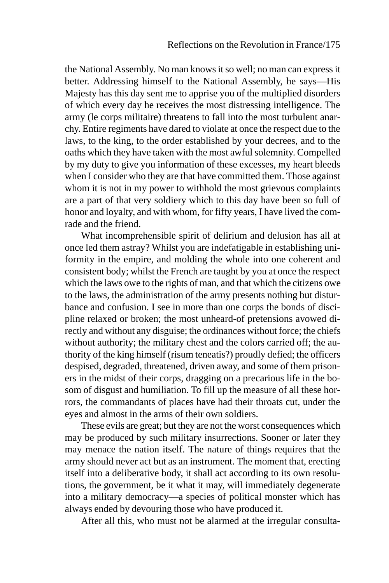the National Assembly. No man knows it so well; no man can express it better. Addressing himself to the National Assembly, he says—His Majesty has this day sent me to apprise you of the multiplied disorders of which every day he receives the most distressing intelligence. The army (le corps militaire) threatens to fall into the most turbulent anarchy. Entire regiments have dared to violate at once the respect due to the laws, to the king, to the order established by your decrees, and to the oaths which they have taken with the most awful solemnity. Compelled by my duty to give you information of these excesses, my heart bleeds when I consider who they are that have committed them. Those against whom it is not in my power to withhold the most grievous complaints are a part of that very soldiery which to this day have been so full of honor and loyalty, and with whom, for fifty years, I have lived the comrade and the friend.

What incomprehensible spirit of delirium and delusion has all at once led them astray? Whilst you are indefatigable in establishing uniformity in the empire, and molding the whole into one coherent and consistent body; whilst the French are taught by you at once the respect which the laws owe to the rights of man, and that which the citizens owe to the laws, the administration of the army presents nothing but disturbance and confusion. I see in more than one corps the bonds of discipline relaxed or broken; the most unheard-of pretensions avowed directly and without any disguise; the ordinances without force; the chiefs without authority; the military chest and the colors carried off; the authority of the king himself (risum teneatis?) proudly defied; the officers despised, degraded, threatened, driven away, and some of them prisoners in the midst of their corps, dragging on a precarious life in the bosom of disgust and humiliation. To fill up the measure of all these horrors, the commandants of places have had their throats cut, under the eyes and almost in the arms of their own soldiers.

These evils are great; but they are not the worst consequences which may be produced by such military insurrections. Sooner or later they may menace the nation itself. The nature of things requires that the army should never act but as an instrument. The moment that, erecting itself into a deliberative body, it shall act according to its own resolutions, the government, be it what it may, will immediately degenerate into a military democracy—a species of political monster which has always ended by devouring those who have produced it.

After all this, who must not be alarmed at the irregular consulta-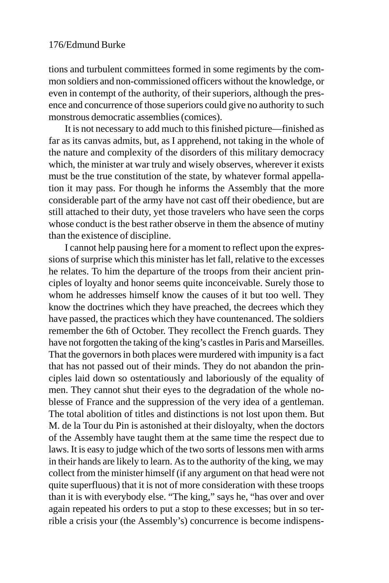tions and turbulent committees formed in some regiments by the common soldiers and non-commissioned officers without the knowledge, or even in contempt of the authority, of their superiors, although the presence and concurrence of those superiors could give no authority to such monstrous democratic assemblies (comices).

It is not necessary to add much to this finished picture—finished as far as its canvas admits, but, as I apprehend, not taking in the whole of the nature and complexity of the disorders of this military democracy which, the minister at war truly and wisely observes, wherever it exists must be the true constitution of the state, by whatever formal appellation it may pass. For though he informs the Assembly that the more considerable part of the army have not cast off their obedience, but are still attached to their duty, yet those travelers who have seen the corps whose conduct is the best rather observe in them the absence of mutiny than the existence of discipline.

I cannot help pausing here for a moment to reflect upon the expressions of surprise which this minister has let fall, relative to the excesses he relates. To him the departure of the troops from their ancient principles of loyalty and honor seems quite inconceivable. Surely those to whom he addresses himself know the causes of it but too well. They know the doctrines which they have preached, the decrees which they have passed, the practices which they have countenanced. The soldiers remember the 6th of October. They recollect the French guards. They have not forgotten the taking of the king's castles in Paris and Marseilles. That the governors in both places were murdered with impunity is a fact that has not passed out of their minds. They do not abandon the principles laid down so ostentatiously and laboriously of the equality of men. They cannot shut their eyes to the degradation of the whole noblesse of France and the suppression of the very idea of a gentleman. The total abolition of titles and distinctions is not lost upon them. But M. de la Tour du Pin is astonished at their disloyalty, when the doctors of the Assembly have taught them at the same time the respect due to laws. It is easy to judge which of the two sorts of lessons men with arms in their hands are likely to learn. As to the authority of the king, we may collect from the minister himself (if any argument on that head were not quite superfluous) that it is not of more consideration with these troops than it is with everybody else. "The king," says he, "has over and over again repeated his orders to put a stop to these excesses; but in so terrible a crisis your (the Assembly's) concurrence is become indispens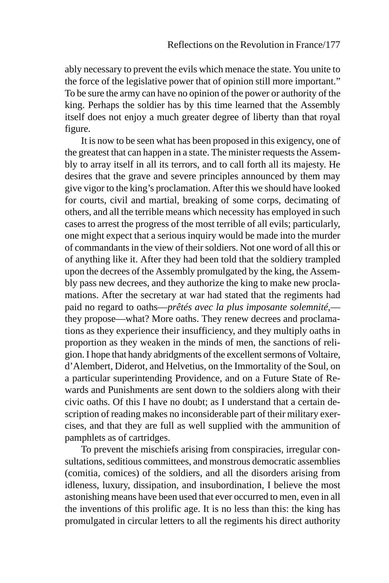ably necessary to prevent the evils which menace the state. You unite to the force of the legislative power that of opinion still more important." To be sure the army can have no opinion of the power or authority of the king. Perhaps the soldier has by this time learned that the Assembly itself does not enjoy a much greater degree of liberty than that royal figure.

It is now to be seen what has been proposed in this exigency, one of the greatest that can happen in a state. The minister requests the Assembly to array itself in all its terrors, and to call forth all its majesty. He desires that the grave and severe principles announced by them may give vigor to the king's proclamation. After this we should have looked for courts, civil and martial, breaking of some corps, decimating of others, and all the terrible means which necessity has employed in such cases to arrest the progress of the most terrible of all evils; particularly, one might expect that a serious inquiry would be made into the murder of commandants in the view of their soldiers. Not one word of all this or of anything like it. After they had been told that the soldiery trampled upon the decrees of the Assembly promulgated by the king, the Assembly pass new decrees, and they authorize the king to make new proclamations. After the secretary at war had stated that the regiments had paid no regard to oaths—*prêtés avec la plus imposante solemnité*, they propose—what? More oaths. They renew decrees and proclamations as they experience their insufficiency, and they multiply oaths in proportion as they weaken in the minds of men, the sanctions of religion. I hope that handy abridgments of the excellent sermons of Voltaire, d'Alembert, Diderot, and Helvetius, on the Immortality of the Soul, on a particular superintending Providence, and on a Future State of Rewards and Punishments are sent down to the soldiers along with their civic oaths. Of this I have no doubt; as I understand that a certain description of reading makes no inconsiderable part of their military exercises, and that they are full as well supplied with the ammunition of pamphlets as of cartridges.

To prevent the mischiefs arising from conspiracies, irregular consultations, seditious committees, and monstrous democratic assemblies (comitia, comices) of the soldiers, and all the disorders arising from idleness, luxury, dissipation, and insubordination, I believe the most astonishing means have been used that ever occurred to men, even in all the inventions of this prolific age. It is no less than this: the king has promulgated in circular letters to all the regiments his direct authority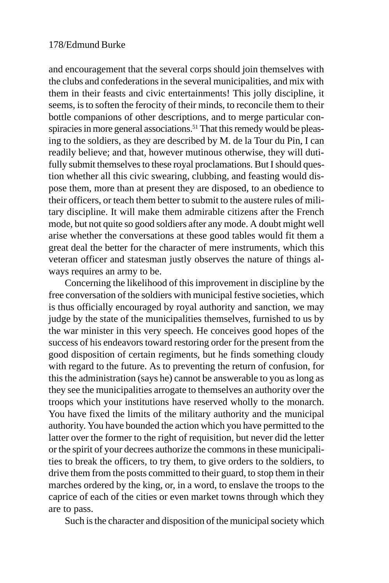and encouragement that the several corps should join themselves with the clubs and confederations in the several municipalities, and mix with them in their feasts and civic entertainments! This jolly discipline, it seems, is to soften the ferocity of their minds, to reconcile them to their bottle companions of other descriptions, and to merge particular conspiracies in more general associations.<sup>51</sup> That this remedy would be pleasing to the soldiers, as they are described by M. de la Tour du Pin, I can readily believe; and that, however mutinous otherwise, they will dutifully submit themselves to these royal proclamations. But I should question whether all this civic swearing, clubbing, and feasting would dispose them, more than at present they are disposed, to an obedience to their officers, or teach them better to submit to the austere rules of military discipline. It will make them admirable citizens after the French mode, but not quite so good soldiers after any mode. A doubt might well arise whether the conversations at these good tables would fit them a great deal the better for the character of mere instruments, which this veteran officer and statesman justly observes the nature of things always requires an army to be.

Concerning the likelihood of this improvement in discipline by the free conversation of the soldiers with municipal festive societies, which is thus officially encouraged by royal authority and sanction, we may judge by the state of the municipalities themselves, furnished to us by the war minister in this very speech. He conceives good hopes of the success of his endeavors toward restoring order for the present from the good disposition of certain regiments, but he finds something cloudy with regard to the future. As to preventing the return of confusion, for this the administration (says he) cannot be answerable to you as long as they see the municipalities arrogate to themselves an authority over the troops which your institutions have reserved wholly to the monarch. You have fixed the limits of the military authority and the municipal authority. You have bounded the action which you have permitted to the latter over the former to the right of requisition, but never did the letter or the spirit of your decrees authorize the commons in these municipalities to break the officers, to try them, to give orders to the soldiers, to drive them from the posts committed to their guard, to stop them in their marches ordered by the king, or, in a word, to enslave the troops to the caprice of each of the cities or even market towns through which they are to pass.

Such is the character and disposition of the municipal society which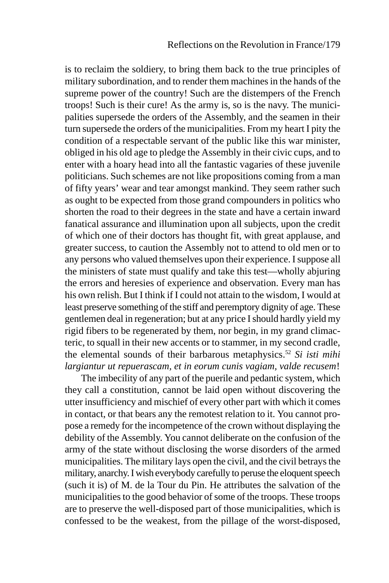is to reclaim the soldiery, to bring them back to the true principles of military subordination, and to render them machines in the hands of the supreme power of the country! Such are the distempers of the French troops! Such is their cure! As the army is, so is the navy. The municipalities supersede the orders of the Assembly, and the seamen in their turn supersede the orders of the municipalities. From my heart I pity the condition of a respectable servant of the public like this war minister, obliged in his old age to pledge the Assembly in their civic cups, and to enter with a hoary head into all the fantastic vagaries of these juvenile politicians. Such schemes are not like propositions coming from a man of fifty years' wear and tear amongst mankind. They seem rather such as ought to be expected from those grand compounders in politics who shorten the road to their degrees in the state and have a certain inward fanatical assurance and illumination upon all subjects, upon the credit of which one of their doctors has thought fit, with great applause, and greater success, to caution the Assembly not to attend to old men or to any persons who valued themselves upon their experience. I suppose all the ministers of state must qualify and take this test—wholly abjuring the errors and heresies of experience and observation. Every man has his own relish. But I think if I could not attain to the wisdom, I would at least preserve something of the stiff and peremptory dignity of age. These gentlemen deal in regeneration; but at any price I should hardly yield my rigid fibers to be regenerated by them, nor begin, in my grand climacteric, to squall in their new accents or to stammer, in my second cradle, the elemental sounds of their barbarous metaphysics.52 *Si isti mihi largiantur ut repuerascam, et in eorum cunis vagiam, valde recusem*!

The imbecility of any part of the puerile and pedantic system, which they call a constitution, cannot be laid open without discovering the utter insufficiency and mischief of every other part with which it comes in contact, or that bears any the remotest relation to it. You cannot propose a remedy for the incompetence of the crown without displaying the debility of the Assembly. You cannot deliberate on the confusion of the army of the state without disclosing the worse disorders of the armed municipalities. The military lays open the civil, and the civil betrays the military, anarchy. I wish everybody carefully to peruse the eloquent speech (such it is) of M. de la Tour du Pin. He attributes the salvation of the municipalities to the good behavior of some of the troops. These troops are to preserve the well-disposed part of those municipalities, which is confessed to be the weakest, from the pillage of the worst-disposed,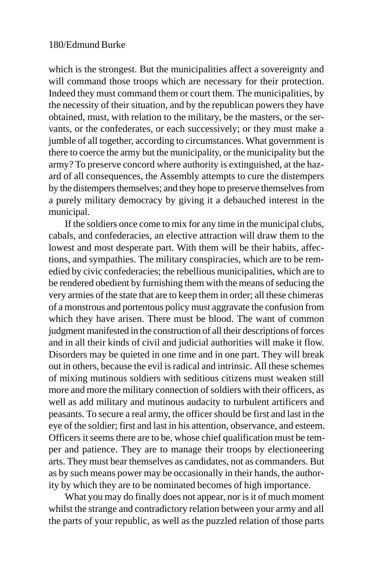which is the strongest. But the municipalities affect a sovereignty and will command those troops which are necessary for their protection. Indeed they must command them or court them. The municipalities, by the necessity of their situation, and by the republican powers they have obtained, must, with relation to the military, be the masters, or the servants, or the confederates, or each successively; or they must make a jumble of all together, according to circumstances. What government is there to coerce the army but the municipality, or the municipality but the army? To preserve concord where authority is extinguished, at the hazard of all consequences, the Assembly attempts to cure the distempers by the distempers themselves; and they hope to preserve themselves from a purely military democracy by giving it a debauched interest in the municipal.

If the soldiers once come to mix for any time in the municipal clubs, cabals, and confederacies, an elective attraction will draw them to the lowest and most desperate part. With them will be their habits, affections, and sympathies. The military conspiracies, which are to be remedied by civic confederacies; the rebellious municipalities, which are to be rendered obedient by furnishing them with the means of seducing the very armies of the state that are to keep them in order; all these chimeras of a monstrous and portentous policy must aggravate the confusion from which they have arisen. There must be blood. The want of common judgment manifested in the construction of all their descriptions of forces and in all their kinds of civil and judicial authorities will make it flow. Disorders may be quieted in one time and in one part. They will break out in others, because the evil is radical and intrinsic. All these schemes of mixing mutinous soldiers with seditious citizens must weaken still more and more the military connection of soldiers with their officers, as well as add military and mutinous audacity to turbulent artificers and peasants. To secure a real army, the officer should be first and last in the eye of the soldier; first and last in his attention, observance, and esteem. Officers it seems there are to be, whose chief qualification must be temper and patience. They are to manage their troops by electioneering arts. They must bear themselves as candidates, not as commanders. But as by such means power may be occasionally in their hands, the authority by which they are to be nominated becomes of high importance.

What you may do finally does not appear, nor is it of much moment whilst the strange and contradictory relation between your army and all the parts of your republic, as well as the puzzled relation of those parts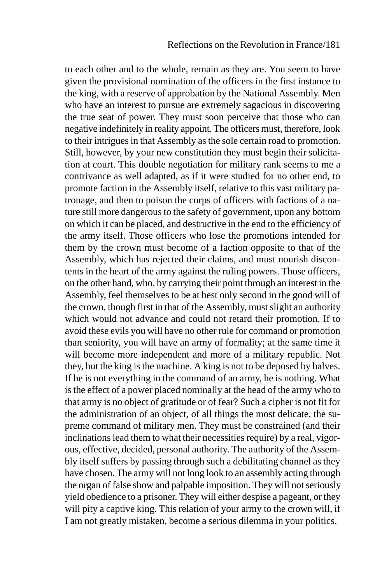to each other and to the whole, remain as they are. You seem to have given the provisional nomination of the officers in the first instance to the king, with a reserve of approbation by the National Assembly. Men who have an interest to pursue are extremely sagacious in discovering the true seat of power. They must soon perceive that those who can negative indefinitely in reality appoint. The officers must, therefore, look to their intrigues in that Assembly as the sole certain road to promotion. Still, however, by your new constitution they must begin their solicitation at court. This double negotiation for military rank seems to me a contrivance as well adapted, as if it were studied for no other end, to promote faction in the Assembly itself, relative to this vast military patronage, and then to poison the corps of officers with factions of a nature still more dangerous to the safety of government, upon any bottom on which it can be placed, and destructive in the end to the efficiency of the army itself. Those officers who lose the promotions intended for them by the crown must become of a faction opposite to that of the Assembly, which has rejected their claims, and must nourish discontents in the heart of the army against the ruling powers. Those officers, on the other hand, who, by carrying their point through an interest in the Assembly, feel themselves to be at best only second in the good will of the crown, though first in that of the Assembly, must slight an authority which would not advance and could not retard their promotion. If to avoid these evils you will have no other rule for command or promotion than seniority, you will have an army of formality; at the same time it will become more independent and more of a military republic. Not they, but the king is the machine. A king is not to be deposed by halves. If he is not everything in the command of an army, he is nothing. What is the effect of a power placed nominally at the head of the army who to that army is no object of gratitude or of fear? Such a cipher is not fit for the administration of an object, of all things the most delicate, the supreme command of military men. They must be constrained (and their inclinations lead them to what their necessities require) by a real, vigorous, effective, decided, personal authority. The authority of the Assembly itself suffers by passing through such a debilitating channel as they have chosen. The army will not long look to an assembly acting through the organ of false show and palpable imposition. They will not seriously yield obedience to a prisoner. They will either despise a pageant, or they will pity a captive king. This relation of your army to the crown will, if I am not greatly mistaken, become a serious dilemma in your politics.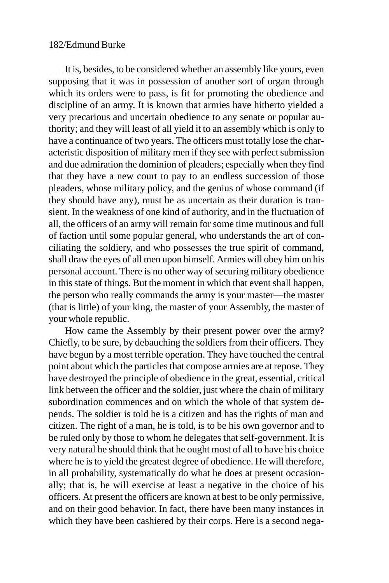It is, besides, to be considered whether an assembly like yours, even supposing that it was in possession of another sort of organ through which its orders were to pass, is fit for promoting the obedience and discipline of an army. It is known that armies have hitherto yielded a very precarious and uncertain obedience to any senate or popular authority; and they will least of all yield it to an assembly which is only to have a continuance of two years. The officers must totally lose the characteristic disposition of military men if they see with perfect submission and due admiration the dominion of pleaders; especially when they find that they have a new court to pay to an endless succession of those pleaders, whose military policy, and the genius of whose command (if they should have any), must be as uncertain as their duration is transient. In the weakness of one kind of authority, and in the fluctuation of all, the officers of an army will remain for some time mutinous and full of faction until some popular general, who understands the art of conciliating the soldiery, and who possesses the true spirit of command, shall draw the eyes of all men upon himself. Armies will obey him on his personal account. There is no other way of securing military obedience in this state of things. But the moment in which that event shall happen, the person who really commands the army is your master—the master (that is little) of your king, the master of your Assembly, the master of your whole republic.

How came the Assembly by their present power over the army? Chiefly, to be sure, by debauching the soldiers from their officers. They have begun by a most terrible operation. They have touched the central point about which the particles that compose armies are at repose. They have destroyed the principle of obedience in the great, essential, critical link between the officer and the soldier, just where the chain of military subordination commences and on which the whole of that system depends. The soldier is told he is a citizen and has the rights of man and citizen. The right of a man, he is told, is to be his own governor and to be ruled only by those to whom he delegates that self-government. It is very natural he should think that he ought most of all to have his choice where he is to yield the greatest degree of obedience. He will therefore, in all probability, systematically do what he does at present occasionally; that is, he will exercise at least a negative in the choice of his officers. At present the officers are known at best to be only permissive, and on their good behavior. In fact, there have been many instances in which they have been cashiered by their corps. Here is a second nega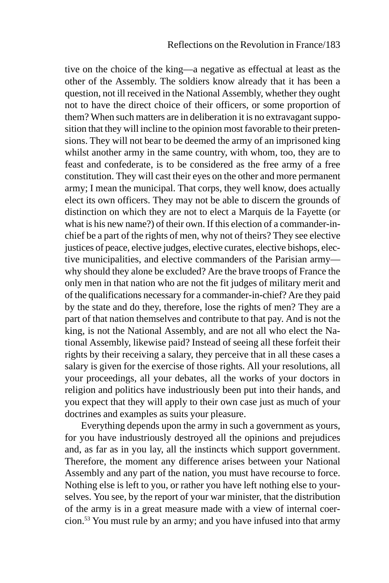tive on the choice of the king—a negative as effectual at least as the other of the Assembly. The soldiers know already that it has been a question, not ill received in the National Assembly, whether they ought not to have the direct choice of their officers, or some proportion of them? When such matters are in deliberation it is no extravagant supposition that they will incline to the opinion most favorable to their pretensions. They will not bear to be deemed the army of an imprisoned king whilst another army in the same country, with whom, too, they are to feast and confederate, is to be considered as the free army of a free constitution. They will cast their eyes on the other and more permanent army; I mean the municipal. That corps, they well know, does actually elect its own officers. They may not be able to discern the grounds of distinction on which they are not to elect a Marquis de la Fayette (or what is his new name?) of their own. If this election of a commander-inchief be a part of the rights of men, why not of theirs? They see elective justices of peace, elective judges, elective curates, elective bishops, elective municipalities, and elective commanders of the Parisian army why should they alone be excluded? Are the brave troops of France the only men in that nation who are not the fit judges of military merit and of the qualifications necessary for a commander-in-chief? Are they paid by the state and do they, therefore, lose the rights of men? They are a part of that nation themselves and contribute to that pay. And is not the king, is not the National Assembly, and are not all who elect the National Assembly, likewise paid? Instead of seeing all these forfeit their rights by their receiving a salary, they perceive that in all these cases a salary is given for the exercise of those rights. All your resolutions, all your proceedings, all your debates, all the works of your doctors in religion and politics have industriously been put into their hands, and you expect that they will apply to their own case just as much of your doctrines and examples as suits your pleasure.

Everything depends upon the army in such a government as yours, for you have industriously destroyed all the opinions and prejudices and, as far as in you lay, all the instincts which support government. Therefore, the moment any difference arises between your National Assembly and any part of the nation, you must have recourse to force. Nothing else is left to you, or rather you have left nothing else to yourselves. You see, by the report of your war minister, that the distribution of the army is in a great measure made with a view of internal coercion.53 You must rule by an army; and you have infused into that army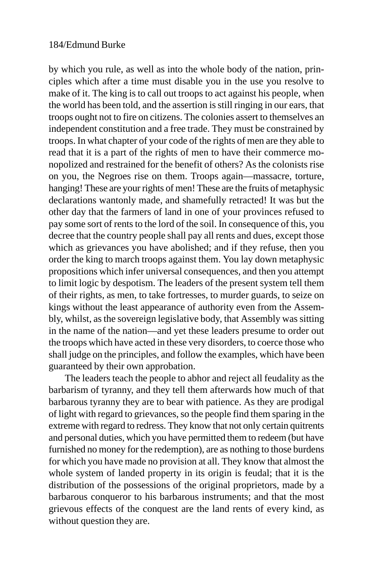by which you rule, as well as into the whole body of the nation, principles which after a time must disable you in the use you resolve to make of it. The king is to call out troops to act against his people, when the world has been told, and the assertion is still ringing in our ears, that troops ought not to fire on citizens. The colonies assert to themselves an independent constitution and a free trade. They must be constrained by troops. In what chapter of your code of the rights of men are they able to read that it is a part of the rights of men to have their commerce monopolized and restrained for the benefit of others? As the colonists rise on you, the Negroes rise on them. Troops again—massacre, torture, hanging! These are your rights of men! These are the fruits of metaphysic declarations wantonly made, and shamefully retracted! It was but the other day that the farmers of land in one of your provinces refused to pay some sort of rents to the lord of the soil. In consequence of this, you decree that the country people shall pay all rents and dues, except those which as grievances you have abolished; and if they refuse, then you order the king to march troops against them. You lay down metaphysic propositions which infer universal consequences, and then you attempt to limit logic by despotism. The leaders of the present system tell them of their rights, as men, to take fortresses, to murder guards, to seize on kings without the least appearance of authority even from the Assembly, whilst, as the sovereign legislative body, that Assembly was sitting in the name of the nation—and yet these leaders presume to order out the troops which have acted in these very disorders, to coerce those who shall judge on the principles, and follow the examples, which have been guaranteed by their own approbation.

The leaders teach the people to abhor and reject all feudality as the barbarism of tyranny, and they tell them afterwards how much of that barbarous tyranny they are to bear with patience. As they are prodigal of light with regard to grievances, so the people find them sparing in the extreme with regard to redress. They know that not only certain quitrents and personal duties, which you have permitted them to redeem (but have furnished no money for the redemption), are as nothing to those burdens for which you have made no provision at all. They know that almost the whole system of landed property in its origin is feudal; that it is the distribution of the possessions of the original proprietors, made by a barbarous conqueror to his barbarous instruments; and that the most grievous effects of the conquest are the land rents of every kind, as without question they are.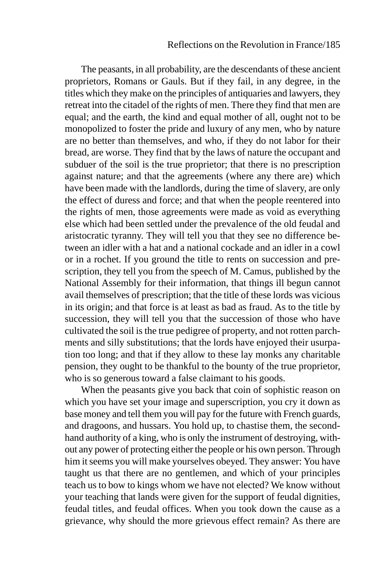The peasants, in all probability, are the descendants of these ancient proprietors, Romans or Gauls. But if they fail, in any degree, in the titles which they make on the principles of antiquaries and lawyers, they retreat into the citadel of the rights of men. There they find that men are equal; and the earth, the kind and equal mother of all, ought not to be monopolized to foster the pride and luxury of any men, who by nature are no better than themselves, and who, if they do not labor for their bread, are worse. They find that by the laws of nature the occupant and subduer of the soil is the true proprietor; that there is no prescription against nature; and that the agreements (where any there are) which have been made with the landlords, during the time of slavery, are only the effect of duress and force; and that when the people reentered into the rights of men, those agreements were made as void as everything else which had been settled under the prevalence of the old feudal and aristocratic tyranny. They will tell you that they see no difference between an idler with a hat and a national cockade and an idler in a cowl or in a rochet. If you ground the title to rents on succession and prescription, they tell you from the speech of M. Camus, published by the National Assembly for their information, that things ill begun cannot avail themselves of prescription; that the title of these lords was vicious in its origin; and that force is at least as bad as fraud. As to the title by succession, they will tell you that the succession of those who have cultivated the soil is the true pedigree of property, and not rotten parchments and silly substitutions; that the lords have enjoyed their usurpation too long; and that if they allow to these lay monks any charitable pension, they ought to be thankful to the bounty of the true proprietor, who is so generous toward a false claimant to his goods.

When the peasants give you back that coin of sophistic reason on which you have set your image and superscription, you cry it down as base money and tell them you will pay for the future with French guards, and dragoons, and hussars. You hold up, to chastise them, the secondhand authority of a king, who is only the instrument of destroying, without any power of protecting either the people or his own person. Through him it seems you will make yourselves obeyed. They answer: You have taught us that there are no gentlemen, and which of your principles teach us to bow to kings whom we have not elected? We know without your teaching that lands were given for the support of feudal dignities, feudal titles, and feudal offices. When you took down the cause as a grievance, why should the more grievous effect remain? As there are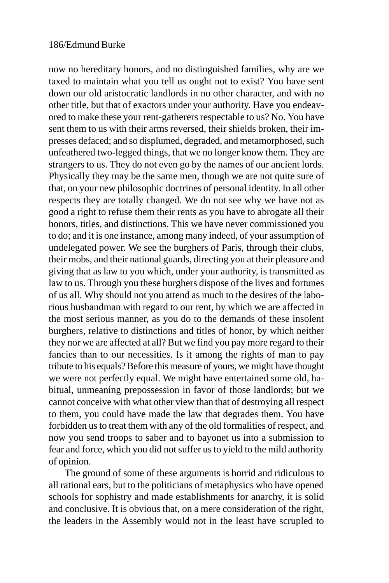now no hereditary honors, and no distinguished families, why are we taxed to maintain what you tell us ought not to exist? You have sent down our old aristocratic landlords in no other character, and with no other title, but that of exactors under your authority. Have you endeavored to make these your rent-gatherers respectable to us? No. You have sent them to us with their arms reversed, their shields broken, their impresses defaced; and so displumed, degraded, and metamorphosed, such unfeathered two-legged things, that we no longer know them. They are strangers to us. They do not even go by the names of our ancient lords. Physically they may be the same men, though we are not quite sure of that, on your new philosophic doctrines of personal identity. In all other respects they are totally changed. We do not see why we have not as good a right to refuse them their rents as you have to abrogate all their honors, titles, and distinctions. This we have never commissioned you to do; and it is one instance, among many indeed, of your assumption of undelegated power. We see the burghers of Paris, through their clubs, their mobs, and their national guards, directing you at their pleasure and giving that as law to you which, under your authority, is transmitted as law to us. Through you these burghers dispose of the lives and fortunes of us all. Why should not you attend as much to the desires of the laborious husbandman with regard to our rent, by which we are affected in the most serious manner, as you do to the demands of these insolent burghers, relative to distinctions and titles of honor, by which neither they nor we are affected at all? But we find you pay more regard to their fancies than to our necessities. Is it among the rights of man to pay tribute to his equals? Before this measure of yours, we might have thought we were not perfectly equal. We might have entertained some old, habitual, unmeaning prepossession in favor of those landlords; but we cannot conceive with what other view than that of destroying all respect to them, you could have made the law that degrades them. You have forbidden us to treat them with any of the old formalities of respect, and now you send troops to saber and to bayonet us into a submission to fear and force, which you did not suffer us to yield to the mild authority of opinion.

The ground of some of these arguments is horrid and ridiculous to all rational ears, but to the politicians of metaphysics who have opened schools for sophistry and made establishments for anarchy, it is solid and conclusive. It is obvious that, on a mere consideration of the right, the leaders in the Assembly would not in the least have scrupled to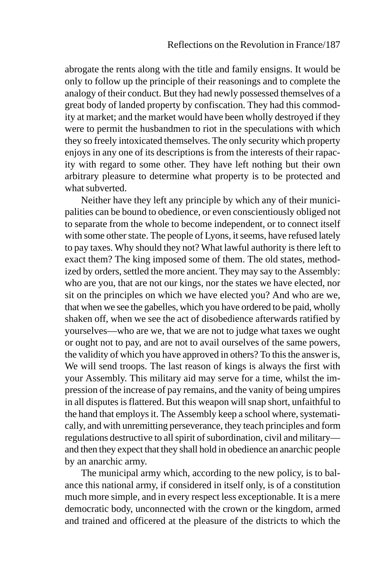abrogate the rents along with the title and family ensigns. It would be only to follow up the principle of their reasonings and to complete the analogy of their conduct. But they had newly possessed themselves of a great body of landed property by confiscation. They had this commodity at market; and the market would have been wholly destroyed if they were to permit the husbandmen to riot in the speculations with which they so freely intoxicated themselves. The only security which property enjoys in any one of its descriptions is from the interests of their rapacity with regard to some other. They have left nothing but their own arbitrary pleasure to determine what property is to be protected and what subverted.

Neither have they left any principle by which any of their municipalities can be bound to obedience, or even conscientiously obliged not to separate from the whole to become independent, or to connect itself with some other state. The people of Lyons, it seems, have refused lately to pay taxes. Why should they not? What lawful authority is there left to exact them? The king imposed some of them. The old states, methodized by orders, settled the more ancient. They may say to the Assembly: who are you, that are not our kings, nor the states we have elected, nor sit on the principles on which we have elected you? And who are we, that when we see the gabelles, which you have ordered to be paid, wholly shaken off, when we see the act of disobedience afterwards ratified by yourselves—who are we, that we are not to judge what taxes we ought or ought not to pay, and are not to avail ourselves of the same powers, the validity of which you have approved in others? To this the answer is, We will send troops. The last reason of kings is always the first with your Assembly. This military aid may serve for a time, whilst the impression of the increase of pay remains, and the vanity of being umpires in all disputes is flattered. But this weapon will snap short, unfaithful to the hand that employs it. The Assembly keep a school where, systematically, and with unremitting perseverance, they teach principles and form regulations destructive to all spirit of subordination, civil and military and then they expect that they shall hold in obedience an anarchic people by an anarchic army.

The municipal army which, according to the new policy, is to balance this national army, if considered in itself only, is of a constitution much more simple, and in every respect less exceptionable. It is a mere democratic body, unconnected with the crown or the kingdom, armed and trained and officered at the pleasure of the districts to which the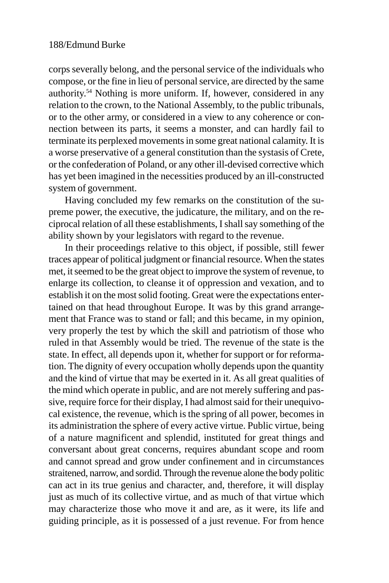corps severally belong, and the personal service of the individuals who compose, or the fine in lieu of personal service, are directed by the same authority.54 Nothing is more uniform. If, however, considered in any relation to the crown, to the National Assembly, to the public tribunals, or to the other army, or considered in a view to any coherence or connection between its parts, it seems a monster, and can hardly fail to terminate its perplexed movements in some great national calamity. It is a worse preservative of a general constitution than the systasis of Crete, or the confederation of Poland, or any other ill-devised corrective which has yet been imagined in the necessities produced by an ill-constructed system of government.

Having concluded my few remarks on the constitution of the supreme power, the executive, the judicature, the military, and on the reciprocal relation of all these establishments, I shall say something of the ability shown by your legislators with regard to the revenue.

In their proceedings relative to this object, if possible, still fewer traces appear of political judgment or financial resource. When the states met, it seemed to be the great object to improve the system of revenue, to enlarge its collection, to cleanse it of oppression and vexation, and to establish it on the most solid footing. Great were the expectations entertained on that head throughout Europe. It was by this grand arrangement that France was to stand or fall; and this became, in my opinion, very properly the test by which the skill and patriotism of those who ruled in that Assembly would be tried. The revenue of the state is the state. In effect, all depends upon it, whether for support or for reformation. The dignity of every occupation wholly depends upon the quantity and the kind of virtue that may be exerted in it. As all great qualities of the mind which operate in public, and are not merely suffering and passive, require force for their display, I had almost said for their unequivocal existence, the revenue, which is the spring of all power, becomes in its administration the sphere of every active virtue. Public virtue, being of a nature magnificent and splendid, instituted for great things and conversant about great concerns, requires abundant scope and room and cannot spread and grow under confinement and in circumstances straitened, narrow, and sordid. Through the revenue alone the body politic can act in its true genius and character, and, therefore, it will display just as much of its collective virtue, and as much of that virtue which may characterize those who move it and are, as it were, its life and guiding principle, as it is possessed of a just revenue. For from hence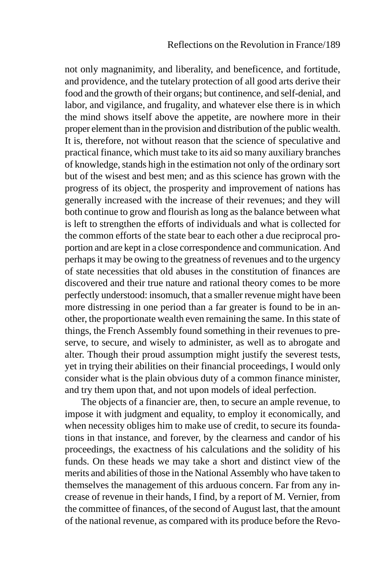not only magnanimity, and liberality, and beneficence, and fortitude, and providence, and the tutelary protection of all good arts derive their food and the growth of their organs; but continence, and self-denial, and labor, and vigilance, and frugality, and whatever else there is in which the mind shows itself above the appetite, are nowhere more in their proper element than in the provision and distribution of the public wealth. It is, therefore, not without reason that the science of speculative and practical finance, which must take to its aid so many auxiliary branches of knowledge, stands high in the estimation not only of the ordinary sort but of the wisest and best men; and as this science has grown with the progress of its object, the prosperity and improvement of nations has generally increased with the increase of their revenues; and they will both continue to grow and flourish as long as the balance between what is left to strengthen the efforts of individuals and what is collected for the common efforts of the state bear to each other a due reciprocal proportion and are kept in a close correspondence and communication. And perhaps it may be owing to the greatness of revenues and to the urgency of state necessities that old abuses in the constitution of finances are discovered and their true nature and rational theory comes to be more perfectly understood: insomuch, that a smaller revenue might have been more distressing in one period than a far greater is found to be in another, the proportionate wealth even remaining the same. In this state of things, the French Assembly found something in their revenues to preserve, to secure, and wisely to administer, as well as to abrogate and alter. Though their proud assumption might justify the severest tests, yet in trying their abilities on their financial proceedings, I would only consider what is the plain obvious duty of a common finance minister, and try them upon that, and not upon models of ideal perfection.

The objects of a financier are, then, to secure an ample revenue, to impose it with judgment and equality, to employ it economically, and when necessity obliges him to make use of credit, to secure its foundations in that instance, and forever, by the clearness and candor of his proceedings, the exactness of his calculations and the solidity of his funds. On these heads we may take a short and distinct view of the merits and abilities of those in the National Assembly who have taken to themselves the management of this arduous concern. Far from any increase of revenue in their hands, I find, by a report of M. Vernier, from the committee of finances, of the second of August last, that the amount of the national revenue, as compared with its produce before the Revo-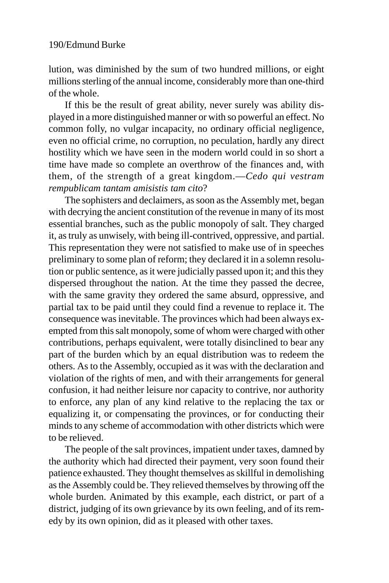lution, was diminished by the sum of two hundred millions, or eight millions sterling of the annual income, considerably more than one-third of the whole.

If this be the result of great ability, never surely was ability displayed in a more distinguished manner or with so powerful an effect. No common folly, no vulgar incapacity, no ordinary official negligence, even no official crime, no corruption, no peculation, hardly any direct hostility which we have seen in the modern world could in so short a time have made so complete an overthrow of the finances and, with them, of the strength of a great kingdom.—*Cedo qui vestram rempublicam tantam amisistis tam cito*?

The sophisters and declaimers, as soon as the Assembly met, began with decrying the ancient constitution of the revenue in many of its most essential branches, such as the public monopoly of salt. They charged it, as truly as unwisely, with being ill-contrived, oppressive, and partial. This representation they were not satisfied to make use of in speeches preliminary to some plan of reform; they declared it in a solemn resolution or public sentence, as it were judicially passed upon it; and this they dispersed throughout the nation. At the time they passed the decree, with the same gravity they ordered the same absurd, oppressive, and partial tax to be paid until they could find a revenue to replace it. The consequence was inevitable. The provinces which had been always exempted from this salt monopoly, some of whom were charged with other contributions, perhaps equivalent, were totally disinclined to bear any part of the burden which by an equal distribution was to redeem the others. As to the Assembly, occupied as it was with the declaration and violation of the rights of men, and with their arrangements for general confusion, it had neither leisure nor capacity to contrive, nor authority to enforce, any plan of any kind relative to the replacing the tax or equalizing it, or compensating the provinces, or for conducting their minds to any scheme of accommodation with other districts which were to be relieved.

The people of the salt provinces, impatient under taxes, damned by the authority which had directed their payment, very soon found their patience exhausted. They thought themselves as skillful in demolishing as the Assembly could be. They relieved themselves by throwing off the whole burden. Animated by this example, each district, or part of a district, judging of its own grievance by its own feeling, and of its remedy by its own opinion, did as it pleased with other taxes.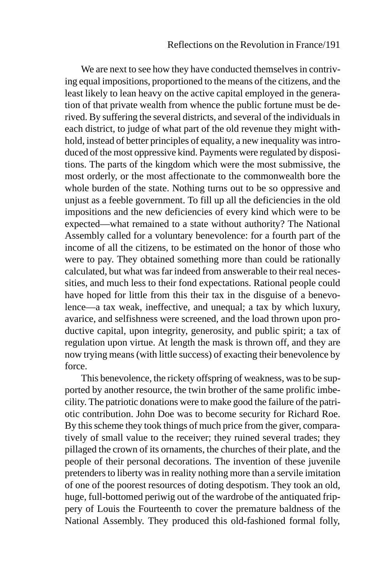We are next to see how they have conducted themselves in contriving equal impositions, proportioned to the means of the citizens, and the least likely to lean heavy on the active capital employed in the generation of that private wealth from whence the public fortune must be derived. By suffering the several districts, and several of the individuals in each district, to judge of what part of the old revenue they might withhold, instead of better principles of equality, a new inequality was introduced of the most oppressive kind. Payments were regulated by dispositions. The parts of the kingdom which were the most submissive, the most orderly, or the most affectionate to the commonwealth bore the whole burden of the state. Nothing turns out to be so oppressive and unjust as a feeble government. To fill up all the deficiencies in the old impositions and the new deficiencies of every kind which were to be expected—what remained to a state without authority? The National Assembly called for a voluntary benevolence: for a fourth part of the income of all the citizens, to be estimated on the honor of those who were to pay. They obtained something more than could be rationally calculated, but what was far indeed from answerable to their real necessities, and much less to their fond expectations. Rational people could have hoped for little from this their tax in the disguise of a benevolence—a tax weak, ineffective, and unequal; a tax by which luxury, avarice, and selfishness were screened, and the load thrown upon productive capital, upon integrity, generosity, and public spirit; a tax of regulation upon virtue. At length the mask is thrown off, and they are now trying means (with little success) of exacting their benevolence by force.

This benevolence, the rickety offspring of weakness, was to be supported by another resource, the twin brother of the same prolific imbecility. The patriotic donations were to make good the failure of the patriotic contribution. John Doe was to become security for Richard Roe. By this scheme they took things of much price from the giver, comparatively of small value to the receiver; they ruined several trades; they pillaged the crown of its ornaments, the churches of their plate, and the people of their personal decorations. The invention of these juvenile pretenders to liberty was in reality nothing more than a servile imitation of one of the poorest resources of doting despotism. They took an old, huge, full-bottomed periwig out of the wardrobe of the antiquated frippery of Louis the Fourteenth to cover the premature baldness of the National Assembly. They produced this old-fashioned formal folly,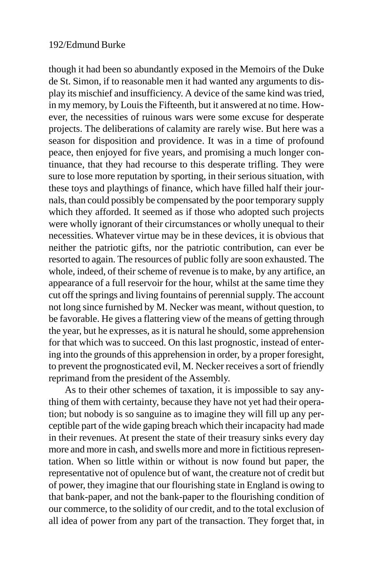though it had been so abundantly exposed in the Memoirs of the Duke de St. Simon, if to reasonable men it had wanted any arguments to display its mischief and insufficiency. A device of the same kind was tried, in my memory, by Louis the Fifteenth, but it answered at no time. However, the necessities of ruinous wars were some excuse for desperate projects. The deliberations of calamity are rarely wise. But here was a season for disposition and providence. It was in a time of profound peace, then enjoyed for five years, and promising a much longer continuance, that they had recourse to this desperate trifling. They were sure to lose more reputation by sporting, in their serious situation, with these toys and playthings of finance, which have filled half their journals, than could possibly be compensated by the poor temporary supply which they afforded. It seemed as if those who adopted such projects were wholly ignorant of their circumstances or wholly unequal to their necessities. Whatever virtue may be in these devices, it is obvious that neither the patriotic gifts, nor the patriotic contribution, can ever be resorted to again. The resources of public folly are soon exhausted. The whole, indeed, of their scheme of revenue is to make, by any artifice, an appearance of a full reservoir for the hour, whilst at the same time they cut off the springs and living fountains of perennial supply. The account not long since furnished by M. Necker was meant, without question, to be favorable. He gives a flattering view of the means of getting through the year, but he expresses, as it is natural he should, some apprehension for that which was to succeed. On this last prognostic, instead of entering into the grounds of this apprehension in order, by a proper foresight, to prevent the prognosticated evil, M. Necker receives a sort of friendly reprimand from the president of the Assembly.

As to their other schemes of taxation, it is impossible to say anything of them with certainty, because they have not yet had their operation; but nobody is so sanguine as to imagine they will fill up any perceptible part of the wide gaping breach which their incapacity had made in their revenues. At present the state of their treasury sinks every day more and more in cash, and swells more and more in fictitious representation. When so little within or without is now found but paper, the representative not of opulence but of want, the creature not of credit but of power, they imagine that our flourishing state in England is owing to that bank-paper, and not the bank-paper to the flourishing condition of our commerce, to the solidity of our credit, and to the total exclusion of all idea of power from any part of the transaction. They forget that, in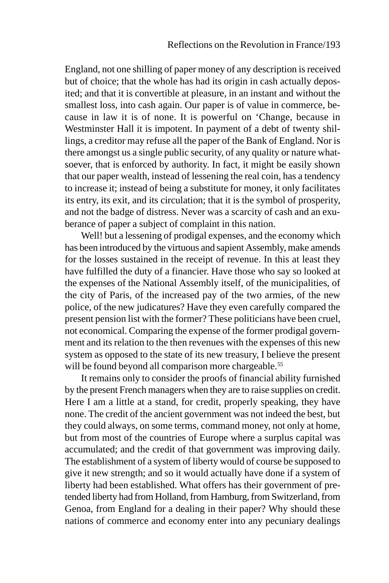England, not one shilling of paper money of any description is received but of choice; that the whole has had its origin in cash actually deposited; and that it is convertible at pleasure, in an instant and without the smallest loss, into cash again. Our paper is of value in commerce, because in law it is of none. It is powerful on 'Change, because in Westminster Hall it is impotent. In payment of a debt of twenty shillings, a creditor may refuse all the paper of the Bank of England. Nor is there amongst us a single public security, of any quality or nature whatsoever, that is enforced by authority. In fact, it might be easily shown that our paper wealth, instead of lessening the real coin, has a tendency to increase it; instead of being a substitute for money, it only facilitates its entry, its exit, and its circulation; that it is the symbol of prosperity, and not the badge of distress. Never was a scarcity of cash and an exuberance of paper a subject of complaint in this nation.

Well! but a lessening of prodigal expenses, and the economy which has been introduced by the virtuous and sapient Assembly, make amends for the losses sustained in the receipt of revenue. In this at least they have fulfilled the duty of a financier. Have those who say so looked at the expenses of the National Assembly itself, of the municipalities, of the city of Paris, of the increased pay of the two armies, of the new police, of the new judicatures? Have they even carefully compared the present pension list with the former? These politicians have been cruel, not economical. Comparing the expense of the former prodigal government and its relation to the then revenues with the expenses of this new system as opposed to the state of its new treasury, I believe the present will be found beyond all comparison more chargeable.<sup>55</sup>

It remains only to consider the proofs of financial ability furnished by the present French managers when they are to raise supplies on credit. Here I am a little at a stand, for credit, properly speaking, they have none. The credit of the ancient government was not indeed the best, but they could always, on some terms, command money, not only at home, but from most of the countries of Europe where a surplus capital was accumulated; and the credit of that government was improving daily. The establishment of a system of liberty would of course be supposed to give it new strength; and so it would actually have done if a system of liberty had been established. What offers has their government of pretended liberty had from Holland, from Hamburg, from Switzerland, from Genoa, from England for a dealing in their paper? Why should these nations of commerce and economy enter into any pecuniary dealings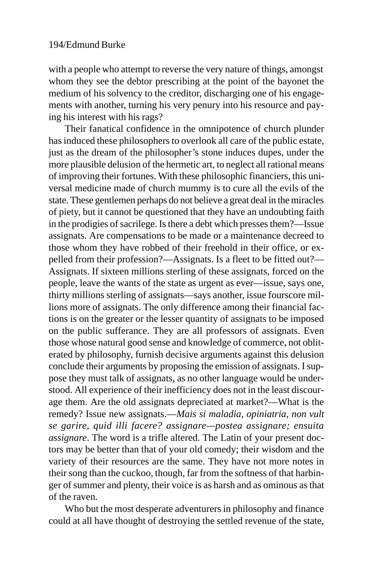with a people who attempt to reverse the very nature of things, amongst whom they see the debtor prescribing at the point of the bayonet the medium of his solvency to the creditor, discharging one of his engagements with another, turning his very penury into his resource and paying his interest with his rags?

Their fanatical confidence in the omnipotence of church plunder has induced these philosophers to overlook all care of the public estate, just as the dream of the philosopher's stone induces dupes, under the more plausible delusion of the hermetic art, to neglect all rational means of improving their fortunes. With these philosophic financiers, this universal medicine made of church mummy is to cure all the evils of the state. These gentlemen perhaps do not believe a great deal in the miracles of piety, but it cannot be questioned that they have an undoubting faith in the prodigies of sacrilege. Is there a debt which presses them?—Issue assignats. Are compensations to be made or a maintenance decreed to those whom they have robbed of their freehold in their office, or expelled from their profession?—Assignats. Is a fleet to be fitted out?— Assignats. If sixteen millions sterling of these assignats, forced on the people, leave the wants of the state as urgent as ever—issue, says one, thirty millions sterling of assignats—says another, issue fourscore millions more of assignats. The only difference among their financial factions is on the greater or the lesser quantity of assignats to be imposed on the public sufferance. They are all professors of assignats. Even those whose natural good sense and knowledge of commerce, not obliterated by philosophy, furnish decisive arguments against this delusion conclude their arguments by proposing the emission of assignats. I suppose they must talk of assignats, as no other language would be understood. All experience of their inefficiency does not in the least discourage them. Are the old assignats depreciated at market?—What is the remedy? Issue new assignats.—*Mais si maladia, opiniatria, non vult se garire, quid illi facere? assignare—postea assignare; ensuita assignare*. The word is a trifle altered. The Latin of your present doctors may be better than that of your old comedy; their wisdom and the variety of their resources are the same. They have not more notes in their song than the cuckoo, though, far from the softness of that harbinger of summer and plenty, their voice is as harsh and as ominous as that of the raven.

Who but the most desperate adventurers in philosophy and finance could at all have thought of destroying the settled revenue of the state,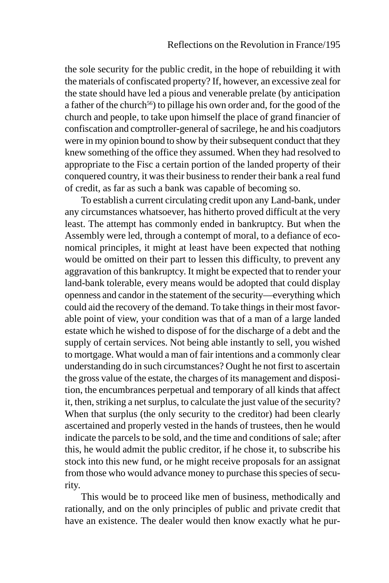the sole security for the public credit, in the hope of rebuilding it with the materials of confiscated property? If, however, an excessive zeal for the state should have led a pious and venerable prelate (by anticipation a father of the church<sup>56</sup>) to pillage his own order and, for the good of the church and people, to take upon himself the place of grand financier of confiscation and comptroller-general of sacrilege, he and his coadjutors were in my opinion bound to show by their subsequent conduct that they knew something of the office they assumed. When they had resolved to appropriate to the Fisc a certain portion of the landed property of their conquered country, it was their business to render their bank a real fund of credit, as far as such a bank was capable of becoming so.

To establish a current circulating credit upon any Land-bank, under any circumstances whatsoever, has hitherto proved difficult at the very least. The attempt has commonly ended in bankruptcy. But when the Assembly were led, through a contempt of moral, to a defiance of economical principles, it might at least have been expected that nothing would be omitted on their part to lessen this difficulty, to prevent any aggravation of this bankruptcy. It might be expected that to render your land-bank tolerable, every means would be adopted that could display openness and candor in the statement of the security—everything which could aid the recovery of the demand. To take things in their most favorable point of view, your condition was that of a man of a large landed estate which he wished to dispose of for the discharge of a debt and the supply of certain services. Not being able instantly to sell, you wished to mortgage. What would a man of fair intentions and a commonly clear understanding do in such circumstances? Ought he not first to ascertain the gross value of the estate, the charges of its management and disposition, the encumbrances perpetual and temporary of all kinds that affect it, then, striking a net surplus, to calculate the just value of the security? When that surplus (the only security to the creditor) had been clearly ascertained and properly vested in the hands of trustees, then he would indicate the parcels to be sold, and the time and conditions of sale; after this, he would admit the public creditor, if he chose it, to subscribe his stock into this new fund, or he might receive proposals for an assignat from those who would advance money to purchase this species of security.

This would be to proceed like men of business, methodically and rationally, and on the only principles of public and private credit that have an existence. The dealer would then know exactly what he pur-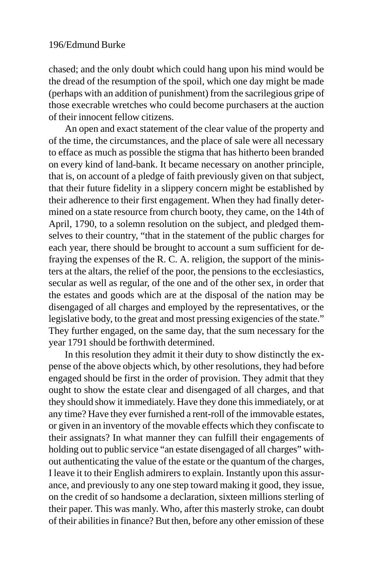chased; and the only doubt which could hang upon his mind would be the dread of the resumption of the spoil, which one day might be made (perhaps with an addition of punishment) from the sacrilegious gripe of those execrable wretches who could become purchasers at the auction of their innocent fellow citizens.

An open and exact statement of the clear value of the property and of the time, the circumstances, and the place of sale were all necessary to efface as much as possible the stigma that has hitherto been branded on every kind of land-bank. It became necessary on another principle, that is, on account of a pledge of faith previously given on that subject, that their future fidelity in a slippery concern might be established by their adherence to their first engagement. When they had finally determined on a state resource from church booty, they came, on the 14th of April, 1790, to a solemn resolution on the subject, and pledged themselves to their country, "that in the statement of the public charges for each year, there should be brought to account a sum sufficient for defraying the expenses of the R. C. A. religion, the support of the ministers at the altars, the relief of the poor, the pensions to the ecclesiastics, secular as well as regular, of the one and of the other sex, in order that the estates and goods which are at the disposal of the nation may be disengaged of all charges and employed by the representatives, or the legislative body, to the great and most pressing exigencies of the state." They further engaged, on the same day, that the sum necessary for the year 1791 should be forthwith determined.

In this resolution they admit it their duty to show distinctly the expense of the above objects which, by other resolutions, they had before engaged should be first in the order of provision. They admit that they ought to show the estate clear and disengaged of all charges, and that they should show it immediately. Have they done this immediately, or at any time? Have they ever furnished a rent-roll of the immovable estates, or given in an inventory of the movable effects which they confiscate to their assignats? In what manner they can fulfill their engagements of holding out to public service "an estate disengaged of all charges" without authenticating the value of the estate or the quantum of the charges, I leave it to their English admirers to explain. Instantly upon this assurance, and previously to any one step toward making it good, they issue, on the credit of so handsome a declaration, sixteen millions sterling of their paper. This was manly. Who, after this masterly stroke, can doubt of their abilities in finance? But then, before any other emission of these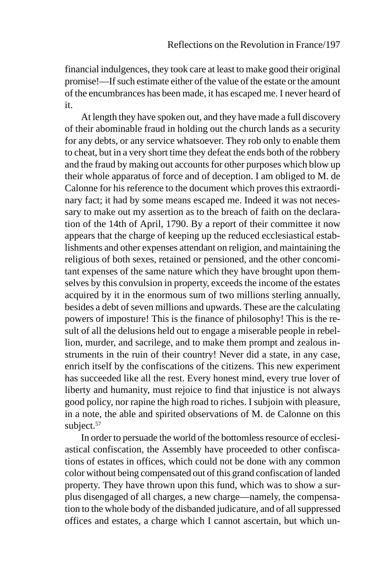financial indulgences, they took care at least to make good their original promise!—If such estimate either of the value of the estate or the amount of the encumbrances has been made, it has escaped me. I never heard of it.

At length they have spoken out, and they have made a full discovery of their abominable fraud in holding out the church lands as a security for any debts, or any service whatsoever. They rob only to enable them to cheat, but in a very short time they defeat the ends both of the robbery and the fraud by making out accounts for other purposes which blow up their whole apparatus of force and of deception. I am obliged to M. de Calonne for his reference to the document which proves this extraordinary fact; it had by some means escaped me. Indeed it was not necessary to make out my assertion as to the breach of faith on the declaration of the 14th of April, 1790. By a report of their committee it now appears that the charge of keeping up the reduced ecclesiastical establishments and other expenses attendant on religion, and maintaining the religious of both sexes, retained or pensioned, and the other concomitant expenses of the same nature which they have brought upon themselves by this convulsion in property, exceeds the income of the estates acquired by it in the enormous sum of two millions sterling annually, besides a debt of seven millions and upwards. These are the calculating powers of imposture! This is the finance of philosophy! This is the result of all the delusions held out to engage a miserable people in rebellion, murder, and sacrilege, and to make them prompt and zealous instruments in the ruin of their country! Never did a state, in any case, enrich itself by the confiscations of the citizens. This new experiment has succeeded like all the rest. Every honest mind, every true lover of liberty and humanity, must rejoice to find that injustice is not always good policy, nor rapine the high road to riches. I subjoin with pleasure, in a note, the able and spirited observations of M. de Calonne on this subject.<sup>57</sup>

In order to persuade the world of the bottomless resource of ecclesiastical confiscation, the Assembly have proceeded to other confiscations of estates in offices, which could not be done with any common color without being compensated out of this grand confiscation of landed property. They have thrown upon this fund, which was to show a surplus disengaged of all charges, a new charge—namely, the compensation to the whole body of the disbanded judicature, and of all suppressed offices and estates, a charge which I cannot ascertain, but which un-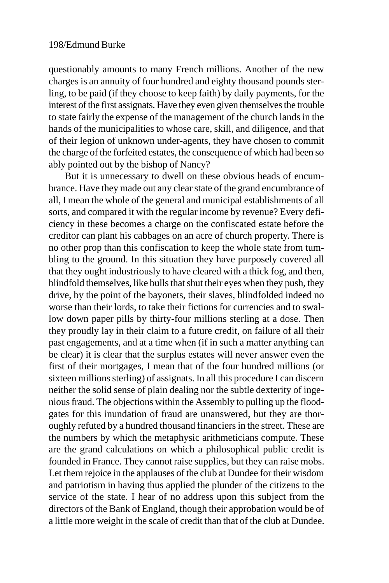questionably amounts to many French millions. Another of the new charges is an annuity of four hundred and eighty thousand pounds sterling, to be paid (if they choose to keep faith) by daily payments, for the interest of the first assignats. Have they even given themselves the trouble to state fairly the expense of the management of the church lands in the hands of the municipalities to whose care, skill, and diligence, and that of their legion of unknown under-agents, they have chosen to commit the charge of the forfeited estates, the consequence of which had been so ably pointed out by the bishop of Nancy?

But it is unnecessary to dwell on these obvious heads of encumbrance. Have they made out any clear state of the grand encumbrance of all, I mean the whole of the general and municipal establishments of all sorts, and compared it with the regular income by revenue? Every deficiency in these becomes a charge on the confiscated estate before the creditor can plant his cabbages on an acre of church property. There is no other prop than this confiscation to keep the whole state from tumbling to the ground. In this situation they have purposely covered all that they ought industriously to have cleared with a thick fog, and then, blindfold themselves, like bulls that shut their eyes when they push, they drive, by the point of the bayonets, their slaves, blindfolded indeed no worse than their lords, to take their fictions for currencies and to swallow down paper pills by thirty-four millions sterling at a dose. Then they proudly lay in their claim to a future credit, on failure of all their past engagements, and at a time when (if in such a matter anything can be clear) it is clear that the surplus estates will never answer even the first of their mortgages, I mean that of the four hundred millions (or sixteen millions sterling) of assignats. In all this procedure I can discern neither the solid sense of plain dealing nor the subtle dexterity of ingenious fraud. The objections within the Assembly to pulling up the floodgates for this inundation of fraud are unanswered, but they are thoroughly refuted by a hundred thousand financiers in the street. These are the numbers by which the metaphysic arithmeticians compute. These are the grand calculations on which a philosophical public credit is founded in France. They cannot raise supplies, but they can raise mobs. Let them rejoice in the applauses of the club at Dundee for their wisdom and patriotism in having thus applied the plunder of the citizens to the service of the state. I hear of no address upon this subject from the directors of the Bank of England, though their approbation would be of a little more weight in the scale of credit than that of the club at Dundee.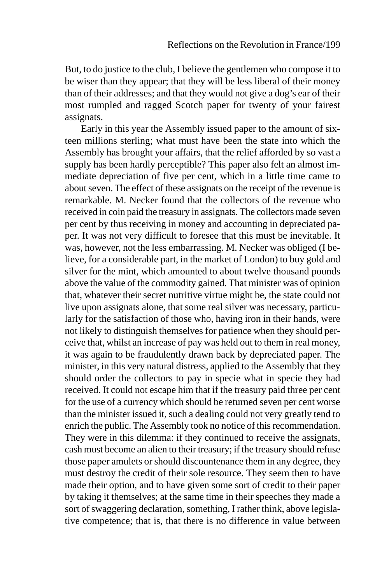But, to do justice to the club, I believe the gentlemen who compose it to be wiser than they appear; that they will be less liberal of their money than of their addresses; and that they would not give a dog's ear of their most rumpled and ragged Scotch paper for twenty of your fairest assignats.

Early in this year the Assembly issued paper to the amount of sixteen millions sterling; what must have been the state into which the Assembly has brought your affairs, that the relief afforded by so vast a supply has been hardly perceptible? This paper also felt an almost immediate depreciation of five per cent, which in a little time came to about seven. The effect of these assignats on the receipt of the revenue is remarkable. M. Necker found that the collectors of the revenue who received in coin paid the treasury in assignats. The collectors made seven per cent by thus receiving in money and accounting in depreciated paper. It was not very difficult to foresee that this must be inevitable. It was, however, not the less embarrassing. M. Necker was obliged (I believe, for a considerable part, in the market of London) to buy gold and silver for the mint, which amounted to about twelve thousand pounds above the value of the commodity gained. That minister was of opinion that, whatever their secret nutritive virtue might be, the state could not live upon assignats alone, that some real silver was necessary, particularly for the satisfaction of those who, having iron in their hands, were not likely to distinguish themselves for patience when they should perceive that, whilst an increase of pay was held out to them in real money, it was again to be fraudulently drawn back by depreciated paper. The minister, in this very natural distress, applied to the Assembly that they should order the collectors to pay in specie what in specie they had received. It could not escape him that if the treasury paid three per cent for the use of a currency which should be returned seven per cent worse than the minister issued it, such a dealing could not very greatly tend to enrich the public. The Assembly took no notice of this recommendation. They were in this dilemma: if they continued to receive the assignats, cash must become an alien to their treasury; if the treasury should refuse those paper amulets or should discountenance them in any degree, they must destroy the credit of their sole resource. They seem then to have made their option, and to have given some sort of credit to their paper by taking it themselves; at the same time in their speeches they made a sort of swaggering declaration, something, I rather think, above legislative competence; that is, that there is no difference in value between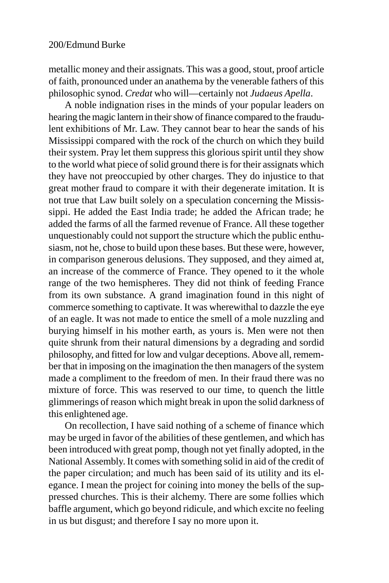metallic money and their assignats. This was a good, stout, proof article of faith, pronounced under an anathema by the venerable fathers of this philosophic synod. *Credat* who will—certainly not *Judaeus Apella*.

A noble indignation rises in the minds of your popular leaders on hearing the magic lantern in their show of finance compared to the fraudulent exhibitions of Mr. Law. They cannot bear to hear the sands of his Mississippi compared with the rock of the church on which they build their system. Pray let them suppress this glorious spirit until they show to the world what piece of solid ground there is for their assignats which they have not preoccupied by other charges. They do injustice to that great mother fraud to compare it with their degenerate imitation. It is not true that Law built solely on a speculation concerning the Mississippi. He added the East India trade; he added the African trade; he added the farms of all the farmed revenue of France. All these together unquestionably could not support the structure which the public enthusiasm, not he, chose to build upon these bases. But these were, however, in comparison generous delusions. They supposed, and they aimed at, an increase of the commerce of France. They opened to it the whole range of the two hemispheres. They did not think of feeding France from its own substance. A grand imagination found in this night of commerce something to captivate. It was wherewithal to dazzle the eye of an eagle. It was not made to entice the smell of a mole nuzzling and burying himself in his mother earth, as yours is. Men were not then quite shrunk from their natural dimensions by a degrading and sordid philosophy, and fitted for low and vulgar deceptions. Above all, remember that in imposing on the imagination the then managers of the system made a compliment to the freedom of men. In their fraud there was no mixture of force. This was reserved to our time, to quench the little glimmerings of reason which might break in upon the solid darkness of this enlightened age.

On recollection, I have said nothing of a scheme of finance which may be urged in favor of the abilities of these gentlemen, and which has been introduced with great pomp, though not yet finally adopted, in the National Assembly. It comes with something solid in aid of the credit of the paper circulation; and much has been said of its utility and its elegance. I mean the project for coining into money the bells of the suppressed churches. This is their alchemy. There are some follies which baffle argument, which go beyond ridicule, and which excite no feeling in us but disgust; and therefore I say no more upon it.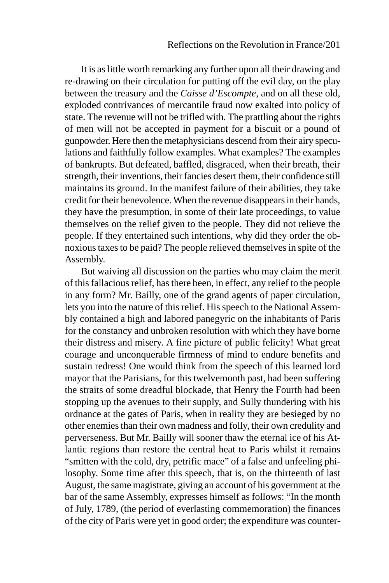It is as little worth remarking any further upon all their drawing and re-drawing on their circulation for putting off the evil day, on the play between the treasury and the *Caisse d'Escompte*, and on all these old, exploded contrivances of mercantile fraud now exalted into policy of state. The revenue will not be trifled with. The prattling about the rights of men will not be accepted in payment for a biscuit or a pound of gunpowder. Here then the metaphysicians descend from their airy speculations and faithfully follow examples. What examples? The examples of bankrupts. But defeated, baffled, disgraced, when their breath, their strength, their inventions, their fancies desert them, their confidence still maintains its ground. In the manifest failure of their abilities, they take credit for their benevolence. When the revenue disappears in their hands, they have the presumption, in some of their late proceedings, to value themselves on the relief given to the people. They did not relieve the people. If they entertained such intentions, why did they order the obnoxious taxes to be paid? The people relieved themselves in spite of the Assembly.

But waiving all discussion on the parties who may claim the merit of this fallacious relief, has there been, in effect, any relief to the people in any form? Mr. Bailly, one of the grand agents of paper circulation, lets you into the nature of this relief. His speech to the National Assembly contained a high and labored panegyric on the inhabitants of Paris for the constancy and unbroken resolution with which they have borne their distress and misery. A fine picture of public felicity! What great courage and unconquerable firmness of mind to endure benefits and sustain redress! One would think from the speech of this learned lord mayor that the Parisians, for this twelvemonth past, had been suffering the straits of some dreadful blockade, that Henry the Fourth had been stopping up the avenues to their supply, and Sully thundering with his ordnance at the gates of Paris, when in reality they are besieged by no other enemies than their own madness and folly, their own credulity and perverseness. But Mr. Bailly will sooner thaw the eternal ice of his Atlantic regions than restore the central heat to Paris whilst it remains "smitten with the cold, dry, petrific mace" of a false and unfeeling philosophy. Some time after this speech, that is, on the thirteenth of last August, the same magistrate, giving an account of his government at the bar of the same Assembly, expresses himself as follows: "In the month of July, 1789, (the period of everlasting commemoration) the finances of the city of Paris were yet in good order; the expenditure was counter-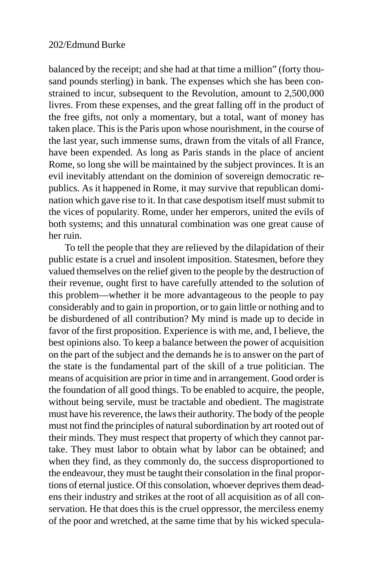balanced by the receipt; and she had at that time a million" (forty thousand pounds sterling) in bank. The expenses which she has been constrained to incur, subsequent to the Revolution, amount to 2,500,000 livres. From these expenses, and the great falling off in the product of the free gifts, not only a momentary, but a total, want of money has taken place. This is the Paris upon whose nourishment, in the course of the last year, such immense sums, drawn from the vitals of all France, have been expended. As long as Paris stands in the place of ancient Rome, so long she will be maintained by the subject provinces. It is an evil inevitably attendant on the dominion of sovereign democratic republics. As it happened in Rome, it may survive that republican domination which gave rise to it. In that case despotism itself must submit to the vices of popularity. Rome, under her emperors, united the evils of both systems; and this unnatural combination was one great cause of her ruin.

To tell the people that they are relieved by the dilapidation of their public estate is a cruel and insolent imposition. Statesmen, before they valued themselves on the relief given to the people by the destruction of their revenue, ought first to have carefully attended to the solution of this problem—whether it be more advantageous to the people to pay considerably and to gain in proportion, or to gain little or nothing and to be disburdened of all contribution? My mind is made up to decide in favor of the first proposition. Experience is with me, and, I believe, the best opinions also. To keep a balance between the power of acquisition on the part of the subject and the demands he is to answer on the part of the state is the fundamental part of the skill of a true politician. The means of acquisition are prior in time and in arrangement. Good order is the foundation of all good things. To be enabled to acquire, the people, without being servile, must be tractable and obedient. The magistrate must have his reverence, the laws their authority. The body of the people must not find the principles of natural subordination by art rooted out of their minds. They must respect that property of which they cannot partake. They must labor to obtain what by labor can be obtained; and when they find, as they commonly do, the success disproportioned to the endeavour, they must be taught their consolation in the final proportions of eternal justice. Of this consolation, whoever deprives them deadens their industry and strikes at the root of all acquisition as of all conservation. He that does this is the cruel oppressor, the merciless enemy of the poor and wretched, at the same time that by his wicked specula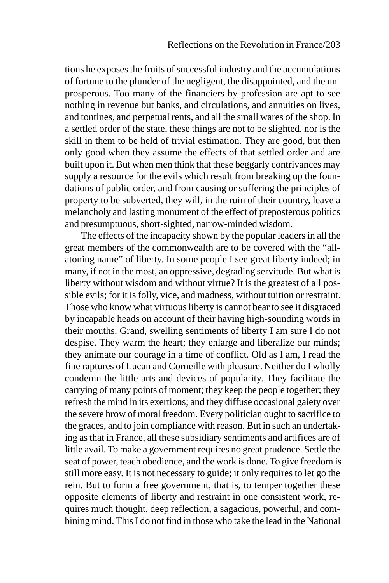tions he exposes the fruits of successful industry and the accumulations of fortune to the plunder of the negligent, the disappointed, and the unprosperous. Too many of the financiers by profession are apt to see nothing in revenue but banks, and circulations, and annuities on lives, and tontines, and perpetual rents, and all the small wares of the shop. In a settled order of the state, these things are not to be slighted, nor is the skill in them to be held of trivial estimation. They are good, but then only good when they assume the effects of that settled order and are built upon it. But when men think that these beggarly contrivances may supply a resource for the evils which result from breaking up the foundations of public order, and from causing or suffering the principles of property to be subverted, they will, in the ruin of their country, leave a melancholy and lasting monument of the effect of preposterous politics and presumptuous, short-sighted, narrow-minded wisdom.

The effects of the incapacity shown by the popular leaders in all the great members of the commonwealth are to be covered with the "allatoning name" of liberty. In some people I see great liberty indeed; in many, if not in the most, an oppressive, degrading servitude. But what is liberty without wisdom and without virtue? It is the greatest of all possible evils; for it is folly, vice, and madness, without tuition or restraint. Those who know what virtuous liberty is cannot bear to see it disgraced by incapable heads on account of their having high-sounding words in their mouths. Grand, swelling sentiments of liberty I am sure I do not despise. They warm the heart; they enlarge and liberalize our minds; they animate our courage in a time of conflict. Old as I am, I read the fine raptures of Lucan and Corneille with pleasure. Neither do I wholly condemn the little arts and devices of popularity. They facilitate the carrying of many points of moment; they keep the people together; they refresh the mind in its exertions; and they diffuse occasional gaiety over the severe brow of moral freedom. Every politician ought to sacrifice to the graces, and to join compliance with reason. But in such an undertaking as that in France, all these subsidiary sentiments and artifices are of little avail. To make a government requires no great prudence. Settle the seat of power, teach obedience, and the work is done. To give freedom is still more easy. It is not necessary to guide; it only requires to let go the rein. But to form a free government, that is, to temper together these opposite elements of liberty and restraint in one consistent work, requires much thought, deep reflection, a sagacious, powerful, and combining mind. This I do not find in those who take the lead in the National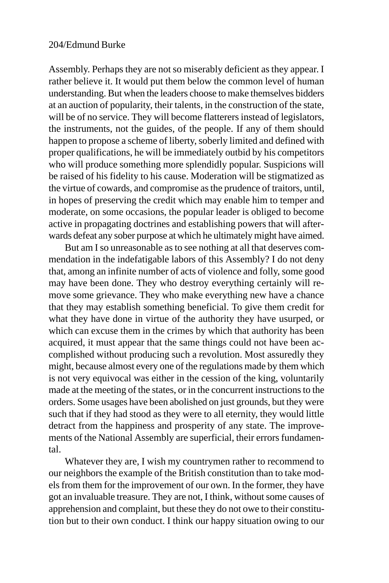Assembly. Perhaps they are not so miserably deficient as they appear. I rather believe it. It would put them below the common level of human understanding. But when the leaders choose to make themselves bidders at an auction of popularity, their talents, in the construction of the state, will be of no service. They will become flatterers instead of legislators, the instruments, not the guides, of the people. If any of them should happen to propose a scheme of liberty, soberly limited and defined with proper qualifications, he will be immediately outbid by his competitors who will produce something more splendidly popular. Suspicions will be raised of his fidelity to his cause. Moderation will be stigmatized as the virtue of cowards, and compromise as the prudence of traitors, until, in hopes of preserving the credit which may enable him to temper and moderate, on some occasions, the popular leader is obliged to become active in propagating doctrines and establishing powers that will afterwards defeat any sober purpose at which he ultimately might have aimed.

But am I so unreasonable as to see nothing at all that deserves commendation in the indefatigable labors of this Assembly? I do not deny that, among an infinite number of acts of violence and folly, some good may have been done. They who destroy everything certainly will remove some grievance. They who make everything new have a chance that they may establish something beneficial. To give them credit for what they have done in virtue of the authority they have usurped, or which can excuse them in the crimes by which that authority has been acquired, it must appear that the same things could not have been accomplished without producing such a revolution. Most assuredly they might, because almost every one of the regulations made by them which is not very equivocal was either in the cession of the king, voluntarily made at the meeting of the states, or in the concurrent instructions to the orders. Some usages have been abolished on just grounds, but they were such that if they had stood as they were to all eternity, they would little detract from the happiness and prosperity of any state. The improvements of the National Assembly are superficial, their errors fundamental.

Whatever they are, I wish my countrymen rather to recommend to our neighbors the example of the British constitution than to take models from them for the improvement of our own. In the former, they have got an invaluable treasure. They are not, I think, without some causes of apprehension and complaint, but these they do not owe to their constitution but to their own conduct. I think our happy situation owing to our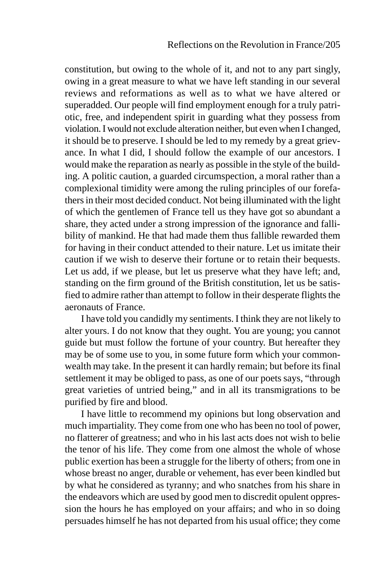constitution, but owing to the whole of it, and not to any part singly, owing in a great measure to what we have left standing in our several reviews and reformations as well as to what we have altered or superadded. Our people will find employment enough for a truly patriotic, free, and independent spirit in guarding what they possess from violation. I would not exclude alteration neither, but even when I changed, it should be to preserve. I should be led to my remedy by a great grievance. In what I did, I should follow the example of our ancestors. I would make the reparation as nearly as possible in the style of the building. A politic caution, a guarded circumspection, a moral rather than a complexional timidity were among the ruling principles of our forefathers in their most decided conduct. Not being illuminated with the light of which the gentlemen of France tell us they have got so abundant a share, they acted under a strong impression of the ignorance and fallibility of mankind. He that had made them thus fallible rewarded them for having in their conduct attended to their nature. Let us imitate their caution if we wish to deserve their fortune or to retain their bequests. Let us add, if we please, but let us preserve what they have left; and, standing on the firm ground of the British constitution, let us be satisfied to admire rather than attempt to follow in their desperate flights the aeronauts of France.

I have told you candidly my sentiments. I think they are not likely to alter yours. I do not know that they ought. You are young; you cannot guide but must follow the fortune of your country. But hereafter they may be of some use to you, in some future form which your commonwealth may take. In the present it can hardly remain; but before its final settlement it may be obliged to pass, as one of our poets says, "through great varieties of untried being," and in all its transmigrations to be purified by fire and blood.

I have little to recommend my opinions but long observation and much impartiality. They come from one who has been no tool of power, no flatterer of greatness; and who in his last acts does not wish to belie the tenor of his life. They come from one almost the whole of whose public exertion has been a struggle for the liberty of others; from one in whose breast no anger, durable or vehement, has ever been kindled but by what he considered as tyranny; and who snatches from his share in the endeavors which are used by good men to discredit opulent oppression the hours he has employed on your affairs; and who in so doing persuades himself he has not departed from his usual office; they come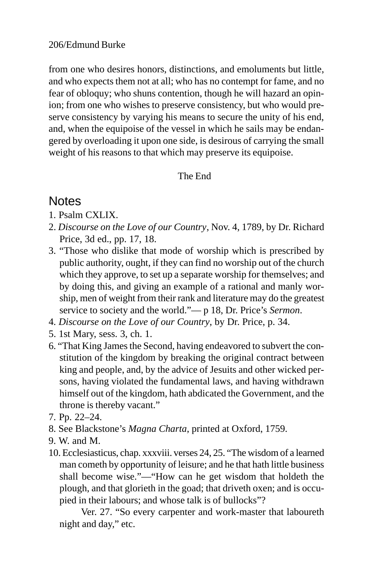from one who desires honors, distinctions, and emoluments but little, and who expects them not at all; who has no contempt for fame, and no fear of obloquy; who shuns contention, though he will hazard an opinion; from one who wishes to preserve consistency, but who would preserve consistency by varying his means to secure the unity of his end, and, when the equipoise of the vessel in which he sails may be endangered by overloading it upon one side, is desirous of carrying the small weight of his reasons to that which may preserve its equipoise.

## The End

# **Notes**

- 1. Psalm CXLIX.
- 2. *Discourse on the Love of our Country*, Nov. 4, 1789, by Dr. Richard Price, 3d ed., pp. 17, 18.
- 3. "Those who dislike that mode of worship which is prescribed by public authority, ought, if they can find no worship out of the church which they approve, to set up a separate worship for themselves; and by doing this, and giving an example of a rational and manly worship, men of weight from their rank and literature may do the greatest service to society and the world."— p 18, Dr. Price's *Sermon*.
- 4. *Discourse on the Love of our Country*, by Dr. Price, p. 34.
- 5. 1st Mary, sess. 3, ch. 1.
- 6. "That King James the Second, having endeavored to subvert the constitution of the kingdom by breaking the original contract between king and people, and, by the advice of Jesuits and other wicked persons, having violated the fundamental laws, and having withdrawn himself out of the kingdom, hath abdicated the Government, and the throne is thereby vacant."
- 7. Pp. 22–24.
- 8. See Blackstone's *Magna Charta*, printed at Oxford, 1759.
- 9. W. and M.
- 10. Ecclesiasticus, chap. xxxviii. verses 24, 25. "The wisdom of a learned man cometh by opportunity of leisure; and he that hath little business shall become wise."—"How can he get wisdom that holdeth the plough, and that glorieth in the goad; that driveth oxen; and is occupied in their labours; and whose talk is of bullocks"?

Ver. 27. "So every carpenter and work-master that laboureth night and day," etc.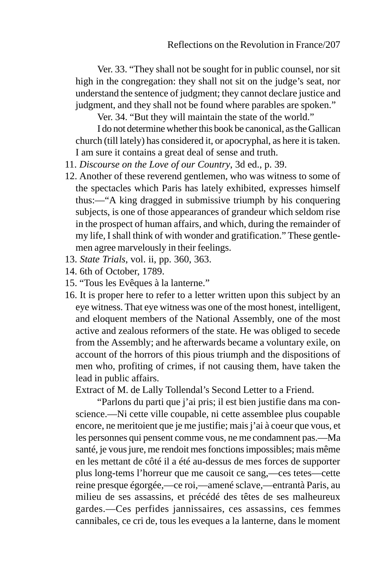Ver. 33. "They shall not be sought for in public counsel, nor sit high in the congregation: they shall not sit on the judge's seat, nor understand the sentence of judgment; they cannot declare justice and judgment, and they shall not be found where parables are spoken."

Ver. 34. "But they will maintain the state of the world."

I do not determine whether this book be canonical, as the Gallican church (till lately) has considered it, or apocryphal, as here it is taken. I am sure it contains a great deal of sense and truth.

- 11. *Discourse on the Love of our Country*, 3d ed., p. 39.
- 12. Another of these reverend gentlemen, who was witness to some of the spectacles which Paris has lately exhibited, expresses himself thus:—"A king dragged in submissive triumph by his conquering subjects, is one of those appearances of grandeur which seldom rise in the prospect of human affairs, and which, during the remainder of my life, I shall think of with wonder and gratification." These gentlemen agree marvelously in their feelings.
- 13. *State Trials*, vol. ii, pp. 360, 363.
- 14. 6th of October, 1789.
- 15. "Tous les Evêques à la lanterne."
- 16. It is proper here to refer to a letter written upon this subject by an eye witness. That eye witness was one of the most honest, intelligent, and eloquent members of the National Assembly, one of the most active and zealous reformers of the state. He was obliged to secede from the Assembly; and he afterwards became a voluntary exile, on account of the horrors of this pious triumph and the dispositions of men who, profiting of crimes, if not causing them, have taken the lead in public affairs.

Extract of M. de Lally Tollendal's Second Letter to a Friend.

"Parlons du parti que j'ai pris; il est bien justifie dans ma conscience.—Ni cette ville coupable, ni cette assemblee plus coupable encore, ne meritoient que je me justifie; mais j'ai à coeur que vous, et les personnes qui pensent comme vous, ne me condamnent pas.—Ma santé, je vous jure, me rendoit mes fonctions impossibles; mais même en les mettant de côté il a été au-dessus de mes forces de supporter plus long-tems l'horreur que me causoit ce sang,—ces tetes—cette reine presque égorgée,—ce roi,—amené sclave,—entrantà Paris, au milieu de ses assassins, et précédé des têtes de ses malheureux gardes.—Ces perfides jannissaires, ces assassins, ces femmes cannibales, ce cri de, tous les eveques a la lanterne, dans le moment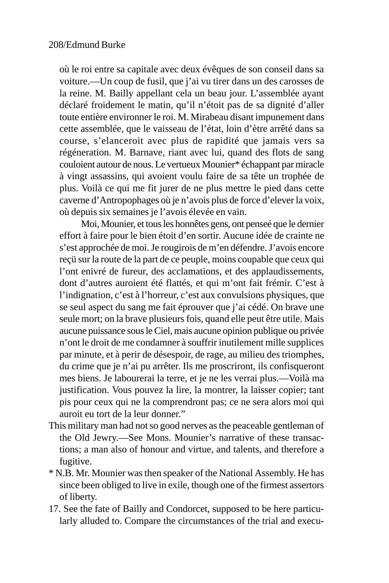où le roi entre sa capitale avec deux évêques de son conseil dans sa voiture.—Un coup de fusil, que j'ai vu tirer dans un des carosses de la reine. M. Bailly appellant cela un beau jour. L'assemblée ayant déclaré froidement le matin, qu'il n'étoit pas de sa dignité d'aller toute entière environner le roi. M. Mirabeau disant impunement dans cette assemblée, que le vaisseau de l'état, loin d'ètre arrêté dans sa course, s'elanceroit avec plus de rapidité que jamais vers sa régéneration. M. Barnave, riant avec lui, quand des flots de sang couloient autour de nous. Le vertueux Mounier\* échappant par miracle à vingt assassins, qui avoient voulu faire de sa tête un trophée de plus. Voilà ce qui me fit jurer de ne plus mettre le pied dans cette caverne d'Antropophages où je n'avois plus de force d'elever la voix, où depuis six semaines je l'avois élevée en vain.

Moi, Mounier, et tous les honnêtes gens, ont penseé que le dernier effort à faire pour le bien étoit d'en sortir. Aucune idée de crainte ne s'est approchée de moi. Je rougirois de m'en défendre. J'avois encore reçü sur la route de la part de ce peuple, moins coupable que ceux qui l'ont enivré de fureur, des acclamations, et des applaudissements, dont d'autres auroient été flattés, et qui m'ont fait frémir. C'est à l'indignation, c'est à l'horreur, c'est aux convulsions physiques, que se seul aspect du sang me fait éprouver que j'ai cédé. On brave une seule mort; on la brave plusieurs fois, quand elle peut être utile. Mais aucune puissance sous le Ciel, mais aucune opinion publique ou privée n'ont le droit de me condamner à souffrir inutilement mille supplices par minute, et à perir de désespoir, de rage, au milieu des triomphes, du crime que je n'ai pu arrêter. Ils me proscriront, ils confisqueront mes biens. Je labourerai la terre, et je ne les verrai plus.—Voilà ma justification. Vous pouvez la lire, la montrer, la laisser copier; tant pis pour ceux qui ne la comprendront pas; ce ne sera alors moi qui auroit eu tort de la leur donner."

- This military man had not so good nerves as the peaceable gentleman of the Old Jewry.—See Mons. Mounier's narrative of these transactions; a man also of honour and virtue, and talents, and therefore a fugitive.
- \* N.B. Mr. Mounier was then speaker of the National Assembly. He has since been obliged to live in exile, though one of the firmest assertors of liberty.
- 17. See the fate of Bailly and Condorcet, supposed to be here particularly alluded to. Compare the circumstances of the trial and execu-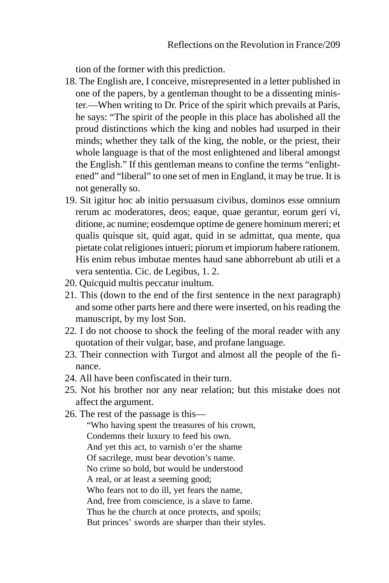tion of the former with this prediction.

- 18. The English are, I conceive, misrepresented in a letter published in one of the papers, by a gentleman thought to be a dissenting minister.—When writing to Dr. Price of the spirit which prevails at Paris, he says: "The spirit of the people in this place has abolished all the proud distinctions which the king and nobles had usurped in their minds; whether they talk of the king, the noble, or the priest, their whole language is that of the most enlightened and liberal amongst the English." If this gentleman means to confine the terms "enlightened" and "liberal" to one set of men in England, it may be true. It is not generally so.
- 19. Sit igitur hoc ab initio persuasum civibus, dominos esse omnium rerum ac moderatores, deos; eaque, quae gerantur, eorum geri vi, ditione, ac numine; eosdemque optime de genere hominum mereri; et qualis quisque sit, quid agat, quid in se admittat, qua mente, qua pietate colat religiones intueri; piorum et impiorum habere rationem. His enim rebus imbutae mentes haud sane abhorrebunt ab utili et a vera sententia. Cic. de Legibus, 1. 2.
- 20. Quicquid multis peccatur inultum.
- 21. This (down to the end of the first sentence in the next paragraph) and some other parts here and there were inserted, on his reading the manuscript, by my lost Son.
- 22. I do not choose to shock the feeling of the moral reader with any quotation of their vulgar, base, and profane language.
- 23. Their connection with Turgot and almost all the people of the finance.
- 24. All have been confiscated in their turn.
- 25. Not his brother nor any near relation; but this mistake does not affect the argument.
- 26. The rest of the passage is this—

 "Who having spent the treasures of his crown, Condemns their luxury to feed his own. And yet this act, to varnish o'er the shame Of sacrilege, must bear devotion's name. No crime so bold, but would be understood A real, or at least a seeming good; Who fears not to do ill, yet fears the name, And, free from conscience, is a slave to fame. Thus he the church at once protects, and spoils; But princes' swords are sharper than their styles.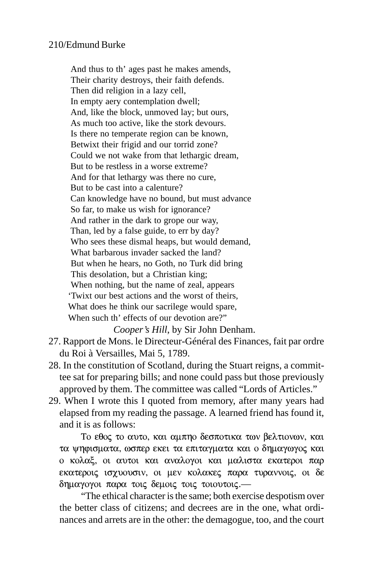And thus to th' ages past he makes amends, Their charity destroys, their faith defends. Then did religion in a lazy cell, In empty aery contemplation dwell; And, like the block, unmoved lay; but ours, As much too active, like the stork devours. Is there no temperate region can be known, Betwixt their frigid and our torrid zone? Could we not wake from that lethargic dream, But to be restless in a worse extreme? And for that lethargy was there no cure, But to be cast into a calenture? Can knowledge have no bound, but must advance So far, to make us wish for ignorance? And rather in the dark to grope our way, Than, led by a false guide, to err by day? Who sees these dismal heaps, but would demand, What barbarous invader sacked the land? But when he hears, no Goth, no Turk did bring This desolation, but a Christian king; When nothing, but the name of zeal, appears 'Twixt our best actions and the worst of theirs, What does he think our sacrilege would spare, When such th' effects of our devotion are?"

*Cooper's Hill*, by Sir John Denham.

- 27. Rapport de Mons. le Directeur-Général des Finances, fait par ordre du Roi à Versailles, Mai 5, 1789.
- 28. In the constitution of Scotland, during the Stuart reigns, a committee sat for preparing bills; and none could pass but those previously approved by them. The committee was called "Lords of Articles."
- 29. When I wrote this I quoted from memory, after many years had elapsed from my reading the passage. A learned friend has found it, and it is as follows:

To εθος το αυτο, και αμπηο δεσποτικα των βελτιονων, και τα ψηφισματα, ωσπερ εκει τα επιταγματα και ο δημαγωγος και o κολαξ, οι αυτοι και αναλογοι και μαλιστα εκατεροι παρ  $\epsilon$ κατεροις ισγυουσιν, οι μεν κολακες παρα τυραννοις, οι δε  $\delta$ ημαγογοι παρα τοις δεμοις τοις τοιουτοις.—

"The ethical character is the same; both exercise despotism over the better class of citizens; and decrees are in the one, what ordinances and arrets are in the other: the demagogue, too, and the court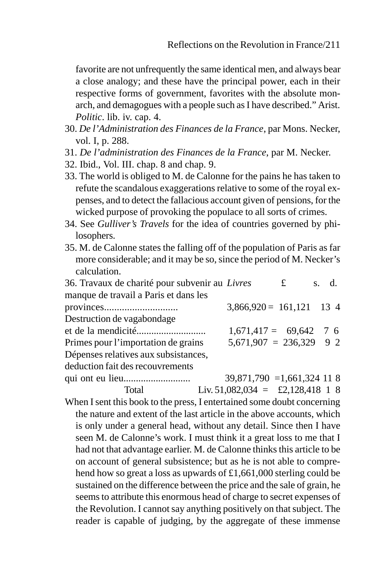favorite are not unfrequently the same identical men, and always bear a close analogy; and these have the principal power, each in their respective forms of government, favorites with the absolute monarch, and demagogues with a people such as I have described." Arist. *Politic*. lib. iv. cap. 4.

- 30. *De l'Administration des Finances de la France*, par Mons. Necker, vol. I, p. 288.
- 31. *De l'administration des Finances de la France*, par M. Necker.
- 32. Ibid., Vol. III. chap. 8 and chap. 9.
- 33. The world is obliged to M. de Calonne for the pains he has taken to refute the scandalous exaggerations relative to some of the royal expenses, and to detect the fallacious account given of pensions, for the wicked purpose of provoking the populace to all sorts of crimes.
- 34. See *Gulliver's Travels* for the idea of countries governed by philosophers.
- 35. M. de Calonne states the falling off of the population of Paris as far more considerable; and it may be so, since the period of M. Necker's calculation.

| 36. Travaux de charité pour subvenir au Livres |                             | £ | s. d. |  |
|------------------------------------------------|-----------------------------|---|-------|--|
| manque de travail a Paris et dans les          |                             |   |       |  |
|                                                | $3,866,920 = 161,121$ 13 4  |   |       |  |
| Destruction de vagabondage                     |                             |   |       |  |
|                                                | $1,671,417 = 69,642$ 7 6    |   |       |  |
| Primes pour l'importation de grains            | $5,671,907 = 236,329$ 9 2   |   |       |  |
| Dépenses relatives aux subsistances,           |                             |   |       |  |
| deduction fait des recouvrements               |                             |   |       |  |
|                                                | $39,871,790 = 1,661,324118$ |   |       |  |

Total Liv. 51,082,034 = £2,128,418 1 8 When I sent this book to the press, I entertained some doubt concerning the nature and extent of the last article in the above accounts, which is only under a general head, without any detail. Since then I have seen M. de Calonne's work. I must think it a great loss to me that I had not that advantage earlier. M. de Calonne thinks this article to be on account of general subsistence; but as he is not able to comprehend how so great a loss as upwards of £1,661,000 sterling could be sustained on the difference between the price and the sale of grain, he seems to attribute this enormous head of charge to secret expenses of the Revolution. I cannot say anything positively on that subject. The reader is capable of judging, by the aggregate of these immense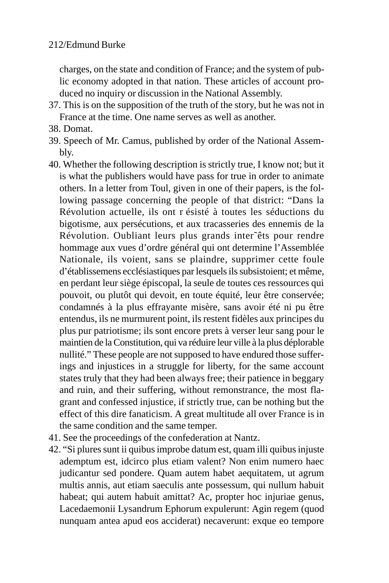charges, on the state and condition of France; and the system of public economy adopted in that nation. These articles of account produced no inquiry or discussion in the National Assembly.

- 37. This is on the supposition of the truth of the story, but he was not in France at the time. One name serves as well as another.
- 38. Domat.
- 39. Speech of Mr. Camus, published by order of the National Assembly.
- 40. Whether the following description is strictly true, I know not; but it is what the publishers would have pass for true in order to animate others. In a letter from Toul, given in one of their papers, is the following passage concerning the people of that district: "Dans la Révolution actuelle, ils ont r ésisté à toutes les séductions du bigotisme, aux persécutions, et aux tracasseries des ennemis de la Révolution. Oubliant leurs plus grands inter˜êts pour rendre hommage aux vues d'ordre général qui ont determine l'Assemblée Nationale, ils voient, sans se plaindre, supprimer cette foule d'établissemens ecclésiastiques par lesquels ils subsistoient; et même, en perdant leur siège épiscopal, la seule de toutes ces ressources qui pouvoit, ou plutôt qui devoit, en toute équité, leur être conservée; condamnés à la plus effrayante misère, sans avoir été ni pu être entendus, ils ne murmurent point, ils restent fidèles aux principes du plus pur patriotisme; ils sont encore prets à verser leur sang pour le maintien de la Constitution, qui va réduire leur ville à la plus déplorable nullité." These people are not supposed to have endured those sufferings and injustices in a struggle for liberty, for the same account states truly that they had been always free; their patience in beggary and ruin, and their suffering, without remonstrance, the most flagrant and confessed injustice, if strictly true, can be nothing but the effect of this dire fanaticism. A great multitude all over France is in the same condition and the same temper.
- 41. See the proceedings of the confederation at Nantz.
- 42. "Si plures sunt ii quibus improbe datum est, quam illi quibus injuste ademptum est, idcirco plus etiam valent? Non enim numero haec judicantur sed pondere. Quam autem habet aequitatem, ut agrum multis annis, aut etiam saeculis ante possessum, qui nullum habuit habeat; qui autem habuit amittat? Ac, propter hoc injuriae genus, Lacedaemonii Lysandrum Ephorum expulerunt: Agin regem (quod nunquam antea apud eos acciderat) necaverunt: exque eo tempore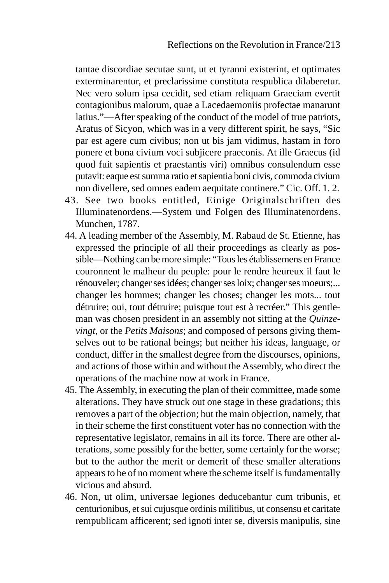tantae discordiae secutae sunt, ut et tyranni existerint, et optimates exterminarentur, et preclarissime constituta respublica dilaberetur. Nec vero solum ipsa cecidit, sed etiam reliquam Graeciam evertit contagionibus malorum, quae a Lacedaemoniis profectae manarunt latius."—After speaking of the conduct of the model of true patriots, Aratus of Sicyon, which was in a very different spirit, he says, "Sic par est agere cum civibus; non ut bis jam vidimus, hastam in foro ponere et bona civium voci subjicere praeconis. At ille Graecus (id quod fuit sapientis et praestantis viri) omnibus consulendum esse putavit: eaque est summa ratio et sapientia boni civis, commoda civium non divellere, sed omnes eadem aequitate continere." Cic. Off. 1. 2.

- 43. See two books entitled, Einige Originalschriften des Illuminatenordens.—System und Folgen des Illuminatenordens. Munchen, 1787.
- 44. A leading member of the Assembly, M. Rabaud de St. Etienne, has expressed the principle of all their proceedings as clearly as possible—Nothing can be more simple: "Tous les établissemens en France couronnent le malheur du peuple: pour le rendre heureux il faut le rénouveler; changer ses idées; changer ses loix; changer ses moeurs;... changer les hommes; changer les choses; changer les mots... tout détruire; oui, tout détruire; puisque tout est à recréer." This gentleman was chosen president in an assembly not sitting at the *Quinzevingt*, or the *Petits Maisons*; and composed of persons giving themselves out to be rational beings; but neither his ideas, language, or conduct, differ in the smallest degree from the discourses, opinions, and actions of those within and without the Assembly, who direct the operations of the machine now at work in France.
- 45. The Assembly, in executing the plan of their committee, made some alterations. They have struck out one stage in these gradations; this removes a part of the objection; but the main objection, namely, that in their scheme the first constituent voter has no connection with the representative legislator, remains in all its force. There are other alterations, some possibly for the better, some certainly for the worse; but to the author the merit or demerit of these smaller alterations appears to be of no moment where the scheme itself is fundamentally vicious and absurd.
- 46. Non, ut olim, universae legiones deducebantur cum tribunis, et centurionibus, et sui cujusque ordinis militibus, ut consensu et caritate rempublicam afficerent; sed ignoti inter se, diversis manipulis, sine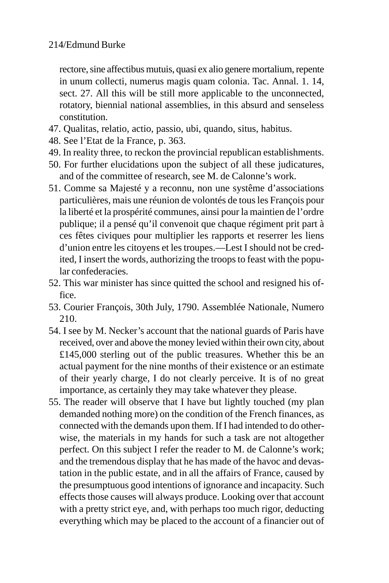rectore, sine affectibus mutuis, quasi ex alio genere mortalium, repente in unum collecti, numerus magis quam colonia. Tac. Annal. 1. 14, sect. 27. All this will be still more applicable to the unconnected, rotatory, biennial national assemblies, in this absurd and senseless constitution.

- 47. Qualitas, relatio, actio, passio, ubi, quando, situs, habitus.
- 48. See l'Etat de la France, p. 363.
- 49. In reality three, to reckon the provincial republican establishments.
- 50. For further elucidations upon the subject of all these judicatures, and of the committee of research, see M. de Calonne's work.
- 51. Comme sa Majesté y a reconnu, non une systême d'associations particulières, mais une réunion de volontés de tous les François pour la liberté et la prospérité communes, ainsi pour la maintien de l'ordre publique; il a pensé qu'il convenoit que chaque régiment prit part à ces fêtes civiques pour multiplier les rapports et reserrer les liens d'union entre les citoyens et les troupes.—Lest I should not be credited, I insert the words, authorizing the troops to feast with the popular confederacies.
- 52. This war minister has since quitted the school and resigned his office.
- 53. Courier François, 30th July, 1790. Assemblée Nationale, Numero 210.
- 54. I see by M. Necker's account that the national guards of Paris have received, over and above the money levied within their own city, about £145,000 sterling out of the public treasures. Whether this be an actual payment for the nine months of their existence or an estimate of their yearly charge, I do not clearly perceive. It is of no great importance, as certainly they may take whatever they please.
- 55. The reader will observe that I have but lightly touched (my plan demanded nothing more) on the condition of the French finances, as connected with the demands upon them. If I had intended to do otherwise, the materials in my hands for such a task are not altogether perfect. On this subject I refer the reader to M. de Calonne's work; and the tremendous display that he has made of the havoc and devastation in the public estate, and in all the affairs of France, caused by the presumptuous good intentions of ignorance and incapacity. Such effects those causes will always produce. Looking over that account with a pretty strict eye, and, with perhaps too much rigor, deducting everything which may be placed to the account of a financier out of